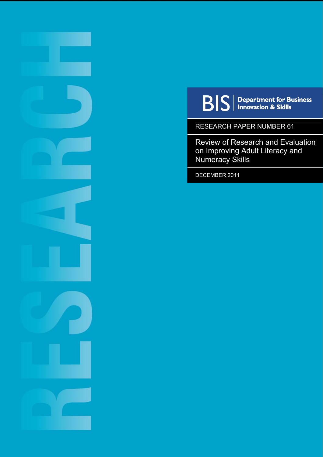

 $\mathbf{B}|\mathbf{S}|$  Department for Business

RESEARCH PAPER NUMBER 61

Review of Research and Evaluation on Improving Adult Literacy and Numeracy Skills

DECEMBER 2011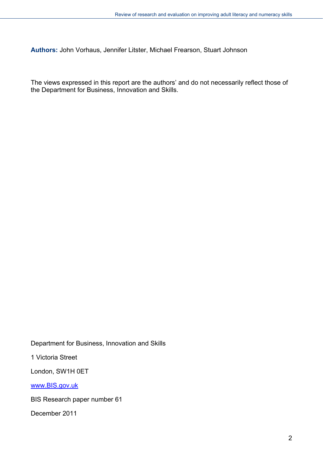**Authors:** John Vorhaus, Jennifer Litster, Michael Frearson, Stuart Johnson

The views expressed in this report are the authors' and do not necessarily reflect those of the Department for Business, Innovation and Skills.

Department for Business, Innovation and Skills

1 Victoria Street

London, SW1H 0ET

[www.BIS.gov.uk](http://www.bis.gov.uk/)

BIS Research paper number 61

December 2011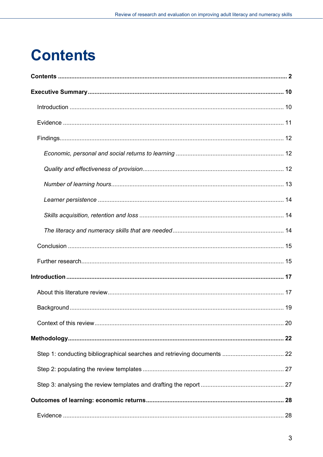# <span id="page-2-0"></span>**Contents**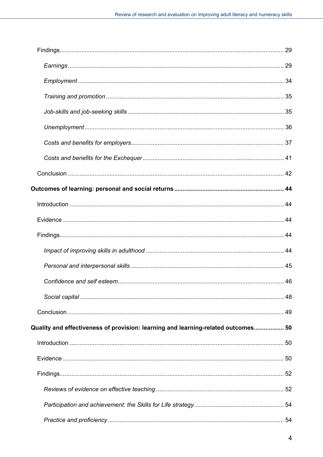| Quality and effectiveness of provision: learning and learning-related outcomes 50 |  |
|-----------------------------------------------------------------------------------|--|
|                                                                                   |  |
|                                                                                   |  |
|                                                                                   |  |
|                                                                                   |  |
|                                                                                   |  |
|                                                                                   |  |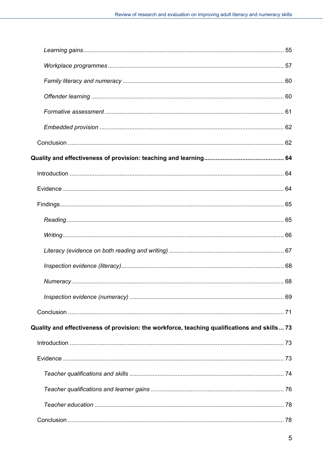| Quality and effectiveness of provision: the workforce, teaching qualifications and skills 73 |  |
|----------------------------------------------------------------------------------------------|--|
|                                                                                              |  |
|                                                                                              |  |
|                                                                                              |  |
|                                                                                              |  |
|                                                                                              |  |
|                                                                                              |  |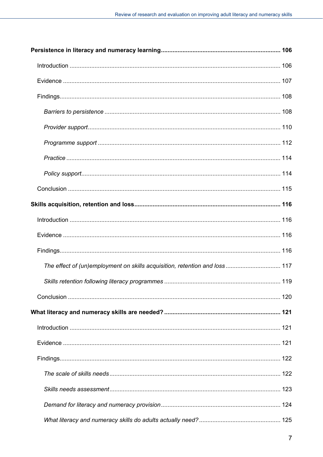| The effect of (un)employment on skills acquisition, retention and loss 117 |  |
|----------------------------------------------------------------------------|--|
|                                                                            |  |
|                                                                            |  |
|                                                                            |  |
|                                                                            |  |
|                                                                            |  |
|                                                                            |  |
|                                                                            |  |
|                                                                            |  |
|                                                                            |  |
|                                                                            |  |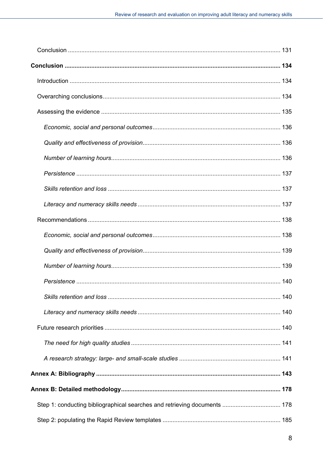| 140 |
|-----|
|     |
|     |
|     |
|     |
|     |
|     |
|     |
|     |
|     |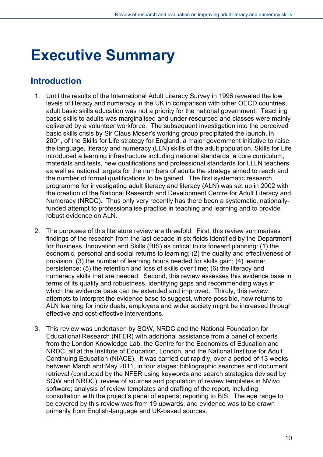## <span id="page-9-0"></span>**Executive Summary**

### <span id="page-9-1"></span>**Introduction**

- 1. Until the results of the International Adult Literacy Survey in 1996 revealed the low levels of literacy and numeracy in the UK in comparison with other OECD countries, adult basic skills education was not a priority for the national government. Teaching basic skills to adults was marginalised and under-resourced and classes were mainly delivered by a volunteer workforce. The subsequent investigation into the perceived basic skills crisis by Sir Claus Moser's working group precipitated the launch, in 2001, of the Skills for Life strategy for England, a major government initiative to raise the language, literacy and numeracy (LLN) skills of the adult population. Skills for Life introduced a learning infrastructure including national standards, a core curriculum, materials and tests, new qualifications and professional standards for LLLN teachers as well as national targets for the numbers of adults the strategy aimed to reach and the number of formal qualifications to be gained. The first systematic research programme for investigating adult literacy and literacy (ALN) was set up in 2002 with the creation of the National Research and Development Centre for Adult Literacy and Numeracy (NRDC). Thus only very recently has there been a systematic, nationallyfunded attempt to professionalise practice in teaching and learning and to provide robust evidence on ALN.
- 2. The purposes of this literature review are threefold. First, this review summarises findings of the research from the last decade in six fields identified by the Department for Business, Innovation and Skills (BIS) as critical to its forward planning: (1) the economic, personal and social returns to learning; (2) the quality and effectiveness of provision; (3) the number of learning hours needed for skills gain; (4) learner persistence; (5) the retention and loss of skills over time; (6) the literacy and numeracy skills that are needed. Second, this review assesses this evidence base in terms of its quality and robustness, identifying gaps and recommending ways in which the evidence base can be extended and improved. Thirdly, this review attempts to interpret the evidence base to suggest, where possible, how returns to ALN learning for individuals, employers and wider society might be increased through effective and cost-effective interventions.
- 3. This review was undertaken by SQW, NRDC and the National Foundation for Educational Research (NFER) with additional assistance from a panel of experts from the London Knowledge Lab, the Centre for the Economics of Education and NRDC, all at the Institute of Education, London, and the National Institute for Adult Continuing Education (NIACE). It was carried out rapidly, over a period of 13 weeks between March and May 2011, in four stages: bibliographic searches and document retrieval (conducted by the NFER using keywords and search strategies devised by SQW and NRDC); review of sources and population of review templates in NVivo software; analysis of review templates and drafting of the report, including consultation with the project's panel of experts; reporting to BIS. The age range to be covered by this review was from 19 upwards, and evidence was to be drawn primarily from English-language and UK-based sources.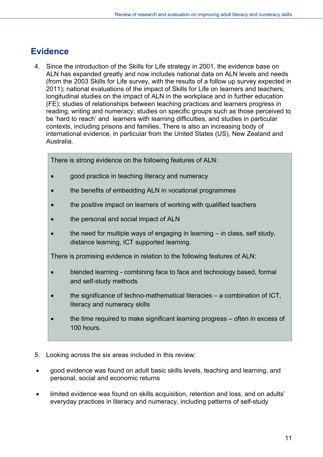## <span id="page-10-0"></span>**Evidence**

4. Since the introduction of the Skills for Life strategy in 2001, the evidence base on ALN has expanded greatly and now includes national data on ALN levels and needs (from the 2003 Skills for Life survey, with the results of a follow up survey expected in 2011); national evaluations of the impact of Skills for Life on learners and teachers; longitudinal studies on the impact of ALN in the workplace and in further education (FE); studies of relationships between teaching practices and learners progress in reading, writing and numeracy; studies on specific groups such as those perceived to be 'hard to reach' and learners with learning difficulties, and studies in particular contexts, including prisons and families. There is also an increasing body of international evidence, in particular from the United States (US), New Zealand and Australia.

There is strong evidence on the following features of ALN:

- good practice in teaching literacy and numeracy
- the benefits of embedding ALN in vocational programmes
- the positive impact on learners of working with qualified teachers
- the personal and social impact of ALN
- the need for multiple ways of engaging in learning in class, self study, distance learning, ICT supported learning.

There is promising evidence in relation to the following features of ALN:

- blended learning combining face to face and technology based, formal and self-study methods
- the significance of techno-mathematical literacies a combination of ICT, literacy and numeracy skills
- the time required to make significant learning progress often in excess of 100 hours.
- 5. Looking across the six areas included in this review:
- good evidence was found on adult basic skills levels, teaching and learning, and personal, social and economic returns
- limited evidence was found on skills acquisition, retention and loss, and on adults' everyday practices in literacy and numeracy, including patterns of self-study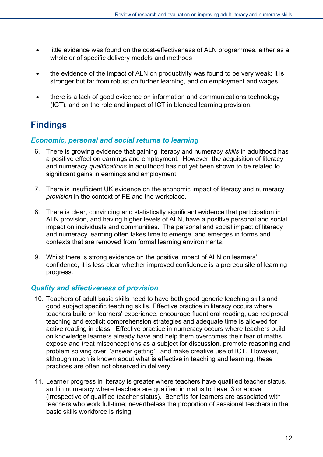- little evidence was found on the cost-effectiveness of ALN programmes, either as a whole or of specific delivery models and methods
- the evidence of the impact of ALN on productivity was found to be very weak; it is stronger but far from robust on further learning, and on employment and wages
- there is a lack of good evidence on information and communications technology (ICT), and on the role and impact of ICT in blended learning provision.

## <span id="page-11-0"></span>**Findings**

#### <span id="page-11-1"></span>*Economic, personal and social returns to learning*

- 6. There is growing evidence that gaining literacy and numeracy *skills* in adulthood has a positive effect on earnings and employment. However, the acquisition of literacy and numeracy *qualifications* in adulthood has not yet been shown to be related to significant gains in earnings and employment.
- 7. There is insufficient UK evidence on the economic impact of literacy and numeracy *provision* in the context of FE and the workplace.
- 8. There is clear, convincing and statistically significant evidence that participation in ALN provision, and having higher levels of ALN, have a positive personal and social impact on individuals and communities. The personal and social impact of literacy and numeracy learning often takes time to emerge, and emerges in forms and contexts that are removed from formal learning environments.
- 9. Whilst there is strong evidence on the positive impact of ALN on learners' confidence, it is less clear whether improved confidence is a prerequisite of learning progress.

#### <span id="page-11-2"></span>*Quality and effectiveness of provision*

- 10. Teachers of adult basic skills need to have both good generic teaching skills and good subject specific teaching skills. Effective practice in literacy occurs where teachers build on learners' experience, encourage fluent oral reading, use reciprocal teaching and explicit comprehension strategies and adequate time is allowed for active reading in class. Effective practice in numeracy occurs where teachers build on knowledge learners already have and help them overcomes their fear of maths, expose and treat misconceptions as a subject for discussion, promote reasoning and problem solving over 'answer getting', and make creative use of ICT. However, although much is known about what is effective in teaching and learning, these practices are often not observed in delivery.
- 11. Learner progress in literacy is greater where teachers have qualified teacher status, and in numeracy where teachers are qualified in maths to Level 3 or above (irrespective of qualified teacher status). Benefits for learners are associated with teachers who work full-time; nevertheless the proportion of sessional teachers in the basic skills workforce is rising.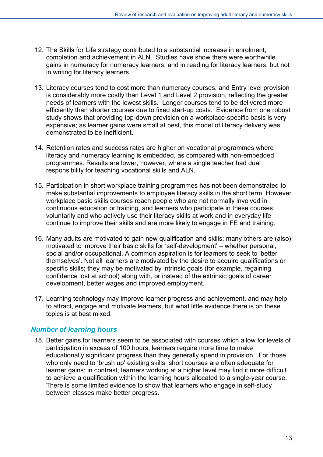- 12. The Skills for Life strategy contributed to a substantial increase in enrolment, completion and achievement in ALN. Studies have show there were worthwhile gains in numeracy for numeracy learners, and in reading for literacy learners, but not in writing for literacy learners.
- 13. Literacy courses tend to cost more than numeracy courses, and Entry level provision is considerably more costly than Level 1 and Level 2 provision, reflecting the greater needs of learners with the lowest skills. Longer courses tend to be delivered more efficiently than shorter courses due to fixed start-up costs. Evidence from one robust study shows that providing top-down provision on a workplace-specific basis is very expensive; as learner gains were small at best, this model of literacy delivery was demonstrated to be inefficient.
- 14. Retention rates and success rates are higher on vocational programmes where literacy and numeracy learning is embedded, as compared with non-embedded programmes. Results are lower, however, where a single teacher had dual responsibility for teaching vocational skills and ALN.
- 15. Participation in short workplace training programmes has not been demonstrated to make substantial improvements to employee literacy skills in the short term. However workplace basic skills courses reach people who are not normally involved in continuous education or training, and learners who participate in these courses voluntarily and who actively use their literacy skills at work and in everyday life continue to improve their skills and are more likely to engage in FE and training.
- 16. Many adults are motivated to gain new qualification and skills; many others are (also) motivated to improve their basic skills for 'self-development' – whether personal, social and/or occupational. A common aspiration is for learners to seek to 'better themselves'. Not all learners are motivated by the desire to acquire qualifications or specific skills; they may be motivated by intrinsic goals (for example, regaining confidence lost at school) along with, or instead of the extrinsic goals of career development, better wages and improved employment.
- 17. Learning technology may improve learner progress and achievement, and may help to attract, engage and motivate learners, but what little evidence there is on these topics is at best mixed.

#### <span id="page-12-0"></span>*Number of learning hours*

18. Better gains for learners seem to be associated with courses which allow for levels of participation in excess of 100 hours; learners require more time to make educationally significant progress than they generally spend in provision. For those who only need to 'brush up' existing skills, short courses are often adequate for learner gains; in contrast, learners working at a higher level may find it more difficult to achieve a qualification within the learning hours allocated to a single-year course. There is some limited evidence to show that learners who engage in self-study between classes make better progress.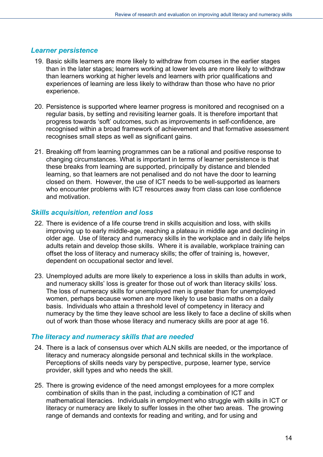#### <span id="page-13-0"></span>*Learner persistence*

- 19. Basic skills learners are more likely to withdraw from courses in the earlier stages than in the later stages; learners working at lower levels are more likely to withdraw than learners working at higher levels and learners with prior qualifications and experiences of learning are less likely to withdraw than those who have no prior experience.
- 20. Persistence is supported where learner progress is monitored and recognised on a regular basis, by setting and revisiting learner goals. It is therefore important that progress towards 'soft' outcomes, such as improvements in self-confidence, are recognised within a broad framework of achievement and that formative assessment recognises small steps as well as significant gains.
- 21. Breaking off from learning programmes can be a rational and positive response to changing circumstances. What is important in terms of learner persistence is that these breaks from learning are supported, principally by distance and blended learning, so that learners are not penalised and do not have the door to learning closed on them. However, the use of ICT needs to be well-supported as learners who encounter problems with ICT resources away from class can lose confidence and motivation.

#### <span id="page-13-1"></span>*Skills acquisition, retention and loss*

- 22. There is evidence of a life course trend in skills acquisition and loss, with skills improving up to early middle-age, reaching a plateau in middle age and declining in older age. Use of literacy and numeracy skills in the workplace and in daily life helps adults retain and develop those skills. Where it is available, workplace training can offset the loss of literacy and numeracy skills; the offer of training is, however, dependent on occupational sector and level.
- 23. Unemployed adults are more likely to experience a loss in skills than adults in work, and numeracy skills' loss is greater for those out of work than literacy skills' loss. The loss of numeracy skills for unemployed men is greater than for unemployed women, perhaps because women are more likely to use basic maths on a daily basis. Individuals who attain a threshold level of competency in literacy and numeracy by the time they leave school are less likely to face a decline of skills when out of work than those whose literacy and numeracy skills are poor at age 16.

#### <span id="page-13-2"></span>*The literacy and numeracy skills that are needed*

- 24. There is a lack of consensus over which ALN skills are needed, or the importance of literacy and numeracy alongside personal and technical skills in the workplace. Perceptions of skills needs vary by perspective, purpose, learner type, service provider, skill types and who needs the skill.
- 25. There is growing evidence of the need amongst employees for a more complex combination of skills than in the past, including a combination of ICT and mathematical literacies. Individuals in employment who struggle with skills in ICT or literacy or numeracy are likely to suffer losses in the other two areas. The growing range of demands and contexts for reading and writing, and for using and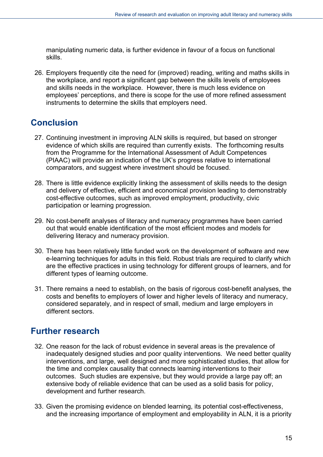manipulating numeric data, is further evidence in favour of a focus on functional skills.

26. Employers frequently cite the need for (improved) reading, writing and maths skills in the workplace, and report a significant gap between the skills levels of employees and skills needs in the workplace. However, there is much less evidence on employees' perceptions, and there is scope for the use of more refined assessment instruments to determine the skills that employers need.

## <span id="page-14-0"></span>**Conclusion**

- 27. Continuing investment in improving ALN skills is required, but based on stronger evidence of which skills are required than currently exists. The forthcoming results from the Programme for the International Assessment of Adult Competences (PIAAC) will provide an indication of the UK's progress relative to international comparators, and suggest where investment should be focused.
- 28. There is little evidence explicitly linking the assessment of skills needs to the design and delivery of effective, efficient and economical provision leading to demonstrably cost-effective outcomes, such as improved employment, productivity, civic participation or learning progression.
- 29. No cost-benefit analyses of literacy and numeracy programmes have been carried out that would enable identification of the most efficient modes and models for delivering literacy and numeracy provision.
- 30. There has been relatively little funded work on the development of software and new e-learning techniques for adults in this field. Robust trials are required to clarify which are the effective practices in using technology for different groups of learners, and for different types of learning outcome.
- 31. There remains a need to establish, on the basis of rigorous cost-benefit analyses, the costs and benefits to employers of lower and higher levels of literacy and numeracy, considered separately, and in respect of small, medium and large employers in different sectors.

## <span id="page-14-1"></span>**Further research**

- 32. One reason for the lack of robust evidence in several areas is the prevalence of inadequately designed studies and poor quality interventions. We need better quality interventions, and large, well designed and more sophisticated studies, that allow for the time and complex causality that connects learning interventions to their outcomes. Such studies are expensive, but they would provide a large pay off; an extensive body of reliable evidence that can be used as a solid basis for policy, development and further research.
- 33. Given the promising evidence on blended learning, its potential cost-effectiveness, and the increasing importance of employment and employability in ALN, it is a priority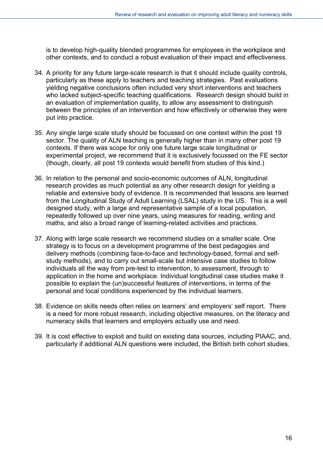is to develop high-quality blended programmes for employees in the workplace and other contexts, and to conduct a robust evaluation of their impact and effectiveness.

- 34. A priority for any future large-scale research is that it should include quality controls, particularly as these apply to teachers and teaching strategies. Past evaluations yielding negative conclusions often included very short interventions and teachers who lacked subject-specific teaching qualifications. Research design should build in an evaluation of implementation quality, to allow any assessment to distinguish between the principles of an intervention and how effectively or otherwise they were put into practice.
- 35. Any single large scale study should be focussed on one context within the post 19 sector. The quality of ALN teaching is generally higher than in many other post 19 contexts. If there was scope for only one future large scale longitudinal or experimental project, we recommend that it is exclusively focussed on the FE sector (though, clearly, all post 19 contexts would benefit from studies of this kind.)
- 36. In relation to the personal and socio-economic outcomes of ALN, longitudinal research provides as much potential as any other research design for yielding a reliable and extensive body of evidence. It is recommended that lessons are learned from the Longitudinal Study of Adult Learning (LSAL) study in the US. This is a well designed study, with a large and representative sample of a local population, repeatedly followed up over nine years, using measures for reading, writing and maths, and also a broad range of learning-related activities and practices.
- 37. Along with large scale research we recommend studies on a smaller scale. One strategy is to focus on a development programme of the best pedagogies and delivery methods (combining face-to-face and technology-based, formal and selfstudy methods), and to carry out small-scale but intensive case studies to follow individuals all the way from pre-test to intervention, to assessment, through to application in the home and workplace. Individual longitudinal case studies make it possible to explain the (un)successful features of interventions, in terms of the personal and local conditions experienced by the individual learners.
- 38. Evidence on skills needs often relies on learners' and employers' self report. There is a need for more robust research, including objective measures, on the literacy and numeracy skills that learners and employers actually use and need.
- 39. It is cost effective to exploit and build on existing data sources, including PIAAC, and, particularly if additional ALN questions were included, the British birth cohort studies.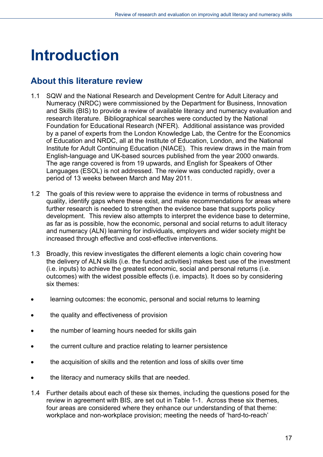# <span id="page-16-0"></span>**Introduction**

## <span id="page-16-1"></span>**About this literature review**

- 1.1 SQW and the National Research and Development Centre for Adult Literacy and Numeracy (NRDC) were commissioned by the Department for Business, Innovation and Skills (BIS) to provide a review of available literacy and numeracy evaluation and research literature. Bibliographical searches were conducted by the National Foundation for Educational Research (NFER). Additional assistance was provided by a panel of experts from the London Knowledge Lab, the Centre for the Economics of Education and NRDC, all at the Institute of Education, London, and the National Institute for Adult Continuing Education (NIACE). This review draws in the main from English-language and UK-based sources published from the year 2000 onwards. The age range covered is from 19 upwards, and English for Speakers of Other Languages (ESOL) is not addressed. The review was conducted rapidly, over a period of 13 weeks between March and May 2011.
- 1.2 The goals of this review were to appraise the evidence in terms of robustness and quality, identify gaps where these exist, and make recommendations for areas where further research is needed to strengthen the evidence base that supports policy development. This review also attempts to interpret the evidence base to determine, as far as is possible, how the economic, personal and social returns to adult literacy and numeracy (ALN) learning for individuals, employers and wider society might be increased through effective and cost-effective interventions.
- 1.3 Broadly, this review investigates the different elements a logic chain covering how the delivery of ALN skills (i.e. the funded activities) makes best use of the investment (i.e. inputs) to achieve the greatest economic, social and personal returns (i.e. outcomes) with the widest possible effects (i.e. impacts). It does so by considering six themes:
- learning outcomes: the economic, personal and social returns to learning
- the quality and effectiveness of provision
- the number of learning hours needed for skills gain
- the current culture and practice relating to learner persistence
- the acquisition of skills and the retention and loss of skills over time
- the literacy and numeracy skills that are needed.
- 1.4 Further details about each of these six themes, including the questions posed for the review in agreement with BIS, are set out in Table 1-1. Across these six themes. four areas are considered where they enhance our understanding of that theme: workplace and non-workplace provision; meeting the needs of 'hard-to-reach'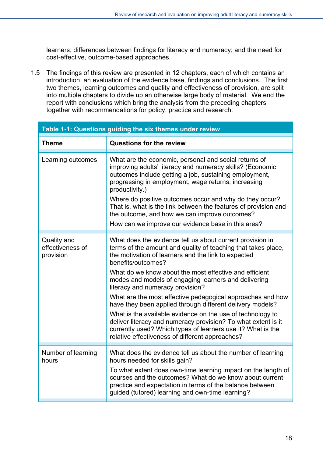learners; differences between findings for literacy and numeracy; and the need for cost-effective, outcome-based approaches.

1.5 The findings of this review are presented in 12 chapters, each of which contains an introduction, an evaluation of the evidence base, findings and conclusions. The first two themes, learning outcomes and quality and effectiveness of provision, are split into multiple chapters to divide up an otherwise large body of material. We end the report with conclusions which bring the analysis from the preceding chapters together with recommendations for policy, practice and research.

| Table 1-1: Questions guiding the six themes under review |                                                                                                                                                                                                                                                                                                                                                                                                                                                                                                                                                                                                                                                                                                                                           |  |
|----------------------------------------------------------|-------------------------------------------------------------------------------------------------------------------------------------------------------------------------------------------------------------------------------------------------------------------------------------------------------------------------------------------------------------------------------------------------------------------------------------------------------------------------------------------------------------------------------------------------------------------------------------------------------------------------------------------------------------------------------------------------------------------------------------------|--|
| <b>Theme</b>                                             | <b>Questions for the review</b>                                                                                                                                                                                                                                                                                                                                                                                                                                                                                                                                                                                                                                                                                                           |  |
| Learning outcomes                                        | What are the economic, personal and social returns of<br>improving adults' literacy and numeracy skills? (Economic<br>outcomes include getting a job, sustaining employment,<br>progressing in employment, wage returns, increasing<br>productivity.)<br>Where do positive outcomes occur and why do they occur?<br>That is, what is the link between the features of provision and<br>the outcome, and how we can improve outcomes?<br>How can we improve our evidence base in this area?                                                                                                                                                                                                                                                |  |
| Quality and<br>effectiveness of<br>provision             | What does the evidence tell us about current provision in<br>terms of the amount and quality of teaching that takes place,<br>the motivation of learners and the link to expected<br>benefits/outcomes?<br>What do we know about the most effective and efficient<br>modes and models of engaging learners and delivering<br>literacy and numeracy provision?<br>What are the most effective pedagogical approaches and how<br>have they been applied through different delivery models?<br>What is the available evidence on the use of technology to<br>deliver literacy and numeracy provision? To what extent is it<br>currently used? Which types of learners use it? What is the<br>relative effectiveness of different approaches? |  |
| Number of learning<br>hours                              | What does the evidence tell us about the number of learning<br>hours needed for skills gain?<br>To what extent does own-time learning impact on the length of<br>courses and the outcomes? What do we know about current<br>practice and expectation in terms of the balance between<br>guided (tutored) learning and own-time learning?                                                                                                                                                                                                                                                                                                                                                                                                  |  |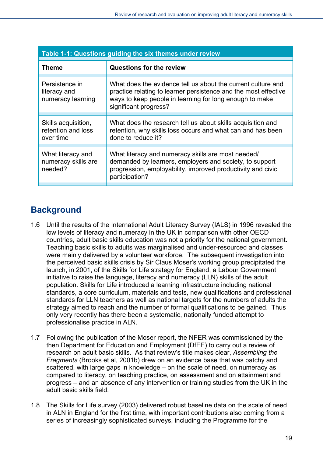| Table 1-1: Questions guiding the six themes under review |                                                                                                                                                                                                                     |  |
|----------------------------------------------------------|---------------------------------------------------------------------------------------------------------------------------------------------------------------------------------------------------------------------|--|
| Theme                                                    | Questions for the review                                                                                                                                                                                            |  |
| Persistence in<br>literacy and<br>numeracy learning      | What does the evidence tell us about the current culture and<br>practice relating to learner persistence and the most effective<br>ways to keep people in learning for long enough to make<br>significant progress? |  |
| Skills acquisition,<br>retention and loss<br>over time   | What does the research tell us about skills acquisition and<br>retention, why skills loss occurs and what can and has been<br>done to reduce it?                                                                    |  |
| What literacy and<br>numeracy skills are<br>needed?      | What literacy and numeracy skills are most needed/<br>demanded by learners, employers and society, to support<br>progression, employability, improved productivity and civic<br>participation?                      |  |

## <span id="page-18-0"></span>**Background**

- 1.6 Until the results of the International Adult Literacy Survey (IALS) in 1996 revealed the low levels of literacy and numeracy in the UK in comparison with other OECD countries, adult basic skills education was not a priority for the national government. Teaching basic skills to adults was marginalised and under-resourced and classes were mainly delivered by a volunteer workforce. The subsequent investigation into the perceived basic skills crisis by Sir Claus Moser's working group precipitated the launch, in 2001, of the Skills for Life strategy for England, a Labour Government initiative to raise the language, literacy and numeracy (LLN) skills of the adult population. Skills for Life introduced a learning infrastructure including national standards, a core curriculum, materials and tests, new qualifications and professional standards for LLN teachers as well as national targets for the numbers of adults the strategy aimed to reach and the number of formal qualifications to be gained. Thus only very recently has there been a systematic, nationally funded attempt to professionalise practice in ALN.
- 1.7 Following the publication of the Moser report, the NFER was commissioned by the then Department for Education and Employment (DfEE) to carry out a review of research on adult basic skills. As that review's title makes clear, *Assembling the Fragments* (Brooks et al, 2001b) drew on an evidence base that was patchy and scattered, with large gaps in knowledge – on the scale of need, on numeracy as compared to literacy, on teaching practice, on assessment and on attainment and progress – and an absence of any intervention or training studies from the UK in the adult basic skills field.
- 1.8 The Skills for Life survey (2003) delivered robust baseline data on the scale of need in ALN in England for the first time, with important contributions also coming from a series of increasingly sophisticated surveys, including the Programme for the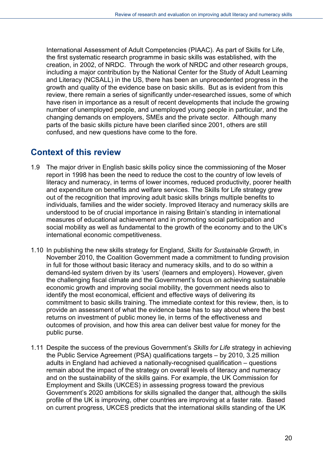International Assessment of Adult Competencies (PIAAC). As part of Skills for Life, the first systematic research programme in basic skills was established, with the creation, in 2002, of NRDC. Through the work of NRDC and other research groups, including a major contribution by the National Center for the Study of Adult Learning and Literacy (NCSALL) in the US, there has been an unprecedented progress in the growth and quality of the evidence base on basic skills. But as is evident from this review, there remain a series of significantly under-researched issues, some of which have risen in importance as a result of recent developments that include the growing number of unemployed people, and unemployed young people in particular, and the changing demands on employers, SMEs and the private sector. Although many parts of the basic skills picture have been clarified since 2001, others are still confused, and new questions have come to the fore.

#### <span id="page-19-0"></span>**Context of this review**

- 1.9 The major driver in English basic skills policy since the commissioning of the Moser report in 1998 has been the need to reduce the cost to the country of low levels of literacy and numeracy, in terms of lower incomes, reduced productivity, poorer health and expenditure on benefits and welfare services. The Skills for Life strategy grew out of the recognition that improving adult basic skills brings multiple benefits to individuals, families and the wider society. Improved literacy and numeracy skills are understood to be of crucial importance in raising Britain's standing in international measures of educational achievement and in promoting social participation and social mobility as well as fundamental to the growth of the economy and to the UK's international economic competitiveness.
- 1.10 In publishing the new skills strategy for England, *Skills for Sustainable Growth*, in November 2010, the Coalition Government made a commitment to funding provision in full for those without basic literacy and numeracy skills, and to do so within a demand-led system driven by its 'users' (learners and employers). However, given the challenging fiscal climate and the Government's focus on achieving sustainable economic growth and improving social mobility, the government needs also to identify the most economical, efficient and effective ways of delivering its commitment to basic skills training. The immediate context for this review, then, is to provide an assessment of what the evidence base has to say about where the best returns on investment of public money lie, in terms of the effectiveness and outcomes of provision, and how this area can deliver best value for money for the public purse.
- 1.11 Despite the success of the previous Government's *Skills for Life* strategy in achieving the Public Service Agreement (PSA) qualifications targets – by 2010, 3.25 million adults in England had achieved a nationally-recognised qualification – questions remain about the impact of the strategy on overall levels of literacy and numeracy and on the sustainability of the skills gains. For example, the UK Commission for Employment and Skills (UKCES) in assessing progress toward the previous Government's 2020 ambitions for skills signalled the danger that, although the skills profile of the UK is improving, other countries are improving at a faster rate. Based on current progress, UKCES predicts that the international skills standing of the UK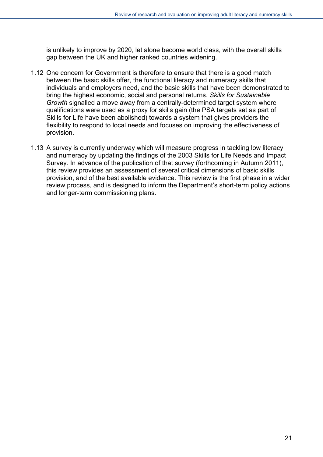is unlikely to improve by 2020, let alone become world class, with the overall skills gap between the UK and higher ranked countries widening.

- 1.12 One concern for Government is therefore to ensure that there is a good match between the basic skills offer, the functional literacy and numeracy skills that individuals and employers need, and the basic skills that have been demonstrated to bring the highest economic, social and personal returns. *Skills for Sustainable Growth* signalled a move away from a centrally-determined target system where qualifications were used as a proxy for skills gain (the PSA targets set as part of Skills for Life have been abolished) towards a system that gives providers the flexibility to respond to local needs and focuses on improving the effectiveness of provision.
- 1.13 A survey is currently underway which will measure progress in tackling low literacy and numeracy by updating the findings of the 2003 Skills for Life Needs and Impact Survey. In advance of the publication of that survey (forthcoming in Autumn 2011), this review provides an assessment of several critical dimensions of basic skills provision, and of the best available evidence. This review is the first phase in a wider review process, and is designed to inform the Department's short-term policy actions and longer-term commissioning plans.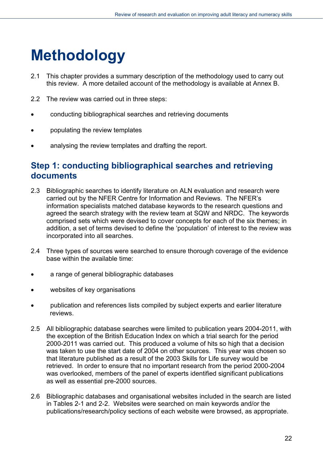# <span id="page-21-0"></span>**Methodology**

- 2.1 This chapter provides a summary description of the methodology used to carry out this review. A more detailed account of the methodology is available at Annex B.
- 2.2 The review was carried out in three steps:
- conducting bibliographical searches and retrieving documents
- populating the review templates
- analysing the review templates and drafting the report.

#### <span id="page-21-1"></span>**Step 1: conducting bibliographical searches and retrieving documents**

- 2.3 Bibliographic searches to identify literature on ALN evaluation and research were carried out by the NFER Centre for Information and Reviews. The NFER's information specialists matched database keywords to the research questions and agreed the search strategy with the review team at SQW and NRDC. The keywords comprised sets which were devised to cover concepts for each of the six themes; in addition, a set of terms devised to define the 'population' of interest to the review was incorporated into all searches.
- 2.4 Three types of sources were searched to ensure thorough coverage of the evidence base within the available time:
- a range of general bibliographic databases
- websites of key organisations
- publication and references lists compiled by subject experts and earlier literature reviews.
- 2.5 All bibliographic database searches were limited to publication years 2004-2011, with the exception of the British Education Index on which a trial search for the period 2000-2011 was carried out. This produced a volume of hits so high that a decision was taken to use the start date of 2004 on other sources. This year was chosen so that literature published as a result of the 2003 Skills for Life survey would be retrieved. In order to ensure that no important research from the period 2000-2004 was overlooked, members of the panel of experts identified significant publications as well as essential pre-2000 sources.
- 2.6 Bibliographic databases and organisational websites included in the search are listed in Tables 2-1 and 2-2. Websites were searched on main keywords and/or the publications/research/policy sections of each website were browsed, as appropriate.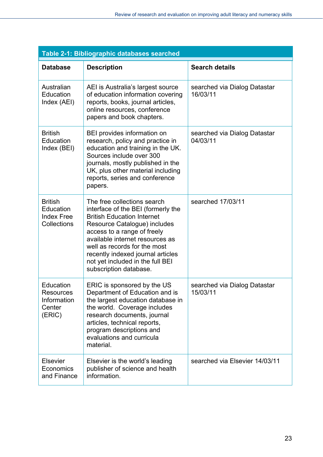| Table 2-1: Bibliographic databases searched                     |                                                                                                                                                                                                                                                                                                                                             |                                          |
|-----------------------------------------------------------------|---------------------------------------------------------------------------------------------------------------------------------------------------------------------------------------------------------------------------------------------------------------------------------------------------------------------------------------------|------------------------------------------|
| <b>Database</b>                                                 | <b>Description</b>                                                                                                                                                                                                                                                                                                                          | <b>Search details</b>                    |
| Australian<br>Education<br>Index (AEI)                          | AEI is Australia's largest source<br>of education information covering<br>reports, books, journal articles,<br>online resources, conference<br>papers and book chapters.                                                                                                                                                                    | searched via Dialog Datastar<br>16/03/11 |
| <b>British</b><br>Education<br>Index (BEI)                      | BEI provides information on<br>research, policy and practice in<br>education and training in the UK.<br>Sources include over 300<br>journals, mostly published in the<br>UK, plus other material including<br>reports, series and conference<br>papers.                                                                                     | searched via Dialog Datastar<br>04/03/11 |
| <b>British</b><br>Education<br><b>Index Free</b><br>Collections | The free collections search<br>interface of the BEI (formerly the<br><b>British Education Internet</b><br>Resource Catalogue) includes<br>access to a range of freely<br>available internet resources as<br>well as records for the most<br>recently indexed journal articles<br>not yet included in the full BEI<br>subscription database. | searched 17/03/11                        |
| Education<br>Resources<br>Information<br>Center<br>(ERIC)       | ERIC is sponsored by the US<br>Department of Education and is<br>the largest education database in<br>the world. Coverage includes<br>research documents, journal<br>articles, technical reports,<br>program descriptions and<br>evaluations and curricula<br>material.                                                                     | searched via Dialog Datastar<br>15/03/11 |
| <b>Elsevier</b><br>Economics<br>and Finance                     | Elsevier is the world's leading<br>publisher of science and health<br>information.                                                                                                                                                                                                                                                          | searched via Elsevier 14/03/11           |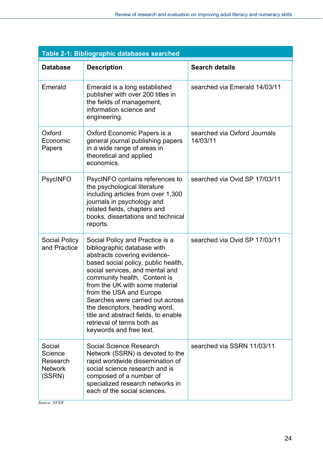| Table 2-1: Bibliographic databases searched               |                                                                                                                                                                                                                                                                                                                                                                                                                                               |                                          |  |
|-----------------------------------------------------------|-----------------------------------------------------------------------------------------------------------------------------------------------------------------------------------------------------------------------------------------------------------------------------------------------------------------------------------------------------------------------------------------------------------------------------------------------|------------------------------------------|--|
| <b>Database</b>                                           | <b>Description</b>                                                                                                                                                                                                                                                                                                                                                                                                                            | <b>Search details</b>                    |  |
| Emerald                                                   | Emerald is a long established<br>publisher with over 200 titles in<br>the fields of management,<br>information science and<br>engineering.                                                                                                                                                                                                                                                                                                    | searched via Emerald 14/03/11            |  |
| Oxford<br>Economic<br>Papers                              | Oxford Economic Papers is a<br>general journal publishing papers<br>in a wide range of areas in<br>theoretical and applied<br>economics.                                                                                                                                                                                                                                                                                                      | searched via Oxford Journals<br>14/03/11 |  |
| <b>PsycINFO</b>                                           | PsycINFO contains references to<br>the psychological literature<br>including articles from over 1,300<br>journals in psychology and<br>related fields, chapters and<br>books, dissertations and technical<br>reports.                                                                                                                                                                                                                         | searched via Ovid SP 17/03/11            |  |
| <b>Social Policy</b><br>and Practice                      | Social Policy and Practice is a<br>bibliographic database with<br>abstracts covering evidence-<br>based social policy, public health,<br>social services, and mental and<br>community health. Content is<br>from the UK with some material<br>from the USA and Europe.<br>Searches were carried out across<br>the descriptors, heading word,<br>title and abstract fields, to enable<br>retrieval of terms both as<br>keywords and free text. | searched via Ovid SP 17/03/11            |  |
| Social<br>Science<br>Research<br><b>Network</b><br>(SSRN) | Social Science Research<br>Network (SSRN) is devoted to the<br>rapid worldwide dissemination of<br>social science research and is<br>composed of a number of<br>specialized research networks in<br>each of the social sciences.                                                                                                                                                                                                              | searched via SSRN 11/03/11               |  |

*Source: NFER*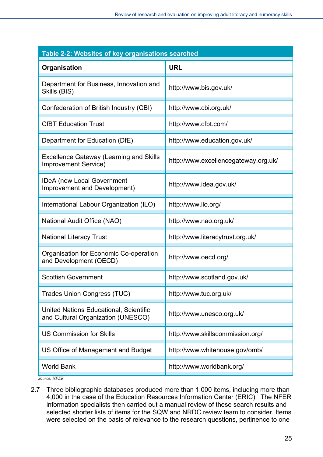| Table 2-2: Websites of key organisations searched                             |                                      |  |
|-------------------------------------------------------------------------------|--------------------------------------|--|
| Organisation                                                                  | <b>URL</b>                           |  |
| Department for Business, Innovation and<br>Skills (BIS)                       | http://www.bis.gov.uk/               |  |
| Confederation of British Industry (CBI)                                       | http://www.cbi.org.uk/               |  |
| <b>CfBT Education Trust</b>                                                   | http://www.cfbt.com/                 |  |
| Department for Education (DfE)                                                | http://www.education.gov.uk/         |  |
| <b>Excellence Gateway (Learning and Skills</b><br><b>Improvement Service)</b> | http://www.excellencegateway.org.uk/ |  |
| <b>IDeA</b> (now Local Government<br>Improvement and Development)             | http://www.idea.gov.uk/              |  |
| International Labour Organization (ILO)                                       | http://www.ilo.org/                  |  |
| National Audit Office (NAO)                                                   | http://www.nao.org.uk/               |  |
| <b>National Literacy Trust</b>                                                | http://www.literacytrust.org.uk/     |  |
| Organisation for Economic Co-operation<br>and Development (OECD)              | http://www.oecd.org/                 |  |
| <b>Scottish Government</b>                                                    | http://www.scotland.gov.uk/          |  |
| <b>Trades Union Congress (TUC)</b>                                            | http://www.tuc.org.uk/               |  |
| United Nations Educational, Scientific<br>and Cultural Organization (UNESCO)  | http://www.unesco.org.uk/            |  |
| <b>US Commission for Skills</b>                                               | http://www.skillscommission.org/     |  |
| US Office of Management and Budget                                            | http://www.whitehouse.gov/omb/       |  |
| <b>World Bank</b>                                                             | http://www.worldbank.org/            |  |
|                                                                               |                                      |  |

*Source: NFER* 

2.7 Three bibliographic databases produced more than 1,000 items, including more than 4,000 in the case of the Education Resources Information Center (ERIC). The NFER information specialists then carried out a manual review of these search results and selected shorter lists of items for the SQW and NRDC review team to consider. Items were selected on the basis of relevance to the research questions, pertinence to one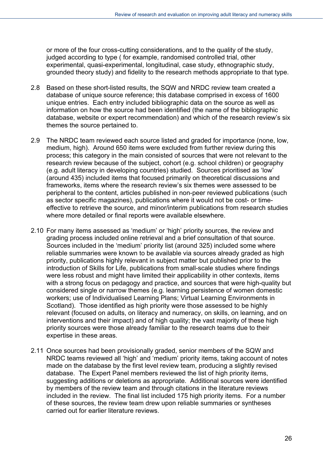or more of the four cross-cutting considerations, and to the quality of the study, judged according to type ( for example, randomised controlled trial, other experimental, quasi-experimental, longitudinal, case study, ethnographic study, grounded theory study) and fidelity to the research methods appropriate to that type.

- 2.8 Based on these short-listed results, the SQW and NRDC review team created a database of unique source reference; this database comprised in excess of 1600 unique entries. Each entry included bibliographic data on the source as well as information on how the source had been identified (the name of the bibliographic database, website or expert recommendation) and which of the research review's six themes the source pertained to.
- 2.9 The NRDC team reviewed each source listed and graded for importance (none, low, medium, high). Around 650 items were excluded from further review during this process; this category in the main consisted of sources that were not relevant to the research review because of the subject, cohort (e.g. school children) or geography (e.g. adult literacy in developing countries) studied. Sources prioritised as 'low' (around 435) included items that focused primarily on theoretical discussions and frameworks, items where the research review's six themes were assessed to be peripheral to the content, articles published in non-peer reviewed publications (such as sector specific magazines), publications where it would not be cost- or timeeffective to retrieve the source, and minor/interim publications from research studies where more detailed or final reports were available elsewhere.
- 2.10 For many items assessed as 'medium' or 'high' priority sources, the review and grading process included online retrieval and a brief consultation of that source. Sources included in the 'medium' priority list (around 325) included some where reliable summaries were known to be available via sources already graded as high priority, publications highly relevant in subject matter but published prior to the introduction of Skills for Life, publications from small-scale studies where findings were less robust and might have limited their applicability in other contexts, items with a strong focus on pedagogy and practice, and sources that were high-quality but considered single or narrow themes (e.g. learning persistence of women domestic workers; use of Individualised Learning Plans; Virtual Learning Environments in Scotland). Those identified as high priority were those assessed to be highly relevant (focused on adults, on literacy and numeracy, on skills, on learning, and on interventions and their impact) and of high quality; the vast majority of these high priority sources were those already familiar to the research teams due to their expertise in these areas.
- 2.11 Once sources had been provisionally graded, senior members of the SQW and NRDC teams reviewed all 'high' and 'medium' priority items, taking account of notes made on the database by the first level review team, producing a slightly revised database. The Expert Panel members reviewed the list of high priority items, suggesting additions or deletions as appropriate. Additional sources were identified by members of the review team and through citations in the literature reviews included in the review. The final list included 175 high priority items. For a number of these sources, the review team drew upon reliable summaries or syntheses carried out for earlier literature reviews.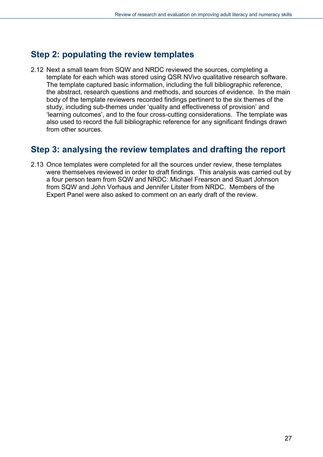### **Step 2: populating the review templates**

2.12 Next a small team from SQW and NRDC reviewed the sources, completing a template for each which was stored using QSR NVivo qualitative research software. The template captured basic information, including the full bibliographic reference, the abstract, research questions and methods, and sources of evidence. In the main body of the template reviewers recorded findings pertinent to the six themes of the study, including sub-themes under 'quality and effectiveness of provision' and 'learning outcomes', and to the four cross-cutting considerations. The template was also used to record the full bibliographic reference for any significant findings drawn from other sources.

#### <span id="page-26-1"></span>**Step 3: analysing the review templates and drafting the report**

<span id="page-26-0"></span>2.13 Once templates were completed for all the sources under review, these templates were themselves reviewed in order to draft findings. This analysis was carried out by a four person team from SQW and NRDC: Michael Frearson and Stuart Johnson from SQW and John Vorhaus and Jennifer Litster from NRDC. Members of the Expert Panel were also asked to comment on an early draft of the review.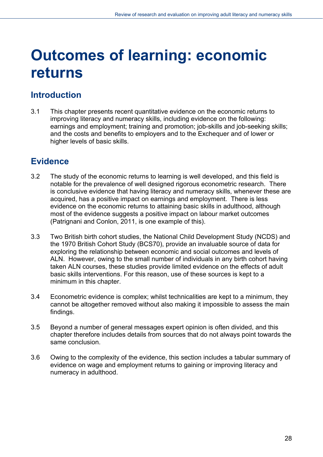# <span id="page-27-0"></span>**Outcomes of learning: economic returns**

## **Introduction**

3.1 This chapter presents recent quantitative evidence on the economic returns to improving literacy and numeracy skills, including evidence on the following: earnings and employment; training and promotion; job-skills and job-seeking skills; and the costs and benefits to employers and to the Exchequer and of lower or higher levels of basic skills.

## <span id="page-27-1"></span>**Evidence**

- 3.2 The study of the economic returns to learning is well developed, and this field is notable for the prevalence of well designed rigorous econometric research. There is conclusive evidence that having literacy and numeracy skills, whenever these are acquired, has a positive impact on earnings and employment. There is less evidence on the economic returns to attaining basic skills in adulthood, although most of the evidence suggests a positive impact on labour market outcomes (Patrignani and Conlon, 2011, is one example of this).
- 3.3 Two British birth cohort studies, the National Child Development Study (NCDS) and the 1970 British Cohort Study (BCS70), provide an invaluable source of data for exploring the relationship between economic and social outcomes and levels of ALN. However, owing to the small number of individuals in any birth cohort having taken ALN courses, these studies provide limited evidence on the effects of adult basic skills interventions. For this reason, use of these sources is kept to a minimum in this chapter.
- 3.4 Econometric evidence is complex; whilst technicalities are kept to a minimum, they cannot be altogether removed without also making it impossible to assess the main findings.
- 3.5 Beyond a number of general messages expert opinion is often divided, and this chapter therefore includes details from sources that do not always point towards the same conclusion.
- 3.6 Owing to the complexity of the evidence, this section includes a tabular summary of evidence on wage and employment returns to gaining or improving literacy and numeracy in adulthood.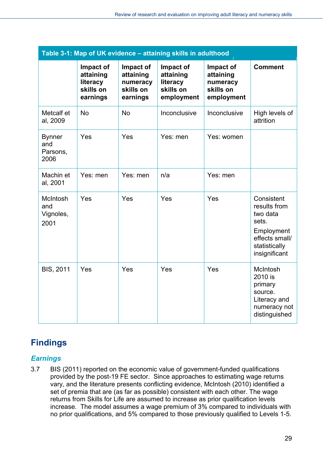| Table 3-1: Map of UK evidence - attaining skills in adulthood |                                                             |                                                             |                                                               |                                                               |                                                                                                                   |
|---------------------------------------------------------------|-------------------------------------------------------------|-------------------------------------------------------------|---------------------------------------------------------------|---------------------------------------------------------------|-------------------------------------------------------------------------------------------------------------------|
|                                                               | Impact of<br>attaining<br>literacy<br>skills on<br>earnings | Impact of<br>attaining<br>numeracy<br>skills on<br>earnings | Impact of<br>attaining<br>literacy<br>skills on<br>employment | Impact of<br>attaining<br>numeracy<br>skills on<br>employment | <b>Comment</b>                                                                                                    |
| Metcalf et<br>al, 2009                                        | <b>No</b>                                                   | <b>No</b>                                                   | Inconclusive                                                  | Inconclusive                                                  | High levels of<br>attrition                                                                                       |
| <b>Bynner</b><br>and<br>Parsons,<br>2006                      | Yes                                                         | Yes                                                         | Yes: men                                                      | Yes: women                                                    |                                                                                                                   |
| Machin et<br>al, 2001                                         | Yes: men                                                    | Yes: men                                                    | n/a                                                           | Yes: men                                                      |                                                                                                                   |
| McIntosh<br>and<br>Vignoles,<br>2001                          | Yes                                                         | Yes                                                         | Yes                                                           | Yes                                                           | Consistent<br>results from<br>two data<br>sets.<br>Employment<br>effects small/<br>statistically<br>insignificant |
| <b>BIS, 2011</b>                                              | Yes                                                         | Yes                                                         | Yes                                                           | Yes                                                           | McIntosh<br>2010 is<br>primary<br>source.<br>Literacy and<br>numeracy not<br>distinguished                        |

## <span id="page-28-0"></span>**Findings**

#### <span id="page-28-1"></span>*Earnings*

3.7 BIS (2011) reported on the economic value of government-funded qualifications provided by the post-19 FE sector. Since approaches to estimating wage returns vary, and the literature presents conflicting evidence, McIntosh (2010) identified a set of premia that are (as far as possible) consistent with each other. The wage returns from Skills for Life are assumed to increase as prior qualification levels increase. The model assumes a wage premium of 3% compared to individuals with no prior qualifications, and 5% compared to those previously qualified to Levels 1-5.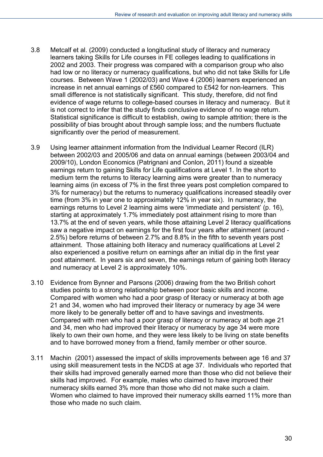- 3.8 Metcalf et al. (2009) conducted a longitudinal study of literacy and numeracy learners taking Skills for Life courses in FE colleges leading to qualifications in 2002 and 2003. Their progress was compared with a comparison group who also had low or no literacy or numeracy qualifications, but who did not take Skills for Life courses. Between Wave 1 (2002/03) and Wave 4 (2006) learners experienced an increase in net annual earnings of £560 compared to £542 for non-learners. This small difference is not statistically significant. This study, therefore, did not find evidence of wage returns to college-based courses in literacy and numeracy. But it is not correct to infer that the study finds conclusive evidence of no wage return. Statistical significance is difficult to establish, owing to sample attrition; there is the possibility of bias brought about through sample loss; and the numbers fluctuate significantly over the period of measurement.
- 3.9 Using learner attainment information from the Individual Learner Record (ILR) between 2002/03 and 2005/06 and data on annual earnings (between 2003/04 and 2009/10), London Economics (Patrignani and Conlon, 2011) found a sizeable earnings return to gaining Skills for Life qualifications at Level 1. In the short to medium term the returns to literacy learning aims were greater than to numeracy learning aims (in excess of 7% in the first three years post completion compared to 3% for numeracy) but the returns to numeracy qualifications increased steadily over time (from 3% in year one to approximately 12% in year six). In numeracy, the earnings returns to Level 2 learning aims were 'immediate and persistent' (p. 16), starting at approximately 1.7% immediately post attainment rising to more than 13.7% at the end of seven years, while those attaining Level 2 literacy qualifications saw a negative impact on earnings for the first four years after attainment (around - 2.5%) before returns of between 2.7% and 8.8% in the fifth to seventh years post attainment. Those attaining both literacy and numeracy qualifications at Level 2 also experienced a positive return on earnings after an initial dip in the first year post attainment. In years six and seven, the earnings return of gaining both literacy and numeracy at Level 2 is approximately 10%.
- 3.10 Evidence from Bynner and Parsons (2006) drawing from the two British cohort studies points to a strong relationship between poor basic skills and income. Compared with women who had a poor grasp of literacy or numeracy at both age 21 and 34, women who had improved their literacy or numeracy by age 34 were more likely to be generally better off and to have savings and investments. Compared with men who had a poor grasp of literacy or numeracy at both age 21 and 34, men who had improved their literacy or numeracy by age 34 were more likely to own their own home, and they were less likely to be living on state benefits and to have borrowed money from a friend, family member or other source.
- 3.11 Machin (2001) assessed the impact of skills improvements between age 16 and 37 using skill measurement tests in the NCDS at age 37. Individuals who reported that their skills had improved generally earned more than those who did not believe their skills had improved. For example, males who claimed to have improved their numeracy skills earned 3% more than those who did not make such a claim. Women who claimed to have improved their numeracy skills earned 11% more than those who made no such claim.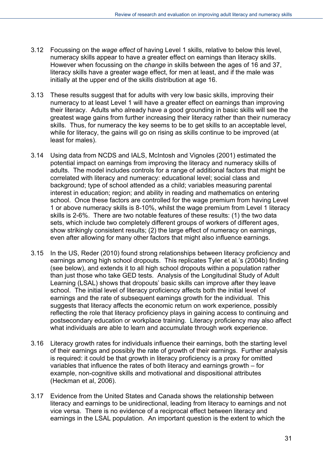- 3.12 Focussing on the *wage effect* of having Level 1 skills, relative to below this level, numeracy skills appear to have a greater effect on earnings than literacy skills. However when focussing on the *change* in skills between the ages of 16 and 37, literacy skills have a greater wage effect, for men at least, and if the male was initially at the upper end of the skills distribution at age 16.
- 3.13 These results suggest that for adults with very low basic skills, improving their numeracy to at least Level 1 will have a greater effect on earnings than improving their literacy. Adults who already have a good grounding in basic skills will see the greatest wage gains from further increasing their literacy rather than their numeracy skills. Thus, for numeracy the key seems to be to get skills to an acceptable level, while for literacy, the gains will go on rising as skills continue to be improved (at least for males).
- 3.14 Using data from NCDS and IALS, McIntosh and Vignoles (2001) estimated the potential impact on earnings from improving the literacy and numeracy skills of adults. The model includes controls for a range of additional factors that might be correlated with literacy and numeracy: educational level; social class and background; type of school attended as a child; variables measuring parental interest in education; region; and ability in reading and mathematics on entering school. Once these factors are controlled for the wage premium from having Level 1 or above numeracy skills is 8-10%, whilst the wage premium from Level 1 literacy skills is 2-6%. There are two notable features of these results: (1) the two data sets, which include two completely different groups of workers of different ages, show strikingly consistent results; (2) the large effect of numeracy on earnings, even after allowing for many other factors that might also influence earnings.
- 3.15 In the US, Reder (2010) found strong relationships between literacy proficiency and earnings among high school dropouts. This replicates Tyler et al.'s (2004b) finding (see below), and extends it to all high school dropouts within a population rather than just those who take GED tests. Analysis of the Longitudinal Study of Adult Learning (LSAL) shows that dropouts' basic skills can improve after they leave school. The initial level of literacy proficiency affects both the initial level of earnings and the rate of subsequent earnings growth for the individual. This suggests that literacy affects the economic return on work experience, possibly reflecting the role that literacy proficiency plays in gaining access to continuing and postsecondary education or workplace training. Literacy proficiency may also affect what individuals are able to learn and accumulate through work experience.
- 3.16 Literacy growth rates for individuals influence their earnings, both the starting level of their earnings and possibly the rate of growth of their earnings. Further analysis is required: it could be that growth in literacy proficiency is a proxy for omitted variables that influence the rates of both literacy and earnings growth – for example, non-cognitive skills and motivational and dispositional attributes (Heckman et al, 2006).
- 3.17 Evidence from the United States and Canada shows the relationship between literacy and earnings to be unidirectional, leading from literacy to earnings and not vice versa. There is no evidence of a reciprocal effect between literacy and earnings in the LSAL population. An important question is the extent to which the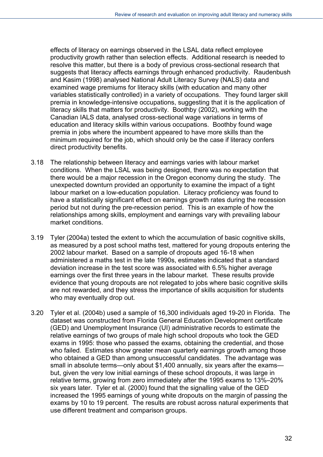effects of literacy on earnings observed in the LSAL data reflect employee productivity growth rather than selection effects. Additional research is needed to resolve this matter, but there is a body of previous cross-sectional research that suggests that literacy affects earnings through enhanced productivity. Raudenbush and Kasim (1998) analysed National Adult Literacy Survey (NALS) data and examined wage premiums for literacy skills (with education and many other variables statistically controlled) in a variety of occupations. They found larger skill premia in knowledge-intensive occupations, suggesting that it is the application of literacy skills that matters for productivity. Boothby (2002), working with the Canadian IALS data, analysed cross-sectional wage variations in terms of education and literacy skills within various occupations. Boothby found wage premia in jobs where the incumbent appeared to have more skills than the minimum required for the job, which should only be the case if literacy confers direct productivity benefits.

- 3.18 The relationship between literacy and earnings varies with labour market conditions. When the LSAL was being designed, there was no expectation that there would be a major recession in the Oregon economy during the study. The unexpected downturn provided an opportunity to examine the impact of a tight labour market on a low-education population. Literacy proficiency was found to have a statistically significant effect on earnings growth rates during the recession period but not during the pre-recession period. This is an example of how the relationships among skills, employment and earnings vary with prevailing labour market conditions.
- 3.19 Tyler (2004a) tested the extent to which the accumulation of basic cognitive skills, as measured by a post school maths test, mattered for young dropouts entering the 2002 labour market. Based on a sample of dropouts aged 16-18 when administered a maths test in the late 1990s, estimates indicated that a standard deviation increase in the test score was associated with 6.5% higher average earnings over the first three years in the labour market. These results provide evidence that young dropouts are not relegated to jobs where basic cognitive skills are not rewarded, and they stress the importance of skills acquisition for students who may eventually drop out.
- 3.20 Tyler et al. (2004b) used a sample of 16,300 individuals aged 19-20 in Florida. The dataset was constructed from Florida General Education Development certificate (GED) and Unemployment Insurance (UI) administrative records to estimate the relative earnings of two groups of male high school dropouts who took the GED exams in 1995: those who passed the exams, obtaining the credential, and those who failed. Estimates show greater mean quarterly earnings growth among those who obtained a GED than among unsuccessful candidates. The advantage was small in absolute terms—only about \$1,400 annually, six years after the exams but, given the very low initial earnings of these school dropouts, it was large in relative terms, growing from zero immediately after the 1995 exams to 13%–20% six years later. Tyler et al. (2000) found that the signalling value of the GED increased the 1995 earnings of young white dropouts on the margin of passing the exams by 10 to 19 percent. The results are robust across natural experiments that use different treatment and comparison groups.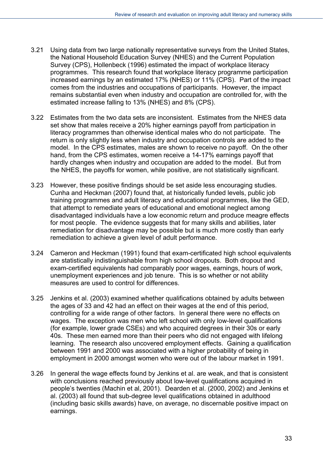- 3.21 Using data from two large nationally representative surveys from the United States, the National Household Education Survey (NHES) and the Current Population Survey (CPS), Hollenbeck (1996) estimated the impact of workplace literacy programmes. This research found that workplace literacy programme participation increased earnings by an estimated 17% (NHES) or 11% (CPS). Part of the impact comes from the industries and occupations of participants. However, the impact remains substantial even when industry and occupation are controlled for, with the estimated increase falling to 13% (NHES) and 8% (CPS).
- 3.22 Estimates from the two data sets are inconsistent. Estimates from the NHES data set show that males receive a 20% higher earnings payoff from participation in literacy programmes than otherwise identical males who do not participate. The return is only slightly less when industry and occupation controls are added to the model. In the CPS estimates, males are shown to receive no payoff. On the other hand, from the CPS estimates, women receive a 14-17% earnings payoff that hardly changes when industry and occupation are added to the model. But from the NHES, the payoffs for women, while positive, are not statistically significant.
- 3.23 However, these positive findings should be set aside less encouraging studies. Cunha and Heckman (2007) found that, at historically funded levels, public job training programmes and adult literacy and educational programmes, like the GED, that attempt to remediate years of educational and emotional neglect among disadvantaged individuals have a low economic return and produce meagre effects for most people. The evidence suggests that for many skills and abilities, later remediation for disadvantage may be possible but is much more costly than early remediation to achieve a given level of adult performance.
- 3.24 Cameron and Heckman (1991) found that exam-certificated high school equivalents are statistically indistinguishable from high school dropouts. Both dropout and exam-certified equivalents had comparably poor wages, earnings, hours of work, unemployment experiences and job tenure. This is so whether or not ability measures are used to control for differences.
- 3.25 Jenkins et al. (2003) examined whether qualifications obtained by adults between the ages of 33 and 42 had an effect on their wages at the end of this period, controlling for a wide range of other factors. In general there were no effects on wages. The exception was men who left school with only low-level qualifications (for example, lower grade CSEs) and who acquired degrees in their 30s or early 40s. These men earned more than their peers who did not engaged with lifelong learning. The research also uncovered employment effects. Gaining a qualification between 1991 and 2000 was associated with a higher probability of being in employment in 2000 amongst women who were out of the labour market in 1991.
- 3.26 In general the wage effects found by Jenkins et al. are weak, and that is consistent with conclusions reached previously about low-level qualifications acquired in people's twenties (Machin et al, 2001). Dearden et al. (2000, 2002) and Jenkins et al. (2003) all found that sub-degree level qualifications obtained in adulthood (including basic skills awards) have, on average, no discernable positive impact on earnings.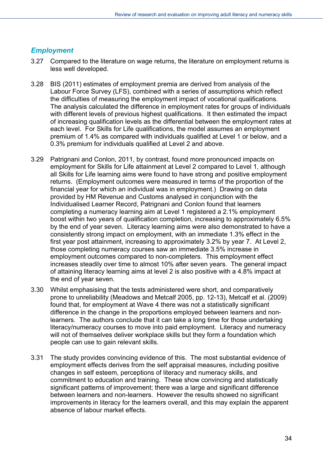#### <span id="page-33-0"></span>*Employment*

- 3.27 Compared to the literature on wage returns, the literature on employment returns is less well developed.
- 3.28 BIS (2011) estimates of employment premia are derived from analysis of the Labour Force Survey (LFS), combined with a series of assumptions which reflect the difficulties of measuring the employment impact of vocational qualifications. The analysis calculated the difference in employment rates for groups of individuals with different levels of previous highest qualifications. It then estimated the impact of increasing qualification levels as the differential between the employment rates at each level. For Skills for Life qualifications, the model assumes an employment premium of 1.4% as compared with individuals qualified at Level 1 or below, and a 0.3% premium for individuals qualified at Level 2 and above.
- 3.29 Patrignani and Conlon, 2011, by contrast, found more pronounced impacts on employment for Skills for Life attainment at Level 2 compared to Level 1, although all Skills for Life learning aims were found to have strong and positive employment returns. (Employment outcomes were measured in terms of the proportion of the financial year for which an individual was in employment.) Drawing on data provided by HM Revenue and Customs analysed in conjunction with the Individualised Learner Record, Patrignani and Conlon found that learners completing a numeracy learning aim at Level 1 registered a 2.1% employment boost within two years of qualification completion, increasing to approximately 6.5% by the end of year seven. Literacy learning aims were also demonstrated to have a consistently strong impact on employment, with an immediate 1.3% effect in the first year post attainment, increasing to approximately 3.2% by year 7. At Level 2, those completing numeracy courses saw an immediate 3.5% increase in employment outcomes compared to non-completers. This employment effect increases steadily over time to almost 10% after seven years. The general impact of attaining literacy learning aims at level 2 is also positive with a 4.8% impact at the end of year seven.
- 3.30 Whilst emphasising that the tests administered were short, and comparatively prone to unreliability (Meadows and Metcalf 2005, pp. 12-13), Metcalf et al. (2009) found that, for employment at Wave 4 there was not a statistically significant difference in the change in the proportions employed between learners and nonlearners. The authors conclude that it can take a long time for those undertaking literacy/numeracy courses to move into paid employment. Literacy and numeracy will not of themselves deliver workplace skills but they form a foundation which people can use to gain relevant skills.
- 3.31 The study provides convincing evidence of this. The most substantial evidence of employment effects derives from the self appraisal measures, including positive changes in self esteem, perceptions of literacy and numeracy skills, and commitment to education and training. These show convincing and statistically significant patterns of improvement; there was a large and significant difference between learners and non-learners. However the results showed no significant improvements in literacy for the learners overall, and this may explain the apparent absence of labour market effects.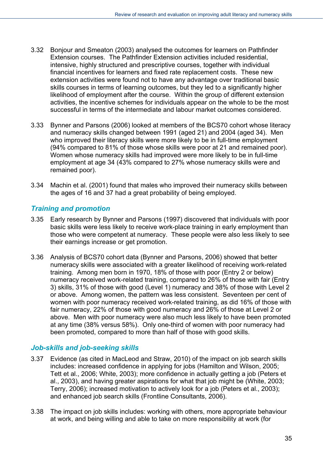- 3.32 Bonjour and Smeaton (2003) analysed the outcomes for learners on Pathfinder Extension courses. The Pathfinder Extension activities included residential, intensive, highly structured and prescriptive courses, together with individual financial incentives for learners and fixed rate replacement costs. These new extension activities were found not to have any advantage over traditional basic skills courses in terms of learning outcomes, but they led to a significantly higher likelihood of employment after the course. Within the group of different extension activities, the incentive schemes for individuals appear on the whole to be the most successful in terms of the intermediate and labour market outcomes considered.
- 3.33 Bynner and Parsons (2006) looked at members of the BCS70 cohort whose literacy and numeracy skills changed between 1991 (aged 21) and 2004 (aged 34). Men who improved their literacy skills were more likely to be in full-time employment (94% compared to 81% of those whose skills were poor at 21 and remained poor). Women whose numeracy skills had improved were more likely to be in full-time employment at age 34 (43% compared to 27% whose numeracy skills were and remained poor).
- 3.34 Machin et al. (2001) found that males who improved their numeracy skills between the ages of 16 and 37 had a great probability of being employed.

#### <span id="page-34-0"></span>*Training and promotion*

- 3.35 Early research by Bynner and Parsons (1997) discovered that individuals with poor basic skills were less likely to receive work-place training in early employment than those who were competent at numeracy. These people were also less likely to see their earnings increase or get promotion.
- 3.36 Analysis of BCS70 cohort data (Bynner and Parsons, 2006) showed that better numeracy skills were associated with a greater likelihood of receiving work-related training. Among men born in 1970, 18% of those with poor (Entry 2 or below) numeracy received work-related training, compared to 26% of those with fair (Entry 3) skills, 31% of those with good (Level 1) numeracy and 38% of those with Level 2 or above. Among women, the pattern was less consistent. Seventeen per cent of women with poor numeracy received work-related training, as did 16% of those with fair numeracy, 22% of those with good numeracy and 26% of those at Level 2 or above. Men with poor numeracy were also much less likely to have been promoted at any time (38% versus 58%). Only one-third of women with poor numeracy had been promoted, compared to more than half of those with good skills.

#### <span id="page-34-1"></span>*Job-skills and job-seeking skills*

- 3.37 Evidence (as cited in MacLeod and Straw, 2010) of the impact on job search skills includes: increased confidence in applying for jobs (Hamilton and Wilson, 2005; Tett et al., 2006; White, 2003); more confidence in actually getting a job (Peters et al., 2003), and having greater aspirations for what that job might be (White, 2003; Terry, 2006); increased motivation to actively look for a job (Peters et al., 2003); and enhanced job search skills (Frontline Consultants, 2006).
- 3.38 The impact on job skills includes: working with others, more appropriate behaviour at work, and being willing and able to take on more responsibility at work (for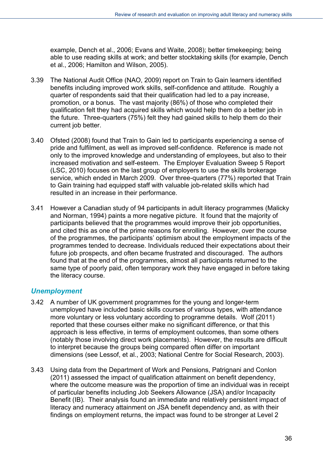example, Dench et al., 2006; Evans and Waite, 2008); better timekeeping; being able to use reading skills at work; and better stocktaking skills (for example, Dench et al., 2006; Hamilton and Wilson, 2005).

- 3.39 The National Audit Office (NAO, 2009) report on Train to Gain learners identified benefits including improved work skills, self-confidence and attitude. Roughly a quarter of respondents said that their qualification had led to a pay increase, promotion, or a bonus. The vast majority (86%) of those who completed their qualification felt they had acquired skills which would help them do a better job in the future. Three-quarters (75%) felt they had gained skills to help them do their current job better.
- 3.40 Ofsted (2008) found that Train to Gain led to participants experiencing a sense of pride and fulfilment, as well as improved self-confidence. Reference is made not only to the improved knowledge and understanding of employees, but also to their increased motivation and self-esteem. The Employer Evaluation Sweep 5 Report (LSC, 2010) focuses on the last group of employers to use the skills brokerage service, which ended in March 2009. Over three-quarters (77%) reported that Train to Gain training had equipped staff with valuable job-related skills which had resulted in an increase in their performance.
- 3.41 However a Canadian study of 94 participants in adult literacy programmes (Malicky and Norman, 1994) paints a more negative picture. It found that the majority of participants believed that the programmes would improve their job opportunities, and cited this as one of the prime reasons for enrolling. However, over the course of the programmes, the participants' optimism about the employment impacts of the programmes tended to decrease. Individuals reduced their expectations about their future job prospects, and often became frustrated and discouraged. The authors found that at the end of the programmes, almost all participants returned to the same type of poorly paid, often temporary work they have engaged in before taking the literacy course.

#### <span id="page-35-0"></span>*Unemployment*

- 3.42 A number of UK government programmes for the young and longer-term unemployed have included basic skills courses of various types, with attendance more voluntary or less voluntary according to programme details. Wolf (2011) reported that these courses either make no significant difference, or that this approach is less effective, in terms of employment outcomes, than some others (notably those involving direct work placements). However, the results are difficult to interpret because the groups being compared often differ on important dimensions (see Lessof, et al., 2003; National Centre for Social Research, 2003).
- 3.43 Using data from the Department of Work and Pensions, Patrignani and Conlon (2011) assessed the impact of qualification attainment on benefit dependency, where the outcome measure was the proportion of time an individual was in receipt of particular benefits including Job Seekers Allowance (JSA) and/or Incapacity Benefit (IB). Their analysis found an immediate and relatively persistent impact of literacy and numeracy attainment on JSA benefit dependency and, as with their findings on employment returns, the impact was found to be stronger at Level 2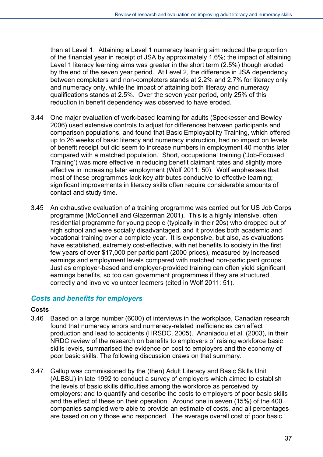than at Level 1. Attaining a Level 1 numeracy learning aim reduced the proportion of the financial year in receipt of JSA by approximately 1.6%; the impact of attaining Level 1 literacy learning aims was greater in the short term (2.5%) though eroded by the end of the seven year period. At Level 2, the difference in JSA dependency between completers and non-completers stands at 2.2% and 2.7% for literacy only and numeracy only, while the impact of attaining both literacy and numeracy qualifications stands at 2.5%. Over the seven year period, only 25% of this reduction in benefit dependency was observed to have eroded.

- 3.44 One major evaluation of work-based learning for adults (Speckesser and Bewley 2006) used extensive controls to adjust for differences between participants and comparison populations, and found that Basic Employability Training, which offered up to 26 weeks of basic literacy and numeracy instruction, had no impact on levels of benefit receipt but did seem to increase numbers in employment 40 months later compared with a matched population. Short, occupational training ('Job-Focused Training') was more effective in reducing benefit claimant rates and slightly more effective in increasing later employment (Wolf 2011: 50). Wolf emphasises that most of these programmes lack key attributes conducive to effective learning; significant improvements in literacy skills often require considerable amounts of contact and study time.
- 3.45 An exhaustive evaluation of a training programme was carried out for US Job Corps programme (McConnell and Glazerman 2001). This is a highly intensive, often residential programme for young people (typically in their 20s) who dropped out of high school and were socially disadvantaged, and it provides both academic and vocational training over a complete year. It is expensive, but also, as evaluations have established, extremely cost-effective, with net benefits to society in the first few years of over \$17,000 per participant (2000 prices), measured by increased earnings and employment levels compared with matched non-participant groups. Just as employer-based and employer-provided training can often yield significant earnings benefits, so too can government programmes if they are structured correctly and involve volunteer learners (cited in Wolf 2011: 51).

#### *Costs and benefits for employers*

#### **Costs**

- 3.46 Based on a large number (6000) of interviews in the workplace, Canadian research found that numeracy errors and numeracy-related inefficiencies can affect production and lead to accidents (HRSDC, 2005). Ananiadou et al. (2003), in their NRDC review of the research on benefits to employers of raising workforce basic skills levels, summarised the evidence on cost to employers and the economy of poor basic skills. The following discussion draws on that summary.
- 3.47 Gallup was commissioned by the (then) Adult Literacy and Basic Skills Unit (ALBSU) in late 1992 to conduct a survey of employers which aimed to establish the levels of basic skills difficulties among the workforce as perceived by employers; and to quantify and describe the costs to employers of poor basic skills and the effect of these on their operation. Around one in seven (15%) of the 400 companies sampled were able to provide an estimate of costs, and all percentages are based on only those who responded. The average overall cost of poor basic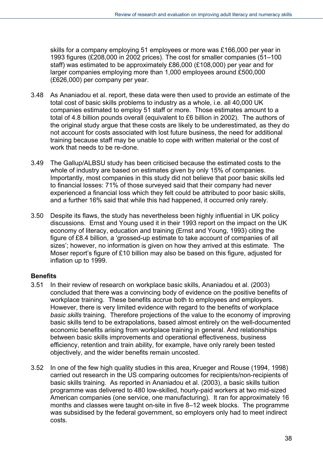skills for a company employing 51 employees or more was £166,000 per year in 1993 figures (£208,000 in 2002 prices). The cost for smaller companies (51–100 staff) was estimated to be approximately £86,000 (£108,000) per year and for larger companies employing more than 1,000 employees around £500,000 (£626,000) per company per year.

- 3.48 As Ananiadou et al. report, these data were then used to provide an estimate of the total cost of basic skills problems to industry as a whole, i.e. all 40,000 UK companies estimated to employ 51 staff or more. Those estimates amount to a total of 4.8 billion pounds overall (equivalent to £6 billion in 2002). The authors of the original study argue that these costs are likely to be underestimated, as they do not account for costs associated with lost future business, the need for additional training because staff may be unable to cope with written material or the cost of work that needs to be re-done.
- 3.49 The Gallup/ALBSU study has been criticised because the estimated costs to the whole of industry are based on estimates given by only 15% of companies. Importantly, most companies in this study did not believe that poor basic skills led to financial losses: 71% of those surveyed said that their company had never experienced a financial loss which they felt could be attributed to poor basic skills, and a further 16% said that while this had happened, it occurred only rarely.
- 3.50 Despite its flaws, the study has nevertheless been highly influential in UK policy discussions. Ernst and Young used it in their 1993 report on the impact on the UK economy of literacy, education and training (Ernst and Young, 1993) citing the figure of £8.4 billion, a 'grossed-up estimate to take account of companies of all sizes'; however, no information is given on how they arrived at this estimate. The Moser report's figure of £10 billion may also be based on this figure, adjusted for inflation up to 1999.

#### **Benefits**

- 3.51 In their review of research on workplace basic skills, Ananiadou et al. (2003) concluded that there was a convincing body of evidence on the positive benefits of workplace training. These benefits accrue both to employees and employers. However, there is very limited evidence with regard to the benefits of workplace *basic skills* training. Therefore projections of the value to the economy of improving basic skills tend to be extrapolations, based almost entirely on the well-documented economic benefits arising from workplace training in general. And relationships between basic skills improvements and operational effectiveness, business efficiency, retention and train ability, for example, have only rarely been tested objectively, and the wider benefits remain uncosted.
- 3.52 In one of the few high quality studies in this area, Krueger and Rouse (1994, 1998) carried out research in the US comparing outcomes for recipients/non-recipients of basic skills training. As reported in Ananiadou et al. (2003), a basic skills tuition programme was delivered to 480 low-skilled, hourly-paid workers at two mid-sized American companies (one service, one manufacturing). It ran for approximately 16 months and classes were taught on-site in five 8–12 week blocks. The programme was subsidised by the federal government, so employers only had to meet indirect costs.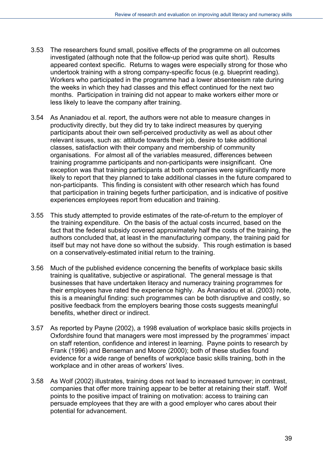- 3.53 The researchers found small, positive effects of the programme on all outcomes investigated (although note that the follow-up period was quite short). Results appeared context specific. Returns to wages were especially strong for those who undertook training with a strong company-specific focus (e.g. blueprint reading). Workers who participated in the programme had a lower absenteeism rate during the weeks in which they had classes and this effect continued for the next two months. Participation in training did not appear to make workers either more or less likely to leave the company after training.
- 3.54 As Ananiadou et al. report, the authors were not able to measure changes in productivity directly, but they did try to take indirect measures by querying participants about their own self-perceived productivity as well as about other relevant issues, such as: attitude towards their job, desire to take additional classes, satisfaction with their company and membership of community organisations. For almost all of the variables measured, differences between training programme participants and non-participants were insignificant. One exception was that training participants at both companies were significantly more likely to report that they planned to take additional classes in the future compared to non-participants. This finding is consistent with other research which has found that participation in training begets further participation, and is indicative of positive experiences employees report from education and training.
- 3.55 This study attempted to provide estimates of the rate-of-return to the employer of the training expenditure. On the basis of the actual costs incurred, based on the fact that the federal subsidy covered approximately half the costs of the training, the authors concluded that, at least in the manufacturing company, the training paid for itself but may not have done so without the subsidy. This rough estimation is based on a conservatively-estimated initial return to the training.
- 3.56 Much of the published evidence concerning the benefits of workplace basic skills training is qualitative, subjective or aspirational. The general message is that businesses that have undertaken literacy and numeracy training programmes for their employees have rated the experience highly. As Ananiadou et al. (2003) note, this is a meaningful finding: such programmes can be both disruptive and costly, so positive feedback from the employers bearing those costs suggests meaningful benefits, whether direct or indirect.
- 3.57 As reported by Payne (2002), a 1998 evaluation of workplace basic skills projects in Oxfordshire found that managers were most impressed by the programmes' impact on staff retention, confidence and interest in learning. Payne points to research by Frank (1996) and Benseman and Moore (2000); both of these studies found evidence for a wide range of benefits of workplace basic skills training, both in the workplace and in other areas of workers' lives.
- 3.58 As Wolf (2002) illustrates, training does not lead to increased turnover; in contrast, companies that offer more training appear to be better at retaining their staff. Wolf points to the positive impact of training on motivation: access to training can persuade employees that they are with a good employer who cares about their potential for advancement.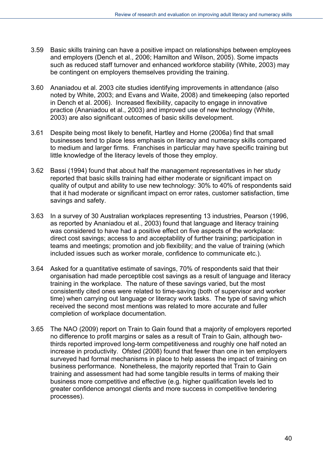- 3.59 Basic skills training can have a positive impact on relationships between employees and employers (Dench et al., 2006; Hamilton and Wilson, 2005). Some impacts such as reduced staff turnover and enhanced workforce stability (White, 2003) may be contingent on employers themselves providing the training.
- 3.60 Ananiadou et al. 2003 cite studies identifying improvements in attendance (also noted by White, 2003; and Evans and Waite, 2008) and timekeeping (also reported in Dench et al. 2006). Increased flexibility, capacity to engage in innovative practice (Ananiadou et al., 2003) and improved use of new technology (White, 2003) are also significant outcomes of basic skills development.
- 3.61 Despite being most likely to benefit, Hartley and Horne (2006a) find that small businesses tend to place less emphasis on literacy and numeracy skills compared to medium and larger firms. Franchises in particular may have specific training but little knowledge of the literacy levels of those they employ.
- 3.62 Bassi (1994) found that about half the management representatives in her study reported that basic skills training had either moderate or significant impact on quality of output and ability to use new technology: 30% to 40% of respondents said that it had moderate or significant impact on error rates, customer satisfaction, time savings and safety.
- 3.63 In a survey of 30 Australian workplaces representing 13 industries, Pearson (1996, as reported by Ananiadou et al., 2003) found that language and literacy training was considered to have had a positive effect on five aspects of the workplace: direct cost savings; access to and acceptability of further training; participation in teams and meetings; promotion and job flexibility; and the value of training (which included issues such as worker morale, confidence to communicate etc.).
- 3.64 Asked for a quantitative estimate of savings, 70% of respondents said that their organisation had made perceptible cost savings as a result of language and literacy training in the workplace. The nature of these savings varied, but the most consistently cited ones were related to time-saving (both of supervisor and worker time) when carrying out language or literacy work tasks. The type of saving which received the second most mentions was related to more accurate and fuller completion of workplace documentation.
- 3.65 The NAO (2009) report on Train to Gain found that a majority of employers reported no difference to profit margins or sales as a result of Train to Gain, although twothirds reported improved long-term competitiveness and roughly one half noted an increase in productivity. Ofsted (2008) found that fewer than one in ten employers surveyed had formal mechanisms in place to help assess the impact of training on business performance. Nonetheless, the majority reported that Train to Gain training and assessment had had some tangible results in terms of making their business more competitive and effective (e.g. higher qualification levels led to greater confidence amongst clients and more success in competitive tendering processes).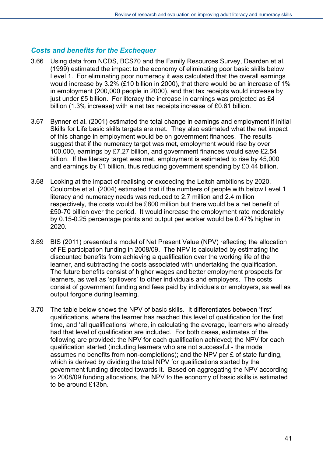#### *Costs and benefits for the Exchequer*

- 3.66 Using data from NCDS, BCS70 and the Family Resources Survey, Dearden et al. (1999) estimated the impact to the economy of eliminating poor basic skills below Level 1. For eliminating poor numeracy it was calculated that the overall earnings would increase by 3.2% (£10 billion in 2000), that there would be an increase of 1% in employment (200,000 people in 2000), and that tax receipts would increase by just under £5 billion. For literacy the increase in earnings was projected as £4 billion (1.3% increase) with a net tax receipts increase of £0.61 billion.
- 3.67 Bynner et al. (2001) estimated the total change in earnings and employment if initial Skills for Life basic skills targets are met. They also estimated what the net impact of this change in employment would be on government finances. The results suggest that if the numeracy target was met, employment would rise by over 100,000, earnings by £7.27 billion, and government finances would save £2.54 billion. If the literacy target was met, employment is estimated to rise by 45,000 and earnings by £1 billion, thus reducing government spending by £0.44 billion.
- 3.68 Looking at the impact of realising or exceeding the Leitch ambitions by 2020, Coulombe et al. (2004) estimated that if the numbers of people with below Level 1 literacy and numeracy needs was reduced to 2.7 million and 2.4 million respectively, the costs would be £800 million but there would be a net benefit of £50-70 billion over the period. It would increase the employment rate moderately by 0.15-0.25 percentage points and output per worker would be 0.47% higher in 2020.
- 3.69 BIS (2011) presented a model of Net Present Value (NPV) reflecting the allocation of FE participation funding in 2008/09. The NPV is calculated by estimating the discounted benefits from achieving a qualification over the working life of the learner, and subtracting the costs associated with undertaking the qualification. The future benefits consist of higher wages and better employment prospects for learners, as well as 'spillovers' to other individuals and employers. The costs consist of government funding and fees paid by individuals or employers, as well as output forgone during learning.
- 3.70 The table below shows the NPV of basic skills. It differentiates between 'first' qualifications, where the learner has reached this level of qualification for the first time, and 'all qualifications' where, in calculating the average, learners who already had that level of qualification are included. For both cases, estimates of the following are provided: the NPV for each qualification achieved; the NPV for each qualification started (including learners who are not successful - the model assumes no benefits from non-completions); and the NPV per £ of state funding, which is derived by dividing the total NPV for qualifications started by the government funding directed towards it. Based on aggregating the NPV according to 2008/09 funding allocations, the NPV to the economy of basic skills is estimated to be around £13bn.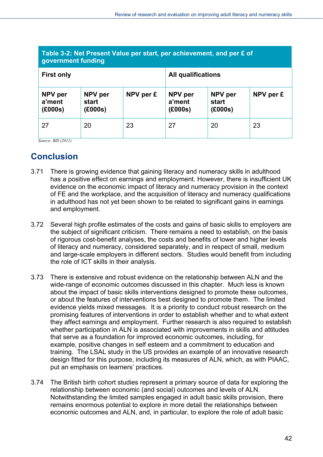| Table 3-2: Net Present Value per start, per achievement, and per £ of<br>government funding |                             |           |                              |                             |           |
|---------------------------------------------------------------------------------------------|-----------------------------|-----------|------------------------------|-----------------------------|-----------|
| <b>First only</b>                                                                           |                             |           | <b>All qualifications</b>    |                             |           |
| NPV per<br>a'ment<br>(£000s)                                                                | NPV per<br>start<br>(E000s) | NPV per £ | NPV per<br>a'ment<br>(£000s) | NPV per<br>start<br>(E000s) | NPV per £ |
| 27                                                                                          | 20                          | 23        | 27                           | 20                          | 23        |

*Source: BIS (2011)* 

## **Conclusion**

- 3.71 There is growing evidence that gaining literacy and numeracy skills in adulthood has a positive effect on earnings and employment. However, there is insufficient UK evidence on the economic impact of literacy and numeracy provision in the context of FE and the workplace, and the acquisition of literacy and numeracy qualifications in adulthood has not yet been shown to be related to significant gains in earnings and employment.
- 3.72 Several high profile estimates of the costs and gains of basic skills to employers are the subject of significant criticism. There remains a need to establish, on the basis of rigorous cost-benefit analyses, the costs and benefits of lower and higher levels of literacy and numeracy, considered separately, and in respect of small, medium and large-scale employers in different sectors. Studies would benefit from including the role of ICT skills in their analysis.
- 3.73 There is extensive and robust evidence on the relationship between ALN and the wide-range of economic outcomes discussed in this chapter. Much less is known about the impact of basic skills interventions designed to promote these outcomes, or about the features of interventions best designed to promote them. The limited evidence yields mixed messages. It is a priority to conduct robust research on the promising features of interventions in order to establish whether and to what extent they affect earnings and employment. Further research is also required to establish whether participation in ALN is associated with improvements in skills and attitudes that serve as a foundation for improved economic outcomes, including, for example, positive changes in self esteem and a commitment to education and training. The LSAL study in the US provides an example of an innovative research design fitted for this purpose, including its measures of ALN, which, as with PIAAC, put an emphasis on learners' practices.
- 3.74 The British birth cohort studies represent a primary source of data for exploring the relationship between economic (and social) outcomes and levels of ALN. Notwithstanding the limited samples engaged in adult basic skills provision, there remains enormous potential to explore in more detail the relationships between economic outcomes and ALN, and, in particular, to explore the role of adult basic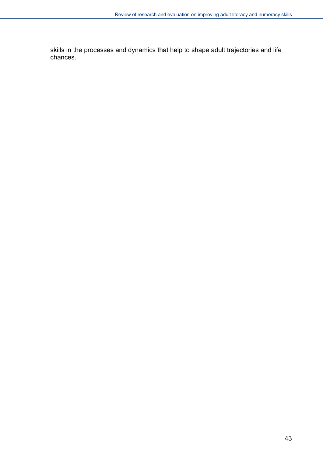skills in the processes and dynamics that help to shape adult trajectories and life chances.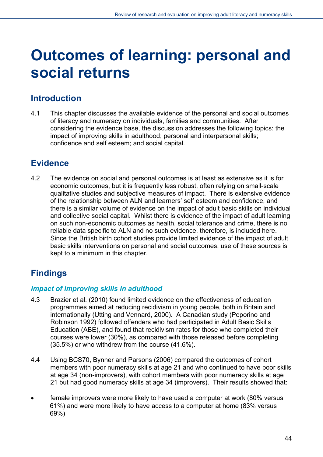# **Outcomes of learning: personal and social returns**

## **Introduction**

4.1 This chapter discusses the available evidence of the personal and social outcomes of literacy and numeracy on individuals, families and communities. After considering the evidence base, the discussion addresses the following topics: the impact of improving skills in adulthood; personal and interpersonal skills; confidence and self esteem; and social capital.

## **Evidence**

4.2 The evidence on social and personal outcomes is at least as extensive as it is for economic outcomes, but it is frequently less robust, often relying on small-scale qualitative studies and subjective measures of impact. There is extensive evidence of the relationship between ALN and learners' self esteem and confidence, and there is a similar volume of evidence on the impact of adult basic skills on individual and collective social capital. Whilst there is evidence of the impact of adult learning on such non-economic outcomes as health, social tolerance and crime, there is no reliable data specific to ALN and no such evidence, therefore, is included here. Since the British birth cohort studies provide limited evidence of the impact of adult basic skills interventions on personal and social outcomes, use of these sources is kept to a minimum in this chapter.

## **Findings**

#### *Impact of improving skills in adulthood*

- 4.3 Brazier et al. (2010) found limited evidence on the effectiveness of education programmes aimed at reducing recidivism in young people, both in Britain and internationally (Utting and Vennard, 2000). A Canadian study (Poporino and Robinson 1992) followed offenders who had participated in Adult Basic Skills Education (ABE), and found that recidivism rates for those who completed their courses were lower (30%), as compared with those released before completing (35.5%) or who withdrew from the course (41.6%).
- 4.4 Using BCS70, Bynner and Parsons (2006) compared the outcomes of cohort members with poor numeracy skills at age 21 and who continued to have poor skills at age 34 (non-improvers), with cohort members with poor numeracy skills at age 21 but had good numeracy skills at age 34 (improvers). Their results showed that:
- female improvers were more likely to have used a computer at work (80% versus 61%) and were more likely to have access to a computer at home (83% versus 69%)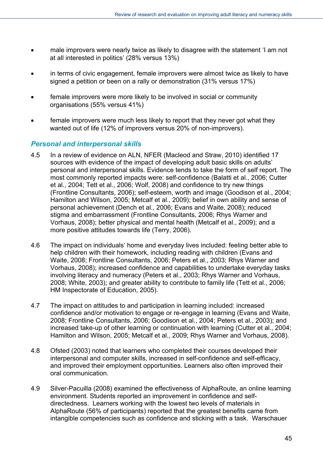- male improvers were nearly twice as likely to disagree with the statement 'I am not at all interested in politics' (28% versus 13%)
- in terms of civic engagement, female improvers were almost twice as likely to have signed a petition or been on a rally or demonstration (31% versus 17%)
- female improvers were more likely to be involved in social or community organisations (55% versus 41%)
- female improvers were much less likely to report that they never got what they wanted out of life (12% of improvers versus 20% of non-improvers).

#### *Personal and interpersonal skills*

- 4.5 In a review of evidence on ALN, NFER (Macleod and Straw, 2010) identified 17 sources with evidence of the impact of developing adult basic skills on adults' personal and interpersonal skills. Evidence tends to take the form of self report. The most commonly reported impacts were: self-confidence (Balatti et al., 2006; Cutter et al., 2004; Tett et al., 2006; Wolf, 2008) and confidence to try new things (Frontline Consultants, 2006); self-esteem, worth and image (Goodison et al., 2004; Hamilton and Wilson, 2005; Metcalf et al., 2009); belief in own ability and sense of personal achievement (Dench et al., 2006; Evans and Waite, 2008); reduced stigma and embarrassment (Frontline Consultants, 2006; Rhys Warner and Vorhaus, 2008); better physical and mental health (Metcalf et al., 2009); and a more positive attitudes towards life (Terry, 2006).
- 4.6 The impact on individuals' home and everyday lives included: feeling better able to help children with their homework, including reading with children (Evans and Waite, 2008; Frontline Consultants, 2006; Peters et al., 2003; Rhys Warner and Vorhaus, 2008); increased confidence and capabilities to undertake everyday tasks involving literacy and numeracy (Peters et al., 2003; Rhys Warner and Vorhaus, 2008; White, 2003); and greater ability to contribute to family life (Tett et al., 2006; HM Inspectorate of Education, 2005).
- 4.7 The impact on attitudes to and participation in learning included: increased confidence and/or motivation to engage or re-engage in learning (Evans and Waite, 2008; Frontline Consultants, 2006; Goodison et al., 2004; Peters et al., 2003); and increased take-up of other learning or continuation with learning (Cutter et al., 2004; Hamilton and Wilson, 2005; Metcalf et al., 2009; Rhys Warner and Vorhaus, 2008).
- 4.8 Ofsted (2003) noted that learners who completed their courses developed their interpersonal and computer skills, increased in self-confidence and self-efficacy, and improved their employment opportunities. Learners also often improved their oral communication.
- 4.9 Silver-Pacuilla (2008) examined the effectiveness of AlphaRoute, an online learning environment. Students reported an improvement in confidence and selfdirectedness. Learners working with the lowest two levels of materials in AlphaRoute (56% of participants) reported that the greatest benefits came from intangible competencies such as confidence and sticking with a task. Warschauer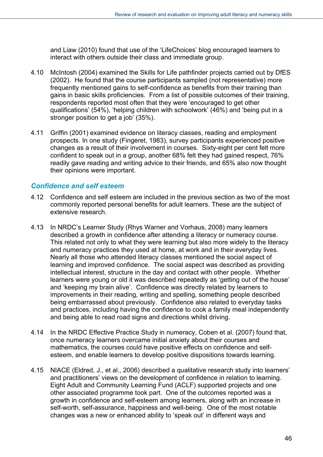and Liaw (2010) found that use of the 'LifeChoices' blog encouraged learners to interact with others outside their class and immediate group.

- 4.10 McIntosh (2004) examined the Skills for Life pathfinder projects carried out by DfES (2002). He found that the course participants sampled (not representative) more frequently mentioned gains to self-confidence as benefits from their training than gains in basic skills proficiencies. From a list of possible outcomes of their training, respondents reported most often that they were 'encouraged to get other qualifications' (54%), 'helping children with schoolwork' (46%) and 'being put in a stronger position to get a job' (35%).
- 4.11 Griffin (2001) examined evidence on literacy classes, reading and employment prospects. In one study (Fingeret, 1983), survey participants experienced positive changes as a result of their involvement in courses. Sixty-eight per cent felt more confident to speak out in a group, another 68% felt they had gained respect, 76% readily gave reading and writing advice to their friends, and 65% also now thought their opinions were important.

#### *Confidence and self esteem*

- 4.12 Confidence and self esteem are included in the previous section as two of the most commonly reported personal benefits for adult learners. These are the subject of extensive research.
- 4.13 In NRDC's Learner Study (Rhys Warner and Vorhaus, 2008) many learners described a growth in confidence after attending a literacy or numeracy course. This related not only to what they were learning but also more widely to the literacy and numeracy practices they used at home, at work and in their everyday lives. Nearly all those who attended literacy classes mentioned the social aspect of learning and improved confidence. The social aspect was described as providing intellectual interest, structure in the day and contact with other people. Whether learners were young or old it was described repeatedly as 'getting out of the house' and 'keeping my brain alive'. Confidence was directly related by learners to improvements in their reading, writing and spelling, something people described being embarrassed about previously. Confidence also related to everyday tasks and practices, including having the confidence to cook a family meal independently and being able to read road signs and directions whilst driving.
- 4.14 In the NRDC Effective Practice Study in numeracy, Coben et al. (2007) found that, once numeracy learners overcame initial anxiety about their courses and mathematics, the courses could have positive effects on confidence and selfesteem, and enable learners to develop positive dispositions towards learning.
- 4.15 NIACE (Eldred, J., et al., 2006) described a qualitative research study into learners' and practitioners' views on the development of confidence in relation to learning. Eight Adult and Community Learning Fund (ACLF) supported projects and one other associated programme took part. One of the outcomes reported was a growth in confidence and self-esteem among learners, along with an increase in self-worth, self-assurance, happiness and well-being. One of the most notable changes was a new or enhanced ability to 'speak out' in different ways and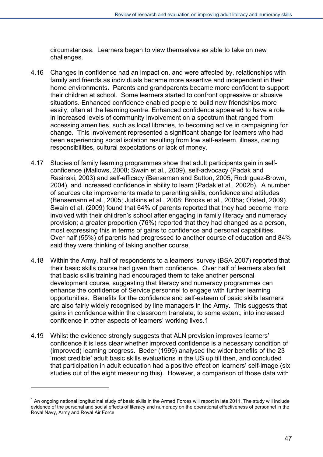circumstances. Learners began to view themselves as able to take on new challenges.

- 4.16 Changes in confidence had an impact on, and were affected by, relationships with family and friends as individuals became more assertive and independent in their home environments. Parents and grandparents became more confident to support their children at school. Some learners started to confront oppressive or abusive situations. Enhanced confidence enabled people to build new friendships more easily, often at the learning centre. Enhanced confidence appeared to have a role in increased levels of community involvement on a spectrum that ranged from accessing amenities, such as local libraries, to becoming active in campaigning for change. This involvement represented a significant change for learners who had been experiencing social isolation resulting from low self-esteem, illness, caring responsibilities, cultural expectations or lack of money.
- 4.17 Studies of family learning programmes show that adult participants gain in selfconfidence (Mallows, 2008; Swain et al., 2009), self-advocacy (Padak and Rasinski, 2003) and self-efficacy (Benseman and Sutton, 2005; Rodriguez-Brown, 2004), and increased confidence in ability to learn (Padak et al., 2002b). A number of sources cite improvements made to parenting skills, confidence and attitudes (Bensemann et al., 2005; Judkins et al., 2008; Brooks et al., 2008a; Ofsted, 2009). Swain et al. (2009) found that 64% of parents reported that they had become more involved with their children's school after engaging in family literacy and numeracy provision; a greater proportion (76%) reported that they had changed as a person, most expressing this in terms of gains to confidence and personal capabilities. Over half (55%) of parents had progressed to another course of education and 84% said they were thinking of taking another course.
- 4.18 Within the Army, half of respondents to a learners' survey (BSA 2007) reported that their basic skills course had given them confidence. Over half of learners also felt that basic skills training had encouraged them to take another personal development course, suggesting that literacy and numeracy programmes can enhance the confidence of Service personnel to engage with further learning opportunities. Benefits for the confidence and self-esteem of basic skills learners are also fairly widely recognised by line managers in the Army. This suggests that gains in confidence within the classroom translate, to some extent, into increased confidence in other aspects of learners' working lives.[1](#page-46-0)
- 4.19 Whilst the evidence strongly suggests that ALN provision improves learners' confidence it is less clear whether improved confidence is a necessary condition of (improved) learning progress. Beder (1999) analysed the wider benefits of the 23 'most credible' adult basic skills evaluations in the US up till then, and concluded that participation in adult education had a positive effect on learners' self-image (six studies out of the eight measuring this). However, a comparison of those data with

l

<span id="page-46-0"></span> $1$  An ongoing national longitudinal study of basic skills in the Armed Forces will report in late 2011. The study will include evidence of the personal and social effects of literacy and numeracy on the operational effectiveness of personnel in the Royal Navy, Army and Royal Air Force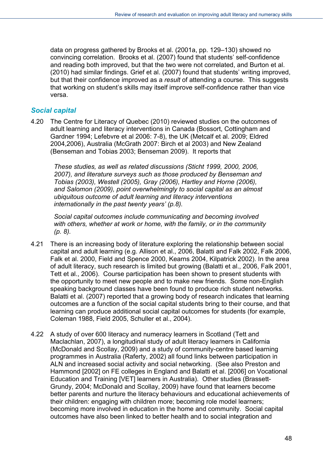data on progress gathered by Brooks et al. (2001a, pp. 129–130) showed no convincing correlation. Brooks et al. (2007) found that students' self-confidence and reading both improved, but that the two were not correlated, and Burton et al. (2010) had similar findings. Grief et al. (2007) found that students' writing improved, but that their confidence improved as a *result* of attending a course. This suggests that working on student's skills may itself improve self-confidence rather than vice versa.

#### *Social capital*

4.20 The Centre for Literacy of Quebec (2010) reviewed studies on the outcomes of adult learning and literacy interventions in Canada (Bossort, Cottingham and Gardner 1994; Lefebvre et al 2006: 7-8), the UK (Metcalf et al. 2009; Eldred 2004,2006), Australia (McGrath 2007: Birch et al 2003) and New Zealand (Benseman and Tobias 2003; Benseman 2009). It reports that

*These studies, as well as related discussions (Sticht 1999, 2000, 2006, 2007), and literature surveys such as those produced by Benseman and Tobias (2003), Westell (2005), Gray (2006), Hartley and Horne (2006), and Salomon (2009), point overwhelmingly to social capital as an almost ubiquitous outcome of adult learning and literacy interventions internationally in the past twenty years' (p.8).* 

*Social capital outcomes include communicating and becoming involved with others, whether at work or home, with the family, or in the community (p. 8).* 

- 4.21 There is an increasing body of literature exploring the relationship between social capital and adult learning (e.g. Allison et al., 2006, Balatti and Falk 2002, Falk 2006, Falk et al. 2000, Field and Spence 2000, Kearns 2004, Kilpatrick 2002). In the area of adult literacy, such research is limited but growing (Balatti et al., 2006, Falk 2001, Tett et al., 2006). Course participation has been shown to present students with the opportunity to meet new people and to make new friends. Some non-English speaking background classes have been found to produce rich student networks. Balatti et al. (2007) reported that a growing body of research indicates that learning outcomes are a function of the social capital students bring to their course, and that learning can produce additional social capital outcomes for students (for example, Coleman 1988, Field 2005, Schuller et al., 2004).
- 4.22 A study of over 600 literacy and numeracy learners in Scotland (Tett and Maclachlan, 2007), a longitudinal study of adult literacy learners in California (McDonald and Scollay, 2009) and a study of community-centre based learning programmes in Australia (Raferty, 2002) all found links between participation in ALN and increased social activity and social networking. (See also Preston and Hammond [2002] on FE colleges in England and Balatti et al. [2006] on Vocational Education and Training [VET] learners in Australia). Other studies (Brassett-Grundy, 2004; McDonald and Scollay, 2009) have found that learners become better parents and nurture the literacy behaviours and educational achievements of their children: engaging with children more; becoming role model learners; becoming more involved in education in the home and community. Social capital outcomes have also been linked to better health and to social integration and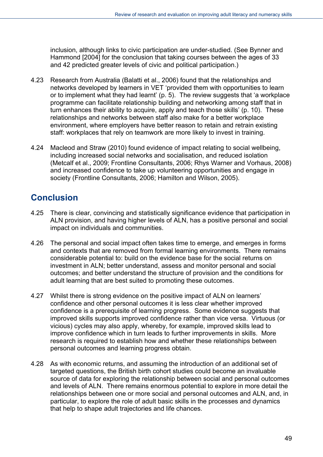inclusion, although links to civic participation are under-studied. (See Bynner and Hammond [2004] for the conclusion that taking courses between the ages of 33 and 42 predicted greater levels of civic and political participation.)

- 4.23 Research from Australia (Balatti et al., 2006) found that the relationships and networks developed by learners in VET 'provided them with opportunities to learn or to implement what they had learnt' (p. 5). The review suggests that 'a workplace programme can facilitate relationship building and networking among staff that in turn enhances their ability to acquire, apply and teach those skills' (p. 10). These relationships and networks between staff also make for a better workplace environment, where employers have better reason to retain and retrain existing staff: workplaces that rely on teamwork are more likely to invest in training.
- 4.24 Macleod and Straw (2010) found evidence of impact relating to social wellbeing, including increased social networks and socialisation, and reduced isolation (Metcalf et al., 2009; Frontline Consultants, 2006; Rhys Warner and Vorhaus, 2008) and increased confidence to take up volunteering opportunities and engage in society (Frontline Consultants, 2006; Hamilton and Wilson, 2005).

## **Conclusion**

- 4.25 There is clear, convincing and statistically significance evidence that participation in ALN provision, and having higher levels of ALN, has a positive personal and social impact on individuals and communities.
- 4.26 The personal and social impact often takes time to emerge, and emerges in forms and contexts that are removed from formal learning environments. There remains considerable potential to: build on the evidence base for the social returns on investment in ALN; better understand, assess and monitor personal and social outcomes; and better understand the structure of provision and the conditions for adult learning that are best suited to promoting these outcomes.
- 4.27 Whilst there is strong evidence on the positive impact of ALN on learners' confidence and other personal outcomes it is less clear whether improved confidence is a prerequisite of learning progress. Some evidence suggests that improved skills supports improved confidence rather than vice versa. Virtuous (or vicious) cycles may also apply, whereby, for example, improved skills lead to improve confidence which in turn leads to further improvements in skills. More research is required to establish how and whether these relationships between personal outcomes and learning progress obtain.
- 4.28 As with economic returns, and assuming the introduction of an additional set of targeted questions, the British birth cohort studies could become an invaluable source of data for exploring the relationship between social and personal outcomes and levels of ALN. There remains enormous potential to explore in more detail the relationships between one or more social and personal outcomes and ALN, and, in particular, to explore the role of adult basic skills in the processes and dynamics that help to shape adult trajectories and life chances.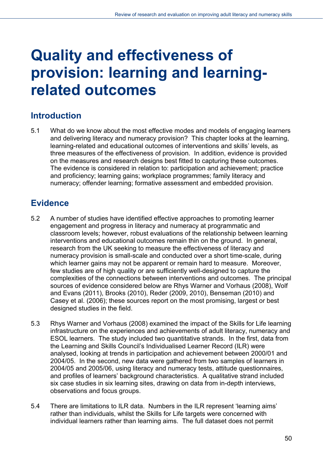# **Quality and effectiveness of provision: learning and learningrelated outcomes**

## **Introduction**

5.1 What do we know about the most effective modes and models of engaging learners and delivering literacy and numeracy provision? This chapter looks at the learning, learning-related and educational outcomes of interventions and skills' levels, as three measures of the effectiveness of provision. In addition, evidence is provided on the measures and research designs best fitted to capturing these outcomes. The evidence is considered in relation to: participation and achievement; practice and proficiency; learning gains; workplace programmes; family literacy and numeracy; offender learning; formative assessment and embedded provision.

## **Evidence**

- 5.2 A number of studies have identified effective approaches to promoting learner engagement and progress in literacy and numeracy at programmatic and classroom levels; however, robust evaluations of the relationship between learning interventions and educational outcomes remain thin on the ground. In general, research from the UK seeking to measure the effectiveness of literacy and numeracy provision is small-scale and conducted over a short time-scale, during which learner gains may not be apparent or remain hard to measure. Moreover, few studies are of high quality or are sufficiently well-designed to capture the complexities of the connections between interventions and outcomes. The principal sources of evidence considered below are Rhys Warner and Vorhaus (2008), Wolf and Evans (2011), Brooks (2010), Reder (2009, 2010), Benseman (2010) and Casey et al. (2006); these sources report on the most promising, largest or best designed studies in the field.
- 5.3 Rhys Warner and Vorhaus (2008) examined the impact of the Skills for Life learning infrastructure on the experiences and achievements of adult literacy, numeracy and ESOL learners. The study included two quantitative strands. In the first, data from the Learning and Skills Council's Individualised Learner Record (ILR) were analysed, looking at trends in participation and achievement between 2000/01 and 2004/05. In the second, new data were gathered from two samples of learners in 2004/05 and 2005/06, using literacy and numeracy tests, attitude questionnaires, and profiles of learners' background characteristics. A qualitative strand included six case studies in six learning sites, drawing on data from in-depth interviews, observations and focus groups.
- 5.4 There are limitations to ILR data. Numbers in the ILR represent 'learning aims' rather than individuals, whilst the Skills for Life targets were concerned with individual learners rather than learning aims. The full dataset does not permit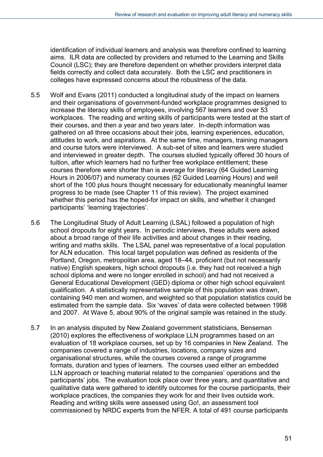identification of individual learners and analysis was therefore confined to learning aims. ILR data are collected by providers and returned to the Learning and Skills Council (LSC); they are therefore dependent on whether providers interpret data fields correctly and collect data accurately. Both the LSC and practitioners in colleges have expressed concerns about the robustness of the data.

- 5.5 Wolf and Evans (2011) conducted a longitudinal study of the impact on learners and their organisations of government-funded workplace programmes designed to increase the literacy skills of employees, involving 567 learners and over 53 workplaces. The reading and writing skills of participants were tested at the start of their courses, and then a year and two years later. In-depth information was gathered on all three occasions about their jobs, learning experiences, education, attitudes to work, and aspirations. At the same time, managers, training managers and course tutors were interviewed. A sub-set of sites and learners were studied and interviewed in greater depth. The courses studied typically offered 30 hours of tuition, after which learners had no further free workplace entitlement; these courses therefore were shorter than is average for literacy (64 Guided Learning Hours in 2006/07) and numeracy courses (62 Guided Learning Hours) and well short of the 100 plus hours thought necessary for educationally meaningful learner progress to be made (see Chapter 11 of this review). The project examined whether this period has the hoped-for impact on skills, and whether it changed participants' 'learning trajectories'.
- 5.6 The Longitudinal Study of Adult Learning (LSAL) followed a population of high school dropouts for eight years. In periodic interviews, these adults were asked about a broad range of their life activities and about changes in their reading, writing and maths skills. The LSAL panel was representative of a local population for ALN education. This local target population was defined as residents of the Portland, Oregon, metropolitan area, aged 18–44, proficient (but not necessarily native) English speakers, high school dropouts (i.e. they had not received a high school diploma and were no longer enrolled in school) and had not received a General Educational Development (GED) diploma or other high school equivalent qualification. A statistically representative sample of this population was drawn, containing 940 men and women, and weighted so that population statistics could be estimated from the sample data. Six 'waves' of data were collected between 1998 and 2007. At Wave 5, about 90% of the original sample was retained in the study.
- 5.7 In an analysis disputed by New Zealand government statisticians, Benseman (2010) explores the effectiveness of workplace LLN programmes based on an evaluation of 18 workplace courses, set up by 16 companies in New Zealand. The companies covered a range of industries, locations, company sizes and organisational structures, while the courses covered a range of programme formats, duration and types of learners. The courses used either an embedded LLN approach or teaching material related to the companies' operations and the participants' jobs. The evaluation took place over three years, and quantitative and qualitative data were gathered to identify outcomes for the course participants, their workplace practices, the companies they work for and their lives outside work. Reading and writing skills were assessed using Go!, an assessment tool commissioned by NRDC experts from the NFER. A total of 491 course participants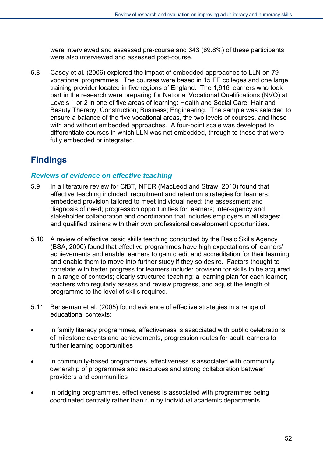were interviewed and assessed pre-course and 343 (69.8%) of these participants were also interviewed and assessed post-course.

5.8 Casey et al. (2006) explored the impact of embedded approaches to LLN on 79 vocational programmes. The courses were based in 15 FE colleges and one large training provider located in five regions of England. The 1,916 learners who took part in the research were preparing for National Vocational Qualifications (NVQ) at Levels 1 or 2 in one of five areas of learning: Health and Social Care; Hair and Beauty Therapy; Construction; Business; Engineering. The sample was selected to ensure a balance of the five vocational areas, the two levels of courses, and those with and without embedded approaches. A four-point scale was developed to differentiate courses in which LLN was not embedded, through to those that were fully embedded or integrated.

# **Findings**

#### *Reviews of evidence on effective teaching*

- 5.9 In a literature review for CfBT, NFER (MacLeod and Straw, 2010) found that effective teaching included: recruitment and retention strategies for learners; embedded provision tailored to meet individual need; the assessment and diagnosis of need; progression opportunities for learners; inter-agency and stakeholder collaboration and coordination that includes employers in all stages; and qualified trainers with their own professional development opportunities.
- 5.10 A review of effective basic skills teaching conducted by the Basic Skills Agency (BSA, 2000) found that effective programmes have high expectations of learners' achievements and enable learners to gain credit and accreditation for their learning and enable them to move into further study if they so desire. Factors thought to correlate with better progress for learners include: provision for skills to be acquired in a range of contexts; clearly structured teaching; a learning plan for each learner; teachers who regularly assess and review progress, and adjust the length of programme to the level of skills required.
- 5.11 Benseman et al. (2005) found evidence of effective strategies in a range of educational contexts:
- in family literacy programmes, effectiveness is associated with public celebrations of milestone events and achievements, progression routes for adult learners to further learning opportunities
- in community-based programmes, effectiveness is associated with community ownership of programmes and resources and strong collaboration between providers and communities
- in bridging programmes, effectiveness is associated with programmes being coordinated centrally rather than run by individual academic departments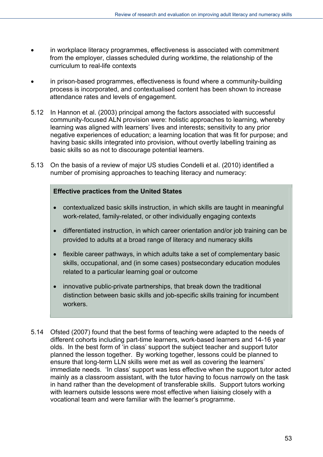- in workplace literacy programmes, effectiveness is associated with commitment from the employer, classes scheduled during worktime, the relationship of the curriculum to real-life contexts
- in prison-based programmes, effectiveness is found where a community-building process is incorporated, and contextualised content has been shown to increase attendance rates and levels of engagement.
- 5.12 In Hannon et al. (2003) principal among the factors associated with successful community-focused ALN provision were: holistic approaches to learning, whereby learning was aligned with learners' lives and interests; sensitivity to any prior negative experiences of education; a learning location that was fit for purpose; and having basic skills integrated into provision, without overtly labelling training as basic skills so as not to discourage potential learners.
- 5.13 On the basis of a review of major US studies Condelli et al. (2010) identified a number of promising approaches to teaching literacy and numeracy:

#### **Effective practices from the United States**

- contextualized basic skills instruction, in which skills are taught in meaningful work-related, family-related, or other individually engaging contexts
- differentiated instruction, in which career orientation and/or job training can be provided to adults at a broad range of literacy and numeracy skills
- flexible career pathways, in which adults take a set of complementary basic skills, occupational, and (in some cases) postsecondary education modules related to a particular learning goal or outcome
- innovative public-private partnerships, that break down the traditional distinction between basic skills and job-specific skills training for incumbent workers.
- 5.14 Ofsted (2007) found that the best forms of teaching were adapted to the needs of different cohorts including part-time learners, work-based learners and 14-16 year olds. In the best form of 'in class' support the subject teacher and support tutor planned the lesson together. By working together, lessons could be planned to ensure that long-term LLN skills were met as well as covering the learners' immediate needs. 'In class' support was less effective when the support tutor acted mainly as a classroom assistant, with the tutor having to focus narrowly on the task in hand rather than the development of transferable skills. Support tutors working with learners outside lessons were most effective when liaising closely with a vocational team and were familiar with the learner's programme.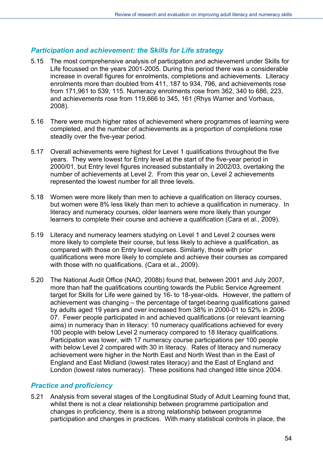#### *Participation and achievement: the Skills for Life strategy*

- 5.15 The most comprehensive analysis of participation and achievement under Skills for Life focussed on the years 2001-2005. During this period there was a considerable increase in overall figures for enrolments, completions and achievements. Literacy enrolments more than doubled from 411, 187 to 934, 796, and achievements rose from 171,961 to 539, 115. Numeracy enrolments rose from 362, 340 to 686, 223, and achievements rose from 119,666 to 345, 161 (Rhys Warner and Vorhaus, 2008).
- 5.16 There were much higher rates of achievement where programmes of learning were completed, and the number of achievements as a proportion of completions rose steadily over the five-year period.
- 5.17 Overall achievements were highest for Level 1 qualifications throughout the five years. They were lowest for Entry level at the start of the five-year period in 2000/01, but Entry level figures increased substantially in 2002/03, overtaking the number of achievements at Level 2. From this year on, Level 2 achievements represented the lowest number for all three levels.
- 5.18 Women were more likely than men to achieve a qualification on literacy courses, but women were 8% less likely than men to achieve a qualification in numeracy. In literacy and numeracy courses, older learners were more likely than younger learners to complete their course and achieve a qualification (Cara et al., 2009).
- 5.19 Literacy and numeracy learners studying on Level 1 and Level 2 courses were more likely to complete their course, but less likely to achieve a qualification, as compared with those on Entry level courses. Similarly, those with prior qualifications were more likely to complete and achieve their courses as compared with those with no qualifications. (Cara et al., 2009).
- 5.20 The National Audit Office (NAO, 2008b) found that, between 2001 and July 2007, more than half the qualifications counting towards the Public Service Agreement target for Skills for Life were gained by 16- to 18-year-olds. However, the pattern of achievement was changing – the percentage of target-bearing qualifications gained by adults aged 19 years and over increased from 38% in 2000-01 to 52% in 2006- 07. Fewer people participated in and achieved qualifications (or relevant learning aims) in numeracy than in literacy: 10 numeracy qualifications achieved for every 100 people with below Level 2 numeracy compared to 18 literacy qualifications. Participation was lower, with 17 numeracy course participations per 100 people with below Level 2 compared with 30 in literacy. Rates of literacy and numeracy achievement were higher in the North East and North West than in the East of England and East Midland (lowest rates literacy) and the East of England and London (lowest rates numeracy). These positions had changed little since 2004.

#### *Practice and proficiency*

5.21 Analysis from several stages of the Longitudinal Study of Adult Learning found that, whilst there is not a clear relationship between programme participation and changes in proficiency, there is a strong relationship between programme participation and changes in practices. With many statistical controls in place, the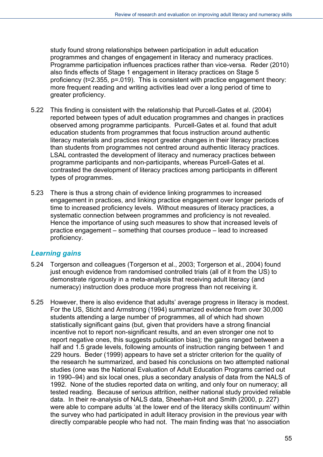study found strong relationships between participation in adult education programmes and changes of engagement in literacy and numeracy practices. Programme participation influences practices rather than vice-versa. Reder (2010) also finds effects of Stage 1 engagement in literacy practices on Stage 5 proficiency (t=2.355, p=.019). This is consistent with practice engagement theory: more frequent reading and writing activities lead over a long period of time to greater proficiency.

- 5.22 This finding is consistent with the relationship that Purcell-Gates et al. (2004) reported between types of adult education programmes and changes in practices observed among programme participants. Purcell-Gates et al. found that adult education students from programmes that focus instruction around authentic literacy materials and practices report greater changes in their literacy practices than students from programmes not centred around authentic literacy practices. LSAL contrasted the development of literacy and numeracy practices between programme participants and non-participants, whereas Purcell-Gates et al. contrasted the development of literacy practices among participants in different types of programmes.
- 5.23 There is thus a strong chain of evidence linking programmes to increased engagement in practices, and linking practice engagement over longer periods of time to increased proficiency levels. Without measures of literacy practices, a systematic connection between programmes and proficiency is not revealed. Hence the importance of using such measures to show that increased levels of practice engagement – something that courses produce – lead to increased proficiency.

#### *Learning gains*

- 5.24 Torgerson and colleagues (Torgerson et al., 2003; Torgerson et al., 2004) found just enough evidence from randomised controlled trials (all of it from the US) to demonstrate rigorously in a meta-analysis that receiving adult literacy (and numeracy) instruction does produce more progress than not receiving it.
- 5.25 However, there is also evidence that adults' average progress in literacy is modest. For the US, Sticht and Armstrong (1994) summarized evidence from over 30,000 students attending a large number of programmes, all of which had shown statistically significant gains (but, given that providers have a strong financial incentive not to report non-significant results, and an even stronger one not to report negative ones, this suggests publication bias); the gains ranged between a half and 1.5 grade levels, following amounts of instruction ranging between 1 and 229 hours. Beder (1999) appears to have set a stricter criterion for the quality of the research he summarized, and based his conclusions on two attempted national studies (one was the National Evaluation of Adult Education Programs carried out in 1990–94) and six local ones, plus a secondary analysis of data from the NALS of 1992. None of the studies reported data on writing, and only four on numeracy; all tested reading. Because of serious attrition, neither national study provided reliable data. In their re-analysis of NALS data, Sheehan-Holt and Smith (2000, p. 227) were able to compare adults 'at the lower end of the literacy skills continuum' within the survey who had participated in adult literacy provision in the previous year with directly comparable people who had not. The main finding was that 'no association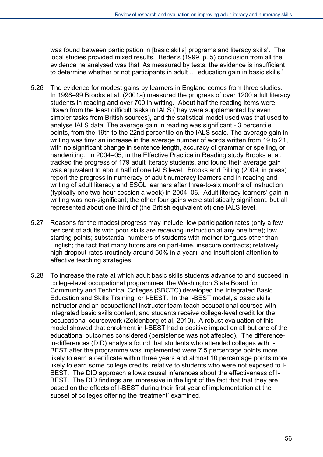was found between participation in [basic skills] programs and literacy skills'. The local studies provided mixed results. Beder's (1999, p. 5) conclusion from all the evidence he analysed was that 'As measured by tests, the evidence is insufficient to determine whether or not participants in adult … education gain in basic skills.'

- 5.26 The evidence for modest gains by learners in England comes from three studies. In 1998–99 Brooks et al. (2001a) measured the progress of over 1200 adult literacy students in reading and over 700 in writing. About half the reading items were drawn from the least difficult tasks in IALS (they were supplemented by even simpler tasks from British sources), and the statistical model used was that used to analyse IALS data. The average gain in reading was significant - 3 percentile points, from the 19th to the 22nd percentile on the IALS scale. The average gain in writing was tiny: an increase in the average number of words written from 19 to 21, with no significant change in sentence length, accuracy of grammar or spelling, or handwriting. In 2004–05, in the Effective Practice in Reading study Brooks et al. tracked the progress of 179 adult literacy students, and found their average gain was equivalent to about half of one IALS level. Brooks and Pilling (2009, in press) report the progress in numeracy of adult numeracy learners and in reading and writing of adult literacy and ESOL learners after three-to-six months of instruction (typically one two-hour session a week) in 2004–06. Adult literacy learners' gain in writing was non-significant; the other four gains were statistically significant, but all represented about one third of (the British equivalent of) one IALS level.
- 5.27 Reasons for the modest progress may include: low participation rates (only a few per cent of adults with poor skills are receiving instruction at any one time); low starting points; substantial numbers of students with mother tongues other than English; the fact that many tutors are on part-time, insecure contracts; relatively high dropout rates (routinely around 50% in a year); and insufficient attention to effective teaching strategies.
- 5.28 To increase the rate at which adult basic skills students advance to and succeed in college-level occupational programmes, the Washington State Board for Community and Technical Colleges (SBCTC) developed the Integrated Basic Education and Skills Training, or I-BEST. In the I-BEST model, a basic skills instructor and an occupational instructor team teach occupational courses with integrated basic skills content, and students receive college-level credit for the occupational coursework (Zeidenberg et al, 2010). A robust evaluation of this model showed that enrolment in I-BEST had a positive impact on all but one of the educational outcomes considered (persistence was not affected). The differencein-differences (DID) analysis found that students who attended colleges with I-BEST after the programme was implemented were 7.5 percentage points more likely to earn a certificate within three years and almost 10 percentage points more likely to earn some college credits, relative to students who were not exposed to I-BEST. The DID approach allows causal inferences about the effectiveness of I-BEST. The DID findings are impressive in the light of the fact that that they are based on the effects of I-BEST during their first year of implementation at the subset of colleges offering the 'treatment' examined.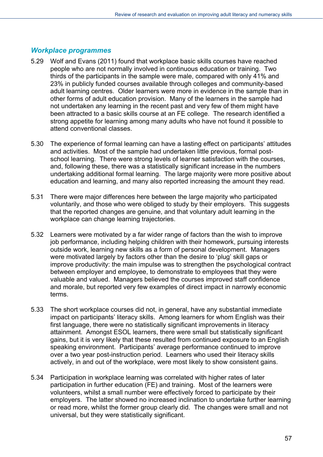#### *Workplace programmes*

- 5.29 Wolf and Evans (2011) found that workplace basic skills courses have reached people who are not normally involved in continuous education or training. Two thirds of the participants in the sample were male, compared with only 41% and 23% in publicly funded courses available through colleges and community-based adult learning centres. Older learners were more in evidence in the sample than in other forms of adult education provision. Many of the learners in the sample had not undertaken any learning in the recent past and very few of them might have been attracted to a basic skills course at an FE college. The research identified a strong appetite for learning among many adults who have not found it possible to attend conventional classes.
- 5.30 The experience of formal learning can have a lasting effect on participants' attitudes and activities. Most of the sample had undertaken little previous, formal postschool learning. There were strong levels of learner satisfaction with the courses, and, following these, there was a statistically significant increase in the numbers undertaking additional formal learning. The large majority were more positive about education and learning, and many also reported increasing the amount they read.
- 5.31 There were major differences here between the large majority who participated voluntarily, and those who were obliged to study by their employers. This suggests that the reported changes are genuine, and that voluntary adult learning in the workplace can change learning trajectories.
- 5.32 Learners were motivated by a far wider range of factors than the wish to improve job performance, including helping children with their homework, pursuing interests outside work, learning new skills as a form of personal development. Managers were motivated largely by factors other than the desire to 'plug' skill gaps or improve productivity: the main impulse was to strengthen the psychological contract between employer and employee, to demonstrate to employees that they were valuable and valued. Managers believed the courses improved staff confidence and morale, but reported very few examples of direct impact in narrowly economic terms.
- 5.33 The short workplace courses did not, in general, have any substantial immediate impact on participants' literacy skills. Among learners for whom English was their first language, there were no statistically significant improvements in literacy attainment. Amongst ESOL learners, there were small but statistically significant gains, but it is very likely that these resulted from continued exposure to an English speaking environment. Participants' average performance continued to improve over a two year post-instruction period. Learners who used their literacy skills actively, in and out of the workplace, were most likely to show consistent gains.
- 5.34 Participation in workplace learning was correlated with higher rates of later participation in further education (FE) and training. Most of the learners were volunteers, whilst a small number were effectively forced to participate by their employers. The latter showed no increased inclination to undertake further learning or read more, whilst the former group clearly did. The changes were small and not universal, but they were statistically significant.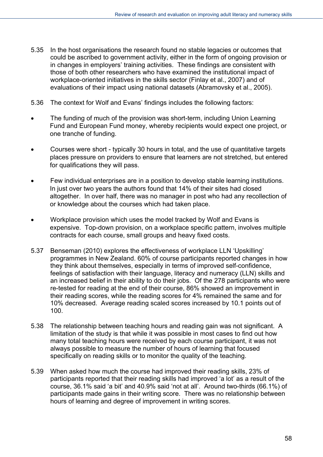- 5.35 In the host organisations the research found no stable legacies or outcomes that could be ascribed to government activity, either in the form of ongoing provision or in changes in employers' training activities. These findings are consistent with those of both other researchers who have examined the institutional impact of workplace-oriented initiatives in the skills sector (Finlay et al., 2007) and of evaluations of their impact using national datasets (Abramovsky et al., 2005).
- 5.36 The context for Wolf and Evans' findings includes the following factors:
- The funding of much of the provision was short-term, including Union Learning Fund and European Fund money, whereby recipients would expect one project, or one tranche of funding.
- Courses were short typically 30 hours in total, and the use of quantitative targets places pressure on providers to ensure that learners are not stretched, but entered for qualifications they will pass.
- Few individual enterprises are in a position to develop stable learning institutions. In just over two years the authors found that 14% of their sites had closed altogether. In over half, there was no manager in post who had any recollection of or knowledge about the courses which had taken place.
- Workplace provision which uses the model tracked by Wolf and Evans is expensive. Top-down provision, on a workplace specific pattern, involves multiple contracts for each course, small groups and heavy fixed costs.
- 5.37 Benseman (2010) explores the effectiveness of workplace LLN 'Upskilling' programmes in New Zealand. 60% of course participants reported changes in how they think about themselves, especially in terms of improved self-confidence, feelings of satisfaction with their language, literacy and numeracy (LLN) skills and an increased belief in their ability to do their jobs. Of the 278 participants who were re-tested for reading at the end of their course, 86% showed an improvement in their reading scores, while the reading scores for 4% remained the same and for 10% decreased. Average reading scaled scores increased by 10.1 points out of 100.
- 5.38 The relationship between teaching hours and reading gain was not significant. A limitation of the study is that while it was possible in most cases to find out how many total teaching hours were received by each course participant, it was not always possible to measure the number of hours of learning that focused specifically on reading skills or to monitor the quality of the teaching.
- 5.39 When asked how much the course had improved their reading skills, 23% of participants reported that their reading skills had improved 'a lot' as a result of the course, 36.1% said 'a bit' and 40.9% said 'not at all'. Around two-thirds (66.1%) of participants made gains in their writing score. There was no relationship between hours of learning and degree of improvement in writing scores.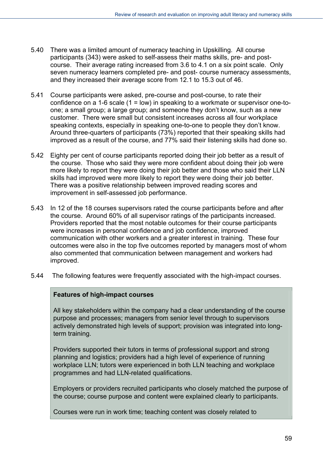- 5.40 There was a limited amount of numeracy teaching in Upskilling. All course participants (343) were asked to self-assess their maths skills, pre- and postcourse. Their average rating increased from 3.6 to 4.1 on a six point scale. Only seven numeracy learners completed pre- and post- course numeracy assessments, and they increased their average score from 12.1 to 15.3 out of 46.
- 5.41 Course participants were asked, pre-course and post-course, to rate their confidence on a 1-6 scale (1 = low) in speaking to a workmate or supervisor one-toone; a small group; a large group; and someone they don't know, such as a new customer. There were small but consistent increases across all four workplace speaking contexts, especially in speaking one-to-one to people they don't know. Around three-quarters of participants (73%) reported that their speaking skills had improved as a result of the course, and 77% said their listening skills had done so.
- 5.42 Eighty per cent of course participants reported doing their job better as a result of the course. Those who said they were more confident about doing their job were more likely to report they were doing their job better and those who said their LLN skills had improved were more likely to report they were doing their job better. There was a positive relationship between improved reading scores and improvement in self-assessed job performance.
- 5.43 In 12 of the 18 courses supervisors rated the course participants before and after the course. Around 60% of all supervisor ratings of the participants increased. Providers reported that the most notable outcomes for their course participants were increases in personal confidence and job confidence, improved communication with other workers and a greater interest in training. These four outcomes were also in the top five outcomes reported by managers most of whom also commented that communication between management and workers had improved.
- 5.44 The following features were frequently associated with the high-impact courses.

#### **Features of high-impact courses**

All key stakeholders within the company had a clear understanding of the course purpose and processes; managers from senior level through to supervisors actively demonstrated high levels of support; provision was integrated into longterm training.

Providers supported their tutors in terms of professional support and strong planning and logistics; providers had a high level of experience of running workplace LLN; tutors were experienced in both LLN teaching and workplace programmes and had LLN-related qualifications.

Employers or providers recruited participants who closely matched the purpose of the course; course purpose and content were explained clearly to participants.

Courses were run in work time; teaching content was closely related to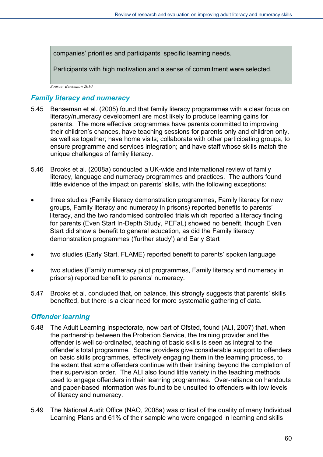companies' priorities and participants' specific learning needs.

Participants with high motivation and a sense of commitment were selected.

*Source: Benseman 2010* 

#### *Family literacy and numeracy*

- 5.45 Benseman et al. (2005) found that family literacy programmes with a clear focus on literacy/numeracy development are most likely to produce learning gains for parents. The more effective programmes have parents committed to improving their children's chances, have teaching sessions for parents only and children only, as well as together; have home visits; collaborate with other participating groups, to ensure programme and services integration; and have staff whose skills match the unique challenges of family literacy.
- 5.46 Brooks et al. (2008a) conducted a UK-wide and international review of family literacy, language and numeracy programmes and practices. The authors found little evidence of the impact on parents' skills, with the following exceptions:
- three studies (Family literacy demonstration programmes, Family literacy for new groups, Family literacy and numeracy in prisons) reported benefits to parents' literacy, and the two randomised controlled trials which reported a literacy finding for parents (Even Start In-Depth Study, PEFaL) showed no benefit, though Even Start did show a benefit to general education, as did the Family literacy demonstration programmes ('further study') and Early Start
- two studies (Early Start, FLAME) reported benefit to parents' spoken language
- two studies (Family numeracy pilot programmes, Family literacy and numeracy in prisons) reported benefit to parents' numeracy.
- 5.47 Brooks et al. concluded that, on balance, this strongly suggests that parents' skills benefited, but there is a clear need for more systematic gathering of data.

#### *Offender learning*

- 5.48 The Adult Learning Inspectorate, now part of Ofsted, found (ALI, 2007) that, when the partnership between the Probation Service, the training provider and the offender is well co-ordinated, teaching of basic skills is seen as integral to the offender's total programme. Some providers give considerable support to offenders on basic skills programmes, effectively engaging them in the learning process, to the extent that some offenders continue with their training beyond the completion of their supervision order. The ALI also found little variety in the teaching methods used to engage offenders in their learning programmes. Over-reliance on handouts and paper-based information was found to be unsuited to offenders with low levels of literacy and numeracy.
- 5.49 The National Audit Office (NAO, 2008a) was critical of the quality of many Individual Learning Plans and 61% of their sample who were engaged in learning and skills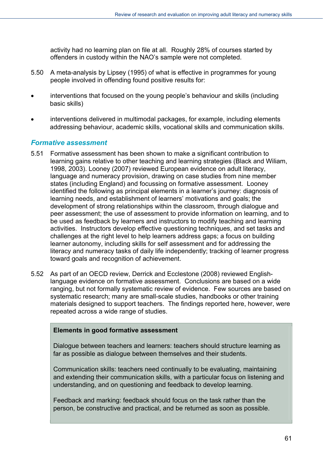activity had no learning plan on file at all. Roughly 28% of courses started by offenders in custody within the NAO's sample were not completed.

- 5.50 A meta-analysis by Lipsey (1995) of what is effective in programmes for young people involved in offending found positive results for:
- interventions that focused on the young people's behaviour and skills (including basic skills)
- interventions delivered in multimodal packages, for example, including elements addressing behaviour, academic skills, vocational skills and communication skills.

#### *Formative assessment*

- 5.51 Formative assessment has been shown to make a significant contribution to learning gains relative to other teaching and learning strategies (Black and Wiliam, 1998, 2003). Looney (2007) reviewed European evidence on adult literacy, language and numeracy provision, drawing on case studies from nine member states (including England) and focussing on formative assessment. Looney identified the following as principal elements in a learner's journey: diagnosis of learning needs, and establishment of learners' motivations and goals; the development of strong relationships within the classroom, through dialogue and peer assessment; the use of assessment to provide information on learning, and to be used as feedback by learners and instructors to modify teaching and learning activities. Instructors develop effective questioning techniques, and set tasks and challenges at the right level to help learners address gaps; a focus on building learner autonomy, including skills for self assessment and for addressing the literacy and numeracy tasks of daily life independently; tracking of learner progress toward goals and recognition of achievement.
- 5.52 As part of an OECD review, Derrick and Ecclestone (2008) reviewed Englishlanguage evidence on formative assessment. Conclusions are based on a wide ranging, but not formally systematic review of evidence. Few sources are based on systematic research; many are small-scale studies, handbooks or other training materials designed to support teachers. The findings reported here, however, were repeated across a wide range of studies.

#### **Elements in good formative assessment**

Dialogue between teachers and learners: teachers should structure learning as far as possible as dialogue between themselves and their students.

Communication skills: teachers need continually to be evaluating, maintaining and extending their communication skills, with a particular focus on listening and understanding, and on questioning and feedback to develop learning.

Feedback and marking: feedback should focus on the task rather than the person, be constructive and practical, and be returned as soon as possible.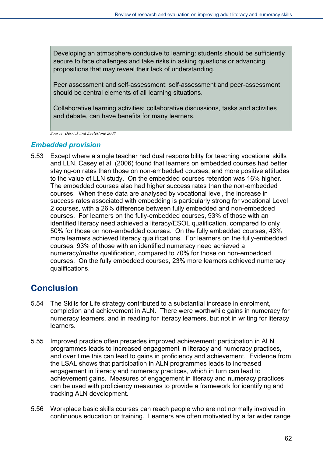Developing an atmosphere conducive to learning: students should be sufficiently secure to face challenges and take risks in asking questions or advancing propositions that may reveal their lack of understanding.

Peer assessment and self-assessment: self-assessment and peer-assessment should be central elements of all learning situations.

Collaborative learning activities: collaborative discussions, tasks and activities and debate, can have benefits for many learners.

*Source: Derrick and Ecclestone 2008* 

#### *Embedded provision*

5.53 Except where a single teacher had dual responsibility for teaching vocational skills and LLN, Casey et al. (2006) found that learners on embedded courses had better staying-on rates than those on non-embedded courses, and more positive attitudes to the value of LLN study. On the embedded courses retention was 16% higher. The embedded courses also had higher success rates than the non-embedded courses. When these data are analysed by vocational level, the increase in success rates associated with embedding is particularly strong for vocational Level 2 courses, with a 26% difference between fully embedded and non-embedded courses. For learners on the fully-embedded courses, 93% of those with an identified literacy need achieved a literacy/ESOL qualification, compared to only 50% for those on non-embedded courses. On the fully embedded courses, 43% more learners achieved literacy qualifications. For learners on the fully-embedded courses, 93% of those with an identified numeracy need achieved a numeracy/maths qualification, compared to 70% for those on non-embedded courses. On the fully embedded courses, 23% more learners achieved numeracy qualifications.

## **Conclusion**

- 5.54 The Skills for Life strategy contributed to a substantial increase in enrolment, completion and achievement in ALN. There were worthwhile gains in numeracy for numeracy learners, and in reading for literacy learners, but not in writing for literacy learners.
- 5.55 Improved practice often precedes improved achievement: participation in ALN programmes leads to increased engagement in literacy and numeracy practices, and over time this can lead to gains in proficiency and achievement. Evidence from the LSAL shows that participation in ALN programmes leads to increased engagement in literacy and numeracy practices, which in turn can lead to achievement gains. Measures of engagement in literacy and numeracy practices can be used with proficiency measures to provide a framework for identifying and tracking ALN development.
- 5.56 Workplace basic skills courses can reach people who are not normally involved in continuous education or training. Learners are often motivated by a far wider range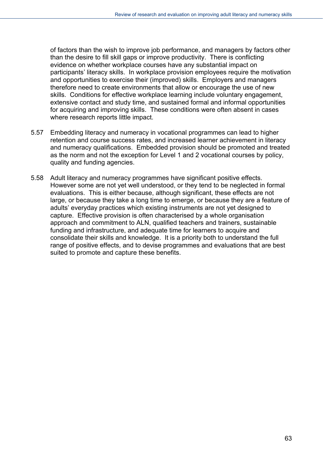of factors than the wish to improve job performance, and managers by factors other than the desire to fill skill gaps or improve productivity. There is conflicting evidence on whether workplace courses have any substantial impact on participants' literacy skills. In workplace provision employees require the motivation and opportunities to exercise their (improved) skills. Employers and managers therefore need to create environments that allow or encourage the use of new skills. Conditions for effective workplace learning include voluntary engagement, extensive contact and study time, and sustained formal and informal opportunities for acquiring and improving skills. These conditions were often absent in cases where research reports little impact.

- 5.57 Embedding literacy and numeracy in vocational programmes can lead to higher retention and course success rates, and increased learner achievement in literacy and numeracy qualifications. Embedded provision should be promoted and treated as the norm and not the exception for Level 1 and 2 vocational courses by policy, quality and funding agencies.
- 5.58 Adult literacy and numeracy programmes have significant positive effects. However some are not yet well understood, or they tend to be neglected in formal evaluations. This is either because, although significant, these effects are not large, or because they take a long time to emerge, or because they are a feature of adults' everyday practices which existing instruments are not yet designed to capture. Effective provision is often characterised by a whole organisation approach and commitment to ALN, qualified teachers and trainers, sustainable funding and infrastructure, and adequate time for learners to acquire and consolidate their skills and knowledge. It is a priority both to understand the full range of positive effects, and to devise programmes and evaluations that are best suited to promote and capture these benefits.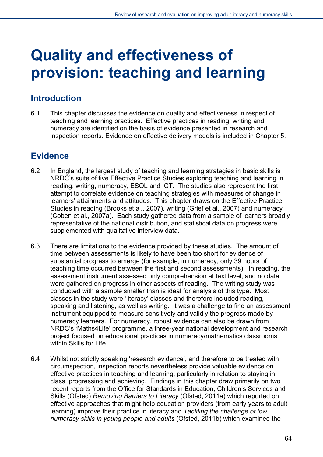# **Quality and effectiveness of provision: teaching and learning**

## **Introduction**

6.1 This chapter discusses the evidence on quality and effectiveness in respect of teaching and learning practices. Effective practices in reading, writing and numeracy are identified on the basis of evidence presented in research and inspection reports. Evidence on effective delivery models is included in Chapter 5.

## **Evidence**

- 6.2 In England, the largest study of teaching and learning strategies in basic skills is NRDC's suite of five Effective Practice Studies exploring teaching and learning in reading, writing, numeracy, ESOL and ICT. The studies also represent the first attempt to correlate evidence on teaching strategies with measures of change in learners' attainments and attitudes. This chapter draws on the Effective Practice Studies in reading (Brooks et al., 2007), writing (Grief et al., 2007) and numeracy (Coben et al., 2007a). Each study gathered data from a sample of learners broadly representative of the national distribution, and statistical data on progress were supplemented with qualitative interview data.
- 6.3 There are limitations to the evidence provided by these studies. The amount of time between assessments is likely to have been too short for evidence of substantial progress to emerge (for example, in numeracy, only 39 hours of teaching time occurred between the first and second assessments). In reading, the assessment instrument assessed only comprehension at text level, and no data were gathered on progress in other aspects of reading. The writing study was conducted with a sample smaller than is ideal for analysis of this type. Most classes in the study were 'literacy' classes and therefore included reading, speaking and listening, as well as writing. It was a challenge to find an assessment instrument equipped to measure sensitively and validly the progress made by numeracy learners. For numeracy, robust evidence can also be drawn from NRDC's 'Maths4Life' programme, a three-year national development and research project focused on educational practices in numeracy/mathematics classrooms within Skills for Life.
- 6.4 Whilst not strictly speaking 'research evidence', and therefore to be treated with circumspection, inspection reports nevertheless provide valuable evidence on effective practices in teaching and learning, particularly in relation to staying in class, progressing and achieving. Findings in this chapter draw primarily on two recent reports from the Office for Standards in Education, Children's Services and Skills (Ofsted) *Removing Barriers to Literacy* (Ofsted, 2011a) which reported on effective approaches that might help education providers (from early years to adult learning) improve their practice in literacy and *Tackling the challenge of low numeracy skills in young people and adults* (Ofsted, 2011b) which examined the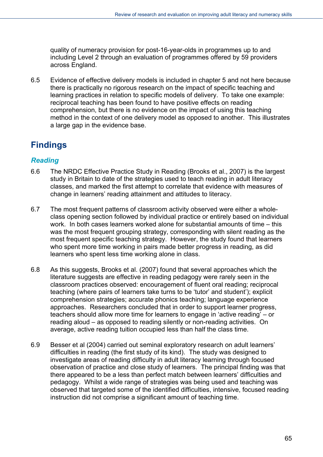quality of numeracy provision for post-16-year-olds in programmes up to and including Level 2 through an evaluation of programmes offered by 59 providers across England.

6.5 Evidence of effective delivery models is included in chapter 5 and not here because there is practically no rigorous research on the impact of specific teaching and learning practices in relation to specific models of delivery. To take one example: reciprocal teaching has been found to have positive effects on reading comprehension, but there is no evidence on the impact of using this teaching method in the context of one delivery model as opposed to another. This illustrates a large gap in the evidence base.

## **Findings**

#### *Reading*

- 6.6 The NRDC Effective Practice Study in Reading (Brooks et al., 2007) is the largest study in Britain to date of the strategies used to teach reading in adult literacy classes, and marked the first attempt to correlate that evidence with measures of change in learners' reading attainment and attitudes to literacy.
- 6.7 The most frequent patterns of classroom activity observed were either a wholeclass opening section followed by individual practice or entirely based on individual work. In both cases learners worked alone for substantial amounts of time – this was the most frequent grouping strategy, corresponding with silent reading as the most frequent specific teaching strategy. However, the study found that learners who spent more time working in pairs made better progress in reading, as did learners who spent less time working alone in class.
- 6.8 As this suggests, Brooks et al. (2007) found that several approaches which the literature suggests are effective in reading pedagogy were rarely seen in the classroom practices observed: encouragement of fluent oral reading; reciprocal teaching (where pairs of learners take turns to be 'tutor' and student'); explicit comprehension strategies; accurate phonics teaching; language experience approaches. Researchers concluded that in order to support learner progress, teachers should allow more time for learners to engage in 'active reading' – or reading aloud – as opposed to reading silently or non-reading activities. On average, active reading tuition occupied less than half the class time.
- 6.9 Besser et al (2004) carried out seminal exploratory research on adult learners' difficulties in reading (the first study of its kind). The study was designed to investigate areas of reading difficulty in adult literacy learning through focused observation of practice and close study of learners. The principal finding was that there appeared to be a less than perfect match between learners' difficulties and pedagogy. Whilst a wide range of strategies was being used and teaching was observed that targeted some of the identified difficulties, intensive, focused reading instruction did not comprise a significant amount of teaching time.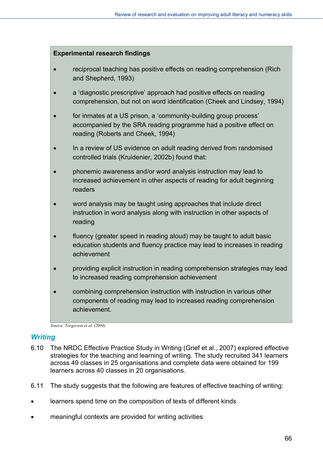#### **Experimental research findings**

- reciprocal teaching has positive effects on reading comprehension (Rich and Shepherd, 1993)
- a 'diagnostic prescriptive' approach had positive effects on reading comprehension, but not on word identification (Cheek and Lindsey, 1994)
- for inmates at a US prison, a 'community-building group process' accompanied by the SRA reading programme had a positive effect on reading (Roberts and Cheek, 1994)
- In a review of US evidence on adult reading derived from randomised controlled trials (Kruidenier, 2002b) found that:
- phonemic awareness and/or word analysis instruction may lead to increased achievement in other aspects of reading for adult beginning readers
- word analysis may be taught using approaches that include direct instruction in word analysis along with instruction in other aspects of reading
- fluency (greater speed in reading aloud) may be taught to adult basic education students and fluency practice may lead to increases in reading achievement
- providing explicit instruction in reading comprehension strategies may lead to increased reading comprehension achievement
- combining comprehension instruction with instruction in various other components of reading may lead to increased reading comprehension achievement.

*Source: Torgerson et al. (2004)* 

#### *Writing*

- 6.10 The NRDC Effective Practice Study in Writing (Grief et al., 2007) explored effective strategies for the teaching and learning of writing. The study recruited 341 learners across 49 classes in 25 organisations and complete data were obtained for 199 learners across 40 classes in 20 organisations.
- 6.11 The study suggests that the following are features of effective teaching of writing:
- learners spend time on the composition of texts of different kinds
- meaningful contexts are provided for writing activities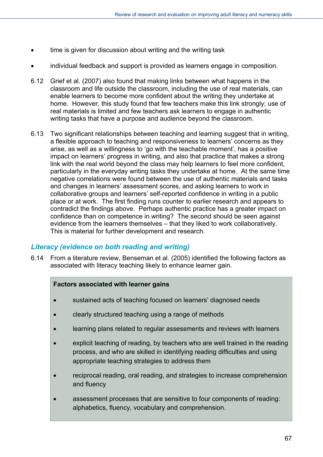- time is given for discussion about writing and the writing task
- individual feedback and support is provided as learners engage in composition.
- 6.12 Grief et al. (2007) also found that making links between what happens in the classroom and life outside the classroom, including the use of real materials, can enable learners to become more confident about the writing they undertake at home. However, this study found that few teachers make this link strongly; use of real materials is limited and few teachers ask learners to engage in authentic writing tasks that have a purpose and audience beyond the classroom.
- 6.13 Two significant relationships between teaching and learning suggest that in writing, a flexible approach to teaching and responsiveness to learners' concerns as they arise, as well as a willingness to 'go with the teachable moment', has a positive impact on learners' progress in writing, and also that practice that makes a strong link with the real world beyond the class may help learners to feel more confident, particularly in the everyday writing tasks they undertake at home. At the same time negative correlations were found between the use of authentic materials and tasks and changes in learners' assessment scores, and asking learners to work in collaborative groups and learners' self-reported confidence in writing in a public place or at work. The first finding runs counter to earlier research and appears to contradict the findings above. Perhaps authentic practice has a greater impact on confidence than on competence in writing? The second should be seen against evidence from the learners themselves – that they liked to work collaboratively. This is material for further development and research.

#### *Literacy (evidence on both reading and writing)*

6.14 From a literature review, Benseman et al. (2005) identified the following factors as associated with literacy teaching likely to enhance learner gain.

#### **Factors associated with learner gains**

- sustained acts of teaching focused on learners' diagnosed needs
- clearly structured teaching using a range of methods
- learning plans related to regular assessments and reviews with learners
- explicit teaching of reading, by teachers who are well trained in the reading process, and who are skilled in identifying reading difficulties and using appropriate teaching strategies to address them
- reciprocal reading, oral reading, and strategies to increase comprehension and fluency
- assessment processes that are sensitive to four components of reading: alphabetics, fluency, vocabulary and comprehension.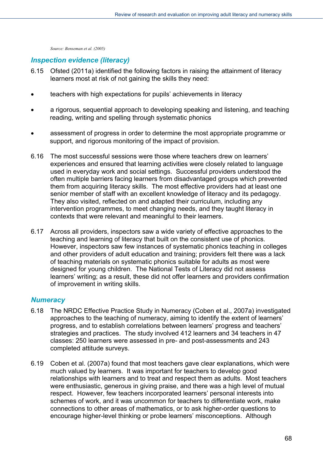*Source: Benseman et al. (2005)* 

#### *Inspection evidence (literacy)*

- 6.15 Ofsted (2011a) identified the following factors in raising the attainment of literacy learners most at risk of not gaining the skills they need:
- teachers with high expectations for pupils' achievements in literacy
- a rigorous, sequential approach to developing speaking and listening, and teaching reading, writing and spelling through systematic phonics
- assessment of progress in order to determine the most appropriate programme or support, and rigorous monitoring of the impact of provision.
- 6.16 The most successful sessions were those where teachers drew on learners' experiences and ensured that learning activities were closely related to language used in everyday work and social settings. Successful providers understood the often multiple barriers facing learners from disadvantaged groups which prevented them from acquiring literacy skills. The most effective providers had at least one senior member of staff with an excellent knowledge of literacy and its pedagogy. They also visited, reflected on and adapted their curriculum, including any intervention programmes, to meet changing needs, and they taught literacy in contexts that were relevant and meaningful to their learners.
- 6.17 Across all providers, inspectors saw a wide variety of effective approaches to the teaching and learning of literacy that built on the consistent use of phonics. However, inspectors saw few instances of systematic phonics teaching in colleges and other providers of adult education and training; providers felt there was a lack of teaching materials on systematic phonics suitable for adults as most were designed for young children. The National Tests of Literacy did not assess learners' writing; as a result, these did not offer learners and providers confirmation of improvement in writing skills.

#### *Numeracy*

- 6.18 The NRDC Effective Practice Study in Numeracy (Coben et al., 2007a) investigated approaches to the teaching of numeracy, aiming to identify the extent of learners' progress, and to establish correlations between learners' progress and teachers' strategies and practices. The study involved 412 learners and 34 teachers in 47 classes: 250 learners were assessed in pre- and post-assessments and 243 completed attitude surveys.
- 6.19 Coben et al. (2007a) found that most teachers gave clear explanations, which were much valued by learners. It was important for teachers to develop good relationships with learners and to treat and respect them as adults. Most teachers were enthusiastic, generous in giving praise, and there was a high level of mutual respect. However, few teachers incorporated learners' personal interests into schemes of work, and it was uncommon for teachers to differentiate work, make connections to other areas of mathematics, or to ask higher-order questions to encourage higher-level thinking or probe learners' misconceptions. Although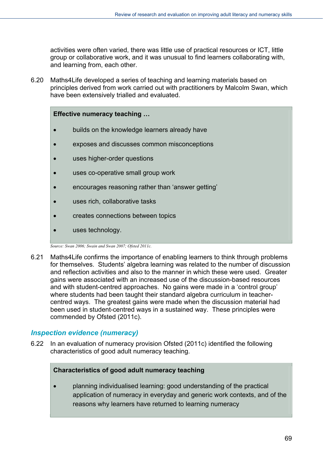activities were often varied, there was little use of practical resources or ICT, little group or collaborative work, and it was unusual to find learners collaborating with, and learning from, each other.

6.20 Maths4Life developed a series of teaching and learning materials based on principles derived from work carried out with practitioners by Malcolm Swan, which have been extensively trialled and evaluated.

#### **Effective numeracy teaching …**

- builds on the knowledge learners already have
- exposes and discusses common misconceptions
- uses higher-order questions
- uses co-operative small group work
- encourages reasoning rather than 'answer getting'
- uses rich, collaborative tasks
- creates connections between topics
- uses technology.

*Source: Swan 2006; Swain and Swan 2007; Ofsted 2011c.* 

6.21 Maths4Life confirms the importance of enabling learners to think through problems for themselves. Students' algebra learning was related to the number of discussion and reflection activities and also to the manner in which these were used. Greater gains were associated with an increased use of the discussion-based resources and with student-centred approaches. No gains were made in a 'control group' where students had been taught their standard algebra curriculum in teachercentred ways. The greatest gains were made when the discussion material had been used in student-centred ways in a sustained way. These principles were commended by Ofsted (2011c).

#### *Inspection evidence (numeracy)*

6.22 In an evaluation of numeracy provision Ofsted (2011c) identified the following characteristics of good adult numeracy teaching.

#### **Characteristics of good adult numeracy teaching**

 planning individualised learning: good understanding of the practical application of numeracy in everyday and generic work contexts, and of the reasons why learners have returned to learning numeracy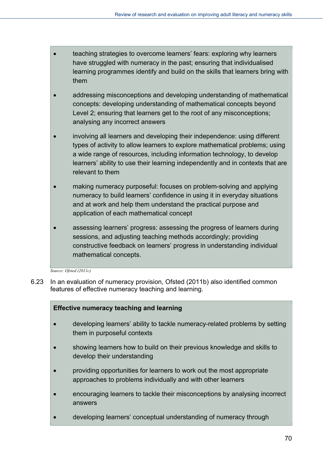- **teaching strategies to overcome learners' fears: exploring why learners** have struggled with numeracy in the past; ensuring that individualised learning programmes identify and build on the skills that learners bring with them
- addressing misconceptions and developing understanding of mathematical concepts: developing understanding of mathematical concepts beyond Level 2; ensuring that learners get to the root of any misconceptions; analysing any incorrect answers
- involving all learners and developing their independence: using different types of activity to allow learners to explore mathematical problems; using a wide range of resources, including information technology, to develop learners' ability to use their learning independently and in contexts that are relevant to them
- making numeracy purposeful: focuses on problem-solving and applying numeracy to build learners' confidence in using it in everyday situations and at work and help them understand the practical purpose and application of each mathematical concept
- assessing learners' progress: assessing the progress of learners during sessions, and adjusting teaching methods accordingly; providing constructive feedback on learners' progress in understanding individual mathematical concepts.

*Source: Ofsted (2011c)* 

6.23 In an evaluation of numeracy provision, Ofsted (2011b) also identified common features of effective numeracy teaching and learning.

#### **Effective numeracy teaching and learning**

- developing learners' ability to tackle numeracy-related problems by setting them in purposeful contexts
- showing learners how to build on their previous knowledge and skills to develop their understanding
- providing opportunities for learners to work out the most appropriate approaches to problems individually and with other learners
- encouraging learners to tackle their misconceptions by analysing incorrect answers
- developing learners' conceptual understanding of numeracy through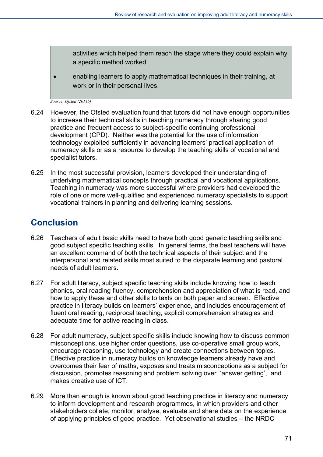activities which helped them reach the stage where they could explain why a specific method worked

 enabling learners to apply mathematical techniques in their training, at work or in their personal lives.

*Source: Ofsted (2011b)* 

- 6.24 However, the Ofsted evaluation found that tutors did not have enough opportunities to increase their technical skills in teaching numeracy through sharing good practice and frequent access to subject-specific continuing professional development (CPD). Neither was the potential for the use of information technology exploited sufficiently in advancing learners' practical application of numeracy skills or as a resource to develop the teaching skills of vocational and specialist tutors.
- 6.25 In the most successful provision, learners developed their understanding of underlying mathematical concepts through practical and vocational applications. Teaching in numeracy was more successful where providers had developed the role of one or more well-qualified and experienced numeracy specialists to support vocational trainers in planning and delivering learning sessions.

## **Conclusion**

- 6.26 Teachers of adult basic skills need to have both good generic teaching skills and good subject specific teaching skills. In general terms, the best teachers will have an excellent command of both the technical aspects of their subject and the interpersonal and related skills most suited to the disparate learning and pastoral needs of adult learners.
- 6.27 For adult literacy, subject specific teaching skills include knowing how to teach phonics, oral reading fluency, comprehension and appreciation of what is read, and how to apply these and other skills to texts on both paper and screen. Effective practice in literacy builds on learners' experience, and includes encouragement of fluent oral reading, reciprocal teaching, explicit comprehension strategies and adequate time for active reading in class.
- 6.28 For adult numeracy, subject specific skills include knowing how to discuss common misconceptions, use higher order questions, use co-operative small group work, encourage reasoning, use technology and create connections between topics. Effective practice in numeracy builds on knowledge learners already have and overcomes their fear of maths, exposes and treats misconceptions as a subject for discussion, promotes reasoning and problem solving over 'answer getting', and makes creative use of ICT.
- 6.29 More than enough is known about good teaching practice in literacy and numeracy to inform development and research programmes, in which providers and other stakeholders collate, monitor, analyse, evaluate and share data on the experience of applying principles of good practice. Yet observational studies – the NRDC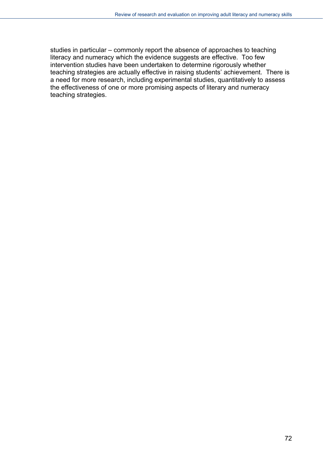studies in particular – commonly report the absence of approaches to teaching literacy and numeracy which the evidence suggests are effective. Too few intervention studies have been undertaken to determine rigorously whether teaching strategies are actually effective in raising students' achievement. There is a need for more research, including experimental studies, quantitatively to assess the effectiveness of one or more promising aspects of literary and numeracy teaching strategies.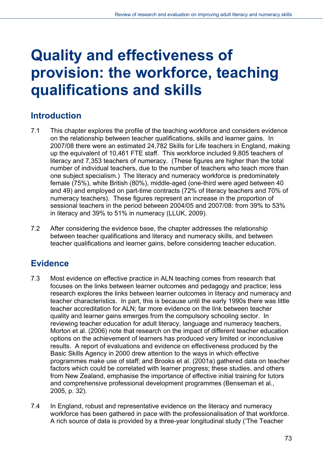# **Quality and effectiveness of provision: the workforce, teaching qualifications and skills**

# **Introduction**

- 7.1 This chapter explores the profile of the teaching workforce and considers evidence on the relationship between teacher qualifications, skills and learner gains. In 2007/08 there were an estimated 24,782 Skills for Life teachers in England, making up the equivalent of 10,461 FTE staff. This workforce included 9,805 teachers of literacy and 7,353 teachers of numeracy. (These figures are higher than the total number of individual teachers, due to the number of teachers who teach more than one subject specialism.) The literacy and numeracy workforce is predominately female (75%), white British (80%), middle-aged (one-third were aged between 40 and 49) and employed on part-time contracts (72% of literacy teachers and 70% of numeracy teachers). These figures represent an increase in the proportion of sessional teachers in the period between 2004/05 and 2007/08: from 39% to 53% in literacy and 39% to 51% in numeracy (LLUK, 2009).
- 7.2 After considering the evidence base, the chapter addresses the relationship between teacher qualifications and literacy and numeracy skills, and between teacher qualifications and learner gains, before considering teacher education.

# **Evidence**

- 7.3 Most evidence on effective practice in ALN teaching comes from research that focuses on the links between learner outcomes and pedagogy and practice; less research explores the links between learner outcomes in literacy and numeracy and teacher characteristics. In part, this is because until the early 1990s there was little teacher accreditation for ALN; far more evidence on the link between teacher quality and learner gains emerges from the compulsory schooling sector. In reviewing teacher education for adult literacy, language and numeracy teachers, Morton et al. (2006) note that research on the impact of different teacher education options on the achievement of learners has produced very limited or inconclusive results. A report of evaluations and evidence on effectiveness produced by the Basic Skills Agency in 2000 drew attention to the ways in which effective programmes make use of staff; and Brooks et al. (2001a) gathered data on teacher factors which could be correlated with learner progress; these studies, and others from New Zealand, emphasise the importance of effective initial training for tutors and comprehensive professional development programmes (Benseman et al., 2005, p. 32).
- 7.4 In England, robust and representative evidence on the literacy and numeracy workforce has been gathered in pace with the professionalisation of that workforce. A rich source of data is provided by a three-year longitudinal study ('The Teacher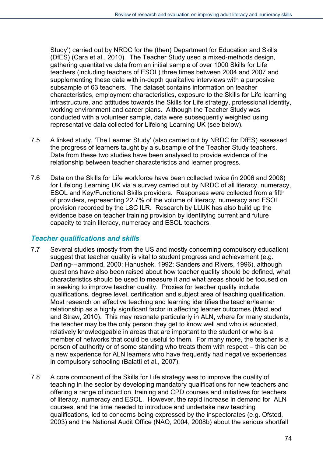Study') carried out by NRDC for the (then) Department for Education and Skills (DfES) (Cara et al., 2010). The Teacher Study used a mixed-methods design, gathering quantitative data from an initial sample of over 1000 Skills for Life teachers (including teachers of ESOL) three times between 2004 and 2007 and supplementing these data with in-depth qualitative interviews with a purposive subsample of 63 teachers. The dataset contains information on teacher characteristics, employment characteristics, exposure to the Skills for Life learning infrastructure, and attitudes towards the Skills for Life strategy, professional identity, working environment and career plans. Although the Teacher Study was conducted with a volunteer sample, data were subsequently weighted using representative data collected for Lifelong Learning UK (see below).

- 7.5 A linked study, 'The Learner Study' (also carried out by NRDC for DfES) assessed the progress of learners taught by a subsample of the Teacher Study teachers. Data from these two studies have been analysed to provide evidence of the relationship between teacher characteristics and learner progress.
- 7.6 Data on the Skills for Life workforce have been collected twice (in 2006 and 2008) for Lifelong Learning UK via a survey carried out by NRDC of all literacy, numeracy, ESOL and Key/Functional Skills providers. Responses were collected from a fifth of providers, representing 22.7% of the volume of literacy, numeracy and ESOL provision recorded by the LSC ILR. Research by LLUK has also build up the evidence base on teacher training provision by identifying current and future capacity to train literacy, numeracy and ESOL teachers.

#### *Teacher qualifications and skills*

- 7.7 Several studies (mostly from the US and mostly concerning compulsory education) suggest that teacher quality is vital to student progress and achievement (e.g. Darling-Hammond, 2000; Hanushek, 1992; Sanders and Rivers, 1996), although questions have also been raised about how teacher quality should be defined, what characteristics should be used to measure it and what areas should be focused on in seeking to improve teacher quality. Proxies for teacher quality include qualifications, degree level, certification and subject area of teaching qualification. Most research on effective teaching and learning identifies the teacher/learner relationship as a highly significant factor in affecting learner outcomes (MacLeod and Straw, 2010). This may resonate particularly in ALN, where for many students, the teacher may be the only person they get to know well and who is educated, relatively knowledgeable in areas that are important to the student or who is a member of networks that could be useful to them. For many more, the teacher is a person of authority or of some standing who treats them with respect – this can be a new experience for ALN learners who have frequently had negative experiences in compulsory schooling (Balatti et al., 2007).
- 7.8 A core component of the Skills for Life strategy was to improve the quality of teaching in the sector by developing mandatory qualifications for new teachers and offering a range of induction, training and CPD courses and initiatives for teachers of literacy, numeracy and ESOL. However, the rapid increase in demand for ALN courses, and the time needed to introduce and undertake new teaching qualifications, led to concerns being expressed by the inspectorates (e.g. Ofsted, 2003) and the National Audit Office (NAO, 2004, 2008b) about the serious shortfall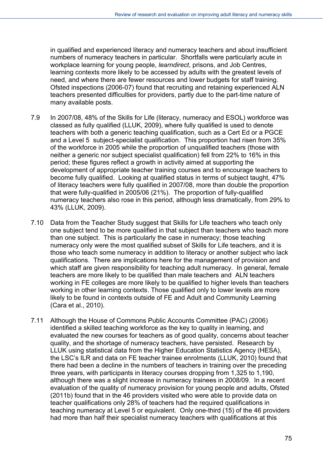in qualified and experienced literacy and numeracy teachers and about insufficient numbers of numeracy teachers in particular. Shortfalls were particularly acute in workplace learning for young people, *learndirect*, prisons, and Job Centres, learning contexts more likely to be accessed by adults with the greatest levels of need, and where there are fewer resources and lower budgets for staff training. Ofsted inspections (2006-07) found that recruiting and retaining experienced ALN teachers presented difficulties for providers, partly due to the part-time nature of many available posts.

- 7.9 In 2007/08, 48% of the Skills for Life (literacy, numeracy and ESOL) workforce was classed as fully qualified (LLUK, 2009), where fully qualified is used to denote teachers with both a generic teaching qualification, such as a Cert Ed or a PGCE and a Level 5 subject-specialist qualification. This proportion had risen from 35% of the workforce in 2005 while the proportion of unqualified teachers (those with neither a generic nor subject specialist qualification) fell from 22% to 16% in this period; these figures reflect a growth in activity aimed at supporting the development of appropriate teacher training courses and to encourage teachers to become fully qualified. Looking at qualified status in terms of subject taught, 47% of literacy teachers were fully qualified in 2007/08, more than double the proportion that were fully-qualified in 2005/06 (21%). The proportion of fully-qualified numeracy teachers also rose in this period, although less dramatically, from 29% to 43% (LLUK, 2009).
- 7.10 Data from the Teacher Study suggest that Skills for Life teachers who teach only one subject tend to be more qualified in that subject than teachers who teach more than one subject. This is particularly the case in numeracy; those teaching numeracy only were the most qualified subset of Skills for Life teachers, and it is those who teach some numeracy in addition to literacy or another subject who lack qualifications. There are implications here for the management of provision and which staff are given responsibility for teaching adult numeracy. In general, female teachers are more likely to be qualified than male teachers and ALN teachers working in FE colleges are more likely to be qualified to higher levels than teachers working in other learning contexts. Those qualified only to lower levels are more likely to be found in contexts outside of FE and Adult and Community Learning (Cara et al., 2010).
- 7.11 Although the House of Commons Public Accounts Committee (PAC) (2006) identified a skilled teaching workforce as the key to quality in learning, and evaluated the new courses for teachers as of good quality, concerns about teacher quality, and the shortage of numeracy teachers, have persisted. Research by LLUK using statistical data from the Higher Education Statistics Agency (HESA), the LSC's ILR and data on FE teacher trainee enrolments (LLUK, 2010) found that there had been a decline in the numbers of teachers in training over the preceding three years, with participants in literacy courses dropping from 1,325 to 1,190, although there was a slight increase in numeracy trainees in 2008/09. In a recent evaluation of the quality of numeracy provision for young people and adults, Ofsted (2011b) found that in the 46 providers visited who were able to provide data on teacher qualifications only 28% of teachers had the required qualifications in teaching numeracy at Level 5 or equivalent. Only one-third (15) of the 46 providers had more than half their specialist numeracy teachers with qualifications at this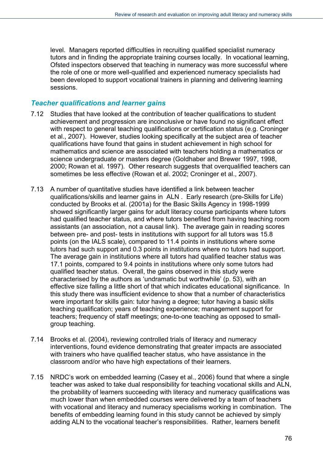level. Managers reported difficulties in recruiting qualified specialist numeracy tutors and in finding the appropriate training courses locally. In vocational learning, Ofsted inspectors observed that teaching in numeracy was more successful where the role of one or more well-qualified and experienced numeracy specialists had been developed to support vocational trainers in planning and delivering learning sessions.

#### *Teacher qualifications and learner gains*

- 7.12 Studies that have looked at the contribution of teacher qualifications to student achievement and progression are inconclusive or have found no significant effect with respect to general teaching qualifications or certification status (e.g. Croninger et al., 2007). However, studies looking specifically at the subject area of teacher qualifications have found that gains in student achievement in high school for mathematics and science are associated with teachers holding a mathematics or science undergraduate or masters degree (Goldhaber and Brewer 1997, 1998, 2000; Rowan et al. 1997). Other research suggests that overqualified teachers can sometimes be less effective (Rowan et al. 2002; Croninger et al., 2007).
- 7.13 A number of quantitative studies have identified a link between teacher qualifications/skills and learner gains in ALN . Early research (pre-Skills for Life) conducted by Brooks et al. (2001a) for the Basic Skills Agency in 1998-1999 showed significantly larger gains for adult literacy course participants where tutors had qualified teacher status, and where tutors benefited from having teaching room assistants (an association, not a causal link). The average gain in reading scores between pre- and post- tests in institutions with support for all tutors was 15.8 points (on the IALS scale), compared to 11.4 points in institutions where some tutors had such support and 0.3 points in institutions where no tutors had support. The average gain in institutions where all tutors had qualified teacher status was 17.1 points, compared to 9.4 points in institutions where only some tutors had qualified teacher status. Overall, the gains observed in this study were characterised by the authors as 'undramatic but worthwhile' (p. 53), with an effective size falling a little short of that which indicates educational significance. In this study there was insufficient evidence to show that a number of characteristics were important for skills gain: tutor having a degree; tutor having a basic skills teaching qualification; years of teaching experience; management support for teachers; frequency of staff meetings; one-to-one teaching as opposed to smallgroup teaching.
- 7.14 Brooks et al. (2004), reviewing controlled trials of literacy and numeracy interventions, found evidence demonstrating that greater impacts are associated with trainers who have qualified teacher status, who have assistance in the classroom and/or who have high expectations of their learners.
- 7.15 NRDC's work on embedded learning (Casey et al., 2006) found that where a single teacher was asked to take dual responsibility for teaching vocational skills and ALN, the probability of learners succeeding with literacy and numeracy qualifications was much lower than when embedded courses were delivered by a team of teachers with vocational and literacy and numeracy specialisms working in combination. The benefits of embedding learning found in this study cannot be achieved by simply adding ALN to the vocational teacher's responsibilities. Rather, learners benefit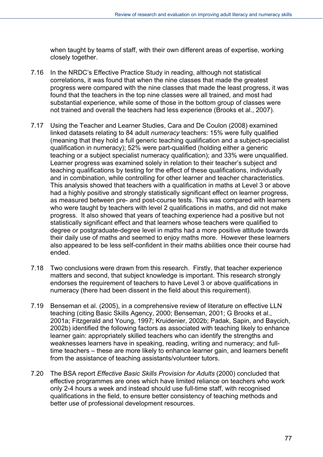when taught by teams of staff, with their own different areas of expertise, working closely together.

- 7.16 In the NRDC's Effective Practice Study in reading, although not statistical correlations, it was found that when the nine classes that made the greatest progress were compared with the nine classes that made the least progress, it was found that the teachers in the top nine classes were all trained, and most had substantial experience, while some of those in the bottom group of classes were not trained and overall the teachers had less experience (Brooks et al., 2007).
- 7.17 Using the Teacher and Learner Studies, Cara and De Coulon (2008) examined linked datasets relating to 84 adult *numeracy* teachers: 15% were fully qualified (meaning that they hold a full generic teaching qualification and a subject-specialist qualification in numeracy); 52% were part-qualified (holding either a generic teaching or a subject specialist numeracy qualification); and 33% were unqualified. Learner progress was examined solely in relation to their teacher's subject and teaching qualifications by testing for the effect of these qualifications, individually and in combination, while controlling for other learner and teacher characteristics. This analysis showed that teachers with a qualification in maths at Level 3 or above had a highly positive and strongly statistically significant effect on learner progress, as measured between pre- and post-course tests. This was compared with learners who were taught by teachers with level 2 qualifications in maths, and did not make progress. It also showed that years of teaching experience had a positive but not statistically significant effect and that learners whose teachers were qualified to degree or postgraduate-degree level in maths had a more positive attitude towards their daily use of maths and seemed to enjoy maths more. However these learners also appeared to be less self-confident in their maths abilities once their course had ended.
- 7.18 Two conclusions were drawn from this research. Firstly, that teacher experience matters and second, that subject knowledge is important. This research strongly endorses the requirement of teachers to have Level 3 or above qualifications in numeracy (there had been dissent in the field about this requirement).
- 7.19 Benseman et al. (2005), in a comprehensive review of literature on effective LLN teaching (citing Basic Skills Agency, 2000; Benseman, 2001; G Brooks et al., 2001a; Fitzgerald and Young, 1997; Kruidenier, 2002b; Padak, Sapin, and Baycich, 2002b) identified the following factors as associated with teaching likely to enhance learner gain: appropriately skilled teachers who can identify the strengths and weaknesses learners have in speaking, reading, writing and numeracy; and fulltime teachers – these are more likely to enhance learner gain, and learners benefit from the assistance of teaching assistants/volunteer tutors.
- 7.20 The BSA report *Effective Basic Skills Provision for Adults* (2000) concluded that effective programmes are ones which have limited reliance on teachers who work only 2-4 hours a week and instead should use full-time staff, with recognised qualifications in the field, to ensure better consistency of teaching methods and better use of professional development resources.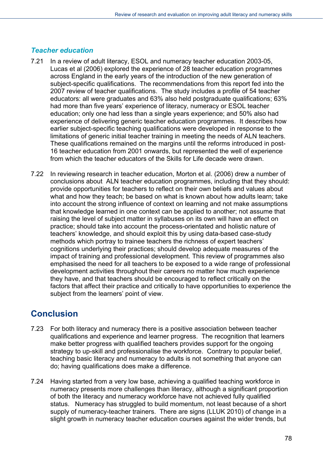#### *Teacher education*

- 7.21 In a review of adult literacy, ESOL and numeracy teacher education 2003-05, Lucas et al (2006) explored the experience of 28 teacher education programmes across England in the early years of the introduction of the new generation of subject-specific qualifications. The recommendations from this report fed into the 2007 review of teacher qualifications. The study includes a profile of 54 teacher educators: all were graduates and 63% also held postgraduate qualifications; 63% had more than five years' experience of literacy, numeracy or ESOL teacher education; only one had less than a single years experience; and 50% also had experience of delivering generic teacher education programmes. It describes how earlier subject-specific teaching qualifications were developed in response to the limitations of generic initial teacher training in meeting the needs of ALN teachers. These qualifications remained on the margins until the reforms introduced in post-16 teacher education from 2001 onwards, but represented the well of experience from which the teacher educators of the Skills for Life decade were drawn.
- 7.22 In reviewing research in teacher education, Morton et al. (2006) drew a number of conclusions about ALN teacher education programmes, including that they should: provide opportunities for teachers to reflect on their own beliefs and values about what and how they teach; be based on what is known about how adults learn; take into account the strong influence of context on learning and not make assumptions that knowledge learned in one context can be applied to another; not assume that raising the level of subject matter in syllabuses on its own will have an effect on practice; should take into account the process-orientated and holistic nature of teachers' knowledge, and should exploit this by using data-based case-study methods which portray to trainee teachers the richness of expert teachers' cognitions underlying their practices; should develop adequate measures of the impact of training and professional development. This review of programmes also emphasised the need for all teachers to be exposed to a wide range of professional development activities throughout their careers no matter how much experience they have, and that teachers should be encouraged to reflect critically on the factors that affect their practice and critically to have opportunities to experience the subject from the learners' point of view.

## **Conclusion**

- 7.23 For both literacy and numeracy there is a positive association between teacher qualifications and experience and learner progress. The recognition that learners make better progress with qualified teachers provides support for the ongoing strategy to up-skill and professionalise the workforce. Contrary to popular belief, teaching basic literacy and numeracy to adults is not something that anyone can do; having qualifications does make a difference.
- 7.24 Having started from a very low base, achieving a qualified teaching workforce in numeracy presents more challenges than literacy, although a significant proportion of both the literacy and numeracy workforce have not achieved fully qualified status. Numeracy has struggled to build momentum, not least because of a short supply of numeracy-teacher trainers. There are signs (LLUK 2010) of change in a slight growth in numeracy teacher education courses against the wider trends, but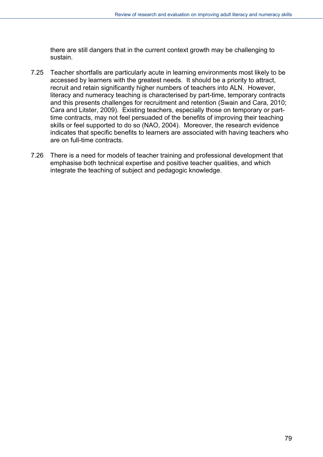there are still dangers that in the current context growth may be challenging to sustain.

- 7.25 Teacher shortfalls are particularly acute in learning environments most likely to be accessed by learners with the greatest needs. It should be a priority to attract, recruit and retain significantly higher numbers of teachers into ALN. However, literacy and numeracy teaching is characterised by part-time, temporary contracts and this presents challenges for recruitment and retention (Swain and Cara, 2010; Cara and Litster, 2009). Existing teachers, especially those on temporary or parttime contracts, may not feel persuaded of the benefits of improving their teaching skills or feel supported to do so (NAO, 2004). Moreover, the research evidence indicates that specific benefits to learners are associated with having teachers who are on full-time contracts.
- 7.26 There is a need for models of teacher training and professional development that emphasise both technical expertise and positive teacher qualities, and which integrate the teaching of subject and pedagogic knowledge.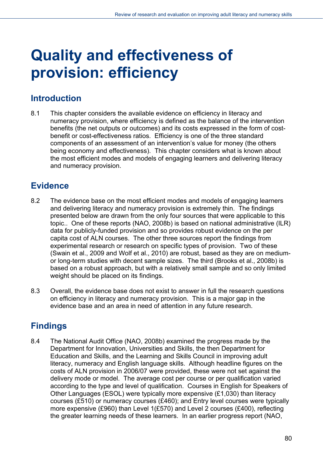# **Quality and effectiveness of provision: efficiency**

### **Introduction**

8.1 This chapter considers the available evidence on efficiency in literacy and numeracy provision, where efficiency is defined as the balance of the intervention benefits (the net outputs or outcomes) and its costs expressed in the form of costbenefit or cost-effectiveness ratios. Efficiency is one of the three standard components of an assessment of an intervention's value for money (the others being economy and effectiveness). This chapter considers what is known about the most efficient modes and models of engaging learners and delivering literacy and numeracy provision.

## **Evidence**

- 8.2 The evidence base on the most efficient modes and models of engaging learners and delivering literacy and numeracy provision is extremely thin. The findings presented below are drawn from the only four sources that were applicable to this topic.. One of these reports (NAO, 2008b) is based on national administrative (ILR) data for publicly-funded provision and so provides robust evidence on the per capita cost of ALN courses. The other three sources report the findings from experimental research or research on specific types of provision. Two of these (Swain et al., 2009 and Wolf et al., 2010) are robust, based as they are on mediumor long-term studies with decent sample sizes. The third (Brooks et al., 2008b) is based on a robust approach, but with a relatively small sample and so only limited weight should be placed on its findings.
- 8.3 Overall, the evidence base does not exist to answer in full the research questions on efficiency in literacy and numeracy provision. This is a major gap in the evidence base and an area in need of attention in any future research.

# **Findings**

8.4 The National Audit Office (NAO, 2008b) examined the progress made by the Department for Innovation, Universities and Skills, the then Department for Education and Skills, and the Learning and Skills Council in improving adult literacy, numeracy and English language skills. Although headline figures on the costs of ALN provision in 2006/07 were provided, these were not set against the delivery mode or model. The average cost per course or per qualification varied according to the type and level of qualification. Courses in English for Speakers of Other Languages (ESOL) were typically more expensive (£1,030) than literacy courses (£510) or numeracy courses (£460); and Entry level courses were typically more expensive (£960) than Level 1(£570) and Level 2 courses (£400), reflecting the greater learning needs of these learners. In an earlier progress report (NAO,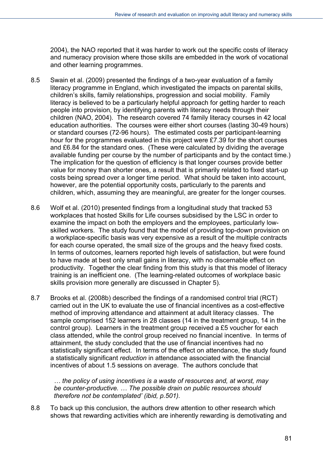2004), the NAO reported that it was harder to work out the specific costs of literacy and numeracy provision where those skills are embedded in the work of vocational and other learning programmes.

- 8.5 Swain et al. (2009) presented the findings of a two-year evaluation of a family literacy programme in England, which investigated the impacts on parental skills, children's skills, family relationships, progression and social mobility. Family literacy is believed to be a particularly helpful approach for getting harder to reach people into provision, by identifying parents with literacy needs through their children (NAO, 2004). The research covered 74 family literacy courses in 42 local education authorities. The courses were either short courses (lasting 30-49 hours) or standard courses (72-96 hours). The estimated costs per participant-learning hour for the programmes evaluated in this project were £7.39 for the short courses and £6.84 for the standard ones. (These were calculated by dividing the average available funding per course by the number of participants and by the contact time.) The implication for the question of efficiency is that longer courses provide better value for money than shorter ones, a result that is primarily related to fixed start-up costs being spread over a longer time period. What should be taken into account, however, are the potential opportunity costs, particularly to the parents and children, which, assuming they are meaningful, are greater for the longer courses.
- 8.6 Wolf et al. (2010) presented findings from a longitudinal study that tracked 53 workplaces that hosted Skills for Life courses subsidised by the LSC in order to examine the impact on both the employers and the employees, particularly lowskilled workers. The study found that the model of providing top-down provision on a workplace-specific basis was very expensive as a result of the multiple contracts for each course operated, the small size of the groups and the heavy fixed costs. In terms of outcomes, learners reported high levels of satisfaction, but were found to have made at best only small gains in literacy, with no discernable effect on productivity. Together the clear finding from this study is that this model of literacy training is an inefficient one. (The learning-related outcomes of workplace basic skills provision more generally are discussed in Chapter 5).
- 8.7 Brooks et al. (2008b) described the findings of a randomised control trial (RCT) carried out in the UK to evaluate the use of financial incentives as a cost-effective method of improving attendance and attainment at adult literacy classes. The sample comprised 152 learners in 28 classes (14 in the treatment group, 14 in the control group). Learners in the treatment group received a £5 voucher for each class attended, while the control group received no financial incentive. In terms of attainment, the study concluded that the use of financial incentives had no statistically significant effect. In terms of the effect on attendance, the study found a statistically significant *reduction* in attendance associated with the financial incentives of about 1.5 sessions on average. The authors conclude that

*… the policy of using incentives is a waste of resources and, at worst, may be counter-productive. … The possible drain on public resources should therefore not be contemplated' (ibid, p.501).* 

8.8 To back up this conclusion, the authors drew attention to other research which shows that rewarding activities which are inherently rewarding is demotivating and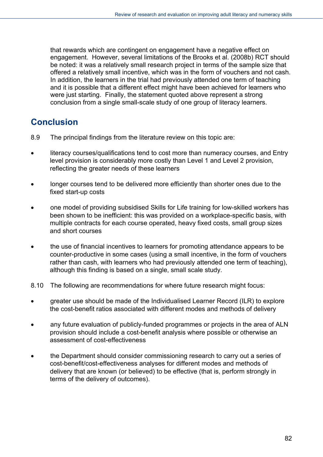that rewards which are contingent on engagement have a negative effect on engagement. However, several limitations of the Brooks et al. (2008b) RCT should be noted: it was a relatively small research project in terms of the sample size that offered a relatively small incentive, which was in the form of vouchers and not cash. In addition, the learners in the trial had previously attended one term of teaching and it is possible that a different effect might have been achieved for learners who were just starting. Finally, the statement quoted above represent a strong conclusion from a single small-scale study of one group of literacy learners.

## **Conclusion**

- 8.9 The principal findings from the literature review on this topic are:
- literacy courses/qualifications tend to cost more than numeracy courses, and Entry level provision is considerably more costly than Level 1 and Level 2 provision, reflecting the greater needs of these learners
- longer courses tend to be delivered more efficiently than shorter ones due to the fixed start-up costs
- one model of providing subsidised Skills for Life training for low-skilled workers has been shown to be inefficient: this was provided on a workplace-specific basis, with multiple contracts for each course operated, heavy fixed costs, small group sizes and short courses
- the use of financial incentives to learners for promoting attendance appears to be counter-productive in some cases (using a small incentive, in the form of vouchers rather than cash, with learners who had previously attended one term of teaching), although this finding is based on a single, small scale study.
- 8.10 The following are recommendations for where future research might focus:
- greater use should be made of the Individualised Learner Record (ILR) to explore the cost-benefit ratios associated with different modes and methods of delivery
- any future evaluation of publicly-funded programmes or projects in the area of ALN provision should include a cost-benefit analysis where possible or otherwise an assessment of cost-effectiveness
- the Department should consider commissioning research to carry out a series of cost-benefit/cost-effectiveness analyses for different modes and methods of delivery that are known (or believed) to be effective (that is, perform strongly in terms of the delivery of outcomes).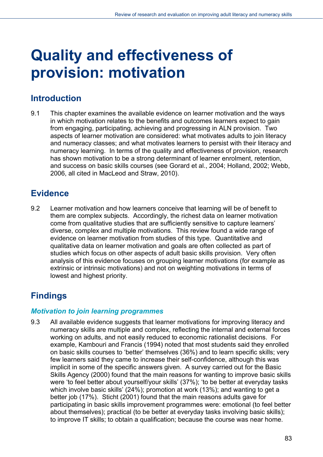# **Quality and effectiveness of provision: motivation**

### **Introduction**

9.1 This chapter examines the available evidence on learner motivation and the ways in which motivation relates to the benefits and outcomes learners expect to gain from engaging, participating, achieving and progressing in ALN provision. Two aspects of learner motivation are considered: what motivates adults to join literacy and numeracy classes; and what motivates learners to persist with their literacy and numeracy learning. In terms of the quality and effectiveness of provision, research has shown motivation to be a strong determinant of learner enrolment, retention, and success on basic skills courses (see Gorard et al., 2004; Holland, 2002; Webb, 2006, all cited in MacLeod and Straw, 2010).

## **Evidence**

9.2 Learner motivation and how learners conceive that learning will be of benefit to them are complex subjects. Accordingly, the richest data on learner motivation come from qualitative studies that are sufficiently sensitive to capture learners' diverse, complex and multiple motivations. This review found a wide range of evidence on learner motivation from studies of this type. Quantitative and qualitative data on learner motivation and goals are often collected as part of studies which focus on other aspects of adult basic skills provision. Very often analysis of this evidence focuses on grouping learner motivations (for example as extrinsic or intrinsic motivations) and not on weighting motivations in terms of lowest and highest priority.

# **Findings**

#### *Motivation to join learning programmes*

9.3 All available evidence suggests that learner motivations for improving literacy and numeracy skills are multiple and complex, reflecting the internal and external forces working on adults, and not easily reduced to economic rationalist decisions. For example, Kambouri and Francis (1994) noted that most students said they enrolled on basic skills courses to 'better' themselves (36%) and to learn specific skills; very few learners said they came to increase their self-confidence, although this was implicit in some of the specific answers given. A survey carried out for the Basic Skills Agency (2000) found that the main reasons for wanting to improve basic skills were 'to feel better about yourself/your skills' (37%); 'to be better at everyday tasks which involve basic skills' (24%); promotion at work (13%); and wanting to get a better job (17%). Sticht (2001) found that the main reasons adults gave for participating in basic skills improvement programmes were: emotional (to feel better about themselves); practical (to be better at everyday tasks involving basic skills); to improve IT skills; to obtain a qualification; because the course was near home.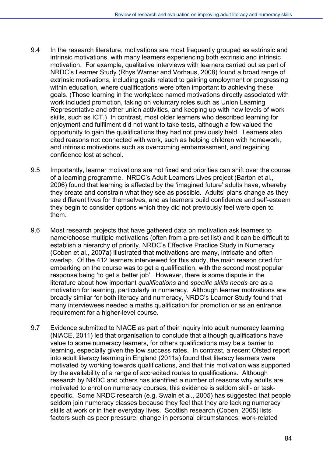- 9.4 In the research literature, motivations are most frequently grouped as extrinsic and intrinsic motivations, with many learners experiencing both extrinsic and intrinsic motivation. For example, qualitative interviews with learners carried out as part of NRDC's Learner Study (Rhys Warner and Vorhaus, 2008) found a broad range of extrinsic motivations, including goals related to gaining employment or progressing within education, where qualifications were often important to achieving these goals. (Those learning in the workplace named motivations directly associated with work included promotion, taking on voluntary roles such as Union Learning Representative and other union activities, and keeping up with new levels of work skills, such as ICT.) In contrast, most older learners who described learning for enjoyment and fulfilment did not want to take tests, although a few valued the opportunity to gain the qualifications they had not previously held. Learners also cited reasons not connected with work, such as helping children with homework, and intrinsic motivations such as overcoming embarrassment, and regaining confidence lost at school.
- 9.5 Importantly, learner motivations are not fixed and priorities can shift over the course of a learning programme. NRDC's Adult Learners Lives project (Barton et al., 2006) found that learning is affected by the 'imagined future' adults have, whereby they create and constrain what they see as possible. Adults' plans change as they see different lives for themselves, and as learners build confidence and self-esteem they begin to consider options which they did not previously feel were open to them.
- 9.6 Most research projects that have gathered data on motivation ask learners to name/choose multiple motivations (often from a pre-set list) and it can be difficult to establish a hierarchy of priority. NRDC's Effective Practice Study in Numeracy (Coben et al., 2007a) illustrated that motivations are many, intricate and often overlap. Of the 412 learners interviewed for this study, the main reason cited for embarking on the course was to get a qualification, with the second most popular response being 'to get a better job'. However, there is some dispute in the literature about how important *qualifications* and *specific skills needs* are as a motivation for learning, particularly in numeracy. Although learner motivations are broadly similar for both literacy and numeracy, NRDC's Learner Study found that many interviewees needed a maths qualification for promotion or as an entrance requirement for a higher-level course.
- 9.7 Evidence submitted to NIACE as part of their inquiry into adult numeracy learning (NIACE, 2011) led that organisation to conclude that although qualifications have value to some numeracy learners, for others qualifications may be a barrier to learning, especially given the low success rates. In contrast, a recent Ofsted report into adult literacy learning in England (2011a) found that literacy learners were motivated by working towards qualifications, and that this motivation was supported by the availability of a range of accredited routes to qualifications. Although research by NRDC and others has identified a number of reasons why adults are motivated to enrol on numeracy courses, this evidence is seldom skill- or taskspecific. Some NRDC research (e.g. Swain et al., 2005) has suggested that people seldom join numeracy classes because they feel that they are lacking numeracy skills at work or in their everyday lives. Scottish research (Coben, 2005) lists factors such as peer pressure; change in personal circumstances; work-related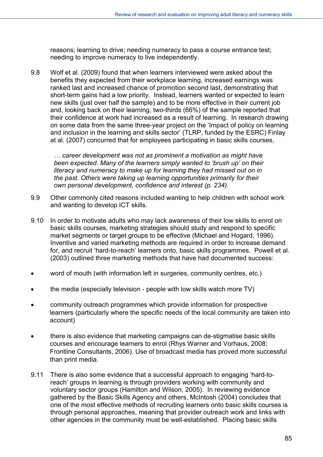reasons; learning to drive; needing numeracy to pass a course entrance test; needing to improve numeracy to live independently.

9.8 Wolf et al. (2009) found that when learners interviewed were asked about the benefits they expected from their workplace learning, increased earnings was ranked last and increased chance of promotion second last, demonstrating that short-term gains had a low priority. Instead, learners wanted or expected to learn new skills (just over half the sample) and to be more effective in their current job and, looking back on their learning, two-thirds (66%) of the sample reported that their confidence at work had increased as a result of learning. In research drawing on some data from the same three-year project on the 'Impact of policy on learning and inclusion in the learning and skills sector' (TLRP, funded by the ESRC) Finlay at al. (2007) concurred that for employees participating in basic skills courses,

*… career development was not as prominent a motivation as might have been expected. Many of the learners simply wanted to 'brush up' on their literacy and numeracy to make up for learning they had missed out on in the past. Others were taking up learning opportunities primarily for their own personal development, confidence and interest (p. 234).* 

- 9.9 Other commonly cited reasons included wanting to help children with school work and wanting to develop ICT skills.
- 9.10 In order to motivate adults who may lack awareness of their low skills to enrol on basic skills courses, marketing strategies should study and respond to specific market segments or target groups to be effective (Michael and Hogard, 1996). Inventive and varied marketing methods are required in order to increase demand for, and recruit 'hard-to-reach' learners onto, basic skills programmes. Powell et al. (2003) outlined three marketing methods that have had documented success:
- word of mouth (with information left in surgeries, community centres, etc.)
- the media (especially television people with low skills watch more TV)
- community outreach programmes which provide information for prospective learners (particularly where the specific needs of the local community are taken into account)
- there is also evidence that marketing campaigns can de-stigmatise basic skills courses and encourage learners to enrol (Rhys Warner and Vorhaus, 2008; Frontline Consultants, 2006). Use of broadcast media has proved more successful than print media.
- 9.11 There is also some evidence that a successful approach to engaging 'hard-toreach' groups in learning is through providers working with community and voluntary sector groups (Hamilton and Wilson, 2005). In reviewing evidence gathered by the Basic Skills Agency and others, McIntosh (2004) concludes that one of the most effective methods of recruiting learners onto basic skills courses is through personal approaches, meaning that provider outreach work and links with other agencies in the community must be well-established. Placing basic skills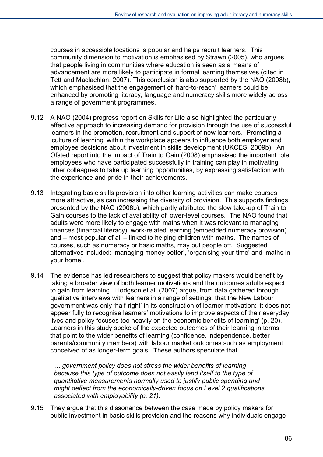courses in accessible locations is popular and helps recruit learners. This community dimension to motivation is emphasised by Strawn (2005), who argues that people living in communities where education is seen as a means of advancement are more likely to participate in formal learning themselves (cited in Tett and Maclachlan, 2007). This conclusion is also supported by the NAO (2008b), which emphasised that the engagement of 'hard-to-reach' learners could be enhanced by promoting literacy, language and numeracy skills more widely across a range of government programmes.

- 9.12 A NAO (2004) progress report on Skills for Life also highlighted the particularly effective approach to increasing demand for provision through the use of successful learners in the promotion, recruitment and support of new learners. Promoting a 'culture of learning' within the workplace appears to influence both employer and employee decisions about investment in skills development (UKCES, 2009b). An Ofsted report into the impact of Train to Gain (2008) emphasised the important role employees who have participated successfully in training can play in motivating other colleagues to take up learning opportunities, by expressing satisfaction with the experience and pride in their achievements.
- 9.13 Integrating basic skills provision into other learning activities can make courses more attractive, as can increasing the diversity of provision. This supports findings presented by the NAO (2008b), which partly attributed the slow take-up of Train to Gain courses to the lack of availability of lower-level courses. The NAO found that adults were more likely to engage with maths when it was relevant to managing finances (financial literacy), work-related learning (embedded numeracy provision) and – most popular of all – linked to helping children with maths. The names of courses, such as numeracy or basic maths, may put people off. Suggested alternatives included: 'managing money better', 'organising your time' and 'maths in your home'.
- 9.14 The evidence has led researchers to suggest that policy makers would benefit by taking a broader view of both learner motivations and the outcomes adults expect to gain from learning. Hodgson et al. (2007) argue, from data gathered through qualitative interviews with learners in a range of settings, that the New Labour government was only 'half-right' in its construction of learner motivation: 'it does not appear fully to recognise learners' motivations to improve aspects of their everyday lives and policy focuses too heavily on the economic benefits of learning' (p. 20). Learners in this study spoke of the expected outcomes of their learning in terms that point to the wider benefits of learning (confidence, independence, better parents/community members) with labour market outcomes such as employment conceived of as longer-term goals. These authors speculate that

*… government policy does not stress the wider benefits of learning because this type of outcome does not easily lend itself to the type of quantitative measurements normally used to justify public spending and might deflect from the economically-driven focus on Level 2 qualifications associated with employability (p. 21).* 

9.15 They argue that this dissonance between the case made by policy makers for public investment in basic skills provision and the reasons why individuals engage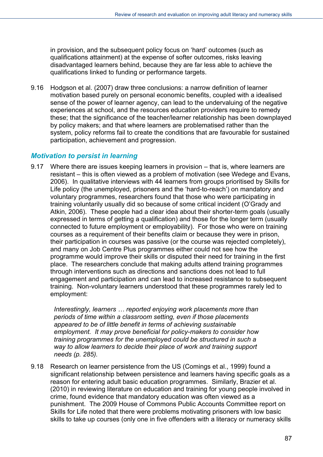in provision, and the subsequent policy focus on 'hard' outcomes (such as qualifications attainment) at the expense of softer outcomes, risks leaving disadvantaged learners behind, because they are far less able to achieve the qualifications linked to funding or performance targets.

9.16 Hodgson et al. (2007) draw three conclusions: a narrow definition of learner motivation based purely on personal economic benefits, coupled with a idealised sense of the power of learner agency, can lead to the undervaluing of the negative experiences at school, and the resources education providers require to remedy these; that the significance of the teacher/learner relationship has been downplayed by policy makers; and that where learners are problematised rather than the system, policy reforms fail to create the conditions that are favourable for sustained participation, achievement and progression.

#### *Motivation to persist in learning*

9.17 Where there are issues keeping learners in provision – that is, where learners are resistant – this is often viewed as a problem of motivation (see Wedege and Evans, 2006). In qualitative interviews with 44 learners from groups prioritised by Skills for Life policy (the unemployed, prisoners and the 'hard-to-reach') on mandatory and voluntary programmes, researchers found that those who were participating in training voluntarily usually did so because of some critical incident (O'Grady and Atkin, 2006). These people had a clear idea about their shorter-term goals (usually expressed in terms of getting a qualification) and those for the longer term (usually connected to future employment or employability). For those who were on training courses as a requirement of their benefits claim or because they were in prison, their participation in courses was passive (or the course was rejected completely), and many on Job Centre Plus programmes either could not see how the programme would improve their skills or disputed their need for training in the first place. The researchers conclude that making adults attend training programmes through interventions such as directions and sanctions does not lead to full engagement and participation and can lead to increased resistance to subsequent training. Non-voluntary learners understood that these programmes rarely led to employment:

*Interestingly, learners … reported enjoying work placements more than periods of time within a classroom setting, even if those placements appeared to be of little benefit in terms of achieving sustainable employment. It may prove beneficial for policy-makers to consider how training programmes for the unemployed could be structured in such a way to allow learners to decide their place of work and training support needs (p. 285).* 

9.18 Research on learner persistence from the US (Comings et al., 1999) found a significant relationship between persistence and learners having specific goals as a reason for entering adult basic education programmes. Similarly, Brazier et al. (2010) in reviewing literature on education and training for young people involved in crime, found evidence that mandatory education was often viewed as a punishment. The 2009 House of Commons Public Accounts Committee report on Skills for Life noted that there were problems motivating prisoners with low basic skills to take up courses (only one in five offenders with a literacy or numeracy skills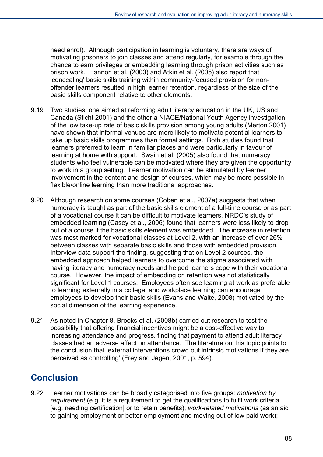need enrol). Although participation in learning is voluntary, there are ways of motivating prisoners to join classes and attend regularly, for example through the chance to earn privileges or embedding learning through prison activities such as prison work. Hannon et al. (2003) and Atkin et al. (2005) also report that 'concealing' basic skills training within community-focused provision for nonoffender learners resulted in high learner retention, regardless of the size of the basic skills component relative to other elements.

- 9.19 Two studies, one aimed at reforming adult literacy education in the UK, US and Canada (Sticht 2001) and the other a NIACE/National Youth Agency investigation of the low take-up rate of basic skills provision among young adults (Merton 2001) have shown that informal venues are more likely to motivate potential learners to take up basic skills programmes than formal settings. Both studies found that learners preferred to learn in familiar places and were particularly in favour of learning at home with support. Swain et al. (2005) also found that numeracy students who feel vulnerable can be motivated where they are given the opportunity to work in a group setting. Learner motivation can be stimulated by learner involvement in the content and design of courses, which may be more possible in flexible/online learning than more traditional approaches.
- 9.20 Although research on some courses (Coben et al., 2007a) suggests that when numeracy is taught as part of the basic skills element of a full-time course or as part of a vocational course it can be difficult to motivate learners, NRDC's study of embedded learning (Casey et al., 2006) found that learners were less likely to drop out of a course if the basic skills element was embedded. The increase in retention was most marked for vocational classes at Level 2, with an increase of over 26% between classes with separate basic skills and those with embedded provision. Interview data support the finding, suggesting that on Level 2 courses, the embedded approach helped learners to overcome the stigma associated with having literacy and numeracy needs and helped learners cope with their vocational course. However, the impact of embedding on retention was not statistically significant for Level 1 courses. Employees often see learning at work as preferable to learning externally in a college, and workplace learning can encourage employees to develop their basic skills (Evans and Waite, 2008) motivated by the social dimension of the learning experience.
- 9.21 As noted in Chapter 8, Brooks et al. (2008b) carried out research to test the possibility that offering financial incentives might be a cost-effective way to increasing attendance and progress, finding that payment to attend adult literacy classes had an adverse affect on attendance. The literature on this topic points to the conclusion that 'external interventions crowd out intrinsic motivations if they are perceived as controlling' (Frey and Jegen, 2001, p. 594).

# **Conclusion**

9.22 Learner motivations can be broadly categorised into five groups: *motivation by requirement* (e.g. it is a requirement to get the qualifications to fulfil work criteria [e.g. needing certification] or to retain benefits); *work-related motivations* (as an aid to gaining employment or better employment and moving out of low paid work);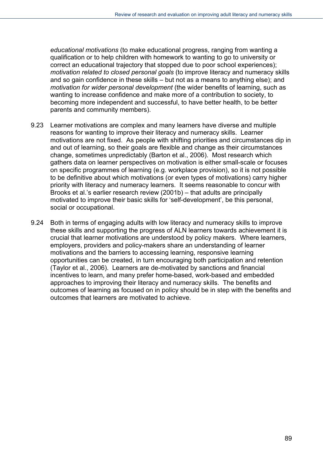*educational motivations* (to make educational progress, ranging from wanting a qualification or to help children with homework to wanting to go to university or correct an educational trajectory that stopped due to poor school experiences); *motivation related to closed personal goals* (to improve literacy and numeracy skills and so gain confidence in these skills – but not as a means to anything else); and *motivation for wider personal development* (the wider benefits of learning, such as wanting to increase confidence and make more of a contribution to society, to becoming more independent and successful, to have better health, to be better parents and community members).

- 9.23 Learner motivations are complex and many learners have diverse and multiple reasons for wanting to improve their literacy and numeracy skills. Learner motivations are not fixed. As people with shifting priorities and circumstances dip in and out of learning, so their goals are flexible and change as their circumstances change, sometimes unpredictably (Barton et al., 2006). Most research which gathers data on learner perspectives on motivation is either small-scale or focuses on specific programmes of learning (e.g. workplace provision), so it is not possible to be definitive about which motivations (or even types of motivations) carry higher priority with literacy and numeracy learners. It seems reasonable to concur with Brooks et al.'s earlier research review (2001b) – that adults are principally motivated to improve their basic skills for 'self-development', be this personal, social or occupational.
- 9.24 Both in terms of engaging adults with low literacy and numeracy skills to improve these skills and supporting the progress of ALN learners towards achievement it is crucial that learner motivations are understood by policy makers. Where learners, employers, providers and policy-makers share an understanding of learner motivations and the barriers to accessing learning, responsive learning opportunities can be created, in turn encouraging both participation and retention (Taylor et al., 2006). Learners are de-motivated by sanctions and financial incentives to learn, and many prefer home-based, work-based and embedded approaches to improving their literacy and numeracy skills. The benefits and outcomes of learning as focused on in policy should be in step with the benefits and outcomes that learners are motivated to achieve.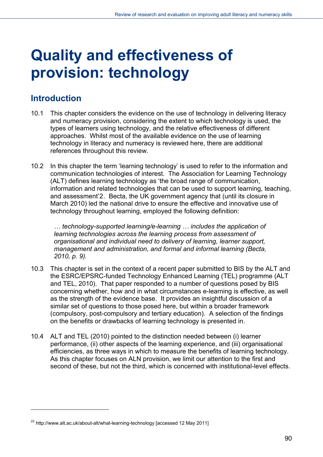# **Quality and effectiveness of provision: technology**

## **Introduction**

l

- 10.1 This chapter considers the evidence on the use of technology in delivering literacy and numeracy provision, considering the extent to which technology is used, the types of learners using technology, and the relative effectiveness of different approaches. Whilst most of the available evidence on the use of learning technology in literacy and numeracy is reviewed here, there are additional references throughout this review.
- 10.2 In this chapter the term 'learning technology' is used to refer to the information and communication technologies of interest. The Association for Learning Technology (ALT) defines learning technology as 'the broad range of communication, information and related technologies that can be used to support learning, teaching, and assessment'[2](#page-89-0). Becta, the UK government agency that (until its closure in March 2010) led the national drive to ensure the effective and innovative use of technology throughout learning, employed the following definition:

*… technology-supported learning/e-learning … includes the application of learning technologies across the learning process from assessment of organisational and individual need to delivery of learning, learner support, management and administration, and formal and informal learning (Becta, 2010, p. 9).* 

- 10.3 This chapter is set in the context of a recent paper submitted to BIS by the ALT and the ESRC/EPSRC-funded Technology Enhanced Learning (TEL) programme (ALT and TEL, 2010). That paper responded to a number of questions posed by BIS concerning whether, how and in what circumstances e-learning is effective, as well as the strength of the evidence base. It provides an insightful discussion of a similar set of questions to those posed here, but within a broader framework (compulsory, post-compulsory and tertiary education). A selection of the findings on the benefits or drawbacks of learning technology is presented in.
- 10.4 ALT and TEL (2010) pointed to the distinction needed between (i) learner performance, (ii) other aspects of the learning experience, and (iii) organisational efficiencies, as three ways in which to measure the benefits of learning technology. As this chapter focuses on ALN provision, we limit our attention to the first and second of these, but not the third, which is concerned with institutional-level effects.

<span id="page-89-0"></span><sup>&</sup>lt;sup>22</sup> http://www.alt.ac.uk/about-alt/what-learning-technology [accessed 12 May 2011]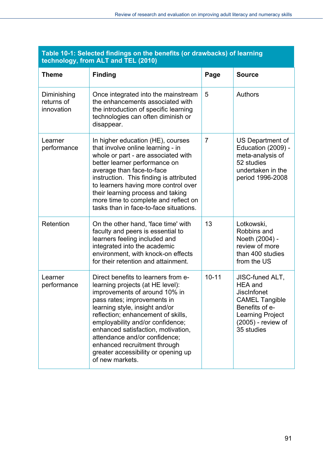| <b>Theme</b>                            | <b>Finding</b>                                                                                                                                                                                                                                                                                                                                                                                                       | Page           | <b>Source</b>                                                                                                                                                     |
|-----------------------------------------|----------------------------------------------------------------------------------------------------------------------------------------------------------------------------------------------------------------------------------------------------------------------------------------------------------------------------------------------------------------------------------------------------------------------|----------------|-------------------------------------------------------------------------------------------------------------------------------------------------------------------|
| Diminishing<br>returns of<br>innovation | Once integrated into the mainstream<br>the enhancements associated with<br>the introduction of specific learning<br>technologies can often diminish or<br>disappear.                                                                                                                                                                                                                                                 | 5              | Authors                                                                                                                                                           |
| Learner<br>performance                  | In higher education (HE), courses<br>that involve online learning - in<br>whole or part - are associated with<br>better learner performance on<br>average than face-to-face<br>instruction. This finding is attributed<br>to learners having more control over<br>their learning process and taking<br>more time to complete and reflect on<br>tasks than in face-to-face situations.                                | $\overline{7}$ | US Department of<br>Education (2009) -<br>meta-analysis of<br>52 studies<br>undertaken in the<br>period 1996-2008                                                 |
| Retention                               | On the other hand, 'face time' with<br>faculty and peers is essential to<br>learners feeling included and<br>integrated into the academic<br>environment, with knock-on effects<br>for their retention and attainment.                                                                                                                                                                                               | 13             | Lotkowski,<br>Robbins and<br>Noeth (2004) -<br>review of more<br>than 400 studies<br>from the US                                                                  |
| Learner<br>performance                  | Direct benefits to learners from e-<br>learning projects (at HE level):<br>improvements of around 10% in<br>pass rates; improvements in<br>learning style, insight and/or<br>reflection; enhancement of skills,<br>employability and/or confidence;<br>enhanced satisfaction, motivation,<br>attendance and/or confidence;<br>enhanced recruitment through<br>greater accessibility or opening up<br>of new markets. | $10 - 11$      | JISC-funed ALT,<br><b>HEA</b> and<br><b>JiscInfonet</b><br><b>CAMEL Tangible</b><br>Benefits of e-<br><b>Learning Project</b><br>(2005) - review of<br>35 studies |

#### **Table 10-1: Selected findings on the benefits (or drawbacks) of learning technology, from ALT and TEL (2010)**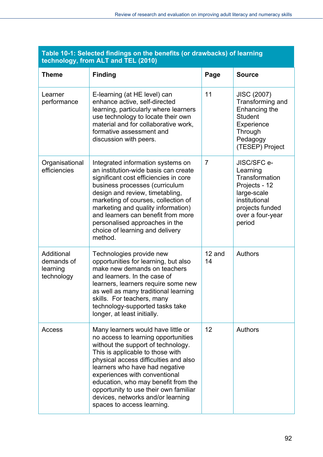| <b>Theme</b>                                       | <b>Finding</b>                                                                                                                                                                                                                                                                                                                                                                                                     | Page           | <b>Source</b>                                                                                                                               |
|----------------------------------------------------|--------------------------------------------------------------------------------------------------------------------------------------------------------------------------------------------------------------------------------------------------------------------------------------------------------------------------------------------------------------------------------------------------------------------|----------------|---------------------------------------------------------------------------------------------------------------------------------------------|
| Learner<br>performance                             | E-learning (at HE level) can<br>enhance active, self-directed<br>learning, particularly where learners<br>use technology to locate their own<br>material and for collaborative work,<br>formative assessment and<br>discussion with peers.                                                                                                                                                                         | 11             | <b>JISC (2007)</b><br>Transforming and<br>Enhancing the<br><b>Student</b><br>Experience<br>Through<br>Pedagogy<br>(TESEP) Project           |
| Organisational<br>efficiencies                     | Integrated information systems on<br>an institution-wide basis can create<br>significant cost efficiencies in core<br>business processes (curriculum<br>design and review, timetabling,<br>marketing of courses, collection of<br>marketing and quality information)<br>and learners can benefit from more<br>personalised approaches in the<br>choice of learning and delivery<br>method.                         | $\overline{7}$ | JISC/SFC e-<br>Learning<br>Transformation<br>Projects - 12<br>large-scale<br>institutional<br>projects funded<br>over a four-year<br>period |
| Additional<br>demands of<br>learning<br>technology | Technologies provide new<br>opportunities for learning, but also<br>make new demands on teachers<br>and learners. In the case of<br>learners, learners require some new<br>as well as many traditional learning<br>skills. For teachers, many<br>technology-supported tasks take<br>longer, at least initially.                                                                                                    | 12 and<br>14   | <b>Authors</b>                                                                                                                              |
| Access                                             | Many learners would have little or<br>no access to learning opportunities<br>without the support of technology.<br>This is applicable to those with<br>physical access difficulties and also<br>learners who have had negative<br>experiences with conventional<br>education, who may benefit from the<br>opportunity to use their own familiar<br>devices, networks and/or learning<br>spaces to access learning. | 12             | Authors                                                                                                                                     |

#### **Table 10-1: Selected findings on the benefits (or drawbacks) of learning technology, from ALT and TEL (2010)**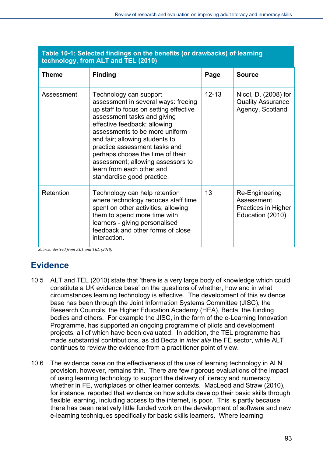| <b>Theme</b> | <b>Finding</b>                                                                                                                                                                                                                                                                                                                                                                                                  | Page      | <b>Source</b>                                                           |  |  |
|--------------|-----------------------------------------------------------------------------------------------------------------------------------------------------------------------------------------------------------------------------------------------------------------------------------------------------------------------------------------------------------------------------------------------------------------|-----------|-------------------------------------------------------------------------|--|--|
| Assessment   | Technology can support<br>assessment in several ways: freeing<br>up staff to focus on setting effective<br>assessment tasks and giving<br>effective feedback; allowing<br>assessments to be more uniform<br>and fair; allowing students to<br>practice assessment tasks and<br>perhaps choose the time of their<br>assessment; allowing assessors to<br>learn from each other and<br>standardise good practice. | $12 - 13$ | Nicol, D. (2008) for<br><b>Quality Assurance</b><br>Agency, Scotland    |  |  |
| Retention    | Technology can help retention<br>where technology reduces staff time<br>spent on other activities, allowing<br>them to spend more time with<br>learners - giving personalised<br>feedback and other forms of close<br>interaction.                                                                                                                                                                              | 13        | Re-Engineering<br>Assessment<br>Practices in Higher<br>Education (2010) |  |  |

#### **Table 10-1: Selected findings on the benefits (or drawbacks) of learning technology, from ALT and TEL (2010)**

*Source: derived from ALT and TEL (2010)* 

# **Evidence**

- 10.5 ALT and TEL (2010) state that 'there is a very large body of knowledge which could constitute a UK evidence base' on the questions of whether, how and in what circumstances learning technology is effective. The development of this evidence base has been through the Joint Information Systems Committee (JISC), the Research Councils, the Higher Education Academy (HEA), Becta, the funding bodies and others. For example the JISC, in the form of the e-Learning Innovation Programme, has supported an ongoing programme of pilots and development projects, all of which have been evaluated. In addition, the TEL programme has made substantial contributions, as did Becta in *inter alia* the FE sector, while ALT continues to review the evidence from a practitioner point of view.
- 10.6 The evidence base on the effectiveness of the use of learning technology in ALN provision, however, remains thin. There are few rigorous evaluations of the impact of using learning technology to support the delivery of literacy and numeracy, whether in FE, workplaces or other learner contexts. MacLeod and Straw (2010), for instance, reported that evidence on how adults develop their basic skills through flexible learning, including access to the internet, is poor. This is partly because there has been relatively little funded work on the development of software and new e-learning techniques specifically for basic skills learners. Where learning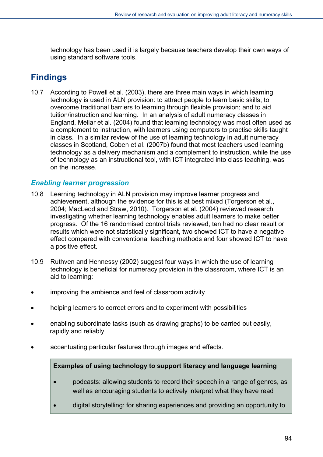technology has been used it is largely because teachers develop their own ways of using standard software tools.

# **Findings**

10.7 According to Powell et al. (2003), there are three main ways in which learning technology is used in ALN provision: to attract people to learn basic skills; to overcome traditional barriers to learning through flexible provision; and to aid tuition/instruction and learning. In an analysis of adult numeracy classes in England, Mellar et al. (2004) found that learning technology was most often used as a complement to instruction, with learners using computers to practise skills taught in class. In a similar review of the use of learning technology in adult numeracy classes in Scotland, Coben et al. (2007b) found that most teachers used learning technology as a delivery mechanism and a complement to instruction, while the use of technology as an instructional tool, with ICT integrated into class teaching, was on the increase.

#### *Enabling learner progression*

- 10.8 Learning technology in ALN provision may improve learner progress and achievement, although the evidence for this is at best mixed (Torgerson et al., 2004; MacLeod and Straw, 2010). Torgerson et al. (2004) reviewed research investigating whether learning technology enables adult learners to make better progress. Of the 16 randomised control trials reviewed, ten had no clear result or results which were not statistically significant, two showed ICT to have a negative effect compared with conventional teaching methods and four showed ICT to have a positive effect.
- 10.9 Ruthven and Hennessy (2002) suggest four ways in which the use of learning technology is beneficial for numeracy provision in the classroom, where ICT is an aid to learning:
- improving the ambience and feel of classroom activity
- helping learners to correct errors and to experiment with possibilities
- enabling subordinate tasks (such as drawing graphs) to be carried out easily, rapidly and reliably
- accentuating particular features through images and effects.

#### **Examples of using technology to support literacy and language learning**

- podcasts: allowing students to record their speech in a range of genres, as well as encouraging students to actively interpret what they have read
- digital storytelling: for sharing experiences and providing an opportunity to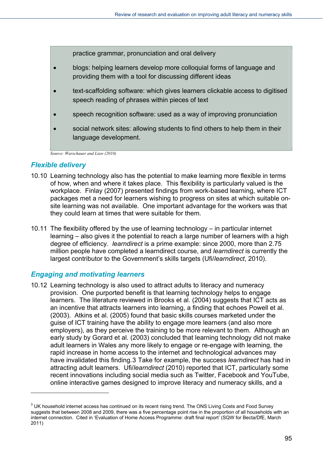practice grammar, pronunciation and oral delivery

- blogs: helping learners develop more colloquial forms of language and providing them with a tool for discussing different ideas
- text-scaffolding software: which gives learners clickable access to digitised speech reading of phrases within pieces of text
- speech recognition software: used as a way of improving pronunciation
- social network sites: allowing students to find others to help them in their language development.

*Source: Warschauer and Liaw (2010)* 

#### *Flexible delivery*

l

- 10.10 Learning technology also has the potential to make learning more flexible in terms of how, when and where it takes place. This flexibility is particularly valued is the workplace. Finlay (2007) presented findings from work-based learning, where ICT packages met a need for learners wishing to progress on sites at which suitable onsite learning was not available. One important advantage for the workers was that they could learn at times that were suitable for them.
- 10.11 The flexibility offered by the use of learning technology in particular internet learning – also gives it the potential to reach a large number of learners with a high degree of efficiency. *learndirect* is a prime example: since 2000, more than 2.75 million people have completed a learndirect course, and *learndirect* is currently the largest contributor to the Government's skills targets (Ufi/*learndirect*, 2010).

#### *Engaging and motivating learners*

10.12 Learning technology is also used to attract adults to literacy and numeracy provision. One purported benefit is that learning technology helps to engage learners. The literature reviewed in Brooks et al. (2004) suggests that ICT acts as an incentive that attracts learners into learning, a finding that echoes Powell et al. (2003). Atkins et al. (2005) found that basic skills courses marketed under the guise of ICT training have the ability to engage more learners (and also more employers), as they perceive the training to be more relevant to them. Although an early study by Gorard et al. (2003) concluded that learning technology did not make adult learners in Wales any more likely to engage or re-engage with learning, the rapid increase in home access to the internet and technological advances may have invalidated this finding.[3](#page-94-0) Take for example, the success *learndirect* has had in attracting adult learners. Ufi/*learndirect* (2010) reported that ICT, particularly some recent innovations including social media such as Twitter, Facebook and YouTube, online interactive games designed to improve literacy and numeracy skills, and a

<span id="page-94-0"></span> $3$  UK household internet access has continued on its recent rising trend. The ONS Living Costs and Food Survey suggests that between 2008 and 2009, there was a five percentage point rise in the proportion of all households with an internet connection. Cited in 'Evaluation of Home Access Programme: draft final report' (SQW for Becta/DfE, March 2011)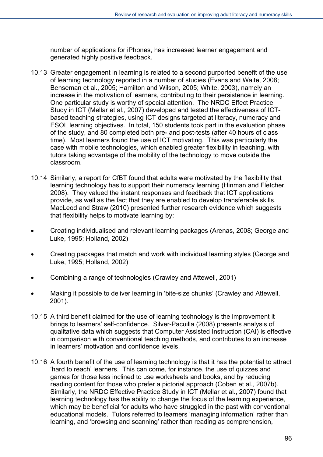number of applications for iPhones, has increased learner engagement and generated highly positive feedback.

- 10.13 Greater engagement in learning is related to a second purported benefit of the use of learning technology reported in a number of studies (Evans and Waite, 2008; Benseman et al., 2005; Hamilton and Wilson, 2005; White, 2003), namely an increase in the motivation of learners, contributing to their persistence in learning. One particular study is worthy of special attention. The NRDC Effect Practice Study in ICT (Mellar et al., 2007) developed and tested the effectiveness of ICTbased teaching strategies, using ICT designs targeted at literacy, numeracy and ESOL learning objectives. In total, 150 students took part in the evaluation phase of the study, and 80 completed both pre- and post-tests (after 40 hours of class time). Most learners found the use of ICT motivating. This was particularly the case with mobile technologies, which enabled greater flexibility in teaching, with tutors taking advantage of the mobility of the technology to move outside the classroom.
- 10.14 Similarly, a report for CfBT found that adults were motivated by the flexibility that learning technology has to support their numeracy learning (Hinman and Fletcher, 2008). They valued the instant responses and feedback that ICT applications provide, as well as the fact that they are enabled to develop transferable skills. MacLeod and Straw (2010) presented further research evidence which suggests that flexibility helps to motivate learning by:
- Creating individualised and relevant learning packages (Arenas, 2008; George and Luke, 1995; Holland, 2002)
- Creating packages that match and work with individual learning styles (George and Luke, 1995; Holland, 2002)
- Combining a range of technologies (Crawley and Attewell, 2001)
- Making it possible to deliver learning in 'bite-size chunks' (Crawley and Attewell, 2001).
- 10.15 A third benefit claimed for the use of learning technology is the improvement it brings to learners' self-confidence. Silver-Pacuilla (2008) presents analysis of qualitative data which suggests that Computer Assisted Instruction (CAI) is effective in comparison with conventional teaching methods, and contributes to an increase in learners' motivation and confidence levels.
- 10.16 A fourth benefit of the use of learning technology is that it has the potential to attract 'hard to reach' learners. This can come, for instance, the use of quizzes and games for those less inclined to use worksheets and books, and by reducing reading content for those who prefer a pictorial approach (Coben et al., 2007b). Similarly, the NRDC Effective Practice Study in ICT (Mellar et al., 2007) found that learning technology has the ability to change the focus of the learning experience, which may be beneficial for adults who have struggled in the past with conventional educational models. Tutors referred to learners 'managing information' rather than learning, and 'browsing and scanning' rather than reading as comprehension,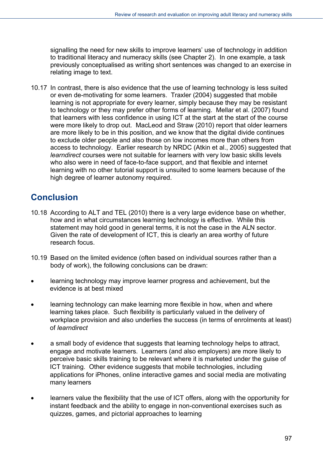signalling the need for new skills to improve learners' use of technology in addition to traditional literacy and numeracy skills (see Chapter 2). In one example, a task previously conceptualised as writing short sentences was changed to an exercise in relating image to text.

10.17 In contrast, there is also evidence that the use of learning technology is less suited or even de-motivating for some learners. Traxler (2004) suggested that mobile learning is not appropriate for every learner, simply because they may be resistant to technology or they may prefer other forms of learning. Mellar et al. (2007) found that learners with less confidence in using ICT at the start at the start of the course were more likely to drop out. MacLeod and Straw (2010) report that older learners are more likely to be in this position, and we know that the digital divide continues to exclude older people and also those on low incomes more than others from access to technology. Earlier research by NRDC (Atkin et al., 2005) suggested that *learndirect* courses were not suitable for learners with very low basic skills levels who also were in need of face-to-face support, and that flexible and internet learning with no other tutorial support is unsuited to some learners because of the high degree of learner autonomy required.

# **Conclusion**

- 10.18 According to ALT and TEL (2010) there is a very large evidence base on whether, how and in what circumstances learning technology is effective. While this statement may hold good in general terms, it is not the case in the ALN sector. Given the rate of development of ICT, this is clearly an area worthy of future research focus.
- 10.19 Based on the limited evidence (often based on individual sources rather than a body of work), the following conclusions can be drawn:
- learning technology may improve learner progress and achievement, but the evidence is at best mixed
- learning technology can make learning more flexible in how, when and where learning takes place. Such flexibility is particularly valued in the delivery of workplace provision and also underlies the success (in terms of enrolments at least) of *learndirect*
- a small body of evidence that suggests that learning technology helps to attract, engage and motivate learners. Learners (and also employers) are more likely to perceive basic skills training to be relevant where it is marketed under the guise of ICT training. Other evidence suggests that mobile technologies, including applications for iPhones, online interactive games and social media are motivating many learners
- learners value the flexibility that the use of ICT offers, along with the opportunity for instant feedback and the ability to engage in non-conventional exercises such as quizzes, games, and pictorial approaches to learning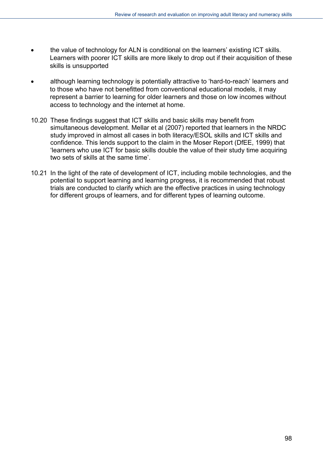- the value of technology for ALN is conditional on the learners' existing ICT skills. Learners with poorer ICT skills are more likely to drop out if their acquisition of these skills is unsupported
- although learning technology is potentially attractive to 'hard-to-reach' learners and to those who have not benefitted from conventional educational models, it may represent a barrier to learning for older learners and those on low incomes without access to technology and the internet at home.
- 10.20 These findings suggest that ICT skills and basic skills may benefit from simultaneous development. Mellar et al (2007) reported that learners in the NRDC study improved in almost all cases in both literacy/ESOL skills and ICT skills and confidence. This lends support to the claim in the Moser Report (DfEE, 1999) that 'learners who use ICT for basic skills double the value of their study time acquiring two sets of skills at the same time'.
- 10.21 In the light of the rate of development of ICT, including mobile technologies, and the potential to support learning and learning progress, it is recommended that robust trials are conducted to clarify which are the effective practices in using technology for different groups of learners, and for different types of learning outcome.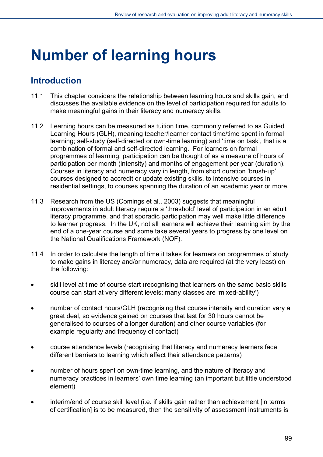# **Number of learning hours**

## **Introduction**

- 11.1 This chapter considers the relationship between learning hours and skills gain, and discusses the available evidence on the level of participation required for adults to make meaningful gains in their literacy and numeracy skills.
- 11.2 Learning hours can be measured as tuition time, commonly referred to as Guided Learning Hours (GLH), meaning teacher/learner contact time/time spent in formal learning; self-study (self-directed or own-time learning) and 'time on task', that is a combination of formal and self-directed learning. For learners on formal programmes of learning, participation can be thought of as a measure of hours of participation per month (intensity) and months of engagement per year (duration). Courses in literacy and numeracy vary in length, from short duration 'brush-up' courses designed to accredit or update existing skills, to intensive courses in residential settings, to courses spanning the duration of an academic year or more.
- 11.3 Research from the US (Comings et al., 2003) suggests that meaningful improvements in adult literacy require a 'threshold' level of participation in an adult literacy programme, and that sporadic participation may well make little difference to learner progress. In the UK, not all learners will achieve their learning aim by the end of a one-year course and some take several years to progress by one level on the National Qualifications Framework (NQF).
- 11.4 In order to calculate the length of time it takes for learners on programmes of study to make gains in literacy and/or numeracy, data are required (at the very least) on the following:
- skill level at time of course start (recognising that learners on the same basic skills course can start at very different levels; many classes are 'mixed-ability')
- number of contact hours/GLH (recognising that course intensity and duration vary a great deal, so evidence gained on courses that last for 30 hours cannot be generalised to courses of a longer duration) and other course variables (for example regularity and frequency of contact)
- course attendance levels (recognising that literacy and numeracy learners face different barriers to learning which affect their attendance patterns)
- number of hours spent on own-time learning, and the nature of literacy and numeracy practices in learners' own time learning (an important but little understood element)
- interim/end of course skill level (i.e. if skills gain rather than achievement [in terms of certification] is to be measured, then the sensitivity of assessment instruments is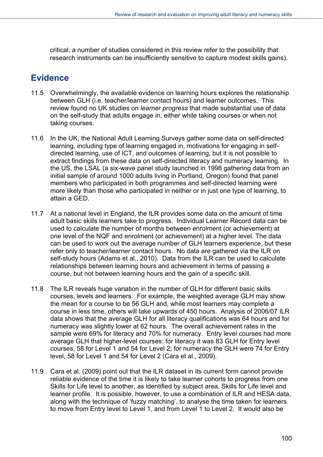critical; a number of studies considered in this review refer to the possibility that research instruments can be insufficiently sensitive to capture modest skills gains).

### **Evidence**

- 11.5 Overwhelmingly, the available evidence on learning hours explores the relationship between GLH (i.e. teacher/learner contact hours) and learner outcomes. This review found no UK studies on *learner progress* that made substantial use of data on the self-study that adults engage in, either while taking courses or when not taking courses.
- 11.6 In the UK, the National Adult Learning Surveys gather some data on self-directed learning, including type of learning engaged in, motivations for engaging in selfdirected learning, use of ICT, and outcomes of learning, but it is not possible to extract findings from these data on self-directed literacy and numeracy learning. In the US, the LSAL (a six-wave panel study launched in 1998 gathering data from an initial sample of around 1000 adults living in Portland, Oregon) found that panel members who participated in both programmes and self-directed learning were more likely than those who participated in neither or in just one type of learning, to attain a GED.
- 11.7 At a national level in England, the ILR provides some data on the amount of time adult basic skills learners take to progress. Individual Learner Record data can be used to calculate the number of months between enrolment (or achievement) at one level of the NQF and enrolment (or achievement) at a higher level. The data can be used to work out the average number of GLH learners experience, but these refer only to teacher/learner contact hours. No data are gathered via the ILR on self-study hours (Adams et al., 2010). Data from the ILR can be used to calculate relationships between learning hours and achievement in terms of passing a course, but not between learning hours and the gain of a specific skill.
- 11.8 The ILR reveals huge variation in the number of GLH for different basic skills courses, levels and learners. For example, the weighted average GLH may show the mean for a course to be 56 GLH and, while most learners may complete a course in less time, others will take upwards of 450 hours. Analysis of 2006/07 ILR data shows that the average GLH for all literacy qualifications was 64 hours and for numeracy was slightly lower at 62 hours. The overall achievement rates in the sample were 69% for literacy and 70% for numeracy. Entry level courses had more average GLH that higher-level courses: for literacy it was 83 GLH for Entry level courses, 58 for Level 1 and 54 for Level 2; for numeracy the GLH were 74 for Entry level, 58 for Level 1 and 54 for Level 2 (Cara et al., 2009).
- 11.9 Cara et al. (2009) point out that the ILR dataset in its current form cannot provide reliable evidence of the time it is likely to take learner cohorts to progress from one Skills for Life level to another, as identified by subject area, Skills for Life level and learner profile. It is possible, however, to use a combination of ILR and HESA data, along with the technique of 'fuzzy matching', to analyse the time taken for learners to move from Entry level to Level 1, and from Level 1 to Level 2. It would also be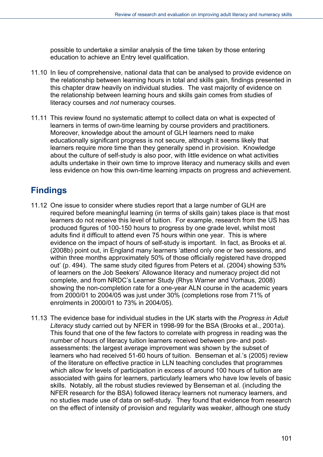possible to undertake a similar analysis of the time taken by those entering education to achieve an Entry level qualification.

- 11.10 In lieu of comprehensive, national data that can be analysed to provide evidence on the relationship between learning hours in total and skills gain, findings presented in this chapter draw heavily on individual studies. The vast majority of evidence on the relationship between learning hours and skills gain comes from studies of literacy courses and *not* numeracy courses.
- 11.11 This review found no systematic attempt to collect data on what is expected of learners in terms of own-time learning by course providers and practitioners. Moreover, knowledge about the amount of GLH learners need to make educationally significant progress is not secure, although it seems likely that learners require more time than they generally spend in provision. Knowledge about the culture of self-study is also poor, with little evidence on what activities adults undertake in their own time to improve literacy and numeracy skills and even less evidence on how this own-time learning impacts on progress and achievement.

# **Findings**

- 11.12 One issue to consider where studies report that a large number of GLH are required before meaningful learning (in terms of skills gain) takes place is that most learners do not receive this level of tuition. For example, research from the US has produced figures of 100-150 hours to progress by one grade level, whilst most adults find it difficult to attend even 75 hours within one year. This is where evidence on the impact of hours of self-study is important. In fact, as Brooks et al. (2008b) point out, in England many learners 'attend only one or two sessions, and within three months approximately 50% of those officially registered have dropped out' (p. 494). The same study cited figures from Peters et al. (2004) showing 53% of learners on the Job Seekers' Allowance literacy and numeracy project did not complete, and from NRDC's Learner Study (Rhys Warner and Vorhaus, 2008) showing the non-completion rate for a one-year ALN course in the academic years from 2000/01 to 2004/05 was just under 30% (completions rose from 71% of enrolments in 2000/01 to 73% in 2004/05).
- 11.13 The evidence base for individual studies in the UK starts with the *Progress in Adult Literacy* study carried out by NFER in 1998-99 for the BSA (Brooks et al., 2001a). This found that one of the few factors to correlate with progress in reading was the number of hours of literacy tuition learners received between pre- and postassessments: the largest average improvement was shown by the subset of learners who had received 51-60 hours of tuition. Benseman et al.'s (2005) review of the literature on effective practice in LLN teaching concludes that programmes which allow for levels of participation in excess of around 100 hours of tuition are associated with gains for learners, particularly learners who have low levels of basic skills. Notably, all the robust studies reviewed by Benseman et al. (including the NFER research for the BSA) followed literacy learners not numeracy learners, and no studies made use of data on self-study. They found that evidence from research on the effect of intensity of provision and regularity was weaker, although one study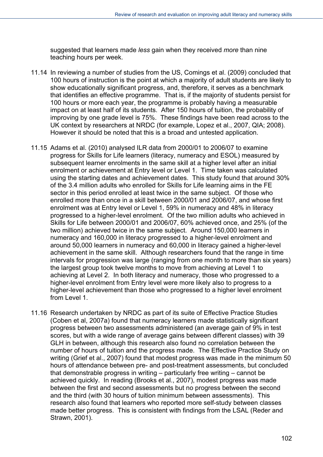suggested that learners made *less* gain when they received *more* than nine teaching hours per week.

- 11.14 In reviewing a number of studies from the US, Comings et al. (2009) concluded that 100 hours of instruction is the point at which a majority of adult students are likely to show educationally significant progress, and, therefore, it serves as a benchmark that identifies an effective programme. That is, if the majority of students persist for 100 hours or more each year, the programme is probably having a measurable impact on at least half of its students. After 150 hours of tuition, the probability of improving by one grade level is 75%. These findings have been read across to the UK context by researchers at NRDC (for example, Lopez et al., 2007, QIA; 2008). However it should be noted that this is a broad and untested application.
- 11.15 Adams et al. (2010) analysed ILR data from 2000/01 to 2006/07 to examine progress for Skills for Life learners (literacy, numeracy and ESOL) measured by subsequent learner enrolments in the same skill at a higher level after an initial enrolment or achievement at Entry level or Level 1. Time taken was calculated using the starting dates and achievement dates. This study found that around 30% of the 3.4 million adults who enrolled for Skills for Life learning aims in the FE sector in this period enrolled at least twice in the same subject. Of those who enrolled more than once in a skill between 2000/01 and 2006/07, and whose first enrolment was at Entry level or Level 1, 59% in numeracy and 48% in literacy progressed to a higher-level enrolment. Of the two million adults who achieved in Skills for Life between 2000/01 and 2006/07, 60% achieved once, and 25% (of the two million) achieved twice in the same subject. Around 150,000 learners in numeracy and 160,000 in literacy progressed to a higher-level enrolment and around 50,000 learners in numeracy and 60,000 in literacy gained a higher-level achievement in the same skill. Although researchers found that the range in time intervals for progression was large (ranging from one month to more than six years) the largest group took twelve months to move from achieving at Level 1 to achieving at Level 2. In both literacy and numeracy, those who progressed to a higher-level enrolment from Entry level were more likely also to progress to a higher-level achievement than those who progressed to a higher level enrolment from Level 1.
- 11.16 Research undertaken by NRDC as part of its suite of Effective Practice Studies (Coben et al, 2007a) found that numeracy learners made statistically significant progress between two assessments administered (an average gain of 9% in test scores, but with a wide range of average gains between different classes) with 39 GLH in between, although this research also found no correlation between the number of hours of tuition and the progress made. The Effective Practice Study on writing (Grief et al., 2007) found that modest progress was made in the minimum 50 hours of attendance between pre- and post-treatment assessments, but concluded that demonstrable progress in writing – particularly free writing – cannot be achieved quickly. In reading (Brooks et al., 2007), modest progress was made between the first and second assessments but no progress between the second and the third (with 30 hours of tuition minimum between assessments). This research also found that learners who reported more self-study between classes made better progress. This is consistent with findings from the LSAL (Reder and Strawn, 2001).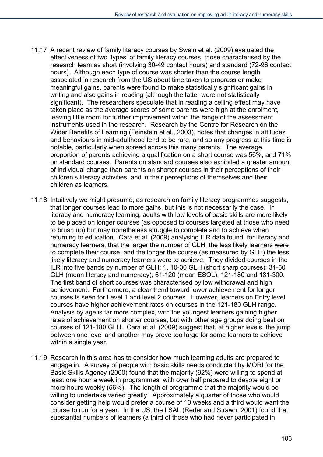- 11.17 A recent review of family literacy courses by Swain et al. (2009) evaluated the effectiveness of two 'types' of family literacy courses, those characterised by the research team as short (involving 30-49 contact hours) and standard (72-96 contact hours). Although each type of course was shorter than the course length associated in research from the US about time taken to progress or make meaningful gains, parents were found to make statistically significant gains in writing and also gains in reading (although the latter were not statistically significant). The researchers speculate that in reading a ceiling effect may have taken place as the average scores of some parents were high at the enrolment, leaving little room for further improvement within the range of the assessment instruments used in the research. Research by the Centre for Research on the Wider Benefits of Learning (Feinstein et al., 2003), notes that changes in attitudes and behaviours in mid-adulthood tend to be rare, and so any progress at this time is notable, particularly when spread across this many parents. The average proportion of parents achieving a qualification on a short course was 56%, and 71% on standard courses. Parents on standard courses also exhibited a greater amount of individual change than parents on shorter courses in their perceptions of their children's literacy activities, and in their perceptions of themselves and their children as learners.
- 11.18 Intuitively we might presume, as research on family literacy programmes suggests, that longer courses lead to more gains, but this is not necessarily the case. In literacy and numeracy learning, adults with low levels of basic skills are more likely to be placed on longer courses (as opposed to courses targeted at those who need to brush up) but may nonetheless struggle to complete and to achieve when returning to education. Cara et al. (2009) analysing ILR data found, for literacy and numeracy learners, that the larger the number of GLH, the less likely learners were to complete their course, and the longer the course (as measured by GLH) the less likely literacy and numeracy learners were to achieve. They divided courses in the ILR into five bands by number of GLH: 1. 10-30 GLH (short sharp courses); 31-60 GLH (mean literacy and numeracy); 61-120 (mean ESOL); 121-180 and 181-300. The first band of short courses was characterised by low withdrawal and high achievement. Furthermore, a clear trend toward lower achievement for longer courses is seen for Level 1 and level 2 courses. However, learners on Entry level courses have higher achievement rates on courses in the 121-180 GLH range. Analysis by age is far more complex, with the youngest learners gaining higher rates of achievement on shorter courses, but with other age groups doing best on courses of 121-180 GLH. Cara et al. (2009) suggest that, at higher levels, the jump between one level and another may prove too large for some learners to achieve within a single year.
- 11.19 Research in this area has to consider how much learning adults are prepared to engage in. A survey of people with basic skills needs conducted by MORI for the Basic Skills Agency (2000) found that the majority (92%) were willing to spend at least one hour a week in programmes, with over half prepared to devote eight or more hours weekly (56%). The length of programme that the majority would be willing to undertake varied greatly. Approximately a quarter of those who would consider getting help would prefer a course of 10 weeks and a third would want the course to run for a year. In the US, the LSAL (Reder and Strawn, 2001) found that substantial numbers of learners (a third of those who had never participated in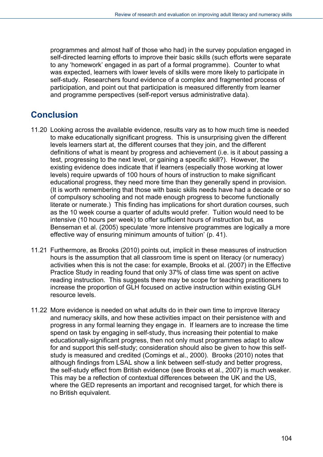programmes and almost half of those who had) in the survey population engaged in self-directed learning efforts to improve their basic skills (such efforts were separate to any 'homework' engaged in as part of a formal programme). Counter to what was expected, learners with lower levels of skills were more likely to participate in self-study. Researchers found evidence of a complex and fragmented process of participation, and point out that participation is measured differently from learner and programme perspectives (self-report versus administrative data).

## **Conclusion**

- 11.20 Looking across the available evidence, results vary as to how much time is needed to make educationally significant progress. This is unsurprising given the different levels learners start at, the different courses that they join, and the different definitions of what is meant by progress and achievement (i.e. is it about passing a test, progressing to the next level, or gaining a specific skill?). However, the existing evidence does indicate that if learners (especially those working at lower levels) require upwards of 100 hours of hours of instruction to make significant educational progress, they need more time than they generally spend in provision. (It is worth remembering that those with basic skills needs have had a decade or so of compulsory schooling and not made enough progress to become functionally literate or numerate.) This finding has implications for short duration courses, such as the 10 week course a quarter of adults would prefer. Tuition would need to be intensive (10 hours per week) to offer sufficient hours of instruction but, as Benseman et al. (2005) speculate 'more intensive programmes are logically a more effective way of ensuring minimum amounts of tuition' (p. 41).
- 11.21 Furthermore, as Brooks (2010) points out, implicit in these measures of instruction hours is the assumption that all classroom time is spent on literacy (or numeracy) activities when this is not the case: for example, Brooks et al. (2007) in the Effective Practice Study in reading found that only 37% of class time was spent on active reading instruction. This suggests there may be scope for teaching practitioners to increase the proportion of GLH focused on active instruction within existing GLH resource levels.
- 11.22 More evidence is needed on what adults do in their own time to improve literacy and numeracy skills, and how these activities impact on their persistence with and progress in any formal learning they engage in. If learners are to increase the time spend on task by engaging in self-study, thus increasing their potential to make educationally-significant progress, then not only must programmes adapt to allow for and support this self-study; consideration should also be given to how this selfstudy is measured and credited (Comings et al., 2000). Brooks (2010) notes that although findings from LSAL show a link between self-study and better progress, the self-study effect from British evidence (see Brooks et al., 2007) is much weaker. This may be a reflection of contextual differences between the UK and the US, where the GED represents an important and recognised target, for which there is no British equivalent.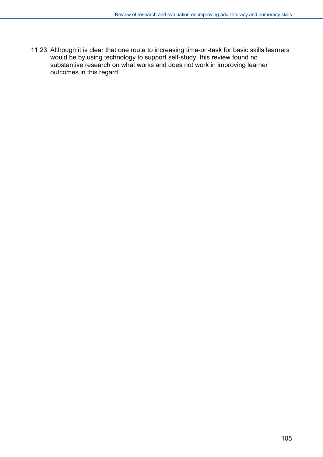11.23 Although it is clear that one route to increasing time-on-task for basic skills learners would be by using technology to support self-study, this review found no substantive research on what works and does not work in improving learner outcomes in this regard.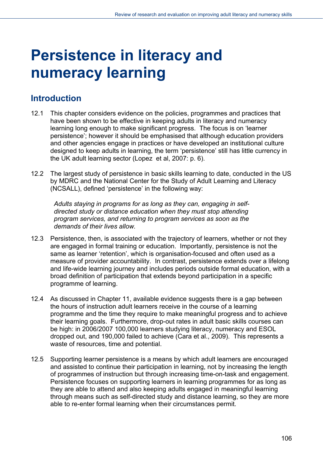# **Persistence in literacy and numeracy learning**

### **Introduction**

- 12.1 This chapter considers evidence on the policies, programmes and practices that have been shown to be effective in keeping adults in literacy and numeracy learning long enough to make significant progress. The focus is on 'learner persistence'; however it should be emphasised that although education providers and other agencies engage in practices or have developed an institutional culture designed to keep adults in learning, the term 'persistence' still has little currency in the UK adult learning sector (Lopez et al, 2007: p. 6).
- 12.2 The largest study of persistence in basic skills learning to date, conducted in the US by MDRC and the National Center for the Study of Adult Learning and Literacy (NCSALL), defined 'persistence' in the following way:

*Adults staying in programs for as long as they can, engaging in selfdirected study or distance education when they must stop attending program services, and returning to program services as soon as the demands of their lives allow.* 

- 12.3 Persistence, then, is associated with the trajectory of learners, whether or not they are engaged in formal training or education. Importantly, persistence is not the same as learner 'retention', which is organisation-focused and often used as a measure of provider accountability. In contrast, persistence extends over a lifelong and life-wide learning journey and includes periods outside formal education, with a broad definition of participation that extends beyond participation in a specific programme of learning.
- 12.4 As discussed in Chapter 11, available evidence suggests there is a gap between the hours of instruction adult learners receive in the course of a learning programme and the time they require to make meaningful progress and to achieve their learning goals. Furthermore, drop-out rates in adult basic skills courses can be high: in 2006/2007 100,000 learners studying literacy, numeracy and ESOL dropped out, and 190,000 failed to achieve (Cara et al., 2009). This represents a waste of resources, time and potential.
- 12.5 Supporting learner persistence is a means by which adult learners are encouraged and assisted to continue their participation in learning, not by increasing the length of programmes of instruction but through increasing time-on-task and engagement. Persistence focuses on supporting learners in learning programmes for as long as they are able to attend and also keeping adults engaged in meaningful learning through means such as self-directed study and distance learning, so they are more able to re-enter formal learning when their circumstances permit.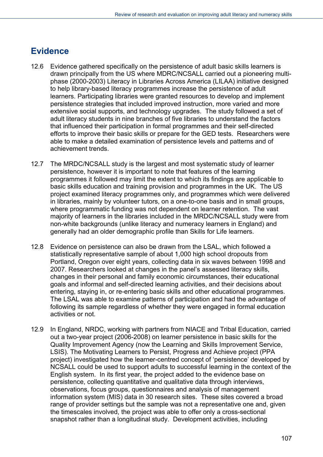## **Evidence**

- 12.6 Evidence gathered specifically on the persistence of adult basic skills learners is drawn principally from the US where MDRC/NCSALL carried out a pioneering multiphase (2000-2003) Literacy in Libraries Across America (LILAA) initiative designed to help library-based literacy programmes increase the persistence of adult learners. Participating libraries were granted resources to develop and implement persistence strategies that included improved instruction, more varied and more extensive social supports, and technology upgrades. The study followed a set of adult literacy students in nine branches of five libraries to understand the factors that influenced their participation in formal programmes and their self-directed efforts to improve their basic skills or prepare for the GED tests. Researchers were able to make a detailed examination of persistence levels and patterns and of achievement trends.
- 12.7 The MRDC/NCSALL study is the largest and most systematic study of learner persistence, however it is important to note that features of the learning programmes it followed may limit the extent to which its findings are applicable to basic skills education and training provision and programmes in the UK. The US project examined literacy programmes only, and programmes which were delivered in libraries, mainly by volunteer tutors, on a one-to-one basis and in small groups, where programmatic funding was not dependent on learner retention. The vast majority of learners in the libraries included in the MRDC/NCSALL study were from non-white backgrounds (unlike literacy and numeracy learners in England) and generally had an older demographic profile than Skills for Life learners.
- 12.8 Evidence on persistence can also be drawn from the LSAL, which followed a statistically representative sample of about 1,000 high school dropouts from Portland, Oregon over eight years, collecting data in six waves between 1998 and 2007. Researchers looked at changes in the panel's assessed literacy skills, changes in their personal and family economic circumstances, their educational goals and informal and self-directed learning activities, and their decisions about entering, staying in, or re-entering basic skills and other educational programmes. The LSAL was able to examine patterns of participation and had the advantage of following its sample regardless of whether they were engaged in formal education activities or not.
- 12.9 In England, NRDC, working with partners from NIACE and Tribal Education, carried out a two-year project (2006-2008) on learner persistence in basic skills for the Quality Improvement Agency (now the Learning and Skills Improvement Service, LSIS). The Motivating Learners to Persist, Progress and Achieve project (PPA project) investigated how the learner-centred concept of 'persistence' developed by NCSALL could be used to support adults to successful learning in the context of the English system. In its first year, the project added to the evidence base on persistence, collecting quantitative and qualitative data through interviews, observations, focus groups, questionnaires and analysis of management information system (MIS) data in 30 research sites. These sites covered a broad range of provider settings but the sample was not a representative one and, given the timescales involved, the project was able to offer only a cross-sectional snapshot rather than a longitudinal study. Development activities, including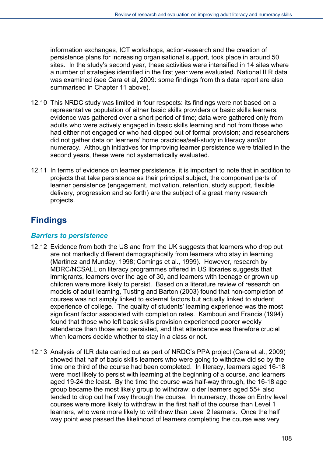information exchanges, ICT workshops, action-research and the creation of persistence plans for increasing organisational support, took place in around 50 sites. In the study's second year, these activities were intensified in 14 sites where a number of strategies identified in the first year were evaluated. National ILR data was examined (see Cara et al, 2009: some findings from this data report are also summarised in Chapter 11 above).

- 12.10 This NRDC study was limited in four respects: its findings were not based on a representative population of either basic skills providers or basic skills learners; evidence was gathered over a short period of time; data were gathered only from adults who were actively engaged in basic skills learning and not from those who had either not engaged or who had dipped out of formal provision; and researchers did not gather data on learners' home practices/self-study in literacy and/or numeracy. Although initiatives for improving learner persistence were trialled in the second years, these were not systematically evaluated.
- 12.11 In terms of evidence on learner persistence, it is important to note that in addition to projects that take persistence as their principal subject, the component parts of learner persistence (engagement, motivation, retention, study support, flexible delivery, progression and so forth) are the subject of a great many research projects.

# **Findings**

#### *Barriers to persistence*

- 12.12 Evidence from both the US and from the UK suggests that learners who drop out are not markedly different demographically from learners who stay in learning (Martinez and Munday, 1998; Comings et al., 1999). However, research by MDRC/NCSALL on literacy programmes offered in US libraries suggests that immigrants, learners over the age of 30, and learners with teenage or grown up children were more likely to persist. Based on a literature review of research on models of adult learning, Tusting and Barton (2003) found that non-completion of courses was not simply linked to external factors but actually linked to student experience of college. The quality of students' learning experience was the most significant factor associated with completion rates. Kambouri and Francis (1994) found that those who left basic skills provision experienced poorer weekly attendance than those who persisted, and that attendance was therefore crucial when learners decide whether to stay in a class or not.
- 12.13 Analysis of ILR data carried out as part of NRDC's PPA project (Cara et al., 2009) showed that half of basic skills learners who were going to withdraw did so by the time one third of the course had been completed. In literacy, learners aged 16-18 were most likely to persist with learning at the beginning of a course, and learners aged 19-24 the least. By the time the course was half-way through, the 16-18 age group became the most likely group to withdraw; older learners aged 55+ also tended to drop out half way through the course. In numeracy, those on Entry level courses were more likely to withdraw in the first half of the course than Level 1 learners, who were more likely to withdraw than Level 2 learners. Once the half way point was passed the likelihood of learners completing the course was very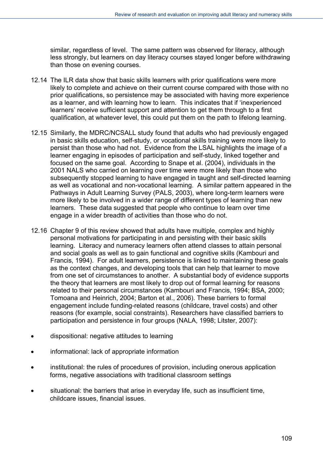similar, regardless of level. The same pattern was observed for literacy, although less strongly, but learners on day literacy courses stayed longer before withdrawing than those on evening courses.

- 12.14 The ILR data show that basic skills learners with prior qualifications were more likely to complete and achieve on their current course compared with those with no prior qualifications, so persistence may be associated with having more experience as a learner, and with learning how to learn. This indicates that if 'inexperienced learners' receive sufficient support and attention to get them through to a first qualification, at whatever level, this could put them on the path to lifelong learning.
- 12.15 Similarly, the MDRC/NCSALL study found that adults who had previously engaged in basic skills education, self-study, or vocational skills training were more likely to persist than those who had not. Evidence from the LSAL highlights the image of a learner engaging in episodes of participation and self-study, linked together and focused on the same goal. According to Snape et al. (2004), individuals in the 2001 NALS who carried on learning over time were more likely than those who subsequently stopped learning to have engaged in taught and self-directed learning as well as vocational and non-vocational learning. A similar pattern appeared in the Pathways in Adult Learning Survey (PALS, 2003), where long-term learners were more likely to be involved in a wider range of different types of learning than new learners. These data suggested that people who continue to learn over time engage in a wider breadth of activities than those who do not.
- 12.16 Chapter 9 of this review showed that adults have multiple, complex and highly personal motivations for participating in and persisting with their basic skills learning. Literacy and numeracy learners often attend classes to attain personal and social goals as well as to gain functional and cognitive skills (Kambouri and Francis, 1994). For adult learners, persistence is linked to maintaining these goals as the context changes, and developing tools that can help that learner to move from one set of circumstances to another. A substantial body of evidence supports the theory that learners are most likely to drop out of formal learning for reasons related to their personal circumstances (Kambouri and Francis, 1994; BSA, 2000; Tomoana and Heinrich, 2004; Barton et al., 2006). These barriers to formal engagement include funding-related reasons (childcare, travel costs) and other reasons (for example, social constraints). Researchers have classified barriers to participation and persistence in four groups (NALA, 1998; Litster, 2007):
- dispositional: negative attitudes to learning
- informational: lack of appropriate information
- institutional: the rules of procedures of provision, including onerous application forms, negative associations with traditional classroom settings
- situational: the barriers that arise in everyday life, such as insufficient time, childcare issues, financial issues.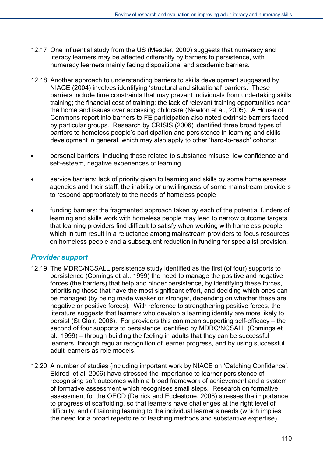- 12.17 One influential study from the US (Meader, 2000) suggests that numeracy and literacy learners may be affected differently by barriers to persistence, with numeracy learners mainly facing dispositional and academic barriers.
- 12.18 Another approach to understanding barriers to skills development suggested by NIACE (2004) involves identifying 'structural and situational' barriers. These barriers include time constraints that may prevent individuals from undertaking skills training; the financial cost of training; the lack of relevant training opportunities near the home and issues over accessing childcare (Newton et al., 2005). A House of Commons report into barriers to FE participation also noted extrinsic barriers faced by particular groups. Research by CRISIS (2006) identified three broad types of barriers to homeless people's participation and persistence in learning and skills development in general, which may also apply to other 'hard-to-reach' cohorts:
- personal barriers: including those related to substance misuse, low confidence and self-esteem, negative experiences of learning
- service barriers: lack of priority given to learning and skills by some homelessness agencies and their staff, the inability or unwillingness of some mainstream providers to respond appropriately to the needs of homeless people
- funding barriers: the fragmented approach taken by each of the potential funders of learning and skills work with homeless people may lead to narrow outcome targets that learning providers find difficult to satisfy when working with homeless people, which in turn result in a reluctance among mainstream providers to focus resources on homeless people and a subsequent reduction in funding for specialist provision.

# *Provider support*

- 12.19 The MDRC/NCSALL persistence study identified as the first (of four) supports to persistence (Comings et al., 1999) the need to manage the positive and negative forces (the barriers) that help and hinder persistence, by identifying these forces, prioritising those that have the most significant effort, and deciding which ones can be managed (by being made weaker or stronger, depending on whether these are negative or positive forces). With reference to strengthening positive forces, the literature suggests that learners who develop a learning identity are more likely to persist (St Clair, 2006). For providers this can mean supporting self-efficacy – the second of four supports to persistence identified by MDRC/NCSALL (Comings et al., 1999) – through building the feeling in adults that they can be successful learners, through regular recognition of learner progress, and by using successful adult learners as role models.
- 12.20 A number of studies (including important work by NIACE on 'Catching Confidence', Eldred et al, 2006) have stressed the importance to learner persistence of recognising soft outcomes within a broad framework of achievement and a system of formative assessment which recognises small steps. Research on formative assessment for the OECD (Derrick and Ecclestone, 2008) stresses the importance to progress of scaffolding, so that learners have challenges at the right level of difficulty, and of tailoring learning to the individual learner's needs (which implies the need for a broad repertoire of teaching methods and substantive expertise).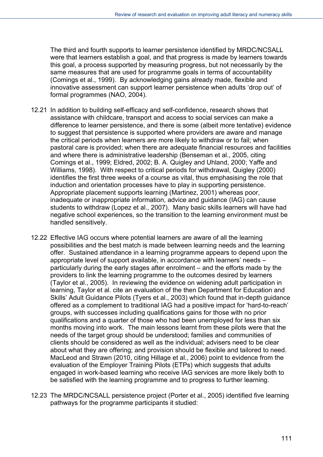The third and fourth supports to learner persistence identified by MRDC/NCSALL were that learners establish a goal, and that progress is made by learners towards this goal, a process supported by measuring progress, but not necessarily by the same measures that are used for programme goals in terms of accountability (Comings et al., 1999). By acknowledging gains already made, flexible and innovative assessment can support learner persistence when adults 'drop out' of formal programmes (NAO, 2004).

- 12.21 In addition to building self-efficacy and self-confidence, research shows that assistance with childcare, transport and access to social services can make a difference to learner persistence, and there is some (albeit more tentative) evidence to suggest that persistence is supported where providers are aware and manage the critical periods when learners are more likely to withdraw or to fail; when pastoral care is provided; when there are adequate financial resources and facilities and where there is administrative leadership (Benseman et al., 2005, citing Comings et al., 1999; Eldred, 2002; B. A. Quigley and Uhland, 2000; Yaffe and Williams, 1998). With respect to critical periods for withdrawal, Quigley (2000) identifies the first three weeks of a course as vital, thus emphasising the role that induction and orientation processes have to play in supporting persistence. Appropriate placement supports learning (Martinez, 2001) whereas poor, inadequate or inappropriate information, advice and guidance (IAG) can cause students to withdraw (Lopez et al., 2007). Many basic skills learners will have had negative school experiences, so the transition to the learning environment must be handled sensitively.
- 12.22 Effective IAG occurs where potential learners are aware of all the learning possibilities and the best match is made between learning needs and the learning offer. Sustained attendance in a learning programme appears to depend upon the appropriate level of support available, in accordance with learners' needs – particularly during the early stages after enrolment – and the efforts made by the providers to link the learning programme to the outcomes desired by learners (Taylor et al., 2005). In reviewing the evidence on widening adult participation in learning, Taylor et al. cite an evaluation of the then Department for Education and Skills' Adult Guidance Pilots (Tyers et al., 2003) which found that in-depth guidance offered as a complement to traditional IAG had a positive impact for 'hard-to-reach' groups, with successes including qualifications gains for those with no prior qualifications and a quarter of those who had been unemployed for less than six months moving into work. The main lessons learnt from these pilots were that the needs of the target group should be understood; families and communities of clients should be considered as well as the individual; advisers need to be clear about what they are offering; and provision should be flexible and tailored to need. MacLeod and Strawn (2010, citing Hillage et al., 2006) point to evidence from the evaluation of the Employer Training Pilots (ETPs) which suggests that adults engaged in work-based learning who receive IAG services are more likely both to be satisfied with the learning programme and to progress to further learning.
- 12.23 The MRDC/NCSALL persistence project (Porter et al., 2005) identified five learning pathways for the programme participants it studied: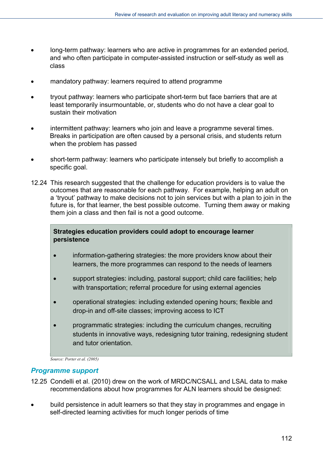- long-term pathway: learners who are active in programmes for an extended period, and who often participate in computer-assisted instruction or self-study as well as class
- mandatory pathway: learners required to attend programme
- tryout pathway: learners who participate short-term but face barriers that are at least temporarily insurmountable, or, students who do not have a clear goal to sustain their motivation
- intermittent pathway: learners who join and leave a programme several times. Breaks in participation are often caused by a personal crisis, and students return when the problem has passed
- short-term pathway: learners who participate intensely but briefly to accomplish a specific goal.
- 12.24 This research suggested that the challenge for education providers is to value the outcomes that are reasonable for each pathway. For example, helping an adult on a 'tryout' pathway to make decisions not to join services but with a plan to join in the future is, for that learner, the best possible outcome. Turning them away or making them join a class and then fail is not a good outcome.

#### **Strategies education providers could adopt to encourage learner persistence**

- information-gathering strategies: the more providers know about their learners, the more programmes can respond to the needs of learners
- support strategies: including, pastoral support; child care facilities; help with transportation; referral procedure for using external agencies
- operational strategies: including extended opening hours; flexible and drop-in and off-site classes; improving access to ICT
- programmatic strategies: including the curriculum changes, recruiting students in innovative ways, redesigning tutor training, redesigning student and tutor orientation.

*Source: Porter et al. (2005)* 

#### *Programme support*

- 12.25 Condelli et al. (2010) drew on the work of MRDC/NCSALL and LSAL data to make recommendations about how programmes for ALN learners should be designed:
- build persistence in adult learners so that they stay in programmes and engage in self-directed learning activities for much longer periods of time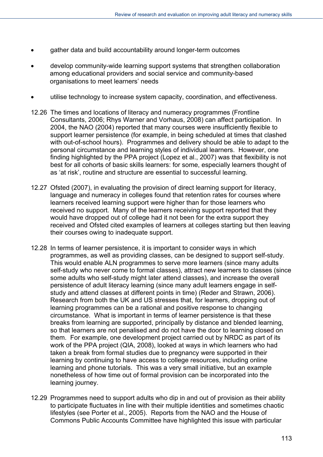- gather data and build accountability around longer-term outcomes
- develop community-wide learning support systems that strengthen collaboration among educational providers and social service and community-based organisations to meet learners' needs
- utilise technology to increase system capacity, coordination, and effectiveness.
- 12.26 The times and locations of literacy and numeracy programmes (Frontline Consultants, 2006; Rhys Warner and Vorhaus, 2008) can affect participation. In 2004, the NAO (2004) reported that many courses were insufficiently flexible to support learner persistence (for example, in being scheduled at times that clashed with out-of-school hours). Programmes and delivery should be able to adapt to the personal circumstance and learning styles of individual learners. However, one finding highlighted by the PPA project (Lopez et al., 2007) was that flexibility is not best for all cohorts of basic skills learners: for some, especially learners thought of as 'at risk', routine and structure are essential to successful learning.
- 12.27 Ofsted (2007), in evaluating the provision of direct learning support for literacy, language and numeracy in colleges found that retention rates for courses where learners received learning support were higher than for those learners who received no support. Many of the learners receiving support reported that they would have dropped out of college had it not been for the extra support they received and Ofsted cited examples of learners at colleges starting but then leaving their courses owing to inadequate support.
- 12.28 In terms of learner persistence, it is important to consider ways in which programmes, as well as providing classes, can be designed to support self-study. This would enable ALN programmes to serve more learners (since many adults self-study who never come to formal classes), attract new learners to classes (since some adults who self-study might later attend classes), and increase the overall persistence of adult literacy learning (since many adult learners engage in selfstudy and attend classes at different points in time) (Reder and Strawn, 2006). Research from both the UK and US stresses that, for learners, dropping out of learning programmes can be a rational and positive response to changing circumstance. What is important in terms of learner persistence is that these breaks from learning are supported, principally by distance and blended learning, so that learners are not penalised and do not have the door to learning closed on them. For example, one development project carried out by NRDC as part of its work of the PPA project (QIA, 2008), looked at ways in which learners who had taken a break from formal studies due to pregnancy were supported in their learning by continuing to have access to college resources, including online learning and phone tutorials. This was a very small initiative, but an example nonetheless of how time out of formal provision can be incorporated into the learning journey.
- 12.29 Programmes need to support adults who dip in and out of provision as their ability to participate fluctuates in line with their multiple identities and sometimes chaotic lifestyles (see Porter et al., 2005). Reports from the NAO and the House of Commons Public Accounts Committee have highlighted this issue with particular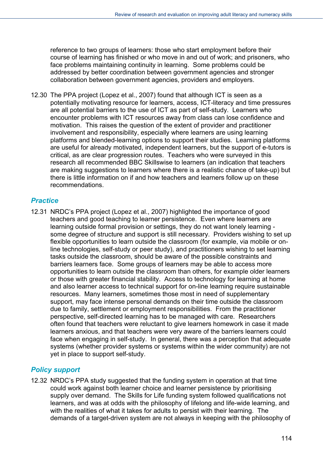reference to two groups of learners: those who start employment before their course of learning has finished or who move in and out of work; and prisoners, who face problems maintaining continuity in learning. Some problems could be addressed by better coordination between government agencies and stronger collaboration between government agencies, providers and employers.

12.30 The PPA project (Lopez et al., 2007) found that although ICT is seen as a potentially motivating resource for learners, access, ICT-literacy and time pressures are all potential barriers to the use of ICT as part of self-study. Learners who encounter problems with ICT resources away from class can lose confidence and motivation. This raises the question of the extent of provider and practitioner involvement and responsibility, especially where learners are using learning platforms and blended-learning options to support their studies. Learning platforms are useful for already motivated, independent learners, but the support of e-tutors is critical, as are clear progression routes. Teachers who were surveyed in this research all recommended BBC Skillswise to learners (an indication that teachers are making suggestions to learners where there is a realistic chance of take-up) but there is little information on if and how teachers and learners follow up on these recommendations.

# *Practice*

12.31 NRDC's PPA project (Lopez et al., 2007) highlighted the importance of good teachers and good teaching to learner persistence. Even where learners are learning outside formal provision or settings, they do not want lonely learning some degree of structure and support is still necessary. Providers wishing to set up flexible opportunities to learn outside the classroom (for example, via mobile or online technologies, self-study or peer study), and practitioners wishing to set learning tasks outside the classroom, should be aware of the possible constraints and barriers learners face. Some groups of learners may be able to access more opportunities to learn outside the classroom than others, for example older learners or those with greater financial stability. Access to technology for learning at home and also learner access to technical support for on-line learning require sustainable resources. Many learners, sometimes those most in need of supplementary support, may face intense personal demands on their time outside the classroom due to family, settlement or employment responsibilities. From the practitioner perspective, self-directed learning has to be managed with care. Researchers often found that teachers were reluctant to give learners homework in case it made learners anxious, and that teachers were very aware of the barriers learners could face when engaging in self-study. In general, there was a perception that adequate systems (whether provider systems or systems within the wider community) are not yet in place to support self-study.

# *Policy support*

12.32 NRDC's PPA study suggested that the funding system in operation at that time could work against both learner choice and learner persistence by prioritising supply over demand. The Skills for Life funding system followed qualifications not learners, and was at odds with the philosophy of lifelong and life-wide learning, and with the realities of what it takes for adults to persist with their learning. The demands of a target-driven system are not always in keeping with the philosophy of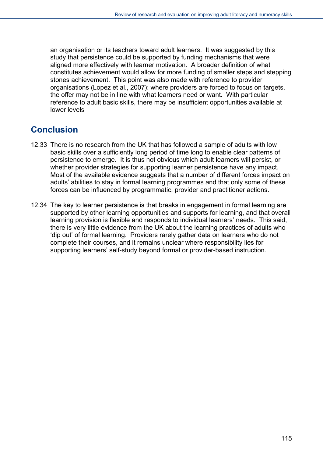an organisation or its teachers toward adult learners. It was suggested by this study that persistence could be supported by funding mechanisms that were aligned more effectively with learner motivation. A broader definition of what constitutes achievement would allow for more funding of smaller steps and stepping stones achievement. This point was also made with reference to provider organisations (Lopez et al., 2007): where providers are forced to focus on targets, the offer may not be in line with what learners need or want. With particular reference to adult basic skills, there may be insufficient opportunities available at lower levels

# **Conclusion**

- 12.33 There is no research from the UK that has followed a sample of adults with low basic skills over a sufficiently long period of time long to enable clear patterns of persistence to emerge. It is thus not obvious which adult learners will persist, or whether provider strategies for supporting learner persistence have any impact. Most of the available evidence suggests that a number of different forces impact on adults' abilities to stay in formal learning programmes and that only some of these forces can be influenced by programmatic, provider and practitioner actions.
- 12.34 The key to learner persistence is that breaks in engagement in formal learning are supported by other learning opportunities and supports for learning, and that overall learning provision is flexible and responds to individual learners' needs. This said, there is very little evidence from the UK about the learning practices of adults who 'dip out' of formal learning. Providers rarely gather data on learners who do not complete their courses, and it remains unclear where responsibility lies for supporting learners' self-study beyond formal or provider-based instruction.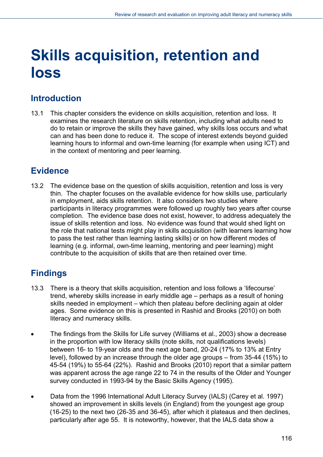# **Skills acquisition, retention and loss**

# **Introduction**

13.1 This chapter considers the evidence on skills acquisition, retention and loss. It examines the research literature on skills retention, including what adults need to do to retain or improve the skills they have gained, why skills loss occurs and what can and has been done to reduce it. The scope of interest extends beyond guided learning hours to informal and own-time learning (for example when using ICT) and in the context of mentoring and peer learning.

# **Evidence**

13.2 The evidence base on the question of skills acquisition, retention and loss is very thin. The chapter focuses on the available evidence for how skills use, particularly in employment, aids skills retention. It also considers two studies where participants in literacy programmes were followed up roughly two years after course completion. The evidence base does not exist, however, to address adequately the issue of skills retention and loss. No evidence was found that would shed light on the role that national tests might play in skills acquisition (with learners learning how to pass the test rather than learning lasting skills) or on how different modes of learning (e.g. informal, own-time learning, mentoring and peer learning) might contribute to the acquisition of skills that are then retained over time.

# **Findings**

- 13.3 There is a theory that skills acquisition, retention and loss follows a 'lifecourse' trend, whereby skills increase in early middle age – perhaps as a result of honing skills needed in employment – which then plateau before declining again at older ages. Some evidence on this is presented in Rashid and Brooks (2010) on both literacy and numeracy skills.
- The findings from the Skills for Life survey (Williams et al., 2003) show a decrease in the proportion with low literacy skills (note skills, not qualifications levels) between 16- to 19-year olds and the next age band, 20-24 (17% to 13% at Entry level), followed by an increase through the older age groups – from 35-44 (15%) to 45-54 (19%) to 55-64 (22%). Rashid and Brooks (2010) report that a similar pattern was apparent across the age range 22 to 74 in the results of the Older and Younger survey conducted in 1993-94 by the Basic Skills Agency (1995).
- Data from the 1996 International Adult Literacy Survey (IALS) (Carey et al. 1997) showed an improvement in skills levels (in England) from the youngest age group (16-25) to the next two (26-35 and 36-45), after which it plateaus and then declines, particularly after age 55. It is noteworthy, however, that the IALS data show a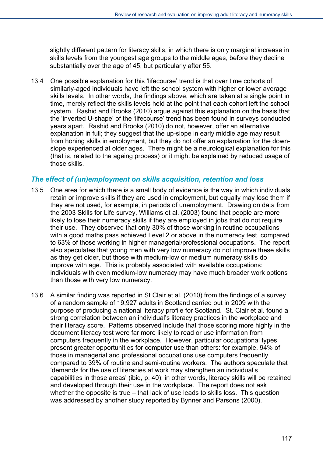slightly different pattern for literacy skills, in which there is only marginal increase in skills levels from the youngest age groups to the middle ages, before they decline substantially over the age of 45, but particularly after 55.

13.4 One possible explanation for this 'lifecourse' trend is that over time cohorts of similarly-aged individuals have left the school system with higher or lower average skills levels. In other words, the findings above, which are taken at a single point in time, merely reflect the skills levels held at the point that each cohort left the school system. Rashid and Brooks (2010) argue against this explanation on the basis that the 'inverted U-shape' of the 'lifecourse' trend has been found in surveys conducted years apart. Rashid and Brooks (2010) do not, however, offer an alternative explanation in full; they suggest that the up-slope in early middle age may result from honing skills in employment, but they do not offer an explanation for the downslope experienced at older ages. There might be a neurological explanation for this (that is, related to the ageing process) or it might be explained by reduced usage of those skills.

# *The effect of (un)employment on skills acquisition, retention and loss*

- 13.5 One area for which there is a small body of evidence is the way in which individuals retain or improve skills if they are used in employment, but equally may lose them if they are not used, for example, in periods of unemployment. Drawing on data from the 2003 Skills for Life survey, Williams et al. (2003) found that people are more likely to lose their numeracy skills if they are employed in jobs that do not require their use. They observed that only 30% of those working in routine occupations with a good maths pass achieved Level 2 or above in the numeracy test, compared to 63% of those working in higher managerial/professional occupations. The report also speculates that young men with very low numeracy do not improve these skills as they get older, but those with medium-low or medium numeracy skills do improve with age. This is probably associated with available occupations: individuals with even medium-low numeracy may have much broader work options than those with very low numeracy.
- 13.6 A similar finding was reported in St Clair et al. (2010) from the findings of a survey of a random sample of 19,927 adults in Scotland carried out in 2009 with the purpose of producing a national literacy profile for Scotland. St. Clair et al. found a strong correlation between an individual's literacy practices in the workplace and their literacy score. Patterns observed include that those scoring more highly in the document literacy test were far more likely to read or use information from computers frequently in the workplace. However, particular occupational types present greater opportunities for computer use than others: for example, 94% of those in managerial and professional occupations use computers frequently compared to 39% of routine and semi-routine workers. The authors speculate that 'demands for the use of literacies at work may strengthen an individual's capabilities in those areas' (ibid, p. 40): in other words, literacy skills will be retained and developed through their use in the workplace. The report does not ask whether the opposite is true – that lack of use leads to skills loss. This question was addressed by another study reported by Bynner and Parsons (2000).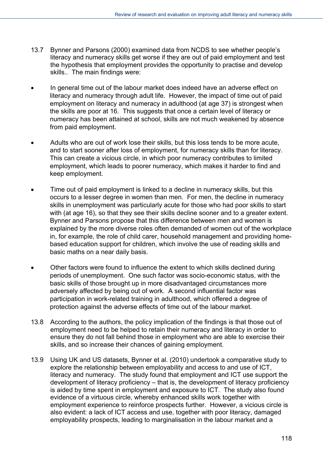- 13.7 Bynner and Parsons (2000) examined data from NCDS to see whether people's literacy and numeracy skills get worse if they are out of paid employment and test the hypothesis that employment provides the opportunity to practise and develop skills.. The main findings were:
- In general time out of the labour market does indeed have an adverse effect on literacy and numeracy through adult life. However, the impact of time out of paid employment on literacy and numeracy in adulthood (at age 37) is strongest when the skills are poor at 16. This suggests that once a certain level of literacy or numeracy has been attained at school, skills are not much weakened by absence from paid employment.
- Adults who are out of work lose their skills, but this loss tends to be more acute, and to start sooner after loss of employment, for numeracy skills than for literacy. This can create a vicious circle, in which poor numeracy contributes to limited employment, which leads to poorer numeracy, which makes it harder to find and keep employment.
- Time out of paid employment is linked to a decline in numeracy skills, but this occurs to a lesser degree in women than men. For men, the decline in numeracy skills in unemployment was particularly acute for those who had poor skills to start with (at age 16), so that they see their skills decline sooner and to a greater extent. Bynner and Parsons propose that this difference between men and women is explained by the more diverse roles often demanded of women out of the workplace in, for example, the role of child carer, household management and providing homebased education support for children, which involve the use of reading skills and basic maths on a near daily basis.
- Other factors were found to influence the extent to which skills declined during periods of unemployment. One such factor was socio-economic status, with the basic skills of those brought up in more disadvantaged circumstances more adversely affected by being out of work. A second influential factor was participation in work-related training in adulthood, which offered a degree of protection against the adverse effects of time out of the labour market.
- 13.8 According to the authors, the policy implication of the findings is that those out of employment need to be helped to retain their numeracy and literacy in order to ensure they do not fall behind those in employment who are able to exercise their skills, and so increase their chances of gaining employment.
- 13.9 Using UK and US datasets, Bynner et al. (2010) undertook a comparative study to explore the relationship between employability and access to and use of ICT, literacy and numeracy. The study found that employment and ICT use support the development of literacy proficiency – that is, the development of literacy proficiency is aided by time spent in employment and exposure to ICT. The study also found evidence of a virtuous circle, whereby enhanced skills work together with employment experience to reinforce prospects further. However, a vicious circle is also evident: a lack of ICT access and use, together with poor literacy, damaged employability prospects, leading to marginalisation in the labour market and a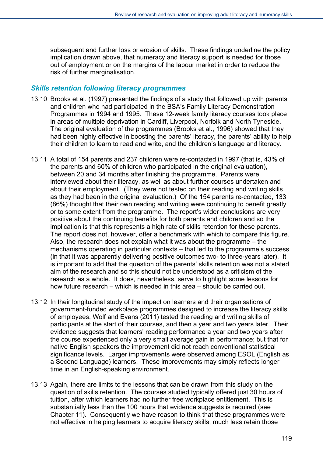subsequent and further loss or erosion of skills. These findings underline the policy implication drawn above, that numeracy and literacy support is needed for those out of employment or on the margins of the labour market in order to reduce the risk of further marginalisation.

#### *Skills retention following literacy programmes*

- 13.10 Brooks et al. (1997) presented the findings of a study that followed up with parents and children who had participated in the BSA's Family Literacy Demonstration Programmes in 1994 and 1995. These 12-week family literacy courses took place in areas of multiple deprivation in Cardiff, Liverpool, Norfolk and North Tyneside. The original evaluation of the programmes (Brooks et al., 1996) showed that they had been highly effective in boosting the parents' literacy, the parents' ability to help their children to learn to read and write, and the children's language and literacy.
- 13.11 A total of 154 parents and 237 children were re-contacted in 1997 (that is, 43% of the parents and 60% of children who participated in the original evaluation), between 20 and 34 months after finishing the programme. Parents were interviewed about their literacy, as well as about further courses undertaken and about their employment. (They were not tested on their reading and writing skills as they had been in the original evaluation.) Of the 154 parents re-contacted, 133 (86%) thought that their own reading and writing were continuing to benefit greatly or to some extent from the programme. The report's wider conclusions are very positive about the continuing benefits for both parents and children and so the implication is that this represents a high rate of skills retention for these parents. The report does not, however, offer a benchmark with which to compare this figure. Also, the research does not explain what it was about the programme – the mechanisms operating in particular contexts – that led to the programme's success (in that it was apparently delivering positive outcomes two- to three-years later). It is important to add that the question of the parents' skills retention was not a stated aim of the research and so this should not be understood as a criticism of the research as a whole. It does, nevertheless, serve to highlight some lessons for how future research – which is needed in this area – should be carried out.
- 13.12 In their longitudinal study of the impact on learners and their organisations of government-funded workplace programmes designed to increase the literacy skills of employees, Wolf and Evans (2011) tested the reading and writing skills of participants at the start of their courses, and then a year and two years later. Their evidence suggests that learners' reading performance a year and two years after the course experienced only a very small average gain in performance; but that for native English speakers the improvement did not reach conventional statistical significance levels. Larger improvements were observed among ESOL (English as a Second Language) learners. These improvements may simply reflects longer time in an English-speaking environment.
- 13.13 Again, there are limits to the lessons that can be drawn from this study on the question of skills retention. The courses studied typically offered just 30 hours of tuition, after which learners had no further free workplace entitlement. This is substantially less than the 100 hours that evidence suggests is required (see Chapter 11). Consequently we have reason to think that these programmes were not effective in helping learners to acquire literacy skills, much less retain those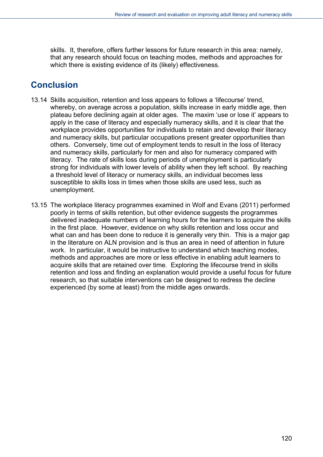skills. It, therefore, offers further lessons for future research in this area: namely, that any research should focus on teaching modes, methods and approaches for which there is existing evidence of its (likely) effectiveness.

# **Conclusion**

- 13.14 Skills acquisition, retention and loss appears to follows a 'lifecourse' trend, whereby, on average across a population, skills increase in early middle age, then plateau before declining again at older ages. The maxim 'use or lose it' appears to apply in the case of literacy and especially numeracy skills, and it is clear that the workplace provides opportunities for individuals to retain and develop their literacy and numeracy skills, but particular occupations present greater opportunities than others. Conversely, time out of employment tends to result in the loss of literacy and numeracy skills, particularly for men and also for numeracy compared with literacy. The rate of skills loss during periods of unemployment is particularly strong for individuals with lower levels of ability when they left school. By reaching a threshold level of literacy or numeracy skills, an individual becomes less susceptible to skills loss in times when those skills are used less, such as unemployment.
- 13.15 The workplace literacy programmes examined in Wolf and Evans (2011) performed poorly in terms of skills retention, but other evidence suggests the programmes delivered inadequate numbers of learning hours for the learners to acquire the skills in the first place. However, evidence on why skills retention and loss occur and what can and has been done to reduce it is generally very thin. This is a major gap in the literature on ALN provision and is thus an area in need of attention in future work. In particular, it would be instructive to understand which teaching modes, methods and approaches are more or less effective in enabling adult learners to acquire skills that are retained over time. Exploring the lifecourse trend in skills retention and loss and finding an explanation would provide a useful focus for future research, so that suitable interventions can be designed to redress the decline experienced (by some at least) from the middle ages onwards.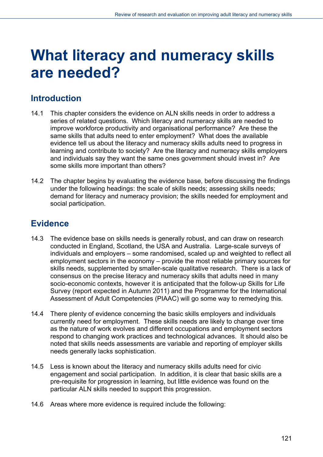# **What literacy and numeracy skills are needed?**

# **Introduction**

- 14.1 This chapter considers the evidence on ALN skills needs in order to address a series of related questions. Which literacy and numeracy skills are needed to improve workforce productivity and organisational performance? Are these the same skills that adults need to enter employment? What does the available evidence tell us about the literacy and numeracy skills adults need to progress in learning and contribute to society? Are the literacy and numeracy skills employers and individuals say they want the same ones government should invest in? Are some skills more important than others?
- 14.2 The chapter begins by evaluating the evidence base, before discussing the findings under the following headings: the scale of skills needs; assessing skills needs; demand for literacy and numeracy provision; the skills needed for employment and social participation.

# **Evidence**

- 14.3 The evidence base on skills needs is generally robust, and can draw on research conducted in England, Scotland, the USA and Australia. Large-scale surveys of individuals and employers – some randomised, scaled up and weighted to reflect all employment sectors in the economy – provide the most reliable primary sources for skills needs, supplemented by smaller-scale qualitative research. There is a lack of consensus on the precise literacy and numeracy skills that adults need in many socio-economic contexts, however it is anticipated that the follow-up Skills for Life Survey (report expected in Autumn 2011) and the Programme for the International Assessment of Adult Competencies (PIAAC) will go some way to remedying this.
- 14.4 There plenty of evidence concerning the basic skills employers and individuals currently need for employment. These skills needs are likely to change over time as the nature of work evolves and different occupations and employment sectors respond to changing work practices and technological advances. It should also be noted that skills needs assessments are variable and reporting of employer skills needs generally lacks sophistication.
- 14.5 Less is known about the literacy and numeracy skills adults need for civic engagement and social participation. In addition, it is clear that basic skills are a pre-requisite for progression in learning, but little evidence was found on the particular ALN skills needed to support this progression.
- 14.6 Areas where more evidence is required include the following: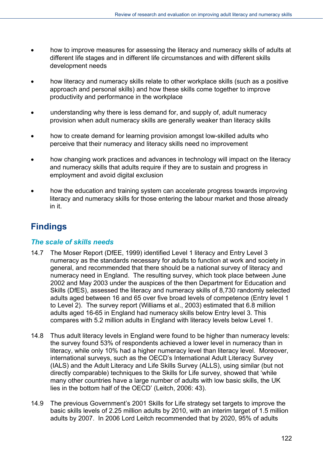- how to improve measures for assessing the literacy and numeracy skills of adults at different life stages and in different life circumstances and with different skills development needs
- how literacy and numeracy skills relate to other workplace skills (such as a positive approach and personal skills) and how these skills come together to improve productivity and performance in the workplace
- understanding why there is less demand for, and supply of, adult numeracy provision when adult numeracy skills are generally weaker than literacy skills
- how to create demand for learning provision amongst low-skilled adults who perceive that their numeracy and literacy skills need no improvement
- how changing work practices and advances in technology will impact on the literacy and numeracy skills that adults require if they are to sustain and progress in employment and avoid digital exclusion
- how the education and training system can accelerate progress towards improving literacy and numeracy skills for those entering the labour market and those already in it.

# **Findings**

# *The scale of skills needs*

- 14.7 The Moser Report (DfEE, 1999) identified Level 1 literacy and Entry Level 3 numeracy as the standards necessary for adults to function at work and society in general, and recommended that there should be a national survey of literacy and numeracy need in England. The resulting survey, which took place between June 2002 and May 2003 under the auspices of the then Department for Education and Skills (DfES), assessed the literacy and numeracy skills of 8,730 randomly selected adults aged between 16 and 65 over five broad levels of competence (Entry level 1 to Level 2). The survey report (Williams et al., 2003) estimated that 6.8 million adults aged 16-65 in England had numeracy skills below Entry level 3. This compares with 5.2 million adults in England with literacy levels below Level 1.
- 14.8 Thus adult literacy levels in England were found to be higher than numeracy levels: the survey found 53% of respondents achieved a lower level in numeracy than in literacy, while only 10% had a higher numeracy level than literacy level. Moreover, international surveys, such as the OECD's International Adult Literacy Survey (IALS) and the Adult Literacy and Life Skills Survey (ALLS), using similar (but not directly comparable) techniques to the Skills for Life survey, showed that 'while many other countries have a large number of adults with low basic skills, the UK lies in the bottom half of the OECD' (Leitch, 2006: 43).
- 14.9 The previous Government's 2001 Skills for Life strategy set targets to improve the basic skills levels of 2.25 million adults by 2010, with an interim target of 1.5 million adults by 2007. In 2006 Lord Leitch recommended that by 2020, 95% of adults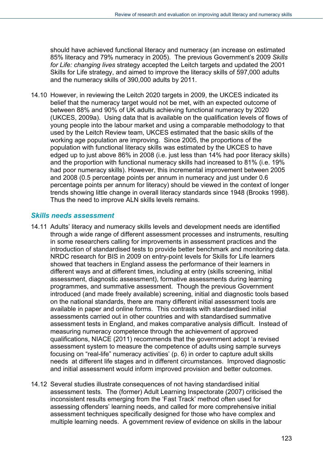should have achieved functional literacy and numeracy (an increase on estimated 85% literacy and 79% numeracy in 2005). The previous Government's 2009 *Skills for Life: changing lives* strategy accepted the Leitch targets and updated the 2001 Skills for Life strategy, and aimed to improve the literacy skills of 597,000 adults and the numeracy skills of 390,000 adults by 2011.

14.10 However, in reviewing the Leitch 2020 targets in 2009, the UKCES indicated its belief that the numeracy target would not be met, with an expected outcome of between 88% and 90% of UK adults achieving functional numeracy by 2020 (UKCES, 2009a). Using data that is available on the qualification levels of flows of young people into the labour market and using a comparable methodology to that used by the Leitch Review team, UKCES estimated that the basic skills of the working age population are improving. Since 2005, the proportions of the population with functional literacy skills was estimated by the UKCES to have edged up to just above 86% in 2008 (i.e. just less than 14% had poor literacy skills) and the proportion with functional numeracy skills had increased to 81% (i.e. 19% had poor numeracy skills). However, this incremental improvement between 2005 and 2008 (0.5 percentage points per annum in numeracy and just under 0.6 percentage points per annum for literacy) should be viewed in the context of longer trends showing little change in overall literacy standards since 1948 (Brooks 1998). Thus the need to improve ALN skills levels remains.

## *Skills needs assessment*

- 14.11 Adults' literacy and numeracy skills levels and development needs are identified through a wide range of different assessment processes and instruments, resulting in some researchers calling for improvements in assessment practices and the introduction of standardised tests to provide better benchmark and monitoring data. NRDC research for BIS in 2009 on entry-point levels for Skills for Life learners showed that teachers in England assess the performance of their learners in different ways and at different times, including at entry (skills screening, initial assessment, diagnostic assessment), formative assessments during learning programmes, and summative assessment. Though the previous Government introduced (and made freely available) screening, initial and diagnostic tools based on the national standards, there are many different initial assessment tools are available in paper and online forms. This contrasts with standardised initial assessments carried out in other countries and with standardised summative assessment tests in England, and makes comparative analysis difficult. Instead of measuring numeracy competence through the achievement of approved qualifications, NIACE (2011) recommends that the government adopt 'a revised assessment system to measure the competence of adults using sample surveys focusing on "real-life" numeracy activities' (p. 6) in order to capture adult skills needs at different life stages and in different circumstances. Improved diagnostic and initial assessment would inform improved provision and better outcomes.
- 14.12 Several studies illustrate consequences of not having standardised initial assessment tests. The (former) Adult Learning Inspectorate (2007) criticised the inconsistent results emerging from the 'Fast Track' method often used for assessing offenders' learning needs, and called for more comprehensive initial assessment techniques specifically designed for those who have complex and multiple learning needs. A government review of evidence on skills in the labour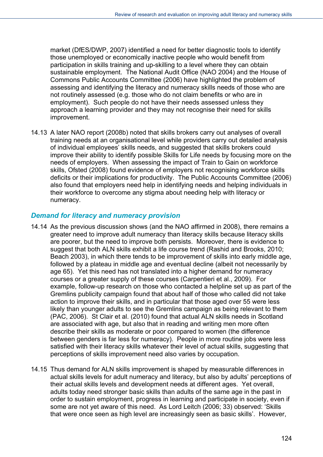market (DfES/DWP, 2007) identified a need for better diagnostic tools to identify those unemployed or economically inactive people who would benefit from participation in skills training and up-skilling to a level where they can obtain sustainable employment. The National Audit Office (NAO 2004) and the House of Commons Public Accounts Committee (2006) have highlighted the problem of assessing and identifying the literacy and numeracy skills needs of those who are not routinely assessed (e.g. those who do not claim benefits or who are in employment). Such people do not have their needs assessed unless they approach a learning provider and they may not recognise their need for skills improvement.

14.13 A later NAO report (2008b) noted that skills brokers carry out analyses of overall training needs at an organisational level while providers carry out detailed analysis of individual employees' skills needs, and suggested that skills brokers could improve their ability to identify possible Skills for Life needs by focusing more on the needs of employers. When assessing the impact of Train to Gain on workforce skills, Ofsted (2008) found evidence of employers not recognising workforce skills deficits or their implications for productivity. The Public Accounts Committee (2006) also found that employers need help in identifying needs and helping individuals in their workforce to overcome any stigma about needing help with literacy or numeracy.

## *Demand for literacy and numeracy provision*

- 14.14 As the previous discussion shows (and the NAO affirmed in 2008), there remains a greater need to improve adult numeracy than literacy skills because literacy skills are poorer, but the need to improve both persists. Moreover, there is evidence to suggest that both ALN skills exhibit a life course trend (Rashid and Brooks, 2010; Beach 2003), in which there tends to be improvement of skills into early middle age, followed by a plateau in middle age and eventual decline (albeit not necessarily by age 65). Yet this need has not translated into a higher demand for numeracy courses or a greater supply of these courses (Carpentieri et al., 2009). For example, follow-up research on those who contacted a helpline set up as part of the Gremlins publicity campaign found that about half of those who called did not take action to improve their skills, and in particular that those aged over 55 were less likely than younger adults to see the Gremlins campaign as being relevant to them (PAC, 2006). St Clair et al. (2010) found that actual ALN skills needs in Scotland are associated with age, but also that in reading and writing men more often describe their skills as moderate or poor compared to women (the difference between genders is far less for numeracy). People in more routine jobs were less satisfied with their literacy skills whatever their level of actual skills, suggesting that perceptions of skills improvement need also varies by occupation.
- 14.15 Thus demand for ALN skills improvement is shaped by measurable differences in actual skills levels for adult numeracy and literacy, but also by adults' perceptions of their actual skills levels and development needs at different ages. Yet overall, adults today need stronger basic skills than adults of the same age in the past in order to sustain employment, progress in learning and participate in society, even if some are not yet aware of this need. As Lord Leitch (2006; 33) observed: 'Skills that were once seen as high level are increasingly seen as basic skills'. However,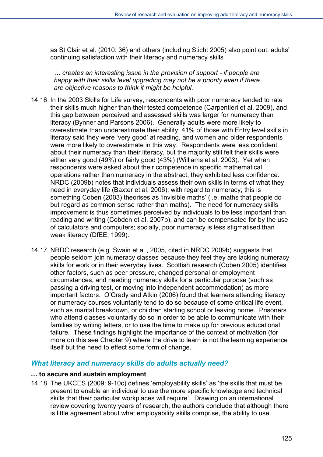as St Clair et al. (2010: 36) and others (including Sticht 2005) also point out, adults' continuing satisfaction with their literacy and numeracy skills

*… creates an interesting issue in the provision of support - if people are happy with their skills level upgrading may not be a priority even if there are objective reasons to think it might be helpful.* 

- 14.16 In the 2003 Skills for Life survey, respondents with poor numeracy tended to rate their skills much higher than their tested competence (Carpentieri et al, 2009), and this gap between perceived and assessed skills was larger for numeracy than literacy (Bynner and Parsons 2006). Generally adults were more likely to overestimate than underestimate their ability: 41% of those with Entry level skills in literacy said they were 'very good' at reading, and women and older respondents were more likely to overestimate in this way. Respondents were less confident about their numeracy than their literacy, but the majority still felt their skills were either very good (49%) or fairly good (43%) (Williams et al. 2003). Yet when respondents were asked about their competence in specific mathematical operations rather than numeracy in the abstract, they exhibited less confidence. NRDC (2009b) notes that individuals assess their own skills in terms of what they need in everyday life (Baxter et al. 2006); with regard to numeracy, this is something Coben (2003) theorises as 'invisible maths' (i.e. maths that people do but regard as common sense rather than maths). The need for numeracy skills improvement is thus sometimes perceived by individuals to be less important than reading and writing (Cobden et al. 2007b), and can be compensated for by the use of calculators and computers; socially, poor numeracy is less stigmatised than weak literacy (DfEE, 1999).
- 14.17 NRDC research (e.g. Swain et al., 2005, cited in NRDC 2009b) suggests that people seldom join numeracy classes because they feel they are lacking numeracy skills for work or in their everyday lives. Scottish research (Coben 2005) identifies other factors, such as peer pressure, changed personal or employment circumstances, and needing numeracy skills for a particular purpose (such as passing a driving test, or moving into independent accommodation) as more important factors. O'Grady and Atkin (2006) found that learners attending literacy or numeracy courses voluntarily tend to do so because of some critical life event, such as marital breakdown, or children starting school or leaving home. Prisoners who attend classes voluntarily do so in order to be able to communicate with their families by writing letters, or to use the time to make up for previous educational failure. These findings highlight the importance of the context of motivation (for more on this see Chapter 9) where the drive to learn is not the learning experience itself but the need to effect some form of change.

## *What literacy and numeracy skills do adults actually need?*

#### **… to secure and sustain employment**

14.18 The UKCES (2009: 9-10c) defines 'employability skills' as 'the skills that must be present to enable an individual to use the more specific knowledge and technical skills that their particular workplaces will require'. Drawing on an international review covering twenty years of research, the authors conclude that although there is little agreement about what employability skills comprise, the ability to use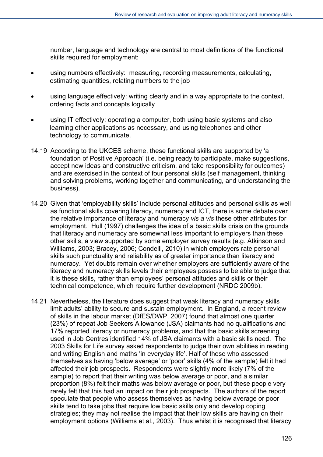number, language and technology are central to most definitions of the functional skills required for employment:

- using numbers effectively: measuring, recording measurements, calculating, estimating quantities, relating numbers to the job
- using language effectively: writing clearly and in a way appropriate to the context, ordering facts and concepts logically
- using IT effectively: operating a computer, both using basic systems and also learning other applications as necessary, and using telephones and other technology to communicate.
- 14.19 According to the UKCES scheme, these functional skills are supported by 'a foundation of Positive Approach' (i.e. being ready to participate, make suggestions, accept new ideas and constructive criticism, and take responsibility for outcomes) and are exercised in the context of four personal skills (self management, thinking and solving problems, working together and communicating, and understanding the business).
- 14.20 Given that 'employability skills' include personal attitudes and personal skills as well as functional skills covering literacy, numeracy and ICT, there is some debate over the relative importance of literacy and numeracy *vis a vis* these other attributes for employment. Hull (1997) challenges the idea of a basic skills crisis on the grounds that literacy and numeracy are somewhat less important to employers than these other skills, a view supported by some employer survey results (e.g. Atkinson and Williams, 2003; Bracey, 2006; Condelli, 2010) in which employers rate personal skills such punctuality and reliability as of greater importance than literacy and numeracy. Yet doubts remain over whether employers are sufficiently aware of the literacy and numeracy skills levels their employees possess to be able to judge that it is these skills, rather than employees' personal attitudes and skills or their technical competence, which require further development (NRDC 2009b).
- 14.21 Nevertheless, the literature does suggest that weak literacy and numeracy skills limit adults' ability to secure and sustain employment. In England, a recent review of skills in the labour market (DfES/DWP, 2007) found that almost one quarter (23%) of repeat Job Seekers Allowance (JSA) claimants had no qualifications and 17% reported literacy or numeracy problems, and that the basic skills screening used in Job Centres identified 14% of JSA claimants with a basic skills need. The 2003 Skills for Life survey asked respondents to judge their own abilities in reading and writing English and maths 'in everyday life'. Half of those who assessed themselves as having 'below average' or 'poor' skills (4% of the sample) felt it had affected their job prospects. Respondents were slightly more likely (7% of the sample) to report that their writing was below average or poor, and a similar proportion (8%) felt their maths was below average or poor, but these people very rarely felt that this had an impact on their job prospects. The authors of the report speculate that people who assess themselves as having below average or poor skills tend to take jobs that require low basic skills only and develop coping strategies; they may not realise the impact that their low skills are having on their employment options (Williams et al., 2003). Thus whilst it is recognised that literacy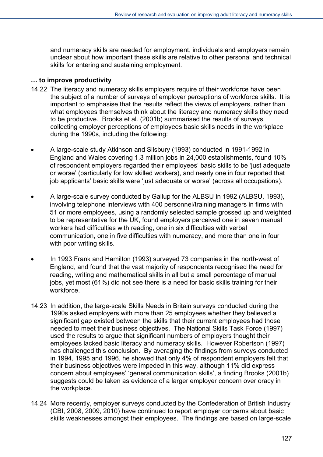and numeracy skills are needed for employment, individuals and employers remain unclear about how important these skills are relative to other personal and technical skills for entering and sustaining employment.

#### **… to improve productivity**

- 14.22 The literacy and numeracy skills employers require of their workforce have been the subject of a number of surveys of employer perceptions of workforce skills. It is important to emphasise that the results reflect the views of employers, rather than what employees themselves think about the literacy and numeracy skills they need to be productive. Brooks et al. (2001b) summarised the results of surveys collecting employer perceptions of employees basic skills needs in the workplace during the 1990s, including the following:
- A large-scale study Atkinson and Silsbury (1993) conducted in 1991-1992 in England and Wales covering 1.3 million jobs in 24,000 establishments, found 10% of respondent employers regarded their employees' basic skills to be 'just adequate or worse' (particularly for low skilled workers), and nearly one in four reported that job applicants' basic skills were 'just adequate or worse' (across all occupations).
- A large-scale survey conducted by Gallup for the ALBSU in 1992 (ALBSU, 1993), involving telephone interviews with 400 personnel/training managers in firms with 51 or more employees, using a randomly selected sample grossed up and weighted to be representative for the UK, found employers perceived one in seven manual workers had difficulties with reading, one in six difficulties with verbal communication, one in five difficulties with numeracy, and more than one in four with poor writing skills.
- In 1993 Frank and Hamilton (1993) surveyed 73 companies in the north-west of England, and found that the vast majority of respondents recognised the need for reading, writing and mathematical skills in all but a small percentage of manual jobs, yet most (61%) did not see there is a need for basic skills training for their workforce.
- 14.23 In addition, the large-scale Skills Needs in Britain surveys conducted during the 1990s asked employers with more than 25 employees whether they believed a significant gap existed between the skills that their current employees had those needed to meet their business objectives. The National Skills Task Force (1997) used the results to argue that significant numbers of employers thought their employees lacked basic literacy and numeracy skills. However Robertson (1997) has challenged this conclusion. By averaging the findings from surveys conducted in 1994, 1995 and 1996, he showed that only 4% of respondent employers felt that their business objectives were impeded in this way, although 11% did express concern about employees' 'general communication skills', a finding Brooks (2001b) suggests could be taken as evidence of a larger employer concern over oracy in the workplace.
- 14.24 More recently, employer surveys conducted by the Confederation of British Industry (CBI, 2008, 2009, 2010) have continued to report employer concerns about basic skills weaknesses amongst their employees. The findings are based on large-scale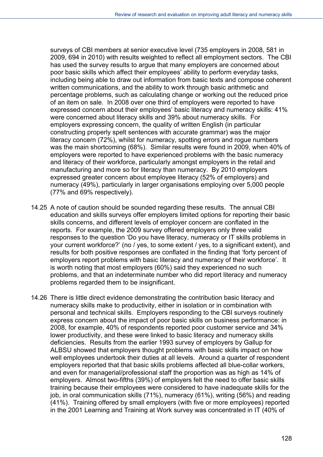surveys of CBI members at senior executive level (735 employers in 2008, 581 in 2009, 694 in 2010) with results weighted to reflect all employment sectors. The CBI has used the survey results to argue that many employers are concerned about poor basic skills which affect their employees' ability to perform everyday tasks, including being able to draw out information from basic texts and compose coherent written communications, and the ability to work through basic arithmetic and percentage problems, such as calculating change or working out the reduced price of an item on sale. In 2008 over one third of employers were reported to have expressed concern about their employees' basic literacy and numeracy skills: 41% were concerned about literacy skills and 39% about numeracy skills. For employers expressing concern, the quality of written English (in particular constructing properly spelt sentences with accurate grammar) was the major literacy concern (72%), whilst for numeracy, spotting errors and rogue numbers was the main shortcoming (68%). Similar results were found in 2009, when 40% of employers were reported to have experienced problems with the basic numeracy and literacy of their workforce, particularly amongst employers in the retail and manufacturing and more so for literacy than numeracy. By 2010 employers expressed greater concern about employee literacy (52% of employers) and numeracy (49%), particularly in larger organisations employing over 5,000 people (77% and 69% respectively).

- 14.25 A note of caution should be sounded regarding these results. The annual CBI education and skills surveys offer employers limited options for reporting their basic skills concerns, and different levels of employer concern are conflated in the reports. For example, the 2009 survey offered employers only three valid responses to the question 'Do you have literacy, numeracy or IT skills problems in your current workforce?' (no / yes, to some extent / yes, to a significant extent), and results for both positive responses are conflated in the finding that 'forty percent of employers report problems with basic literacy and numeracy of their workforce'. It is worth noting that most employers (60%) said they experienced no such problems, and that an indeterminate number who did report literacy and numeracy problems regarded them to be insignificant.
- 14.26 There is little direct evidence demonstrating the contribution basic literacy and numeracy skills make to productivity, either in isolation or in combination with personal and technical skills. Employers responding to the CBI surveys routinely express concern about the impact of poor basic skills on business performance: in 2008, for example, 40% of respondents reported poor customer service and 34% lower productivity, and these were linked to basic literacy and numeracy skills deficiencies. Results from the earlier 1993 survey of employers by Gallup for ALBSU showed that employers thought problems with basic skills impact on how well employees undertook their duties at all levels. Around a quarter of respondent employers reported that that basic skills problems affected all blue-collar workers, and even for managerial/professional staff the proportion was as high as 14% of employers. Almost two-fifths (39%) of employers felt the need to offer basic skills training because their employees were considered to have inadequate skills for the job, in oral communication skills (71%), numeracy (61%), writing (56%) and reading (41%). Training offered by small employers (with five or more employees) reported in the 2001 Learning and Training at Work survey was concentrated in IT (40% of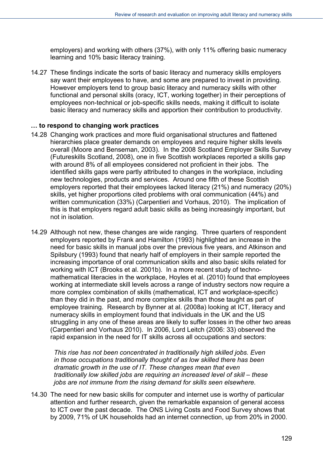employers) and working with others (37%), with only 11% offering basic numeracy learning and 10% basic literacy training.

14.27 These findings indicate the sorts of basic literacy and numeracy skills employers say want their employees to have, and some are prepared to invest in providing. However employers tend to group basic literacy and numeracy skills with other functional and personal skills (oracy, ICT, working together) in their perceptions of employees non-technical or job-specific skills needs, making it difficult to isolate basic literacy and numeracy skills and apportion their contribution to productivity.

## **… to respond to changing work practices**

- 14.28 Changing work practices and more fluid organisational structures and flattened hierarchies place greater demands on employees and require higher skills levels overall (Moore and Benseman, 2003). In the 2008 Scotland Employer Skills Survey (Futureskills Scotland, 2008), one in five Scottish workplaces reported a skills gap with around 8% of all employees considered not proficient in their jobs. The identified skills gaps were partly attributed to changes in the workplace, including new technologies, products and services. Around one fifth of these Scottish employers reported that their employees lacked literacy (21%) and numeracy (20%) skills, yet higher proportions cited problems with oral communication (44%) and written communication (33%) (Carpentieri and Vorhaus, 2010). The implication of this is that employers regard adult basic skills as being increasingly important, but not in isolation.
- 14.29 Although not new, these changes are wide ranging. Three quarters of respondent employers reported by Frank and Hamilton (1993) highlighted an increase in the need for basic skills in manual jobs over the previous five years, and Atkinson and Spilsbury (1993) found that nearly half of employers in their sample reported the increasing importance of oral communication skills and also basic skills related for working with ICT (Brooks et al. 2001b). In a more recent study of technomathematical literacies in the workplace, Hoyles et al. (2010) found that employees working at intermediate skill levels across a range of industry sectors now require a more complex combination of skills (mathematical, ICT and workplace-specific) than they did in the past, and more complex skills than those taught as part of employee training. Research by Bynner at al. (2008a) looking at ICT, literacy and numeracy skills in employment found that individuals in the UK and the US struggling in any one of these areas are likely to suffer losses in the other two areas (Carpentieri and Vorhaus 2010). In 2006, Lord Leitch (2006: 33) observed the rapid expansion in the need for IT skills across all occupations and sectors:

*This rise has not been concentrated in traditionally high skilled jobs. Even in those occupations traditionally thought of as low skilled there has been dramatic growth in the use of IT. These changes mean that even traditionally low skilled jobs are requiring an increased level of skill – these jobs are not immune from the rising demand for skills seen elsewhere.* 

14.30 The need for new basic skills for computer and internet use is worthy of particular attention and further research, given the remarkable expansion of general access to ICT over the past decade. The ONS Living Costs and Food Survey shows that by 2009, 71% of UK households had an internet connection, up from 20% in 2000.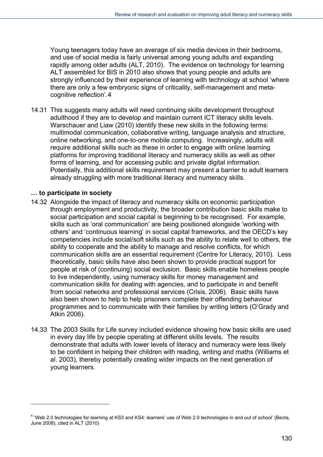Young teenagers today have an average of six media devices in their bedrooms, and use of social media is fairly universal among young adults and expanding rapidly among older adults (ALT, 2010). The evidence on technology for learning ALT assembled for BIS in 2010 also shows that young people and adults are strongly influenced by their experience of learning with technology at school 'where there are only a few embryonic signs of criticality, self-management and metacognitive reflection'.4

14.31 This suggests many adults will need continuing skills development throughout adulthood if they are to develop and maintain current ICT literacy skills levels. Warschauer and Liaw (2010) identify these new skills in the following terms: multimodal communication, collaborative writing, language analysis and structure, online networking, and one-to-one mobile computing. Increasingly, adults will require additional skills such as these in order to engage with online learning platforms for improving traditional literacy and numeracy skills as well as other forms of learning, and for accessing public and private digital information. Potentially, this additional skills requirement may present a barrier to adult learners already struggling with more traditional literacy and numeracy skills.

#### **… to participate in society**

l

- 14.32 Alongside the impact of literacy and numeracy skills on economic participation through employment and productivity, the broader contribution basic skills make to social participation and social capital is beginning to be recognised. For example, skills such as 'oral communication' are being positioned alongside 'working with others' and 'continuous learning' in social capital frameworks, and the OECD's key competencies include social/soft skills such as the ability to relate well to others, the ability to cooperate and the ability to manage and resolve conflicts, for which communication skills are an essential requirement (Centre for Literacy, 2010). Less theoretically, basic skills have also been shown to provide practical support for people at risk of (continuing) social exclusion. Basic skills enable homeless people to live independently, using numeracy skills for money management and communication skills for dealing with agencies, and to participate in and benefit from social networks and professional services (Crisis, 2006). Basic skills have also been shown to help to help prisoners complete their offending behaviour programmes and to communicate with their families by writing letters (O'Grady and Atkin 2006).
- 14.33 The 2003 Skills for Life survey included evidence showing how basic skills are used in every day life by people operating at different skills levels. The results demonstrate that adults with lower levels of literacy and numeracy were less likely to be confident in helping their children with reading, writing and maths (Williams et al. 2003), thereby potentially creating wider impacts on the next generation of young learners.

<sup>&</sup>lt;sup>4</sup> 'Web 2.0 technologies for learning at KS3 and KS4: learners' use of Web 2.0 technologies in and out of school' (Becta, June 2008), cited in ALT (2010)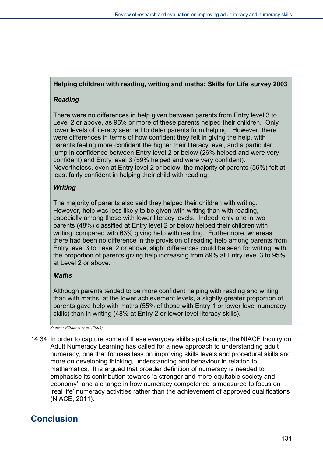# **Helping children with reading, writing and maths: Skills for Life survey 2003**

## *Reading*

There were no differences in help given between parents from Entry level 3 to Level 2 or above, as 95% or more of these parents helped their children. Only lower levels of literacy seemed to deter parents from helping. However, there were differences in terms of how confident they felt in giving the help, with parents feeling more confident the higher their literacy level, and a particular jump in confidence between Entry level 2 or below (26% helped and were very confident) and Entry level 3 (59% helped and were very confident). Nevertheless, even at Entry level 2 or below, the majority of parents (56%) felt at least fairly confident in helping their child with reading.

# *Writing*

The majority of parents also said they helped their children with writing. However, help was less likely to be given with writing than with reading, especially among those with lower literacy levels. Indeed, only one in two parents (48%) classified at Entry level 2 or below helped their children with writing, compared with 63% giving help with reading. Furthermore, whereas there had been no difference in the provision of reading help among parents from Entry level 3 to Level 2 or above, slight differences could be seen for writing, with the proportion of parents giving help increasing from 89% at Entry level 3 to 95% at Level 2 or above.

## *Maths*

Although parents tended to be more confident helping with reading and writing than with maths, at the lower achievement levels, a slightly greater proportion of parents gave help with maths (55% of those with Entry 1 or lower level numeracy skills) than in writing (48% at Entry 2 or lower level literacy skills).

*Source: Williams et al. (2003)* 

14.34 In order to capture some of these everyday skills applications, the NIACE Inquiry on Adult Numeracy Learning has called for a new approach to understanding adult numeracy, one that focuses less on improving skills levels and procedural skills and more on developing thinking, understanding and behaviour in relation to mathematics. It is argued that broader definition of numeracy is needed to emphasise its contribution towards 'a stronger and more equitable society and economy', and a change in how numeracy competence is measured to focus on 'real life' numeracy activities rather than the achievement of approved qualifications (NIACE, 2011).

# **Conclusion**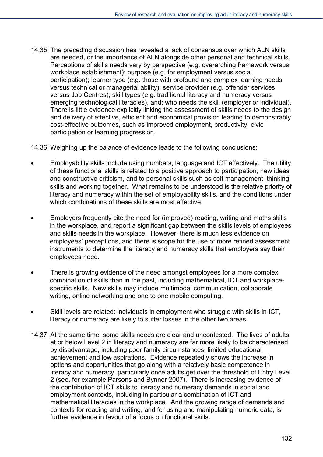14.35 The preceding discussion has revealed a lack of consensus over which ALN skills are needed, or the importance of ALN alongside other personal and technical skills. Perceptions of skills needs vary by perspective (e.g. overarching framework versus workplace establishment); purpose (e.g. for employment versus social participation); learner type (e.g. those with profound and complex learning needs versus technical or managerial ability); service provider (e.g. offender services versus Job Centres); skill types (e.g. traditional literacy and numeracy versus emerging technological literacies), and; who needs the skill (employer or individual). There is little evidence explicitly linking the assessment of skills needs to the design and delivery of effective, efficient and economical provision leading to demonstrably cost-effective outcomes, such as improved employment, productivity, civic participation or learning progression.

14.36 Weighing up the balance of evidence leads to the following conclusions:

- Employability skills include using numbers, language and ICT effectively. The utility of these functional skills is related to a positive approach to participation, new ideas and constructive criticism, and to personal skills such as self management, thinking skills and working together. What remains to be understood is the relative priority of literacy and numeracy within the set of employability skills, and the conditions under which combinations of these skills are most effective.
- Employers frequently cite the need for (improved) reading, writing and maths skills in the workplace, and report a significant gap between the skills levels of employees and skills needs in the workplace. However, there is much less evidence on employees' perceptions, and there is scope for the use of more refined assessment instruments to determine the literacy and numeracy skills that employers say their employees need.
- There is growing evidence of the need amongst employees for a more complex combination of skills than in the past, including mathematical, ICT and workplacespecific skills. New skills may include multimodal communication, collaborate writing, online networking and one to one mobile computing.
- Skill levels are related: individuals in employment who struggle with skills in ICT, literacy or numeracy are likely to suffer losses in the other two areas.
- 14.37 At the same time, some skills needs are clear and uncontested. The lives of adults at or below Level 2 in literacy and numeracy are far more likely to be characterised by disadvantage, including poor family circumstances, limited educational achievement and low aspirations. Evidence repeatedly shows the increase in options and opportunities that go along with a relatively basic competence in literacy and numeracy, particularly once adults get over the threshold of Entry Level 2 (see, for example Parsons and Bynner 2007). There is increasing evidence of the contribution of ICT skills to literacy and numeracy demands in social and employment contexts, including in particular a combination of ICT and mathematical literacies in the workplace. And the growing range of demands and contexts for reading and writing, and for using and manipulating numeric data, is further evidence in favour of a focus on functional skills.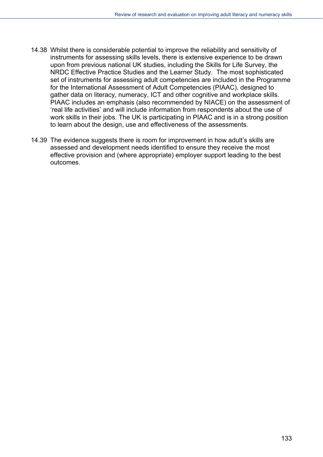- 14.38 Whilst there is considerable potential to improve the reliability and sensitivity of instruments for assessing skills levels, there is extensive experience to be drawn upon from previous national UK studies, including the Skills for Life Survey, the NRDC Effective Practice Studies and the Learner Study. The most sophisticated set of instruments for assessing adult competencies are included in the Programme for the International Assessment of Adult Competencies (PIAAC), designed to gather data on literacy, numeracy, ICT and other cognitive and workplace skills. PIAAC includes an emphasis (also recommended by NIACE) on the assessment of 'real life activities' and will include information from respondents about the use of work skills in their jobs. The UK is participating in PIAAC and is in a strong position to learn about the design, use and effectiveness of the assessments.
- 14.39 The evidence suggests there is room for improvement in how adult's skills are assessed and development needs identified to ensure they receive the most effective provision and (where appropriate) employer support leading to the best outcomes.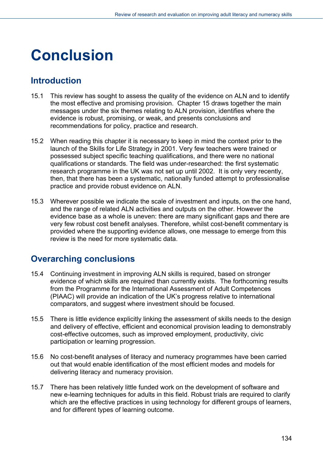# **Conclusion**

# **Introduction**

- 15.1 This review has sought to assess the quality of the evidence on ALN and to identify the most effective and promising provision. Chapter 15 draws together the main messages under the six themes relating to ALN provision, identifies where the evidence is robust, promising, or weak, and presents conclusions and recommendations for policy, practice and research.
- 15.2 When reading this chapter it is necessary to keep in mind the context prior to the launch of the Skills for Life Strategy in 2001. Very few teachers were trained or possessed subject specific teaching qualifications, and there were no national qualifications or standards. The field was under-researched: the first systematic research programme in the UK was not set up until 2002. It is only very recently, then, that there has been a systematic, nationally funded attempt to professionalise practice and provide robust evidence on ALN.
- 15.3 Wherever possible we indicate the scale of investment and inputs, on the one hand, and the range of related ALN activities and outputs on the other. However the evidence base as a whole is uneven: there are many significant gaps and there are very few robust cost benefit analyses. Therefore, whilst cost-benefit commentary is provided where the supporting evidence allows, one message to emerge from this review is the need for more systematic data.

# **Overarching conclusions**

- 15.4 Continuing investment in improving ALN skills is required, based on stronger evidence of which skills are required than currently exists. The forthcoming results from the Programme for the International Assessment of Adult Competences (PIAAC) will provide an indication of the UK's progress relative to international comparators, and suggest where investment should be focused.
- 15.5 There is little evidence explicitly linking the assessment of skills needs to the design and delivery of effective, efficient and economical provision leading to demonstrably cost-effective outcomes, such as improved employment, productivity, civic participation or learning progression.
- 15.6 No cost-benefit analyses of literacy and numeracy programmes have been carried out that would enable identification of the most efficient modes and models for delivering literacy and numeracy provision.
- 15.7 There has been relatively little funded work on the development of software and new e-learning techniques for adults in this field. Robust trials are required to clarify which are the effective practices in using technology for different groups of learners, and for different types of learning outcome.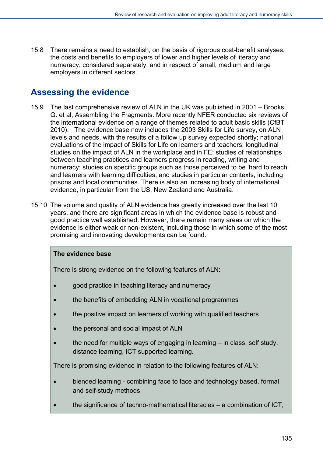15.8 There remains a need to establish, on the basis of rigorous cost-benefit analyses, the costs and benefits to employers of lower and higher levels of literacy and numeracy, considered separately, and in respect of small, medium and large employers in different sectors.

# **Assessing the evidence**

- 15.9 The last comprehensive review of ALN in the UK was published in 2001 Brooks, G. et al, Assembling the Fragments. More recently NFER conducted six reviews of the international evidence on a range of themes related to adult basic skills (CfBT 2010). The evidence base now includes the 2003 Skills for Life survey, on ALN levels and needs, with the results of a follow up survey expected shortly; national evaluations of the impact of Skills for Life on learners and teachers; longitudinal studies on the impact of ALN in the workplace and in FE; studies of relationships between teaching practices and learners progress in reading, writing and numeracy; studies on specific groups such as those perceived to be 'hard to reach' and learners with learning difficulties, and studies in particular contexts, including prisons and local communities. There is also an increasing body of international evidence, in particular from the US, New Zealand and Australia.
- 15.10 The volume and quality of ALN evidence has greatly increased over the last 10 years, and there are significant areas in which the evidence base is robust and good practice well established. However, there remain many areas on which the evidence is either weak or non-existent, including those in which some of the most promising and innovating developments can be found.

## **The evidence base**

There is strong evidence on the following features of ALN:

- good practice in teaching literacy and numeracy
- the benefits of embedding ALN in vocational programmes
- the positive impact on learners of working with qualified teachers
- the personal and social impact of ALN
- the need for multiple ways of engaging in learning in class, self study, distance learning, ICT supported learning.

There is promising evidence in relation to the following features of ALN:

- blended learning combining face to face and technology based, formal and self-study methods
- the significance of techno-mathematical literacies a combination of ICT,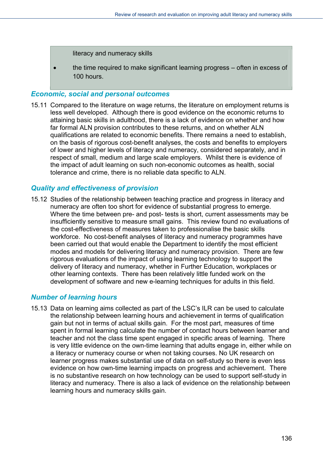literacy and numeracy skills

• the time required to make significant learning progress – often in excess of 100 hours.

#### *Economic, social and personal outcomes*

15.11 Compared to the literature on wage returns, the literature on employment returns is less well developed. Although there is good evidence on the economic returns to attaining basic skills in adulthood, there is a lack of evidence on whether and how far formal ALN provision contributes to these returns, and on whether ALN qualifications are related to economic benefits. There remains a need to establish, on the basis of rigorous cost-benefit analyses, the costs and benefits to employers of lower and higher levels of literacy and numeracy, considered separately, and in respect of small, medium and large scale employers. Whilst there is evidence of the impact of adult learning on such non-economic outcomes as health, social tolerance and crime, there is no reliable data specific to ALN.

#### *Quality and effectiveness of provision*

15.12 Studies of the relationship between teaching practice and progress in literacy and numeracy are often too short for evidence of substantial progress to emerge. Where the time between pre- and post- tests is short, current assessments may be insufficiently sensitive to measure small gains. This review found no evaluations of the cost-effectiveness of measures taken to professionalise the basic skills workforce. No cost-benefit analyses of literacy and numeracy programmes have been carried out that would enable the Department to identify the most efficient modes and models for delivering literacy and numeracy provision. There are few rigorous evaluations of the impact of using learning technology to support the delivery of literacy and numeracy, whether in Further Education, workplaces or other learning contexts. There has been relatively little funded work on the development of software and new e-learning techniques for adults in this field.

## *Number of learning hours*

15.13 Data on learning aims collected as part of the LSC's ILR can be used to calculate the relationship between learning hours and achievement in terms of qualification gain but not in terms of actual skills gain. For the most part, measures of time spent in formal learning calculate the number of contact hours between learner and teacher and not the class time spent engaged in specific areas of learning. There is very little evidence on the own-time learning that adults engage in, either while on a literacy or numeracy course or when not taking courses. No UK research on learner progress makes substantial use of data on self-study so there is even less evidence on how own-time learning impacts on progress and achievement. There is no substantive research on how technology can be used to support self-study in literacy and numeracy. There is also a lack of evidence on the relationship between learning hours and numeracy skills gain.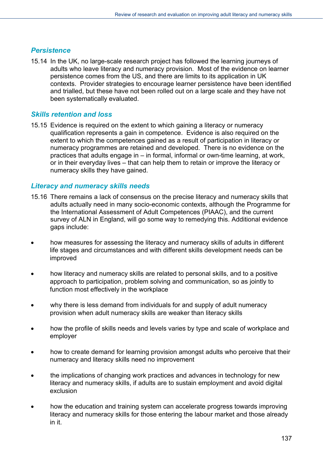## *Persistence*

15.14 In the UK, no large-scale research project has followed the learning journeys of adults who leave literacy and numeracy provision. Most of the evidence on learner persistence comes from the US, and there are limits to its application in UK contexts. Provider strategies to encourage learner persistence have been identified and trialled, but these have not been rolled out on a large scale and they have not been systematically evaluated.

# *Skills retention and loss*

15.15 Evidence is required on the extent to which gaining a literacy or numeracy qualification represents a gain in competence. Evidence is also required on the extent to which the competences gained as a result of participation in literacy or numeracy programmes are retained and developed. There is no evidence on the practices that adults engage in – in formal, informal or own-time learning, at work, or in their everyday lives – that can help them to retain or improve the literacy or numeracy skills they have gained.

## *Literacy and numeracy skills needs*

- 15.16 There remains a lack of consensus on the precise literacy and numeracy skills that adults actually need in many socio-economic contexts, although the Programme for the International Assessment of Adult Competences (PIAAC), and the current survey of ALN in England, will go some way to remedying this. Additional evidence gaps include:
- how measures for assessing the literacy and numeracy skills of adults in different life stages and circumstances and with different skills development needs can be improved
- how literacy and numeracy skills are related to personal skills, and to a positive approach to participation, problem solving and communication, so as jointly to function most effectively in the workplace
- why there is less demand from individuals for and supply of adult numeracy provision when adult numeracy skills are weaker than literacy skills
- how the profile of skills needs and levels varies by type and scale of workplace and employer
- how to create demand for learning provision amongst adults who perceive that their numeracy and literacy skills need no improvement
- the implications of changing work practices and advances in technology for new literacy and numeracy skills, if adults are to sustain employment and avoid digital exclusion
- how the education and training system can accelerate progress towards improving literacy and numeracy skills for those entering the labour market and those already in it.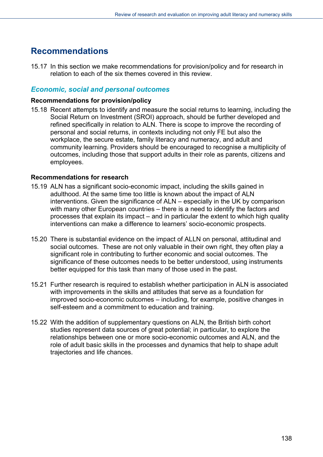# **Recommendations**

15.17 In this section we make recommendations for provision/policy and for research in relation to each of the six themes covered in this review.

# *Economic, social and personal outcomes*

#### **Recommendations for provision/policy**

15.18 Recent attempts to identify and measure the social returns to learning, including the Social Return on Investment (SROI) approach, should be further developed and refined specifically in relation to ALN. There is scope to improve the recording of personal and social returns, in contexts including not only FE but also the workplace, the secure estate, family literacy and numeracy, and adult and community learning. Providers should be encouraged to recognise a multiplicity of outcomes, including those that support adults in their role as parents, citizens and employees.

#### **Recommendations for research**

- 15.19 ALN has a significant socio-economic impact, including the skills gained in adulthood. At the same time too little is known about the impact of ALN interventions. Given the significance of ALN – especially in the UK by comparison with many other European countries – there is a need to identify the factors and processes that explain its impact – and in particular the extent to which high quality interventions can make a difference to learners' socio-economic prospects.
- 15.20 There is substantial evidence on the impact of ALLN on personal, attitudinal and social outcomes. These are not only valuable in their own right, they often play a significant role in contributing to further economic and social outcomes. The significance of these outcomes needs to be better understood, using instruments better equipped for this task than many of those used in the past.
- 15.21 Further research is required to establish whether participation in ALN is associated with improvements in the skills and attitudes that serve as a foundation for improved socio-economic outcomes – including, for example, positive changes in self-esteem and a commitment to education and training.
- 15.22 With the addition of supplementary questions on ALN, the British birth cohort studies represent data sources of great potential; in particular, to explore the relationships between one or more socio-economic outcomes and ALN, and the role of adult basic skills in the processes and dynamics that help to shape adult trajectories and life chances.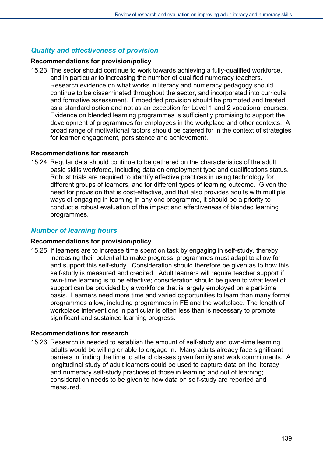# *Quality and effectiveness of provision*

#### **Recommendations for provision/policy**

15.23 The sector should continue to work towards achieving a fully-qualified workforce, and in particular to increasing the number of qualified numeracy teachers. Research evidence on what works in literacy and numeracy pedagogy should continue to be disseminated throughout the sector, and incorporated into curricula and formative assessment. Embedded provision should be promoted and treated as a standard option and not as an exception for Level 1 and 2 vocational courses. Evidence on blended learning programmes is sufficiently promising to support the development of programmes for employees in the workplace and other contexts. A broad range of motivational factors should be catered for in the context of strategies for learner engagement, persistence and achievement.

#### **Recommendations for research**

15.24 Regular data should continue to be gathered on the characteristics of the adult basic skills workforce, including data on employment type and qualifications status. Robust trials are required to identify effective practices in using technology for different groups of learners, and for different types of learning outcome. Given the need for provision that is cost-effective, and that also provides adults with multiple ways of engaging in learning in any one programme, it should be a priority to conduct a robust evaluation of the impact and effectiveness of blended learning programmes.

## *Number of learning hours*

#### **Recommendations for provision/policy**

15.25 If learners are to increase time spent on task by engaging in self-study, thereby increasing their potential to make progress, programmes must adapt to allow for and support this self-study. Consideration should therefore be given as to how this self-study is measured and credited. Adult learners will require teacher support if own-time learning is to be effective; consideration should be given to what level of support can be provided by a workforce that is largely employed on a part-time basis. Learners need more time and varied opportunities to learn than many formal programmes allow, including programmes in FE and the workplace. The length of workplace interventions in particular is often less than is necessary to promote significant and sustained learning progress.

## **Recommendations for research**

15.26 Research is needed to establish the amount of self-study and own-time learning adults would be willing or able to engage in. Many adults already face significant barriers in finding the time to attend classes given family and work commitments. A longitudinal study of adult learners could be used to capture data on the literacy and numeracy self-study practices of those in learning and out of learning; consideration needs to be given to how data on self-study are reported and measured.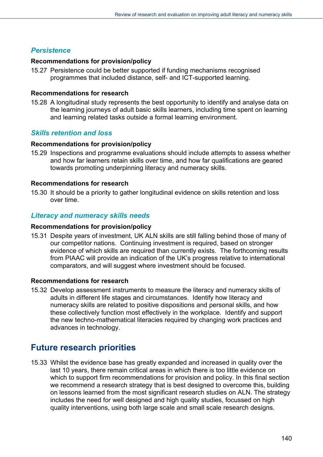# *Persistence*

#### **Recommendations for provision/policy**

15.27 Persistence could be better supported if funding mechanisms recognised programmes that included distance, self- and ICT-supported learning.

#### **Recommendations for research**

15.28 A longitudinal study represents the best opportunity to identify and analyse data on the learning journeys of adult basic skills learners, including time spent on learning and learning related tasks outside a formal learning environment.

# *Skills retention and loss*

#### **Recommendations for provision/policy**

15.29 Inspections and programme evaluations should include attempts to assess whether and how far learners retain skills over time, and how far qualifications are geared towards promoting underpinning literacy and numeracy skills.

#### **Recommendations for research**

15.30 It should be a priority to gather longitudinal evidence on skills retention and loss over time.

# *Literacy and numeracy skills needs*

#### **Recommendations for provision/policy**

15.31 Despite years of investment, UK ALN skills are still falling behind those of many of our competitor nations. Continuing investment is required, based on stronger evidence of which skills are required than currently exists. The forthcoming results from PIAAC will provide an indication of the UK's progress relative to international comparators, and will suggest where investment should be focused.

## **Recommendations for research**

15.32 Develop assessment instruments to measure the literacy and numeracy skills of adults in different life stages and circumstances. Identify how literacy and numeracy skills are related to positive dispositions and personal skills, and how these collectively function most effectively in the workplace. Identify and support the new techno-mathematical literacies required by changing work practices and advances in technology.

# **Future research priorities**

15.33 Whilst the evidence base has greatly expanded and increased in quality over the last 10 years, there remain critical areas in which there is too little evidence on which to support firm recommendations for provision and policy. In this final section we recommend a research strategy that is best designed to overcome this, building on lessons learned from the most significant research studies on ALN. The strategy includes the need for well designed and high quality studies, focussed on high quality interventions, using both large scale and small scale research designs.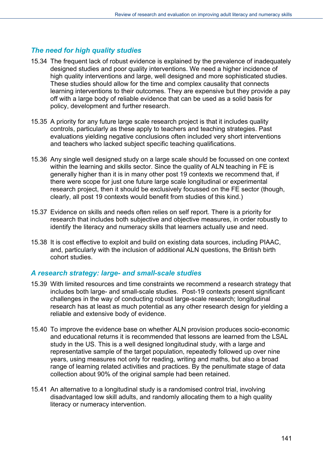# *The need for high quality studies*

- 15.34 The frequent lack of robust evidence is explained by the prevalence of inadequately designed studies and poor quality interventions. We need a higher incidence of high quality interventions and large, well designed and more sophisticated studies. These studies should allow for the time and complex causality that connects learning interventions to their outcomes. They are expensive but they provide a pay off with a large body of reliable evidence that can be used as a solid basis for policy, development and further research.
- 15.35 A priority for any future large scale research project is that it includes quality controls, particularly as these apply to teachers and teaching strategies. Past evaluations yielding negative conclusions often included very short interventions and teachers who lacked subject specific teaching qualifications.
- 15.36 Any single well designed study on a large scale should be focussed on one context within the learning and skills sector. Since the quality of ALN teaching in FE is generally higher than it is in many other post 19 contexts we recommend that, if there were scope for just one future large scale longitudinal or experimental research project, then it should be exclusively focussed on the FE sector (though, clearly, all post 19 contexts would benefit from studies of this kind.)
- 15.37 Evidence on skills and needs often relies on self report. There is a priority for research that includes both subjective and objective measures, in order robustly to identify the literacy and numeracy skills that learners actually use and need.
- 15.38 It is cost effective to exploit and build on existing data sources, including PIAAC, and, particularly with the inclusion of additional ALN questions, the British birth cohort studies.

## *A research strategy: large- and small-scale studies*

- 15.39 With limited resources and time constraints we recommend a research strategy that includes both large- and small-scale studies. Post-19 contexts present significant challenges in the way of conducting robust large-scale research; longitudinal research has at least as much potential as any other research design for yielding a reliable and extensive body of evidence.
- 15.40 To improve the evidence base on whether ALN provision produces socio-economic and educational returns it is recommended that lessons are learned from the LSAL study in the US. This is a well designed longitudinal study, with a large and representative sample of the target population, repeatedly followed up over nine years, using measures not only for reading, writing and maths, but also a broad range of learning related activities and practices. By the penultimate stage of data collection about 90% of the original sample had been retained.
- 15.41 An alternative to a longitudinal study is a randomised control trial, involving disadvantaged low skill adults, and randomly allocating them to a high quality literacy or numeracy intervention.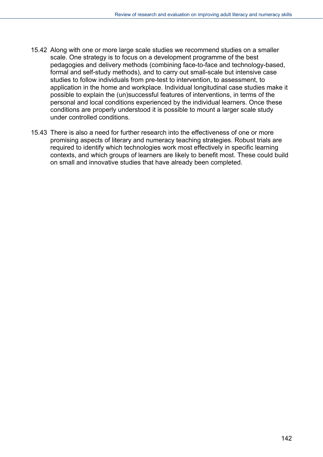- 15.42 Along with one or more large scale studies we recommend studies on a smaller scale. One strategy is to focus on a development programme of the best pedagogies and delivery methods (combining face-to-face and technology-based, formal and self-study methods), and to carry out small-scale but intensive case studies to follow individuals from pre-test to intervention, to assessment, to application in the home and workplace. Individual longitudinal case studies make it possible to explain the (un)successful features of interventions, in terms of the personal and local conditions experienced by the individual learners. Once these conditions are properly understood it is possible to mount a larger scale study under controlled conditions.
- 15.43 There is also a need for further research into the effectiveness of one or more promising aspects of literary and numeracy teaching strategies. Robust trials are required to identify which technologies work most effectively in specific learning contexts, and which groups of learners are likely to benefit most. These could build on small and innovative studies that have already been completed.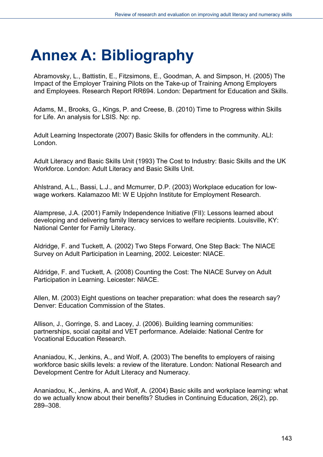# **Annex A: Bibliography**

Abramovsky, L., Battistin, E., Fitzsimons, E., Goodman, A. and Simpson, H. (2005) The Impact of the Employer Training Pilots on the Take-up of Training Among Employers and Employees. Research Report RR694. London: Department for Education and Skills.

Adams, M., Brooks, G., Kings, P. and Creese, B. (2010) Time to Progress within Skills for Life. An analysis for LSIS. Np: np.

Adult Learning Inspectorate (2007) Basic Skills for offenders in the community. ALI: London.

Adult Literacy and Basic Skills Unit (1993) The Cost to Industry: Basic Skills and the UK Workforce. London: Adult Literacy and Basic Skills Unit.

Ahlstrand, A.L., Bassi, L.J., and Mcmurrer, D.P. (2003) Workplace education for lowwage workers. Kalamazoo MI: W E Upjohn Institute for Employment Research.

Alamprese, J.A. (2001) Family Independence Initiative (FII): Lessons learned about developing and delivering family literacy services to welfare recipients. Louisville, KY: National Center for Family Literacy.

Aldridge, F. and Tuckett, A. (2002) Two Steps Forward, One Step Back: The NIACE Survey on Adult Participation in Learning, 2002. Leicester: NIACE.

Aldridge, F. and Tuckett, A. (2008) Counting the Cost: The NIACE Survey on Adult Participation in Learning. Leicester: NIACE.

Allen, M. (2003) Eight questions on teacher preparation: what does the research say? Denver: Education Commission of the States.

Allison, J., Gorringe, S. and Lacey, J. (2006). Building learning communities: partnerships, social capital and VET performance. Adelaide: National Centre for Vocational Education Research.

Ananiadou, K., Jenkins, A., and Wolf, A. (2003) The benefits to employers of raising workforce basic skills levels: a review of the literature. London: National Research and Development Centre for Adult Literacy and Numeracy.

Ananiadou, K., Jenkins, A. and Wolf, A. (2004) Basic skills and workplace learning: what do we actually know about their benefits? Studies in Continuing Education, 26(2), pp. 289–308.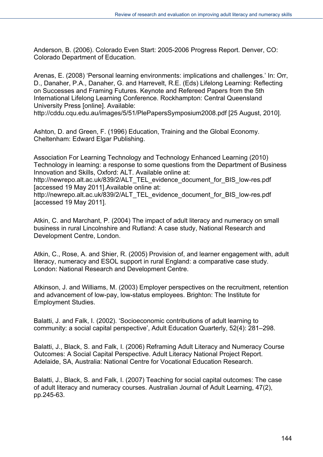Anderson, B. (2006). Colorado Even Start: 2005-2006 Progress Report. Denver, CO: Colorado Department of Education.

Arenas, E. (2008) 'Personal learning environments: implications and challenges.' In: Orr, D., Danaher, P.A., Danaher, G. and Harrevelt, R.E. (Eds) Lifelong Learning: Reflecting on Successes and Framing Futures. Keynote and Refereed Papers from the 5th International Lifelong Learning Conference. Rockhampton: Central Queensland University Press [online]. Available:

http://cddu.cqu.edu.au/images/5/51/PlePapersSymposium2008.pdf [25 August, 2010].

Ashton, D. and Green, F. (1996) Education, Training and the Global Economy. Cheltenham: Edward Elgar Publishing.

Association For Learning Technology and Technology Enhanced Learning (2010) Technology in learning: a response to some questions from the Department of Business Innovation and Skills, Oxford: ALT. Available online at:

http://newrepo.alt.ac.uk/839/2/ALT\_TEL\_evidence\_document\_for\_BIS\_low-res.pdf [accessed 19 May 2011].Available online at:

http://newrepo.alt.ac.uk/839/2/ALT\_TEL\_evidence\_document\_for\_BIS\_low-res.pdf [accessed 19 May 2011].

Atkin, C. and Marchant, P. (2004) The impact of adult literacy and numeracy on small business in rural Lincolnshire and Rutland: A case study, National Research and Development Centre, London.

Atkin, C., Rose, A. and Shier, R. (2005) Provision of, and learner engagement with, adult literacy, numeracy and ESOL support in rural England: a comparative case study. London: National Research and Development Centre.

Atkinson, J. and Williams, M. (2003) Employer perspectives on the recruitment, retention and advancement of low-pay, low-status employees. Brighton: The Institute for Employment Studies.

Balatti, J. and Falk, I. (2002). 'Socioeconomic contributions of adult learning to community: a social capital perspective', Adult Education Quarterly, 52(4): 281–298.

Balatti, J., Black, S. and Falk, I. (2006) Reframing Adult Literacy and Numeracy Course Outcomes: A Social Capital Perspective. Adult Literacy National Project Report. Adelaide, SA, Australia: National Centre for Vocational Education Research.

Balatti, J., Black, S. and Falk, I. (2007) Teaching for social capital outcomes: The case of adult literacy and numeracy courses. Australian Journal of Adult Learning, 47(2), pp.245-63.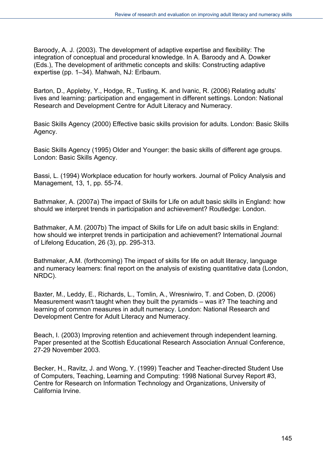Baroody, A. J. (2003). The development of adaptive expertise and flexibility: The integration of conceptual and procedural knowledge. In A. Baroody and A. Dowker (Eds.), The development of arithmetic concepts and skills: Constructing adaptive expertise (pp. 1–34). Mahwah, NJ: Erlbaum.

Barton, D., Appleby, Y., Hodge, R., Tusting, K. and Ivanic, R. (2006) Relating adults' lives and learning: participation and engagement in different settings. London: National Research and Development Centre for Adult Literacy and Numeracy.

Basic Skills Agency (2000) Effective basic skills provision for adults. London: Basic Skills Agency.

Basic Skills Agency (1995) Older and Younger: the basic skills of different age groups. London: Basic Skills Agency.

Bassi, L. (1994) Workplace education for hourly workers. Journal of Policy Analysis and Management, 13, 1, pp. 55-74.

Bathmaker, A. (2007a) The impact of Skills for Life on adult basic skills in England: how should we interpret trends in participation and achievement? Routledge: London.

Bathmaker, A.M. (2007b) The impact of Skills for Life on adult basic skills in England: how should we interpret trends in participation and achievement? International Journal of Lifelong Education, 26 (3), pp. 295-313.

Bathmaker, A.M. (forthcoming) The impact of skills for life on adult literacy, language and numeracy learners: final report on the analysis of existing quantitative data (London, NRDC).

Baxter, M., Leddy, E., Richards, L., Tomlin, A., Wresniwiro, T. and Coben, D. (2006) Measurement wasn't taught when they built the pyramids – was it? The teaching and learning of common measures in adult numeracy. London: National Research and Development Centre for Adult Literacy and Numeracy.

Beach, I. (2003) Improving retention and achievement through independent learning. Paper presented at the Scottish Educational Research Association Annual Conference, 27-29 November 2003.

Becker, H., Ravitz, J. and Wong, Y. (1999) Teacher and Teacher-directed Student Use of Computers, Teaching, Learning and Computing: 1998 National Survey Report #3, Centre for Research on Information Technology and Organizations, University of California Irvine.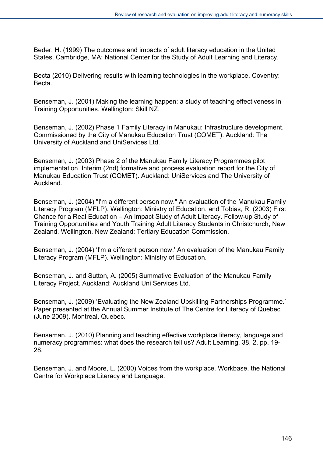Beder, H. (1999) The outcomes and impacts of adult literacy education in the United States. Cambridge, MA: National Center for the Study of Adult Learning and Literacy.

Becta (2010) Delivering results with learning technologies in the workplace. Coventry: Becta.

Benseman, J. (2001) Making the learning happen: a study of teaching effectiveness in Training Opportunities. Wellington: Skill NZ.

Benseman, J. (2002) Phase 1 Family Literacy in Manukau: Infrastructure development. Commissioned by the City of Manukau Education Trust (COMET). Auckland: The University of Auckland and UniServices Ltd.

Benseman, J. (2003) Phase 2 of the Manukau Family Literacy Programmes pilot implementation. Interim (2nd) formative and process evaluation report for the City of Manukau Education Trust (COMET). Auckland: UniServices and The University of Auckland.

Benseman, J. (2004) "I'm a different person now." An evaluation of the Manukau Family Literacy Program (MFLP). Wellington: Ministry of Education. and Tobias, R. (2003) First Chance for a Real Education – An Impact Study of Adult Literacy. Follow-up Study of Training Opportunities and Youth Training Adult Literacy Students in Christchurch, New Zealand. Wellington, New Zealand: Tertiary Education Commission.

Benseman, J. (2004) 'I'm a different person now.' An evaluation of the Manukau Family Literacy Program (MFLP). Wellington: Ministry of Education.

Benseman, J. and Sutton, A. (2005) Summative Evaluation of the Manukau Family Literacy Project. Auckland: Auckland Uni Services Ltd.

Benseman, J. (2009) 'Evaluating the New Zealand Upskilling Partnerships Programme.' Paper presented at the Annual Summer Institute of The Centre for Literacy of Quebec (June 2009). Montreal, Quebec.

Benseman, J. (2010) Planning and teaching effective workplace literacy, language and numeracy programmes: what does the research tell us? Adult Learning, 38, 2, pp. 19- 28.

Benseman, J. and Moore, L. (2000) Voices from the workplace. Workbase, the National Centre for Workplace Literacy and Language.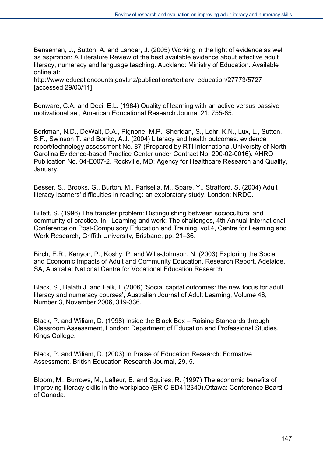Benseman, J., Sutton, A. and Lander, J. (2005) Working in the light of evidence as well as aspiration: A Literature Review of the best available evidence about effective adult literacy, numeracy and language teaching. Auckland: Ministry of Education. Available online at:

http://www.educationcounts.govt.nz/publications/tertiary\_education/27773/5727 [accessed 29/03/11].

Benware, C.A. and Deci, E.L. (1984) Quality of learning with an active versus passive motivational set, American Educational Research Journal 21: 755-65.

Berkman, N.D., DeWalt, D.A., Pignone, M.P., Sheridan, S., Lohr, K.N., Lux, L., Sutton, S.F., Swinson T. and Bonito, A.J. (2004) Literacy and health outcomes. evidence report/technology assessment No. 87 (Prepared by RTI International.University of North Carolina Evidence-based Practice Center under Contract No. 290-02-0016). AHRQ Publication No. 04-E007-2. Rockville, MD: Agency for Healthcare Research and Quality, January.

Besser, S., Brooks, G., Burton, M., Parisella, M., Spare, Y., Stratford, S. (2004) Adult literacy learners' difficulties in reading: an exploratory study. London: NRDC.

Billett, S. (1996) The transfer problem: Distinguishing between sociocultural and community of practice. In: Learning and work: The challenges, 4th Annual International Conference on Post-Compulsory Education and Training, vol.4, Centre for Learning and Work Research, Griffith University, Brisbane, pp. 21–36.

Birch, E.R., Kenyon, P., Koshy, P. and Wills-Johnson, N. (2003) Exploring the Social and Economic Impacts of Adult and Community Education. Research Report. Adelaide, SA, Australia: National Centre for Vocational Education Research.

Black, S., Balatti J. and Falk, I. (2006) 'Social capital outcomes: the new focus for adult literacy and numeracy courses', Australian Journal of Adult Learning, Volume 46, Number 3, November 2006, 319-336.

Black, P. and Wiliam, D. (1998) Inside the Black Box – Raising Standards through Classroom Assessment, London: Department of Education and Professional Studies, Kings College.

Black, P. and Wiliam, D. (2003) In Praise of Education Research: Formative Assessment, British Education Research Journal, 29, 5.

Bloom, M., Burrows, M., Lafleur, B. and Squires, R. (1997) The economic benefits of improving literacy skills in the workplace (ERIC ED412340).Ottawa: Conference Board of Canada.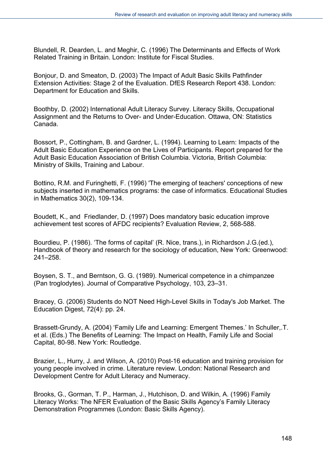Blundell, R. Dearden, L. and Meghir, C. (1996) The Determinants and Effects of Work Related Training in Britain. London: Institute for Fiscal Studies.

Bonjour, D. and Smeaton, D. (2003) The Impact of Adult Basic Skills Pathfinder Extension Activities: Stage 2 of the Evaluation. DfES Research Report 438. London: Department for Education and Skills.

Boothby, D. (2002) International Adult Literacy Survey. Literacy Skills, Occupational Assignment and the Returns to Over- and Under-Education. Ottawa, ON: Statistics Canada.

Bossort, P., Cottingham, B. and Gardner, L. (1994). Learning to Learn: Impacts of the Adult Basic Education Experience on the Lives of Participants. Report prepared for the Adult Basic Education Association of British Columbia. Victoria, British Columbia: Ministry of Skills, Training and Labour.

Bottino, R.M. and Furinghetti, F. (1996) 'The emerging of teachers' conceptions of new subjects inserted in mathematics programs: the case of informatics. Educational Studies in Mathematics 30(2), 109-134.

Boudett, K., and Friedlander, D. (1997) Does mandatory basic education improve achievement test scores of AFDC recipients? Evaluation Review, 2, 568-588.

Bourdieu, P. (1986). 'The forms of capital' (R. Nice, trans.), in Richardson J.G.(ed.), Handbook of theory and research for the sociology of education, New York: Greenwood: 241–258.

Boysen, S. T., and Berntson, G. G. (1989). Numerical competence in a chimpanzee (Pan troglodytes). Journal of Comparative Psychology, 103, 23–31.

Bracey, G. (2006) Students do NOT Need High-Level Skills in Today's Job Market. The Education Digest, 72(4): pp. 24.

Brassett-Grundy, A. (2004) 'Family Life and Learning: Emergent Themes.' In Schuller,.T. et al. (Eds.) The Benefits of Learning: The Impact on Health, Family Life and Social Capital, 80-98. New York: Routledge.

Brazier, L., Hurry, J. and Wilson, A. (2010) Post-16 education and training provision for young people involved in crime. Literature review. London: National Research and Development Centre for Adult Literacy and Numeracy.

Brooks, G., Gorman, T. P., Harman, J., Hutchison, D. and Wilkin, A. (1996) Family Literacy Works: The NFER Evaluation of the Basic Skills Agency's Family Literacy Demonstration Programmes (London: Basic Skills Agency).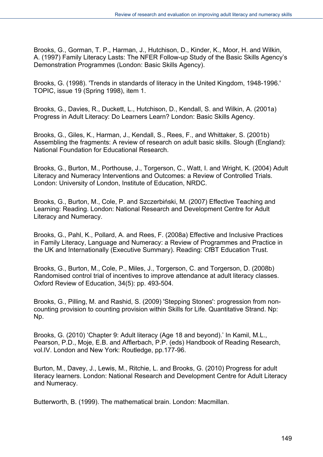Brooks, G., Gorman, T. P., Harman, J., Hutchison, D., Kinder, K., Moor, H. and Wilkin, A. (1997) Family Literacy Lasts: The NFER Follow-up Study of the Basic Skills Agency's Demonstration Programmes (London: Basic Skills Agency).

Brooks, G. (1998). 'Trends in standards of literacy in the United Kingdom, 1948-1996.' TOPIC, issue 19 (Spring 1998), item 1.

Brooks, G., Davies, R., Duckett, L., Hutchison, D., Kendall, S. and Wilkin, A. (2001a) Progress in Adult Literacy: Do Learners Learn? London: Basic Skills Agency.

Brooks, G., Giles, K., Harman, J., Kendall, S., Rees, F., and Whittaker, S. (2001b) Assembling the fragments: A review of research on adult basic skills. Slough (England): National Foundation for Educational Research.

Brooks, G., Burton, M., Porthouse, J., Torgerson, C., Watt, I. and Wright, K. (2004) Adult Literacy and Numeracy Interventions and Outcomes: a Review of Controlled Trials. London: University of London, Institute of Education, NRDC.

Brooks, G., Burton, M., Cole, P. and Szczerbiński, M. (2007) Effective Teaching and Learning: Reading. London: National Research and Development Centre for Adult Literacy and Numeracy.

Brooks, G., Pahl, K., Pollard, A. and Rees, F. (2008a) Effective and Inclusive Practices in Family Literacy, Language and Numeracy: a Review of Programmes and Practice in the UK and Internationally (Executive Summary). Reading: CfBT Education Trust.

Brooks, G., Burton, M., Cole, P., Miles, J., Torgerson, C. and Torgerson, D. (2008b) Randomised control trial of incentives to improve attendance at adult literacy classes. Oxford Review of Education, 34(5): pp. 493-504.

Brooks, G., Pilling, M. and Rashid, S. (2009) 'Stepping Stones': progression from noncounting provision to counting provision within Skills for Life. Quantitative Strand. Np: Np.

Brooks, G. (2010) 'Chapter 9: Adult literacy (Age 18 and beyond).' In Kamil, M.L., Pearson, P.D., Moje, E.B. and Afflerbach, P.P. (eds) Handbook of Reading Research, vol.IV. London and New York: Routledge, pp.177-96.

Burton, M., Davey, J., Lewis, M., Ritchie, L. and Brooks, G. (2010) Progress for adult literacy learners. London: National Research and Development Centre for Adult Literacy and Numeracy.

Butterworth, B. (1999). The mathematical brain. London: Macmillan.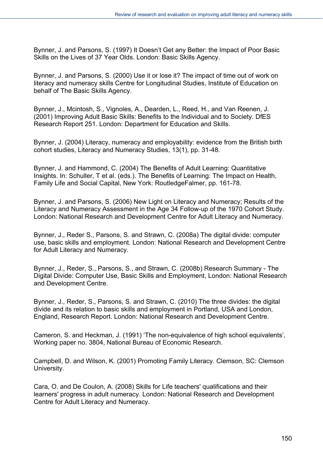Bynner, J. and Parsons, S. (1997) It Doesn't Get any Better: the Impact of Poor Basic Skills on the Lives of 37 Year Olds. London: Basic Skills Agency.

Bynner, J. and Parsons, S. (2000) Use it or lose it? The impact of time out of work on literacy and numeracy skills Centre for Longitudinal Studies, Institute of Education on behalf of The Basic Skills Agency.

Bynner, J., Mcintosh, S., Vignoles, A., Dearden, L., Reed, H., and Van Reenen, J. (2001) Improving Adult Basic Skills: Benefits to the Individual and to Society. DfES Research Report 251. London: Department for Education and Skills.

Bynner, J. (2004) Literacy, numeracy and employability: evidence from the British birth cohort studies, Literacy and Numeracy Studies, 13(1), pp. 31-48.

Bynner, J. and Hammond, C. (2004) The Benefits of Adult Learning: Quantitative Insights. In: Schuller, T et al. (eds.). The Benefits of Learning: The Impact on Health, Family Life and Social Capital, New York: RoutledgeFalmer, pp. 161-78.

Bynner, J. and Parsons, S. (2006) New Light on Literacy and Numeracy; Results of the Literacy and Numeracy Assessment in the Age 34 Follow-up of the 1970 Cohort Study. London: National Research and Development Centre for Adult Literacy and Numeracy.

Bynner, J., Reder S., Parsons, S. and Strawn, C. (2008a) The digital divide: computer use, basic skills and employment. London: National Research and Development Centre for Adult Literacy and Numeracy.

Bynner, J., Reder, S., Parsons, S., and Strawn, C. (2008b) Research Summary - The Digital Divide: Computer Use, Basic Skills and Employment, London: National Research and Development Centre.

Bynner, J., Reder, S., Parsons, S. and Strawn, C. (2010) The three divides: the digital divide and its relation to basic skills and employment in Portland, USA and London, England, Research Report. London: National Research and Development Centre.

Cameron, S. and Heckman, J. (1991) 'The non-equivalence of high school equivalents', Working paper no. 3804, National Bureau of Economic Research.

Campbell, D. and Wilson, K. (2001) Promoting Family Literacy. Clemson, SC: Clemson University.

Cara, O. and De Coulon, A. (2008) Skills for Life teachers' qualifications and their learners' progress in adult numeracy. London: National Research and Development Centre for Adult Literacy and Numeracy.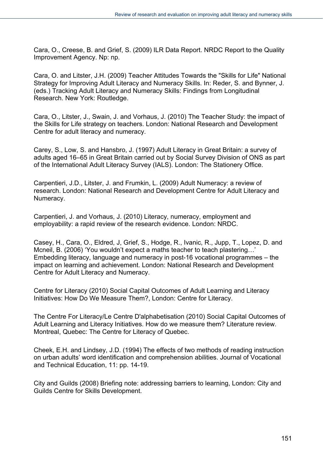Cara, O., Creese, B. and Grief, S. (2009) ILR Data Report. NRDC Report to the Quality Improvement Agency. Np: np.

Cara, O. and Litster, J.H. (2009) Teacher Attitudes Towards the "Skills for Life" National Strategy for Improving Adult Literacy and Numeracy Skills. In: Reder, S. and Bynner, J. (eds.) Tracking Adult Literacy and Numeracy Skills: Findings from Longitudinal Research. New York: Routledge.

Cara, O., Litster, J., Swain, J. and Vorhaus, J. (2010) The Teacher Study: the impact of the Skills for Life strategy on teachers. London: National Research and Development Centre for adult literacy and numeracy.

Carey, S., Low, S. and Hansbro, J. (1997) Adult Literacy in Great Britain: a survey of adults aged 16–65 in Great Britain carried out by Social Survey Division of ONS as part of the International Adult Literacy Survey (IALS). London: The Stationery Office.

Carpentieri, J.D., Litster, J. and Frumkin, L. (2009) Adult Numeracy: a review of research. London: National Research and Development Centre for Adult Literacy and Numeracy.

Carpentieri, J. and Vorhaus, J. (2010) Literacy, numeracy, employment and employability: a rapid review of the research evidence. London: NRDC.

Casey, H., Cara, O., Eldred, J, Grief, S., Hodge, R., Ivanic, R., Jupp, T., Lopez, D. and Mcneil, B. (2006) 'You wouldn't expect a maths teacher to teach plastering…' Embedding literacy, language and numeracy in post-16 vocational programmes – the impact on learning and achievement. London: National Research and Development Centre for Adult Literacy and Numeracy.

Centre for Literacy (2010) Social Capital Outcomes of Adult Learning and Literacy Initiatives: How Do We Measure Them?, London: Centre for Literacy.

The Centre For Literacy/Le Centre D'alphabetisation (2010) Social Capital Outcomes of Adult Learning and Literacy Initiatives. How do we measure them? Literature review. Montreal, Quebec: The Centre for Literacy of Quebec.

Cheek, E.H. and Lindsey, J.D. (1994) The effects of two methods of reading instruction on urban adults' word identification and comprehension abilities. Journal of Vocational and Technical Education, 11: pp. 14-19.

City and Guilds (2008) Briefing note: addressing barriers to learning, London: City and Guilds Centre for Skills Development.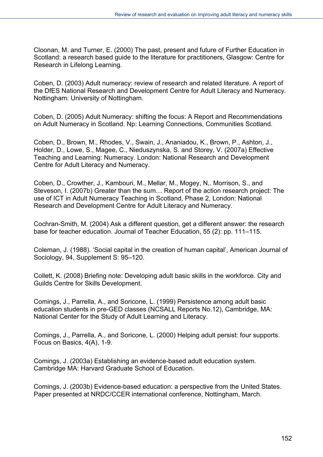Cloonan, M. and Turner, E. (2000) The past, present and future of Further Education in Scotland: a research based guide to the literature for practitioners, Glasgow: Centre for Research in Lifelong Learning.

Coben, D. (2003) Adult numeracy: review of research and related literature. A report of the DfES National Research and Development Centre for Adult Literacy and Numeracy. Nottingham: University of Nottingham.

Coben, D. (2005) Adult Numeracy: shifting the focus: A Report and Recommendations on Adult Numeracy in Scotland. Np: Learning Connections, Communities Scotland.

Coben, D., Brown, M., Rhodes, V., Swain, J., Ananiadou, K., Brown, P., Ashton, J., Holder, D., Lowe, S., Magee, C., Nieduszynska, S. and Storey, V. (2007a) Effective Teaching and Learning: Numeracy. London: National Research and Development Centre for Adult Literacy and Numeracy.

Coben, D., Crowther, J., Kambouri, M., Mellar, M., Mogey, N,. Morrison, S., and Steveson, I. (2007b) Greater than the sum… Report of the action research project: The use of ICT in Adult Numeracy Teaching in Scotland, Phase 2, London: National Research and Development Centre for Adult Literacy and Numeracy.

Cochran-Smith, M. (2004) Ask a different question, get a different answer: the research base for teacher education. Journal of Teacher Education, 55 (2): pp. 111–115.

Coleman, J. (1988). 'Social capital in the creation of human capital', American Journal of Sociology, 94, Supplement S: 95–120.

Collett, K. (2008) Briefing note: Developing adult basic skills in the workforce. City and Guilds Centre for Skills Development.

Comings, J., Parrella, A., and Soricone, L. (1999) Persistence among adult basic education students in pre-GED classes (NCSALL Reports No.12), Cambridge, MA: National Center for the Study of Adult Learning and Literacy.

Comings, J., Parrella, A., and Soricone, L. (2000) Helping adult persist: four supports. Focus on Basics, 4(A), 1-9.

Comings, J. (2003a) Establishing an evidence-based adult education system. Cambridge MA: Harvard Graduate School of Education.

Comings, J. (2003b) Evidence-based education: a perspective from the United States. Paper presented at NRDC/CCER international conference, Nottingham, March.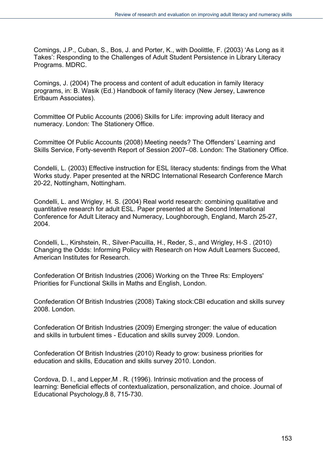Comings, J.P., Cuban, S., Bos, J. and Porter, K., with Doolittle, F. (2003) 'As Long as it Takes': Responding to the Challenges of Adult Student Persistence in Library Literacy Programs. MDRC.

Comings, J. (2004) The process and content of adult education in family literacy programs, in: B. Wasik (Ed.) Handbook of family literacy (New Jersey, Lawrence Erlbaum Associates).

Committee Of Public Accounts (2006) Skills for Life: improving adult literacy and numeracy. London: The Stationery Office.

Committee Of Public Accounts (2008) Meeting needs? The Offenders' Learning and Skills Service, Forty-seventh Report of Session 2007–08. London: The Stationery Office.

Condelli, L. (2003) Effective instruction for ESL literacy students: findings from the What Works study. Paper presented at the NRDC International Research Conference March 20-22, Nottingham, Nottingham.

Condelli, L. and Wrigley, H. S. (2004) Real world research: combining qualitative and quantitative research for adult ESL. Paper presented at the Second International Conference for Adult Literacy and Numeracy, Loughborough, England, March 25-27, 2004.

Condelli, L., Kirshstein, R., Silver-Pacuilla, H., Reder, S., and Wrigley, H-S . (2010) Changing the Odds: Informing Policy with Research on How Adult Learners Succeed, American Institutes for Research.

Confederation Of British Industries (2006) Working on the Three Rs: Employers' Priorities for Functional Skills in Maths and English, London.

Confederation Of British Industries (2008) Taking stock:CBI education and skills survey 2008. London.

Confederation Of British Industries (2009) Emerging stronger: the value of education and skills in turbulent times - Education and skills survey 2009. London.

Confederation Of British Industries (2010) Ready to grow: business priorities for education and skills, Education and skills survey 2010. London.

Cordova, D. I., and Lepper,M . R. (1996). Intrinsic motivation and the process of learning: Beneficial effects of contextualization, personalization, and choice. Journal of Educational Psychology,8 8, 715-730.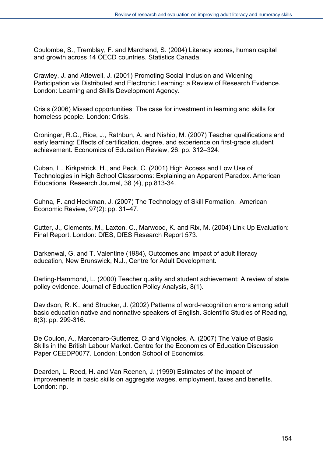Coulombe, S., Tremblay, F. and Marchand, S. (2004) Literacy scores, human capital and growth across 14 OECD countries. Statistics Canada.

Crawley, J. and Attewell, J. (2001) Promoting Social Inclusion and Widening Participation via Distributed and Electronic Learning: a Review of Research Evidence. London: Learning and Skills Development Agency.

Crisis (2006) Missed opportunities: The case for investment in learning and skills for homeless people. London: Crisis.

Croninger, R.G., Rice, J., Rathbun, A. and Nishio, M. (2007) Teacher qualifications and early learning: Effects of certification, degree, and experience on first-grade student achievement. Economics of Education Review, 26, pp. 312–324.

Cuban, L., Kirkpatrick, H., and Peck, C. (2001) High Access and Low Use of Technologies in High School Classrooms: Explaining an Apparent Paradox. American Educational Research Journal, 38 (4), pp.813-34.

Cuhna, F. and Heckman, J. (2007) The Technology of Skill Formation. American Economic Review, 97(2): pp. 31–47.

Cutter, J., Clements, M., Laxton, C., Marwood, K. and Rix, M. (2004) Link Up Evaluation: Final Report. London: DfES, DfES Research Report 573.

Darkenwal, G, and T. Valentine (1984), Outcomes and impact of adult literacy education, New Brunswick, N.J., Centre for Adult Development.

Darling-Hammond, L. (2000) Teacher quality and student achievement: A review of state policy evidence. Journal of Education Policy Analysis, 8(1).

Davidson, R. K., and Strucker, J. (2002) Patterns of word-recognition errors among adult basic education native and nonnative speakers of English. Scientific Studies of Reading, 6(3): pp. 299-316.

De Coulon, A., Marcenaro-Gutierrez, O and Vignoles, A. (2007) The Value of Basic Skills in the British Labour Market. Centre for the Economics of Education Discussion Paper CEEDP0077. London: London School of Economics.

Dearden, L. Reed, H. and Van Reenen, J. (1999) Estimates of the impact of improvements in basic skills on aggregate wages, employment, taxes and benefits. London: np.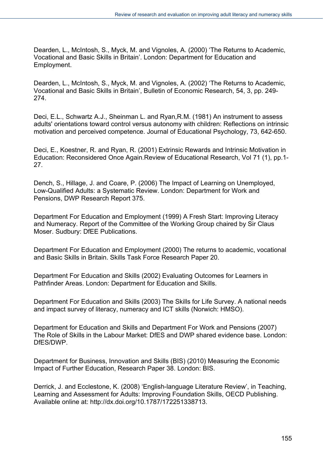Dearden, L., McIntosh, S., Myck, M. and Vignoles, A. (2000) 'The Returns to Academic, Vocational and Basic Skills in Britain'. London: Department for Education and Employment.

Dearden, L., McIntosh, S., Myck, M. and Vignoles, A. (2002) 'The Returns to Academic, Vocational and Basic Skills in Britain', Bulletin of Economic Research, 54, 3, pp. 249- 274.

Deci, E.L., Schwartz A.J., Sheinman L. and Ryan,R.M. (1981) An instrument to assess adults' orientations toward control versus autonomy with children: Reflections on intrinsic motivation and perceived competence. Journal of Educational Psychology, 73, 642-650.

Deci, E., Koestner, R. and Ryan, R. (2001) Extrinsic Rewards and Intrinsic Motivation in Education: Reconsidered Once Again.Review of Educational Research, Vol 71 (1), pp.1- 27.

Dench, S., Hillage, J. and Coare, P. (2006) The Impact of Learning on Unemployed, Low-Qualified Adults: a Systematic Review. London: Department for Work and Pensions, DWP Research Report 375.

Department For Education and Employment (1999) A Fresh Start: Improving Literacy and Numeracy. Report of the Committee of the Working Group chaired by Sir Claus Moser. Sudbury: DfEE Publications.

Department For Education and Employment (2000) The returns to academic, vocational and Basic Skills in Britain. Skills Task Force Research Paper 20.

Department For Education and Skills (2002) Evaluating Outcomes for Learners in Pathfinder Areas. London: Department for Education and Skills.

Department For Education and Skills (2003) The Skills for Life Survey. A national needs and impact survey of literacy, numeracy and ICT skills (Norwich: HMSO).

Department for Education and Skills and Department For Work and Pensions (2007) The Role of Skills in the Labour Market: DfES and DWP shared evidence base. London: DfES/DWP.

Department for Business, Innovation and Skills (BIS) (2010) Measuring the Economic Impact of Further Education, Research Paper 38. London: BIS.

Derrick, J. and Ecclestone, K. (2008) 'English-language Literature Review', in Teaching, Learning and Assessment for Adults: Improving Foundation Skills, OECD Publishing. Available online at: http://dx.doi.org/10.1787/172251338713.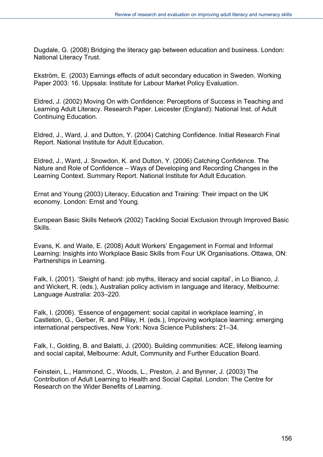Dugdale, G. (2008) Bridging the literacy gap between education and business. London: National Literacy Trust.

Ekström, E. (2003) Earnings effects of adult secondary education in Sweden. Working Paper 2003: 16. Uppsala: Institute for Labour Market Policy Evaluation.

Eldred, J. (2002) Moving On with Confidence: Perceptions of Success in Teaching and Learning Adult Literacy. Research Paper. Leicester (England): National Inst. of Adult Continuing Education.

Eldred, J., Ward, J. and Dutton, Y. (2004) Catching Confidence. Initial Research Final Report. National Institute for Adult Education.

Eldred, J., Ward, J. Snowdon, K. and Dutton, Y. (2006) Catching Confidence. The Nature and Role of Confidence – Ways of Developing and Recording Changes in the Learning Context. Summary Report. National Institute for Adult Education.

Ernst and Young (2003) Literacy, Education and Training: Their impact on the UK economy. London: Ernst and Young.

European Basic Skills Network (2002) Tackling Social Exclusion through Improved Basic Skills.

Evans, K. and Waite, E. (2008) Adult Workers' Engagement in Formal and Informal Learning: Insights into Workplace Basic Skills from Four UK Organisations. Ottawa, ON: Partnerships in Learning.

Falk, I. (2001). 'Sleight of hand: job myths, literacy and social capital', in Lo Bianco, J. and Wickert, R. (eds.), Australian policy activism in language and literacy, Melbourne: Language Australia: 203–220.

Falk, I. (2006). 'Essence of engagement: social capital in workplace learning', in Castleton, G., Gerber, R. and Pillay, H. (eds.), Improving workplace learning: emerging international perspectives, New York: Nova Science Publishers: 21–34.

Falk, I., Golding, B. and Balatti, J. (2000). Building communities: ACE, lifelong learning and social capital, Melbourne: Adult, Community and Further Education Board.

Feinstein, L., Hammond, C., Woods, L., Preston, J. and Bynner, J. (2003) The Contribution of Adult Learning to Health and Social Capital. London: The Centre for Research on the Wider Benefits of Learning.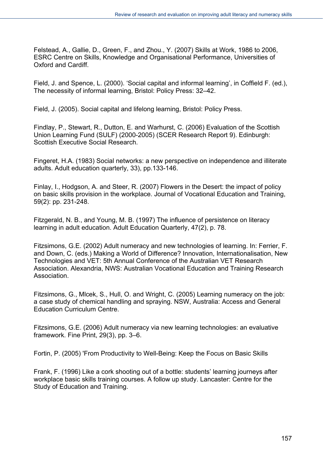Felstead, A., Gallie, D., Green, F., and Zhou., Y. (2007) Skills at Work, 1986 to 2006, ESRC Centre on Skills, Knowledge and Organisational Performance, Universities of Oxford and Cardiff.

Field, J. and Spence, L. (2000). 'Social capital and informal learning', in Coffield F. (ed.), The necessity of informal learning, Bristol: Policy Press: 32–42.

Field, J. (2005). Social capital and lifelong learning, Bristol: Policy Press.

Findlay, P., Stewart, R., Dutton, E. and Warhurst, C. (2006) Evaluation of the Scottish Union Learning Fund (SULF) (2000-2005) (SCER Research Report 9). Edinburgh: Scottish Executive Social Research.

Fingeret, H.A. (1983) Social networks: a new perspective on independence and illiterate adults. Adult education quarterly, 33), pp.133-146.

Finlay, I., Hodgson, A. and Steer, R. (2007) Flowers in the Desert: the impact of policy on basic skills provision in the workplace. Journal of Vocational Education and Training, 59(2): pp. 231-248.

Fitzgerald, N. B., and Young, M. B. (1997) The influence of persistence on literacy learning in adult education. Adult Education Quarterly, 47(2), p. 78.

Fitzsimons, G.E. (2002) Adult numeracy and new technologies of learning. In: Ferrier, F. and Down, C. (eds.) Making a World of Difference? Innovation, Internationalisation, New Technologies and VET: 5th Annual Conference of the Australian VET Research Association. Alexandria, NWS: Australian Vocational Education and Training Research Association.

Fitzsimons, G., Mlcek, S., Hull, O. and Wright, C. (2005) Learning numeracy on the job: a case study of chemical handling and spraying. NSW, Australia: Access and General Education Curriculum Centre.

Fitzsimons, G.E. (2006) Adult numeracy via new learning technologies: an evaluative framework. Fine Print, 29(3), pp. 3–6.

Fortin, P. (2005) 'From Productivity to Well-Being: Keep the Focus on Basic Skills

Frank, F. (1996) Like a cork shooting out of a bottle: students' learning journeys after workplace basic skills training courses. A follow up study. Lancaster: Centre for the Study of Education and Training.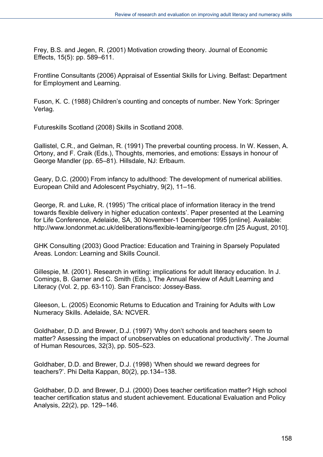Frey, B.S. and Jegen, R. (2001) Motivation crowding theory. Journal of Economic Effects, 15(5): pp. 589–611.

Frontline Consultants (2006) Appraisal of Essential Skills for Living. Belfast: Department for Employment and Learning.

Fuson, K. C. (1988) Children's counting and concepts of number. New York: Springer Verlag.

Futureskills Scotland (2008) Skills in Scotland 2008.

Gallistel, C.R., and Gelman, R. (1991) The preverbal counting process. In W. Kessen, A. Ortony, and F. Craik (Eds.), Thoughts, memories, and emotions: Essays in honour of George Mandler (pp. 65–81). Hillsdale, NJ: Erlbaum.

Geary, D.C. (2000) From infancy to adulthood: The development of numerical abilities. European Child and Adolescent Psychiatry, 9(2), 11–16.

George, R. and Luke, R. (1995) 'The critical place of information literacy in the trend towards flexible delivery in higher education contexts'. Paper presented at the Learning for Life Conference, Adelaide, SA, 30 November-1 December 1995 [online]. Available: http://www.londonmet.ac.uk/deliberations/flexible-learning/george.cfm [25 August, 2010].

GHK Consulting (2003) Good Practice: Education and Training in Sparsely Populated Areas. London: Learning and Skills Council.

Gillespie, M. (2001). Research in writing: implications for adult literacy education. In J. Comings, B. Garner and C. Smith (Eds.), The Annual Review of Adult Learning and Literacy (Vol. 2, pp. 63-110). San Francisco: Jossey-Bass.

Gleeson, L. (2005) Economic Returns to Education and Training for Adults with Low Numeracy Skills. Adelaide, SA: NCVER.

Goldhaber, D.D. and Brewer, D.J. (1997) 'Why don't schools and teachers seem to matter? Assessing the impact of unobservables on educational productivity'. The Journal of Human Resources, 32(3), pp. 505–523.

Goldhaber, D.D. and Brewer, D.J. (1998) 'When should we reward degrees for teachers?'. Phi Delta Kappan, 80(2), pp.134–138.

Goldhaber, D.D. and Brewer, D.J. (2000) Does teacher certification matter? High school teacher certification status and student achievement. Educational Evaluation and Policy Analysis, 22(2), pp. 129–146.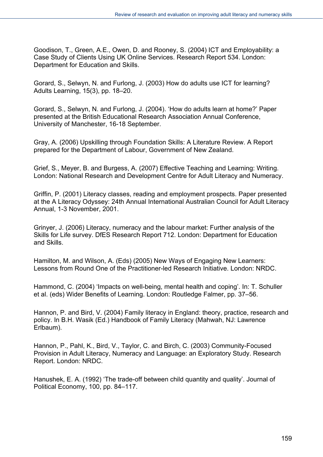Goodison, T., Green, A.E., Owen, D. and Rooney, S. (2004) ICT and Employability: a Case Study of Clients Using UK Online Services. Research Report 534. London: Department for Education and Skills.

Gorard, S., Selwyn, N. and Furlong, J. (2003) How do adults use ICT for learning? Adults Learning, 15(3), pp. 18–20.

Gorard, S., Selwyn, N. and Furlong, J. (2004). 'How do adults learn at home?' Paper presented at the British Educational Research Association Annual Conference, University of Manchester, 16-18 September.

Gray, A. (2006) Upskilling through Foundation Skills: A Literature Review. A Report prepared for the Department of Labour, Government of New Zealand.

Grief, S., Meyer, B. and Burgess, A. (2007) Effective Teaching and Learning: Writing. London: National Research and Development Centre for Adult Literacy and Numeracy.

Griffin, P. (2001) Literacy classes, reading and employment prospects. Paper presented at the A Literacy Odyssey: 24th Annual International Australian Council for Adult Literacy Annual, 1-3 November, 2001.

Grinyer, J. (2006) Literacy, numeracy and the labour market: Further analysis of the Skills for Life survey. DfES Research Report 712. London: Department for Education and Skills.

Hamilton, M. and Wilson, A. (Eds) (2005) New Ways of Engaging New Learners: Lessons from Round One of the Practitioner-led Research Initiative. London: NRDC.

Hammond, C. (2004) 'Impacts on well-being, mental health and coping'. In: T. Schuller et al. (eds) Wider Benefits of Learning. London: Routledge Falmer, pp. 37–56.

Hannon, P. and Bird, V. (2004) Family literacy in England: theory, practice, research and policy. In B.H. Wasik (Ed.) Handbook of Family Literacy (Mahwah, NJ: Lawrence Erlbaum).

Hannon, P., Pahl, K., Bird, V., Taylor, C. and Birch, C. (2003) Community-Focused Provision in Adult Literacy, Numeracy and Language: an Exploratory Study. Research Report. London: NRDC.

Hanushek, E. A. (1992) 'The trade-off between child quantity and quality'. Journal of Political Economy, 100, pp. 84–117.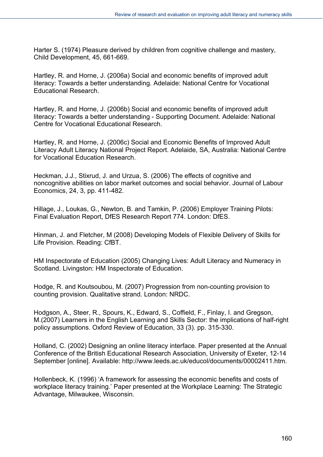Harter S. (1974) Pleasure derived by children from cognitive challenge and mastery, Child Development, 45, 661-669.

Hartley, R. and Horne, J. (2006a) Social and economic benefits of improved adult literacy: Towards a better understanding. Adelaide: National Centre for Vocational Educational Research.

Hartley, R. and Horne, J. (2006b) Social and economic benefits of improved adult literacy: Towards a better understanding - Supporting Document. Adelaide: National Centre for Vocational Educational Research.

Hartley, R. and Horne, J. (2006c) Social and Economic Benefits of Improved Adult Literacy Adult Literacy National Project Report. Adelaide, SA, Australia: National Centre for Vocational Education Research.

Heckman, J.J., Stixrud, J. and Urzua, S. (2006) The effects of cognitive and noncognitive abilities on labor market outcomes and social behavior. Journal of Labour Economics, 24, 3, pp. 411-482.

Hillage, J., Loukas, G., Newton, B. and Tamkin, P. (2006) Employer Training Pilots: Final Evaluation Report, DfES Research Report 774. London: DfES.

Hinman, J. and Fletcher, M (2008) Developing Models of Flexible Delivery of Skills for Life Provision. Reading: CfBT.

HM Inspectorate of Education (2005) Changing Lives: Adult Literacy and Numeracy in Scotland. Livingston: HM Inspectorate of Education.

Hodge, R. and Koutsoubou, M. (2007) Progression from non-counting provision to counting provision. Qualitative strand. London: NRDC.

Hodgson, A., Steer, R., Spours, K., Edward, S., Coffield, F., Finlay, I. and Gregson, M.(2007) Learners in the English Learning and Skills Sector: the implications of half-right policy assumptions. Oxford Review of Education, 33 (3). pp. 315-330.

Holland, C. (2002) Designing an online literacy interface. Paper presented at the Annual Conference of the British Educational Research Association, University of Exeter, 12-14 September [online]. Available: http://www.leeds.ac.uk/educol/documents/00002411.htm.

Hollenbeck, K. (1996) 'A framework for assessing the economic benefits and costs of workplace literacy training.' Paper presented at the Workplace Learning: The Strategic Advantage, Milwaukee, Wisconsin.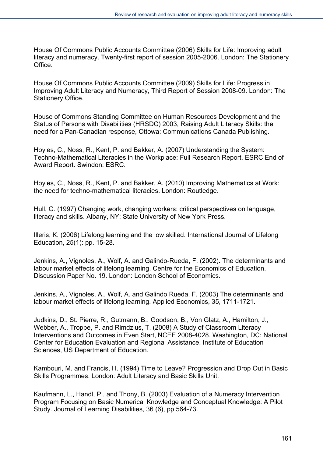House Of Commons Public Accounts Committee (2006) Skills for Life: Improving adult literacy and numeracy. Twenty-first report of session 2005-2006. London: The Stationery Office.

House Of Commons Public Accounts Committee (2009) Skills for Life: Progress in Improving Adult Literacy and Numeracy, Third Report of Session 2008-09. London: The Stationery Office.

House of Commons Standing Committee on Human Resources Development and the Status of Persons with Disabilities (HRSDC) 2003, Raising Adult Literacy Skills: the need for a Pan-Canadian response, Ottowa: Communications Canada Publishing.

Hoyles, C., Noss, R., Kent, P. and Bakker, A. (2007) Understanding the System: Techno-Mathematical Literacies in the Workplace: Full Research Report, ESRC End of Award Report. Swindon: ESRC.

Hoyles, C., Noss, R., Kent, P. and Bakker, A. (2010) Improving Mathematics at Work: the need for techno-mathematical literacies. London: Routledge.

Hull, G. (1997) Changing work, changing workers: critical perspectives on language, literacy and skills. Albany, NY: State University of New York Press.

Illeris, K. (2006) Lifelong learning and the low skilled. International Journal of Lifelong Education, 25(1): pp. 15-28.

Jenkins, A., Vignoles, A., Wolf, A. and Galindo-Rueda, F. (2002). The determinants and labour market effects of lifelong learning. Centre for the Economics of Education. Discussion Paper No. 19. London: London School of Economics.

Jenkins, A., Vignoles, A., Wolf, A. and Galindo Rueda, F. (2003) The determinants and labour market effects of lifelong learning. Applied Economics, 35, 1711-1721.

Judkins, D., St. Pierre, R., Gutmann, B., Goodson, B., Von Glatz, A., Hamilton, J., Webber, A., Troppe, P. and Rimdzius, T. (2008) A Study of Classroom Literacy Interventions and Outcomes in Even Start, NCEE 2008-4028. Washington, DC: National Center for Education Evaluation and Regional Assistance, Institute of Education Sciences, US Department of Education.

Kambouri, M. and Francis, H. (1994) Time to Leave? Progression and Drop Out in Basic Skills Programmes. London: Adult Literacy and Basic Skills Unit.

Kaufmann, L., Handl, P., and Thony, B. (2003) Evaluation of a Numeracy Intervention Program Focusing on Basic Numerical Knowledge and Conceptual Knowledge: A Pilot Study. Journal of Learning Disabilities, 36 (6), pp.564-73.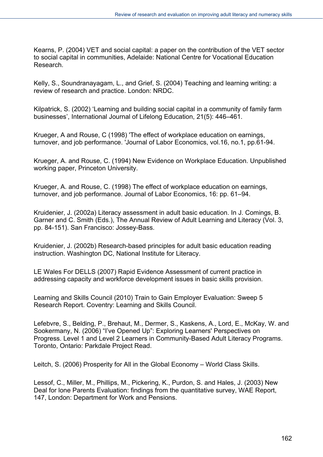Kearns, P. (2004) VET and social capital: a paper on the contribution of the VET sector to social capital in communities, Adelaide: National Centre for Vocational Education Research.

Kelly, S., Soundranayagam, L., and Grief, S. (2004) Teaching and learning writing: a review of research and practice. London: NRDC.

Kilpatrick, S. (2002) 'Learning and building social capital in a community of family farm businesses', International Journal of Lifelong Education, 21(5): 446–461.

Krueger, A and Rouse, C (1998) 'The effect of workplace education on earnings, turnover, and job performance. 'Journal of Labor Economics, vol.16, no.1, pp.61-94.

Krueger, A. and Rouse, C. (1994) New Evidence on Workplace Education. Unpublished working paper, Princeton University.

Krueger, A. and Rouse, C. (1998) The effect of workplace education on earnings, turnover, and job performance. Journal of Labor Economics, 16: pp. 61–94.

Kruidenier, J. (2002a) Literacy assessment in adult basic education. In J. Comings, B. Garner and C. Smith (Eds.), The Annual Review of Adult Learning and Literacy (Vol. 3, pp. 84-151). San Francisco: Jossey-Bass.

Kruidenier, J. (2002b) Research-based principles for adult basic education reading instruction. Washington DC, National Institute for Literacy.

LE Wales For DELLS (2007) Rapid Evidence Assessment of current practice in addressing capacity and workforce development issues in basic skills provision.

Learning and Skills Council (2010) Train to Gain Employer Evaluation: Sweep 5 Research Report. Coventry: Learning and Skills Council.

Lefebvre, S., Belding, P., Brehaut, M., Dermer, S., Kaskens, A., Lord, E., McKay, W. and Sookermany, N. (2006) "I've Opened Up": Exploring Learners' Perspectives on Progress. Level 1 and Level 2 Learners in Community-Based Adult Literacy Programs. Toronto, Ontario: Parkdale Project Read.

Leitch, S. (2006) Prosperity for All in the Global Economy – World Class Skills.

Lessof, C., Miller, M., Phillips, M., Pickering, K., Purdon, S. and Hales, J. (2003) New Deal for lone Parents Evaluation: findings from the quantitative survey, WAE Report, 147, London: Department for Work and Pensions.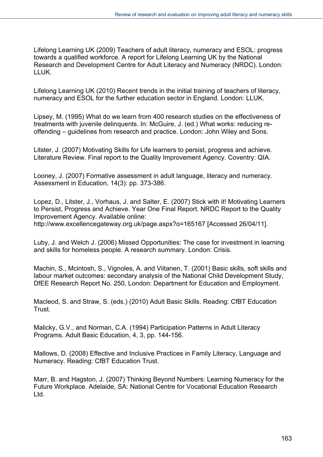Lifelong Learning UK (2009) Teachers of adult literacy, numeracy and ESOL: progress towards a qualified workforce. A report for Lifelong Learning UK by the National Research and Development Centre for Adult Literacy and Numeracy (NRDC). London: LLUK.

Lifelong Learning UK (2010) Recent trends in the initial training of teachers of literacy, numeracy and ESOL for the further education sector in England. London: LLUK.

Lipsey, M. (1995) What do we learn from 400 research studies on the effectiveness of treatments with juvenile delinquents. In: McGuire, J. (ed.) What works: reducing reoffending – guidelines from research and practice. London: John Wiley and Sons.

Litster, J. (2007) Motivating Skills for Life learners to persist, progress and achieve. Literature Review. Final report to the Quality Improvement Agency. Coventry: QIA.

Looney, J. (2007) Formative assessment in adult language, literacy and numeracy. Assessment in Education, 14(3): pp. 373-386.

Lopez, D., Litster, J., Vorhaus, J. and Salter, E. (2007) Stick with it! Motivating Learners to Persist, Progress and Achieve. Year One Final Report. NRDC Report to the Quality Improvement Agency. Available online: http://www.excellencegateway.org.uk/page.aspx?o=165167 [Accessed 26/04/11].

Luby, J. and Welch J. (2006) Missed Opportunities: The case for investment in learning and skills for homeless people. A research summary. London: Crisis.

Machin, S., Mcintosh, S., Vignoles, A. and Viitanen, T. (2001) Basic skills, soft skills and labour market outcomes: secondary analysis of the National Child Development Study, DfEE Research Report No. 250, London: Department for Education and Employment.

Macleod, S. and Straw, S. (eds.) (2010) Adult Basic Skills. Reading: CfBT Education Trust.

Malicky, G.V., and Norman, C.A. (1994) Participation Patterns in Adult Literacy Programs. Adult Basic Education, 4, 3, pp. 144-156.

Mallows, D. (2008) Effective and Inclusive Practices in Family Literacy, Language and Numeracy. Reading: CfBT Education Trust.

Marr, B. and Hagston, J. (2007) Thinking Beyond Numbers: Learning Numeracy for the Future Workplace. Adelaide, SA: National Centre for Vocational Education Research Ltd.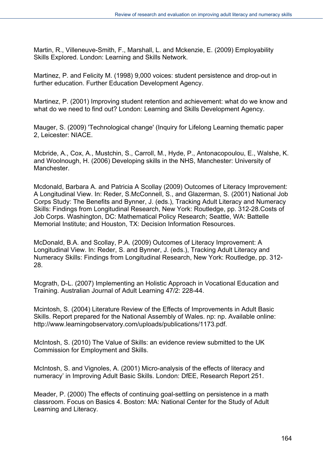Martin, R., Villeneuve-Smith, F., Marshall, L. and Mckenzie, E. (2009) Employability Skills Explored. London: Learning and Skills Network.

Martinez, P. and Felicity M. (1998) 9,000 voices: student persistence and drop-out in further education. Further Education Development Agency.

Martinez, P. (2001) Improving student retention and achievement: what do we know and what do we need to find out? London: Learning and Skills Development Agency.

Mauger, S. (2009) 'Technological change' (Inquiry for Lifelong Learning thematic paper 2, Leicester: NIACE.

Mcbride, A., Cox, A., Mustchin, S., Carroll, M., Hyde, P., Antonacopoulou, E., Walshe, K. and Woolnough, H. (2006) Developing skills in the NHS, Manchester: University of **Manchester** 

Mcdonald, Barbara A. and Patricia A Scollay (2009) Outcomes of Literacy Improvement: A Longitudinal View. In: Reder, S.McConnell, S., and Glazerman, S. (2001) National Job Corps Study: The Benefits and Bynner, J. (eds.), Tracking Adult Literacy and Numeracy Skills: Findings from Longitudinal Research, New York: Routledge, pp. 312-28.Costs of Job Corps. Washington, DC: Mathematical Policy Research; Seattle, WA: Battelle Memorial Institute; and Houston, TX: Decision Information Resources.

McDonald, B.A. and Scollay, P.A. (2009) Outcomes of Literacy Improvement: A Longitudinal View. In: Reder, S. and Bynner, J. (eds.), Tracking Adult Literacy and Numeracy Skills: Findings from Longitudinal Research, New York: Routledge, pp. 312- 28.

Mcgrath, D-L. (2007) Implementing an Holistic Approach in Vocational Education and Training. Australian Journal of Adult Learning 47/2: 228-44.

Mcintosh, S. (2004) Literature Review of the Effects of Improvements in Adult Basic Skills. Report prepared for the National Assembly of Wales. np: np. Available online: http://www.learningobservatory.com/uploads/publications/1173.pdf.

McIntosh, S. (2010) The Value of Skills: an evidence review submitted to the UK Commission for Employment and Skills.

McIntosh, S. and Vignoles, A. (2001) Micro-analysis of the effects of literacy and numeracy' in Improving Adult Basic Skills. London: DfEE, Research Report 251.

Meader, P. (2000) The effects of continuing goal-settling on persistence in a math classroom. Focus on Basics 4. Boston: MA: National Center for the Study of Adult Learning and Literacy.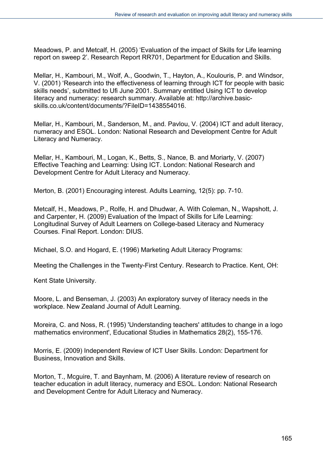Meadows, P. and Metcalf, H. (2005) 'Evaluation of the impact of Skills for Life learning report on sweep 2'. Research Report RR701, Department for Education and Skills.

Mellar, H., Kambouri, M., Wolf, A., Goodwin, T., Hayton, A., Koulouris, P. and Windsor, V. (2001) 'Research into the effectiveness of learning through ICT for people with basic skills needs', submitted to Ufi June 2001. Summary entitled Using ICT to develop literacy and numeracy: research summary. Available at: http://archive.basicskills.co.uk/content/documents/?FileID=1438554016

Mellar, H., Kambouri, M., Sanderson, M., and. Pavlou, V. (2004) ICT and adult literacy, numeracy and ESOL. London: National Research and Development Centre for Adult Literacy and Numeracy.

Mellar, H., Kambouri, M., Logan, K., Betts, S., Nance, B. and Moriarty, V. (2007) Effective Teaching and Learning: Using ICT. London: National Research and Development Centre for Adult Literacy and Numeracy.

Merton, B. (2001) Encouraging interest. Adults Learning, 12(5): pp. 7-10.

Metcalf, H., Meadows, P., Rolfe, H. and Dhudwar, A. With Coleman, N., Wapshott, J. and Carpenter, H. (2009) Evaluation of the Impact of Skills for Life Learning: Longitudinal Survey of Adult Learners on College-based Literacy and Numeracy Courses. Final Report. London: DIUS.

Michael, S.O. and Hogard, E. (1996) Marketing Adult Literacy Programs:

Meeting the Challenges in the Twenty-First Century. Research to Practice. Kent, OH:

Kent State University.

Moore, L. and Benseman, J. (2003) An exploratory survey of literacy needs in the workplace. New Zealand Journal of Adult Learning.

Moreira, C. and Noss, R. (1995) 'Understanding teachers' attitudes to change in a logo mathematics environment', Educational Studies in Mathematics 28(2), 155-176.

Morris, E. (2009) Independent Review of ICT User Skills. London: Department for Business, Innovation and Skills.

Morton, T., Mcguire, T. and Baynham, M. (2006) A literature review of research on teacher education in adult literacy, numeracy and ESOL. London: National Research and Development Centre for Adult Literacy and Numeracy.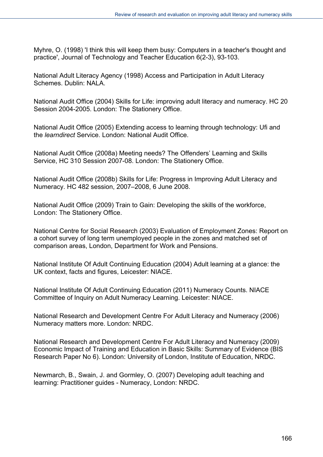Myhre, O. (1998) 'I think this will keep them busy: Computers in a teacher's thought and practice', Journal of Technology and Teacher Education 6(2-3), 93-103.

National Adult Literacy Agency (1998) Access and Participation in Adult Literacy Schemes. Dublin: NALA.

National Audit Office (2004) Skills for Life: improving adult literacy and numeracy. HC 20 Session 2004-2005. London: The Stationery Office.

National Audit Office (2005) Extending access to learning through technology: Ufi and the *learndirect* Service. London: National Audit Office.

National Audit Office (2008a) Meeting needs? The Offenders' Learning and Skills Service, HC 310 Session 2007-08. London: The Stationery Office.

National Audit Office (2008b) Skills for Life: Progress in Improving Adult Literacy and Numeracy. HC 482 session, 2007–2008, 6 June 2008.

National Audit Office (2009) Train to Gain: Developing the skills of the workforce, London: The Stationery Office.

National Centre for Social Research (2003) Evaluation of Employment Zones: Report on a cohort survey of long term unemployed people in the zones and matched set of comparison areas, London, Department for Work and Pensions.

National Institute Of Adult Continuing Education (2004) Adult learning at a glance: the UK context, facts and figures, Leicester: NIACE.

National Institute Of Adult Continuing Education (2011) Numeracy Counts. NIACE Committee of Inquiry on Adult Numeracy Learning. Leicester: NIACE.

National Research and Development Centre For Adult Literacy and Numeracy (2006) Numeracy matters more. London: NRDC.

National Research and Development Centre For Adult Literacy and Numeracy (2009) Economic Impact of Training and Education in Basic Skills: Summary of Evidence (BIS Research Paper No 6). London: University of London, Institute of Education, NRDC.

Newmarch, B., Swain, J. and Gormley, O. (2007) Developing adult teaching and learning: Practitioner guides - Numeracy, London: NRDC.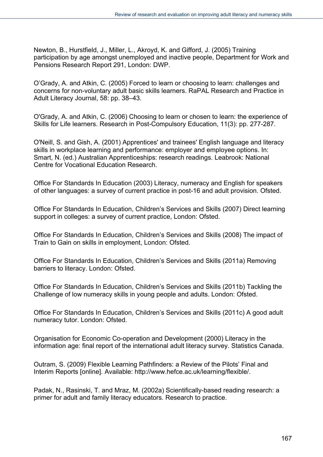Newton, B., Hurstfield, J., Miller, L., Akroyd, K. and Gifford, J. (2005) Training participation by age amongst unemployed and inactive people, Department for Work and Pensions Research Report 291, London: DWP.

O'Grady, A. and Atkin, C. (2005) Forced to learn or choosing to learn: challenges and concerns for non-voluntary adult basic skills learners. RaPAL Research and Practice in Adult Literacy Journal, 58: pp. 38–43.

O'Grady, A. and Atkin, C. (2006) Choosing to learn or chosen to learn: the experience of Skills for Life learners. Research in Post-Compulsory Education, 11(3): pp. 277-287.

O'Neill, S. and Gish, A. (2001) Apprentices' and trainees' English language and literacy skills in workplace learning and performance: employer and employee options. In: Smart, N. (ed.) Australian Apprenticeships: research readings. Leabrook: National Centre for Vocational Education Research.

Office For Standards In Education (2003) Literacy, numeracy and English for speakers of other languages: a survey of current practice in post-16 and adult provision. Ofsted.

Office For Standards In Education, Children's Services and Skills (2007) Direct learning support in colleges: a survey of current practice, London: Ofsted.

Office For Standards In Education, Children's Services and Skills (2008) The impact of Train to Gain on skills in employment, London: Ofsted.

Office For Standards In Education, Children's Services and Skills (2011a) Removing barriers to literacy. London: Ofsted.

Office For Standards In Education, Children's Services and Skills (2011b) Tackling the Challenge of low numeracy skills in young people and adults. London: Ofsted.

Office For Standards In Education, Children's Services and Skills (2011c) A good adult numeracy tutor. London: Ofsted.

Organisation for Economic Co-operation and Development (2000) Literacy in the information age: final report of the international adult literacy survey. Statistics Canada.

Outram, S. (2009) Flexible Learning Pathfinders: a Review of the Pilots' Final and Interim Reports [online]. Available: http://www.hefce.ac.uk/learning/flexible/.

Padak, N., Rasinski, T. and Mraz, M. (2002a) Scientifically-based reading research: a primer for adult and family literacy educators. Research to practice.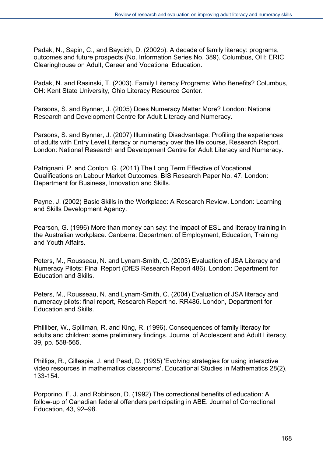Padak, N., Sapin, C., and Baycich, D. (2002b). A decade of family literacy: programs, outcomes and future prospects (No. Information Series No. 389). Columbus, OH: ERIC Clearinghouse on Adult, Career and Vocational Education.

Padak, N. and Rasinski, T. (2003). Family Literacy Programs: Who Benefits? Columbus, OH: Kent State University, Ohio Literacy Resource Center.

Parsons, S. and Bynner, J. (2005) Does Numeracy Matter More? London: National Research and Development Centre for Adult Literacy and Numeracy.

Parsons, S. and Bynner, J. (2007) Illuminating Disadvantage: Profiling the experiences of adults with Entry Level Literacy or numeracy over the life course, Research Report. London: National Research and Development Centre for Adult Literacy and Numeracy.

Patrignani, P. and Conlon, G. (2011) The Long Term Effective of Vocational Qualifications on Labour Market Outcomes. BIS Research Paper No. 47. London: Department for Business, Innovation and Skills.

Payne, J. (2002) Basic Skills in the Workplace: A Research Review. London: Learning and Skills Development Agency.

Pearson, G. (1996) More than money can say: the impact of ESL and literacy training in the Australian workplace. Canberra: Department of Employment, Education, Training and Youth Affairs.

Peters, M., Rousseau, N. and Lynam-Smith, C. (2003) Evaluation of JSA Literacy and Numeracy Pilots: Final Report (DfES Research Report 486). London: Department for Education and Skills.

Peters, M., Rousseau, N. and Lynam-Smith, C. (2004) Evaluation of JSA literacy and numeracy pilots: final report, Research Report no. RR486. London, Department for Education and Skills.

Philliber, W., Spillman, R. and King, R. (1996). Consequences of family literacy for adults and children: some preliminary findings. Journal of Adolescent and Adult Literacy, 39, pp. 558-565.

Phillips, R., Gillespie, J. and Pead, D. (1995) 'Evolving strategies for using interactive video resources in mathematics classrooms', Educational Studies in Mathematics 28(2), 133-154.

Porporino, F. J. and Robinson, D. (1992) The correctional benefits of education: A follow-up of Canadian federal offenders participating in ABE. Journal of Correctional Education, 43, 92–98.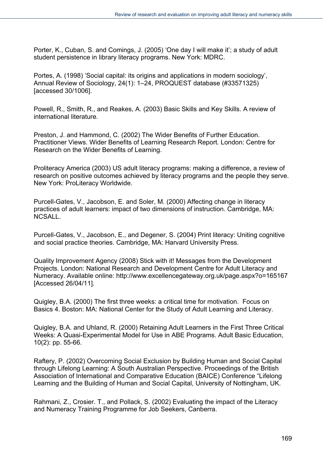Porter, K., Cuban, S. and Comings, J. (2005) 'One day I will make it'; a study of adult student persistence in library literacy programs. New York: MDRC.

Portes, A. (1998) 'Social capital: its origins and applications in modern sociology', Annual Review of Sociology, 24(1): 1–24, PROQUEST database (#33571325) [accessed 30/1006].

Powell, R., Smith, R., and Reakes, A. (2003) Basic Skills and Key Skills. A review of international literature.

Preston, J. and Hammond, C. (2002) The Wider Benefits of Further Education. Practitioner Views. Wider Benefits of Learning Research Report. London: Centre for Research on the Wider Benefits of Learning.

Proliteracy America (2003) US adult literacy programs: making a difference, a review of research on positive outcomes achieved by literacy programs and the people they serve. New York: ProLiteracy Worldwide.

Purcell-Gates, V., Jacobson, E. and Soler, M. (2000) Affecting change in literacy practices of adult learners: impact of two dimensions of instruction. Cambridge, MA: NCSALL.

Purcell-Gates, V., Jacobson, E., and Degener, S. (2004) Print literacy: Uniting cognitive and social practice theories. Cambridge, MA: Harvard University Press.

Quality Improvement Agency (2008) Stick with it! Messages from the Development Projects. London: National Research and Development Centre for Adult Literacy and Numeracy. Available online: http://www.excellencegateway.org.uk/page.aspx?o=165167 [Accessed 26/04/11].

Quigley, B.A. (2000) The first three weeks: a critical time for motivation. Focus on Basics 4. Boston: MA: National Center for the Study of Adult Learning and Literacy.

Quigley, B.A. and Uhland, R. (2000) Retaining Adult Learners in the First Three Critical Weeks: A Quasi-Experimental Model for Use in ABE Programs. Adult Basic Education, 10(2): pp. 55-66.

Raftery, P. (2002) Overcoming Social Exclusion by Building Human and Social Capital through Lifelong Learning: A South Australian Perspective. Proceedings of the British Association of International and Comparative Education (BAICE) Conference "Lifelong Learning and the Building of Human and Social Capital, University of Nottingham, UK.

Rahmani, Z., Crosier. T., and Pollack, S. (2002) Evaluating the impact of the Literacy and Numeracy Training Programme for Job Seekers, Canberra.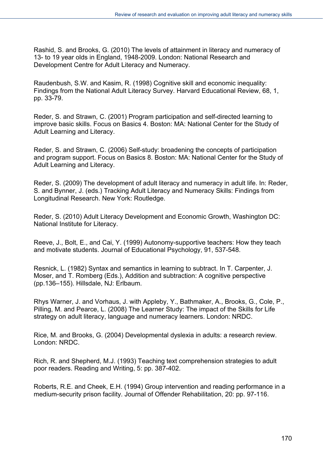Rashid, S. and Brooks, G. (2010) The levels of attainment in literacy and numeracy of 13- to 19 year olds in England, 1948-2009. London: National Research and Development Centre for Adult Literacy and Numeracy.

Raudenbush, S.W. and Kasim, R. (1998) Cognitive skill and economic inequality: Findings from the National Adult Literacy Survey. Harvard Educational Review, 68, 1, pp. 33-79.

Reder, S. and Strawn, C. (2001) Program participation and self-directed learning to improve basic skills. Focus on Basics 4. Boston: MA: National Center for the Study of Adult Learning and Literacy.

Reder, S. and Strawn, C. (2006) Self-study: broadening the concepts of participation and program support. Focus on Basics 8. Boston: MA: National Center for the Study of Adult Learning and Literacy.

Reder, S. (2009) The development of adult literacy and numeracy in adult life. In: Reder, S. and Bynner, J. (eds.) Tracking Adult Literacy and Numeracy Skills: Findings from Longitudinal Research. New York: Routledge.

Reder, S. (2010) Adult Literacy Development and Economic Growth, Washington DC: National Institute for Literacy.

Reeve, J., Bolt, E., and Cai, Y. (1999) Autonomy-supportive teachers: How they teach and motivate students. Journal of Educational Psychology, 91, 537-548.

Resnick, L. (1982) Syntax and semantics in learning to subtract. In T. Carpenter, J. Moser, and T. Romberg (Eds.), Addition and subtraction: A cognitive perspective (pp.136–155). Hillsdale, NJ: Erlbaum.

Rhys Warner, J. and Vorhaus, J. with Appleby, Y., Bathmaker, A., Brooks, G., Cole, P., Pilling, M. and Pearce, L. (2008) The Learner Study: The impact of the Skills for Life strategy on adult literacy, language and numeracy learners. London: NRDC.

Rice, M. and Brooks, G. (2004) Developmental dyslexia in adults: a research review. London: NRDC.

Rich, R. and Shepherd, M.J. (1993) Teaching text comprehension strategies to adult poor readers. Reading and Writing, 5: pp. 387-402.

Roberts, R.E. and Cheek, E.H. (1994) Group intervention and reading performance in a medium-security prison facility. Journal of Offender Rehabilitation, 20: pp. 97-116.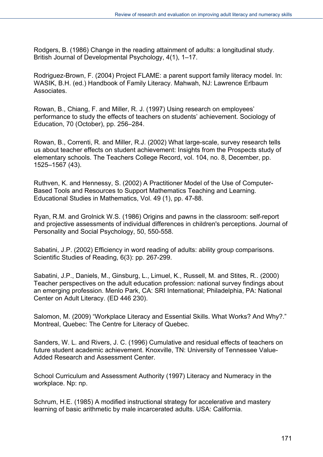Rodgers, B. (1986) Change in the reading attainment of adults: a longitudinal study. British Journal of Developmental Psychology, 4(1), 1–17.

Rodriguez-Brown, F. (2004) Project FLAME: a parent support family literacy model. In: WASIK, B.H. (ed.) Handbook of Family Literacy. Mahwah, NJ: Lawrence Erlbaum Associates.

Rowan, B., Chiang, F. and Miller, R. J. (1997) Using research on employees' performance to study the effects of teachers on students' achievement. Sociology of Education, 70 (October), pp. 256–284.

Rowan, B., Correnti, R. and Miller, R.J. (2002) What large-scale, survey research tells us about teacher effects on student achievement: Insights from the Prospects study of elementary schools. The Teachers College Record, vol. 104, no. 8, December, pp. 1525–1567 (43).

Ruthven, K. and Hennessy, S. (2002) A Practitioner Model of the Use of Computer-Based Tools and Resources to Support Mathematics Teaching and Learning. Educational Studies in Mathematics, Vol. 49 (1), pp. 47-88.

Ryan, R.M. and Grolnick W.S. (1986) Origins and pawns in the classroom: self-report and projective assessments of individual differences in children's perceptions. Journal of Personality and Social Psychology, 50, 550-558.

Sabatini, J.P. (2002) Efficiency in word reading of adults: ability group comparisons. Scientific Studies of Reading, 6(3): pp. 267-299.

Sabatini, J.P., Daniels, M., Ginsburg, L., Limuel, K., Russell, M. and Stites, R.. (2000) Teacher perspectives on the adult education profession: national survey findings about an emerging profession. Menlo Park, CA: SRI International; Philadelphia, PA: National Center on Adult Literacy. (ED 446 230).

Salomon, M. (2009) "Workplace Literacy and Essential Skills. What Works? And Why?." Montreal, Quebec: The Centre for Literacy of Quebec.

Sanders, W. L. and Rivers, J. C. (1996) Cumulative and residual effects of teachers on future student academic achievement. Knoxville, TN: University of Tennessee Value-Added Research and Assessment Center.

School Curriculum and Assessment Authority (1997) Literacy and Numeracy in the workplace. Np: np.

Schrum, H.E. (1985) A modified instructional strategy for accelerative and mastery learning of basic arithmetic by male incarcerated adults. USA: California.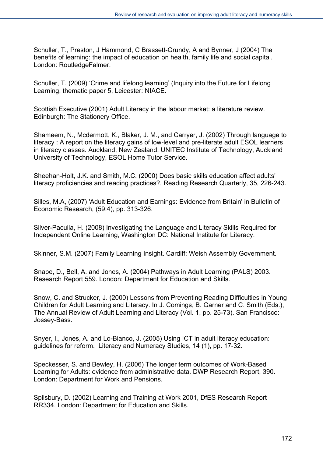Schuller, T., Preston, J Hammond, C Brassett-Grundy, A and Bynner, J (2004) The benefits of learning: the impact of education on health, family life and social capital. London: RoutledgeFalmer.

Schuller, T. (2009) 'Crime and lifelong learning' (Inquiry into the Future for Lifelong Learning, thematic paper 5, Leicester: NIACE.

Scottish Executive (2001) Adult Literacy in the labour market: a literature review. Edinburgh: The Stationery Office.

Shameem, N., Mcdermott, K., Blaker, J. M., and Carryer, J. (2002) Through language to literacy : A report on the literacy gains of low-level and pre-literate adult ESOL learners in literacy classes. Auckland, New Zealand: UNITEC Institute of Technology, Auckland University of Technology, ESOL Home Tutor Service.

Sheehan-Holt, J.K. and Smith, M.C. (2000) Does basic skills education affect adults' literacy proficiencies and reading practices?, Reading Research Quarterly, 35, 226-243.

Silles, M.A, (2007) 'Adult Education and Earnings: Evidence from Britain' in Bulletin of Economic Research, (59:4), pp. 313-326.

Silver-Pacuila, H. (2008) Investigating the Language and Literacy Skills Required for Independent Online Learning, Washington DC: National Institute for Literacy.

Skinner, S.M. (2007) Family Learning Insight. Cardiff: Welsh Assembly Government.

Snape, D., Bell, A. and Jones, A. (2004) Pathways in Adult Learning (PALS) 2003. Research Report 559. London: Department for Education and Skills.

Snow, C. and Strucker, J. (2000) Lessons from Preventing Reading Difficulties in Young Children for Adult Learning and Literacy. In J. Comings, B. Garner and C. Smith (Eds.), The Annual Review of Adult Learning and Literacy (Vol. 1, pp. 25-73). San Francisco: Jossey-Bass.

Snyer, I., Jones, A. and Lo-Bianco, J. (2005) Using ICT in adult literacy education: guidelines for reform. Literacy and Numeracy Studies, 14 (1), pp. 17-32.

Speckesser, S. and Bewley, H. (2006) The longer term outcomes of Work-Based Learning for Adults: evidence from administrative data. DWP Research Report, 390. London: Department for Work and Pensions.

Spilsbury, D. (2002) Learning and Training at Work 2001, DfES Research Report RR334. London: Department for Education and Skills.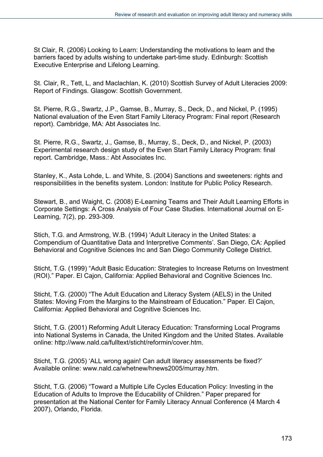St Clair, R. (2006) Looking to Learn: Understanding the motivations to learn and the barriers faced by adults wishing to undertake part-time study. Edinburgh: Scottish Executive Enterprise and Lifelong Learning.

St. Clair, R., Tett, L, and Maclachlan, K. (2010) Scottish Survey of Adult Literacies 2009: Report of Findings. Glasgow: Scottish Government.

St. Pierre, R.G., Swartz, J.P., Gamse, B., Murray, S., Deck, D., and Nickel, P. (1995) National evaluation of the Even Start Family Literacy Program: Final report (Research report). Cambridge, MA: Abt Associates Inc.

St. Pierre, R.G., Swartz, J., Gamse, B., Murray, S., Deck, D., and Nickel, P. (2003) Experimental research design study of the Even Start Family Literacy Program: final report. Cambridge, Mass.: Abt Associates Inc.

Stanley, K., Asta Lohde, L. and White, S. (2004) Sanctions and sweeteners: rights and responsibilities in the benefits system. London: Institute for Public Policy Research.

Stewart, B., and Waight, C. (2008) E-Learning Teams and Their Adult Learning Efforts in Corporate Settings: A Cross Analysis of Four Case Studies. International Journal on E-Learning, 7(2), pp. 293-309.

Stich, T.G. and Armstrong, W.B. (1994) 'Adult Literacy in the United States: a Compendium of Quantitative Data and Interpretive Comments'. San Diego, CA: Applied Behavioral and Cognitive Sciences Inc and San Diego Community College District.

Sticht, T.G. (1999) "Adult Basic Education: Strategies to Increase Returns on Investment (ROI)." Paper. El Cajon, California: Applied Behavioral and Cognitive Sciences Inc.

Sticht, T.G. (2000) "The Adult Education and Literacy System (AELS) in the United States: Moving From the Margins to the Mainstream of Education." Paper. El Cajon, California: Applied Behavioral and Cognitive Sciences Inc.

Sticht, T.G. (2001) Reforming Adult Literacy Education: Transforming Local Programs into National Systems in Canada, the United Kingdom and the United States. Available online: http://www.nald.ca/fulltext/sticht/reformin/cover.htm.

Sticht, T.G. (2005) 'ALL wrong again! Can adult literacy assessments be fixed?' Available online: www.nald.ca/whetnew/hnews2005/murray.htm.

Sticht, T.G. (2006) "Toward a Multiple Life Cycles Education Policy: Investing in the Education of Adults to Improve the Educability of Children." Paper prepared for presentation at the National Center for Family Literacy Annual Conference (4 March 4 2007), Orlando, Florida.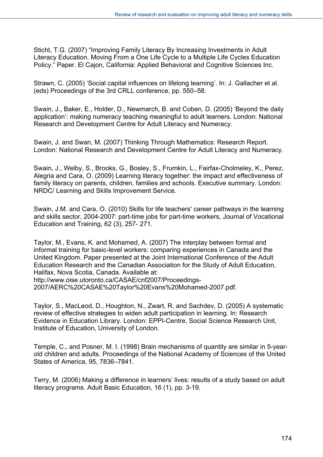Sticht, T.G. (2007) "Improving Family Literacy By Increasing Investments in Adult Literacy Education. Moving From a One Life Cycle to a Multiple Life Cycles Education Policy." Paper. El Cajon, California: Applied Behavioral and Cognitive Sciences Inc.

Strawn, C. (2005) 'Social capital influences on lifelong learning'. In: J. Gallacher et al. (eds) Proceedings of the 3rd CRLL conference, pp. 550–58.

Swain, J., Baker, E., Holder, D., Newmarch, B. and Coben, D. (2005) 'Beyond the daily application': making numeracy teaching meaningful to adult learners. London: National Research and Development Centre for Adult Literacy and Numeracy.

Swain, J. and Swan, M. (2007) Thinking Through Mathematics: Research Report. London: National Research and Development Centre for Adult Literacy and Numeracy.

Swain, J., Welby, S., Brooks, G., Bosley, S., Frumkin, L., Fairfax-Cholmeley, K., Perez, Alegria and Cara, O. (2009) Learning literacy together: the impact and effectiveness of family literacy on parents, children, families and schools. Executive summary. London: NRDC/ Learning and Skills Improvement Service.

Swain, J.M. and Cara, O. (2010) Skills for life teachers' career pathways in the learning and skills sector, 2004-2007: part-time jobs for part-time workers, Journal of Vocational Education and Training, 62 (3), 257- 271.

Taylor, M., Evans, K. and Mohamed, A. (2007) The interplay between formal and informal training for basic-level workers: comparing experiences in Canada and the United Kingdom. Paper presented at the Joint International Conference of the Adult Education Research and the Canadian Association for the Study of Adult Education, Halifax, Nova Scotia, Canada. Available at: http://www.oise.utoronto.ca/CASAE/cnf2007/Proceedings-2007/AERC%20CASAE%20Taylor%20Evans%20Mohamed-2007.pdf.

Taylor, S., MacLeod, D., Houghton, N., Zwart, R. and Sachdev, D. (2005) A systematic review of effective strategies to widen adult participation in learning. In: Research Evidence in Education Library. London: EPPI-Centre, Social Science Research Unit, Institute of Education, University of London.

Temple, C., and Posner, M. I. (1998) Brain mechanisms of quantity are similar in 5-yearold children and adults. Proceedings of the National Academy of Sciences of the United States of America, 95, 7836–7841.

Terry, M. (2006) Making a difference in learners' lives: results of a study based on adult literacy programs. Adult Basic Education, 16 (1), pp. 3-19.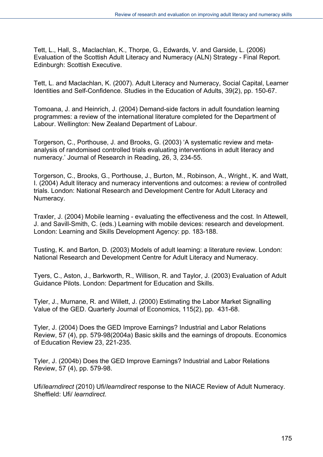Tett, L., Hall, S., Maclachlan, K., Thorpe, G., Edwards, V. and Garside, L. (2006) Evaluation of the Scottish Adult Literacy and Numeracy (ALN) Strategy - Final Report. Edinburgh: Scottish Executive.

Tett, L. and Maclachlan, K. (2007). Adult Literacy and Numeracy, Social Capital, Learner Identities and Self-Confidence. Studies in the Education of Adults, 39(2), pp. 150-67.

Tomoana, J. and Heinrich, J. (2004) Demand-side factors in adult foundation learning programmes: a review of the international literature completed for the Department of Labour. Wellington: New Zealand Department of Labour.

Torgerson, C., Porthouse, J. and Brooks, G. (2003) 'A systematic review and metaanalysis of randomised controlled trials evaluating interventions in adult literacy and numeracy.' Journal of Research in Reading, 26, 3, 234-55.

Torgerson, C., Brooks, G., Porthouse, J., Burton, M., Robinson, A., Wright., K. and Watt, I. (2004) Adult literacy and numeracy interventions and outcomes: a review of controlled trials. London: National Research and Development Centre for Adult Literacy and Numeracy.

Traxler, J. (2004) Mobile learning - evaluating the effectiveness and the cost. In Attewell, J. and Savill-Smith, C. (eds.) Learning with mobile devices: research and development. London: Learning and Skills Development Agency: pp. 183-188.

Tusting, K. and Barton, D. (2003) Models of adult learning: a literature review. London: National Research and Development Centre for Adult Literacy and Numeracy.

Tyers, C., Aston, J., Barkworth, R., Willison, R. and Taylor, J. (2003) Evaluation of Adult Guidance Pilots. London: Department for Education and Skills.

Tyler, J., Murnane, R. and Willett, J. (2000) Estimating the Labor Market Signalling Value of the GED. Quarterly Journal of Economics, 115(2), pp. 431-68.

Tyler, J. (2004) Does the GED Improve Earnings? Industrial and Labor Relations Review, 57 (4), pp. 579-98(2004a) Basic skills and the earnings of dropouts. Economics of Education Review 23, 221-235.

Tyler, J. (2004b) Does the GED Improve Earnings? Industrial and Labor Relations Review, 57 (4), pp. 579-98.

Ufi/*learndirect* (2010) Ufi/*learndirect* response to the NIACE Review of Adult Numeracy. Sheffield: Ufi/ *learndirect*.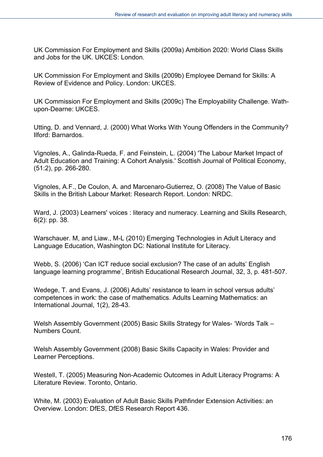UK Commission For Employment and Skills (2009a) Ambition 2020: World Class Skills and Jobs for the UK. UKCES: London.

UK Commission For Employment and Skills (2009b) Employee Demand for Skills: A Review of Evidence and Policy. London: UKCES.

UK Commission For Employment and Skills (2009c) The Employability Challenge. Wathupon-Dearne: UKCES.

Utting, D. and Vennard, J. (2000) What Works With Young Offenders in the Community? Ilford: Barnardos.

Vignoles, A., Galinda-Rueda, F. and Feinstein, L. (2004) 'The Labour Market Impact of Adult Education and Training: A Cohort Analysis.' Scottish Journal of Political Economy, (51:2), pp. 266-280.

Vignoles, A.F., De Coulon, A. and Marcenaro-Gutierrez, O. (2008) The Value of Basic Skills in the British Labour Market: Research Report. London: NRDC.

Ward, J. (2003) Learners' voices : literacy and numeracy. Learning and Skills Research, 6(2): pp. 38.

Warschauer. M, and Liaw., M-L (2010) Emerging Technologies in Adult Literacy and Language Education, Washington DC: National Institute for Literacy.

Webb, S. (2006) 'Can ICT reduce social exclusion? The case of an adults' English language learning programme', British Educational Research Journal, 32, 3, p. 481-507.

Wedege, T. and Evans, J. (2006) Adults' resistance to learn in school versus adults' competences in work: the case of mathematics. Adults Learning Mathematics: an International Journal, 1(2), 28-43.

Welsh Assembly Government (2005) Basic Skills Strategy for Wales- 'Words Talk – Numbers Count.

Welsh Assembly Government (2008) Basic Skills Capacity in Wales: Provider and Learner Perceptions.

Westell, T. (2005) Measuring Non-Academic Outcomes in Adult Literacy Programs: A Literature Review. Toronto, Ontario.

White, M. (2003) Evaluation of Adult Basic Skills Pathfinder Extension Activities: an Overview. London: DfES, DfES Research Report 436.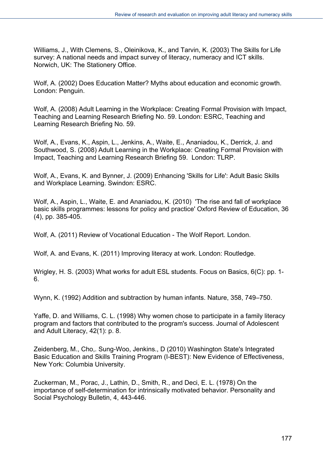Williams, J., With Clemens, S., Oleinikova, K., and Tarvin, K. (2003) The Skills for Life survey: A national needs and impact survey of literacy, numeracy and ICT skills. Norwich, UK: The Stationery Office.

Wolf, A. (2002) Does Education Matter? Myths about education and economic growth. London: Penguin.

Wolf, A. (2008) Adult Learning in the Workplace: Creating Formal Provision with Impact, Teaching and Learning Research Briefing No. 59. London: ESRC, Teaching and Learning Research Briefing No. 59.

Wolf, A., Evans, K., Aspin, L., Jenkins, A., Waite, E., Ananiadou, K., Derrick, J. and Southwood, S. (2008) Adult Learning in the Workplace: Creating Formal Provision with Impact, Teaching and Learning Research Briefing 59. London: TLRP.

Wolf, A., Evans, K. and Bynner, J. (2009) Enhancing 'Skills for Life': Adult Basic Skills and Workplace Learning. Swindon: ESRC.

Wolf, A., Aspin, L., Waite, E. and Ananiadou, K. (2010) 'The rise and fall of workplace basic skills programmes: lessons for policy and practice' Oxford Review of Education, 36 (4), pp. 385-405.

Wolf, A. (2011) Review of Vocational Education - The Wolf Report. London.

Wolf, A. and Evans, K. (2011) Improving literacy at work. London: Routledge.

Wrigley, H. S. (2003) What works for adult ESL students. Focus on Basics, 6(C): pp. 1- 6.

Wynn, K. (1992) Addition and subtraction by human infants. Nature, 358, 749–750.

Yaffe, D. and Williams, C. L. (1998) Why women chose to participate in a family literacy program and factors that contributed to the program's success. Journal of Adolescent and Adult Literacy, 42(1): p. 8.

Zeidenberg, M., Cho,. Sung-Woo, Jenkins., D (2010) Washington State's Integrated Basic Education and Skills Training Program (I-BEST): New Evidence of Effectiveness, New York: Columbia University.

Zuckerman, M., Porac, J., Lathin, D., Smith, R., and Deci, E. L. (1978) On the importance of self-determination for intrinsically motivated behavior. Personality and Social Psychology Bulletin, 4, 443-446.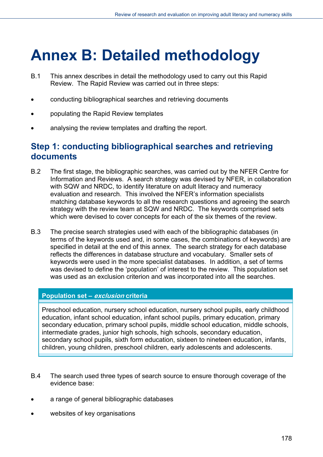## **Annex B: Detailed methodology**

- B.1 This annex describes in detail the methodology used to carry out this Rapid Review. The Rapid Review was carried out in three steps:
- conducting bibliographical searches and retrieving documents
- populating the Rapid Review templates
- analysing the review templates and drafting the report.

## **Step 1: conducting bibliographical searches and retrieving documents**

- B.2 The first stage, the bibliographic searches, was carried out by the NFER Centre for Information and Reviews. A search strategy was devised by NFER, in collaboration with SQW and NRDC, to identify literature on adult literacy and numeracy evaluation and research. This involved the NFER's information specialists matching database keywords to all the research questions and agreeing the search strategy with the review team at SQW and NRDC. The keywords comprised sets which were devised to cover concepts for each of the six themes of the review.
- B.3 The precise search strategies used with each of the bibliographic databases (in terms of the keywords used and, in some cases, the combinations of keywords) are specified in detail at the end of this annex. The search strategy for each database reflects the differences in database structure and vocabulary. Smaller sets of keywords were used in the more specialist databases. In addition, a set of terms was devised to define the 'population' of interest to the review. This population set was used as an exclusion criterion and was incorporated into all the searches.

## **Population set – exclusion criteria**

Preschool education, nursery school education, nursery school pupils, early childhood education, infant school education, infant school pupils, primary education, primary secondary education, primary school pupils, middle school education, middle schools, intermediate grades, junior high schools, high schools, secondary education, secondary school pupils, sixth form education, sixteen to nineteen education, infants, children, young children, preschool children, early adolescents and adolescents.

- B.4 The search used three types of search source to ensure thorough coverage of the evidence base:
- a range of general bibliographic databases
- websites of key organisations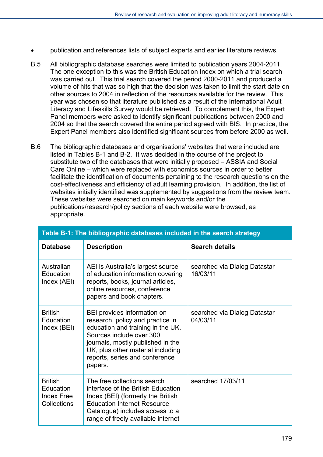- publication and references lists of subject experts and earlier literature reviews.
- B.5 All bibliographic database searches were limited to publication years 2004-2011. The one exception to this was the British Education Index on which a trial search was carried out. This trial search covered the period 2000-2011 and produced a volume of hits that was so high that the decision was taken to limit the start date on other sources to 2004 in reflection of the resources available for the review. This year was chosen so that literature published as a result of the International Adult Literacy and Lifeskills Survey would be retrieved. To complement this, the Expert Panel members were asked to identify significant publications between 2000 and 2004 so that the search covered the entire period agreed with BIS. In practice, the Expert Panel members also identified significant sources from before 2000 as well.
- B.6 The bibliographic databases and organisations' websites that were included are listed in Tables B-1 and B-2. It was decided in the course of the project to substitute two of the databases that were initially proposed – ASSIA and Social Care Online – which were replaced with economics sources in order to better facilitate the identification of documents pertaining to the research questions on the cost-effectiveness and efficiency of adult learning provision. In addition, the list of websites initially identified was supplemented by suggestions from the review team. These websites were searched on main keywords and/or the publications/research/policy sections of each website were browsed, as appropriate.

| Table B-1: The bibliographic databases included in the search strategy |                                                                                                                                                                                                                                                         |                                          |  |
|------------------------------------------------------------------------|---------------------------------------------------------------------------------------------------------------------------------------------------------------------------------------------------------------------------------------------------------|------------------------------------------|--|
| <b>Database</b>                                                        | <b>Description</b>                                                                                                                                                                                                                                      | <b>Search details</b>                    |  |
| Australian<br>Education<br>Index (AEI)                                 | AEI is Australia's largest source<br>of education information covering<br>reports, books, journal articles,<br>online resources, conference<br>papers and book chapters.                                                                                | searched via Dialog Datastar<br>16/03/11 |  |
| <b>British</b><br>Education<br>Index (BEI)                             | BEI provides information on<br>research, policy and practice in<br>education and training in the UK.<br>Sources include over 300<br>journals, mostly published in the<br>UK, plus other material including<br>reports, series and conference<br>papers. | searched via Dialog Datastar<br>04/03/11 |  |
| <b>British</b><br>Education<br><b>Index Free</b><br>Collections        | The free collections search<br>interface of the British Education<br>Index (BEI) (formerly the British<br><b>Education Internet Resource</b><br>Catalogue) includes access to a<br>range of freely available internet                                   | searched 17/03/11                        |  |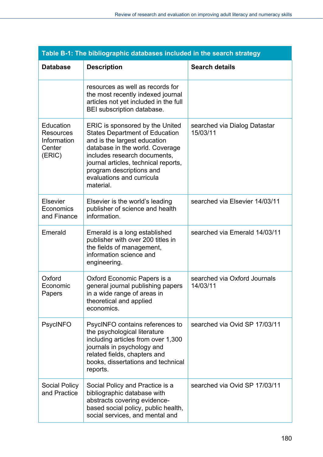| Table B-1: The bibliographic databases included in the search strategy |                                                                                                                                                                                                                                                                                           |                                          |  |
|------------------------------------------------------------------------|-------------------------------------------------------------------------------------------------------------------------------------------------------------------------------------------------------------------------------------------------------------------------------------------|------------------------------------------|--|
| <b>Database</b>                                                        | <b>Description</b>                                                                                                                                                                                                                                                                        | <b>Search details</b>                    |  |
|                                                                        | resources as well as records for<br>the most recently indexed journal<br>articles not yet included in the full<br>BEI subscription database.                                                                                                                                              |                                          |  |
| Education<br><b>Resources</b><br>Information<br>Center<br>(ERIC)       | ERIC is sponsored by the United<br><b>States Department of Education</b><br>and is the largest education<br>database in the world. Coverage<br>includes research documents,<br>journal articles, technical reports,<br>program descriptions and<br>evaluations and curricula<br>material. | searched via Dialog Datastar<br>15/03/11 |  |
| Elsevier<br>Economics<br>and Finance                                   | Elsevier is the world's leading<br>publisher of science and health<br>information.                                                                                                                                                                                                        | searched via Elsevier 14/03/11           |  |
| Emerald                                                                | Emerald is a long established<br>publisher with over 200 titles in<br>the fields of management,<br>information science and<br>engineering.                                                                                                                                                | searched via Emerald 14/03/11            |  |
| Oxford<br>Economic<br>Papers                                           | Oxford Economic Papers is a<br>general journal publishing papers<br>in a wide range of areas in<br>theoretical and applied<br>economics.                                                                                                                                                  | searched via Oxford Journals<br>14/03/11 |  |
| <b>PsycINFO</b>                                                        | PsycINFO contains references to<br>the psychological literature<br>including articles from over 1,300<br>journals in psychology and<br>related fields, chapters and<br>books, dissertations and technical<br>reports.                                                                     | searched via Ovid SP 17/03/11            |  |
| <b>Social Policy</b><br>and Practice                                   | Social Policy and Practice is a<br>bibliographic database with<br>abstracts covering evidence-<br>based social policy, public health,<br>social services, and mental and                                                                                                                  | searched via Ovid SP 17/03/11            |  |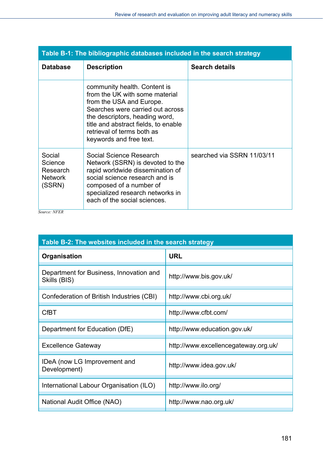| Table B-1: The bibliographic databases included in the search strategy |                                                                                                                                                                                                                                                                   |                            |
|------------------------------------------------------------------------|-------------------------------------------------------------------------------------------------------------------------------------------------------------------------------------------------------------------------------------------------------------------|----------------------------|
| <b>Database</b>                                                        | <b>Description</b>                                                                                                                                                                                                                                                | <b>Search details</b>      |
|                                                                        | community health. Content is<br>from the UK with some material<br>from the USA and Europe.<br>Searches were carried out across<br>the descriptors, heading word,<br>title and abstract fields, to enable<br>retrieval of terms both as<br>keywords and free text. |                            |
| Social<br>Science<br>Research<br><b>Network</b><br>(SSRN)              | Social Science Research<br>Network (SSRN) is devoted to the<br>rapid worldwide dissemination of<br>social science research and is<br>composed of a number of<br>specialized research networks in<br>each of the social sciences.                                  | searched via SSRN 11/03/11 |

*Source: NFER* 

| Table B-2: The websites included in the search strategy |                                      |  |
|---------------------------------------------------------|--------------------------------------|--|
| Organisation                                            | <b>URL</b>                           |  |
| Department for Business, Innovation and<br>Skills (BIS) | http://www.bis.gov.uk/               |  |
| Confederation of British Industries (CBI)               | http://www.cbi.org.uk/               |  |
| <b>CfBT</b>                                             | http://www.cfbt.com/                 |  |
| Department for Education (DfE)                          | http://www.education.gov.uk/         |  |
| <b>Excellence Gateway</b>                               | http://www.excellencegateway.org.uk/ |  |
| IDeA (now LG Improvement and<br>Development)            | http://www.idea.gov.uk/              |  |
| International Labour Organisation (ILO)                 | http://www.ilo.org/                  |  |
| National Audit Office (NAO)                             | http://www.nao.org.uk/               |  |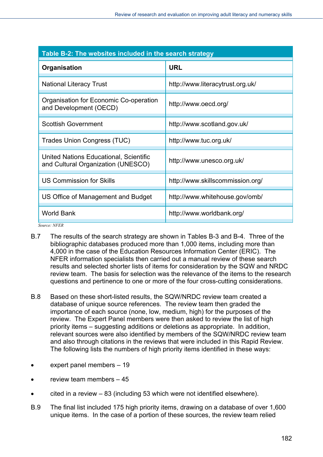| Table B-2: The websites included in the search strategy                      |                                  |  |
|------------------------------------------------------------------------------|----------------------------------|--|
| Organisation                                                                 | <b>URL</b>                       |  |
| <b>National Literacy Trust</b>                                               | http://www.literacytrust.org.uk/ |  |
| Organisation for Economic Co-operation<br>and Development (OECD)             | http://www.oecd.org/             |  |
| <b>Scottish Government</b>                                                   | http://www.scotland.gov.uk/      |  |
| Trades Union Congress (TUC)                                                  | http://www.tuc.org.uk/           |  |
| United Nations Educational, Scientific<br>and Cultural Organization (UNESCO) | http://www.unesco.org.uk/        |  |
| <b>US Commission for Skills</b>                                              | http://www.skillscommission.org/ |  |
| US Office of Management and Budget                                           | http://www.whitehouse.gov/omb/   |  |
| <b>World Bank</b>                                                            | http://www.worldbank.org/        |  |

*Source: NFER* 

- B.7 The results of the search strategy are shown in Tables B-3 and B-4. Three of the bibliographic databases produced more than 1,000 items, including more than 4,000 in the case of the Education Resources Information Center (ERIC). The NFER information specialists then carried out a manual review of these search results and selected shorter lists of items for consideration by the SQW and NRDC review team. The basis for selection was the relevance of the items to the research questions and pertinence to one or more of the four cross-cutting considerations.
- B.8 Based on these short-listed results, the SQW/NRDC review team created a database of unique source references. The review team then graded the importance of each source (none, low, medium, high) for the purposes of the review. The Expert Panel members were then asked to review the list of high priority items – suggesting additions or deletions as appropriate. In addition, relevant sources were also identified by members of the SQW/NRDC review team and also through citations in the reviews that were included in this Rapid Review. The following lists the numbers of high priority items identified in these ways:
- expert panel members 19
- review team members 45
- cited in a review 83 (including 53 which were not identified elsewhere).
- B.9 The final list included 175 high priority items, drawing on a database of over 1,600 unique items. In the case of a portion of these sources, the review team relied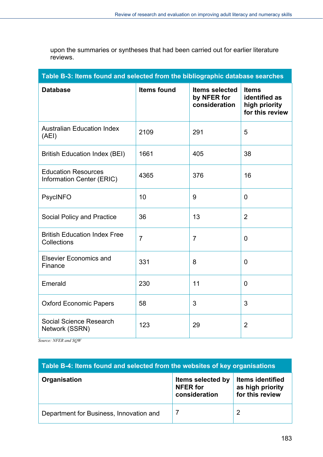upon the summaries or syntheses that had been carried out for earlier literature reviews.

| Table B-3: Items found and selected from the bibliographic database searches |                    |                                                       |                                                                   |
|------------------------------------------------------------------------------|--------------------|-------------------------------------------------------|-------------------------------------------------------------------|
| <b>Database</b>                                                              | <b>Items found</b> | <b>Items selected</b><br>by NFER for<br>consideration | <b>Items</b><br>identified as<br>high priority<br>for this review |
| <b>Australian Education Index</b><br>(AEI)                                   | 2109               | 291                                                   | 5                                                                 |
| <b>British Education Index (BEI)</b>                                         | 1661               | 405                                                   | 38                                                                |
| <b>Education Resources</b><br>Information Center (ERIC)                      | 4365               | 376                                                   | 16                                                                |
| <b>PsycINFO</b>                                                              | 10                 | 9                                                     | $\overline{0}$                                                    |
| Social Policy and Practice                                                   | 36                 | 13                                                    | $\overline{2}$                                                    |
| <b>British Education Index Free</b><br>Collections                           | $\overline{7}$     | $\overline{7}$                                        | $\overline{0}$                                                    |
| <b>Elsevier Economics and</b><br>Finance                                     | 331                | 8                                                     | 0                                                                 |
| Emerald                                                                      | 230                | 11                                                    | 0                                                                 |
| <b>Oxford Economic Papers</b>                                                | 58                 | 3                                                     | 3                                                                 |
| Social Science Research<br>Network (SSRN)                                    | 123                | 29                                                    | $\overline{2}$                                                    |

*Source: NFER and SQW* 

| Table B-4: Items found and selected from the websites of key organisations |                                                       |                                                                |
|----------------------------------------------------------------------------|-------------------------------------------------------|----------------------------------------------------------------|
| Organisation                                                               | Items selected by<br><b>NFER</b> for<br>consideration | <b>Items identified</b><br>as high priority<br>for this review |
| Department for Business, Innovation and                                    |                                                       | ႒                                                              |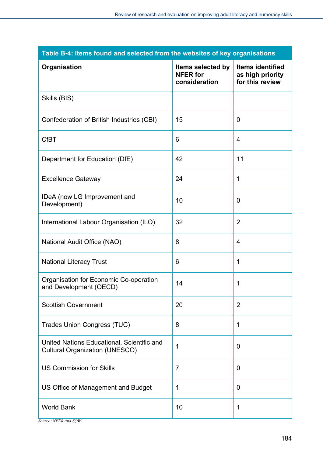| Table B-4: Items found and selected from the websites of key organisations          |                                                       |                                                                |
|-------------------------------------------------------------------------------------|-------------------------------------------------------|----------------------------------------------------------------|
| Organisation                                                                        | Items selected by<br><b>NFER</b> for<br>consideration | <b>Items identified</b><br>as high priority<br>for this review |
| Skills (BIS)                                                                        |                                                       |                                                                |
| Confederation of British Industries (CBI)                                           | 15                                                    | 0                                                              |
| <b>CfBT</b>                                                                         | 6                                                     | $\overline{4}$                                                 |
| Department for Education (DfE)                                                      | 42                                                    | 11                                                             |
| <b>Excellence Gateway</b>                                                           | 24                                                    | 1                                                              |
| IDeA (now LG Improvement and<br>Development)                                        | 10                                                    | 0                                                              |
| International Labour Organisation (ILO)                                             | 32                                                    | $\overline{2}$                                                 |
| National Audit Office (NAO)                                                         | 8                                                     | $\overline{4}$                                                 |
| <b>National Literacy Trust</b>                                                      | 6                                                     | 1                                                              |
| Organisation for Economic Co-operation<br>and Development (OECD)                    | 14                                                    | 1                                                              |
| <b>Scottish Government</b>                                                          | 20                                                    | $\overline{2}$                                                 |
| <b>Trades Union Congress (TUC)</b>                                                  | 8                                                     | 1                                                              |
| United Nations Educational, Scientific and<br><b>Cultural Organization (UNESCO)</b> | 1                                                     | 0                                                              |
| <b>US Commission for Skills</b>                                                     | $\overline{7}$                                        | $\overline{0}$                                                 |
| US Office of Management and Budget                                                  | 1                                                     | 0                                                              |
| <b>World Bank</b>                                                                   | 10                                                    | 1                                                              |

*Source: NFER and SQW*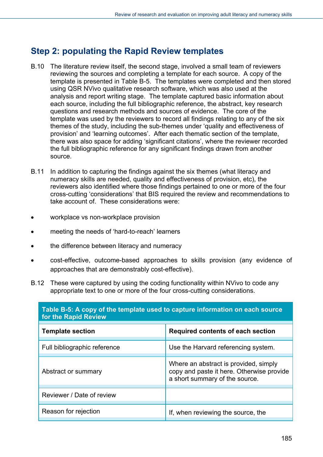# **Step 2: populating the Rapid Review templates**

- B.10 The literature review itself, the second stage, involved a small team of reviewers reviewing the sources and completing a template for each source. A copy of the template is presented in Table B-5. The templates were completed and then stored using QSR NVivo qualitative research software, which was also used at the analysis and report writing stage. The template captured basic information about each source, including the full bibliographic reference, the abstract, key research questions and research methods and sources of evidence. The core of the template was used by the reviewers to record all findings relating to any of the six themes of the study, including the sub-themes under 'quality and effectiveness of provision' and 'learning outcomes'. After each thematic section of the template, there was also space for adding 'significant citations', where the reviewer recorded the full bibliographic reference for any significant findings drawn from another source.
- B.11 In addition to capturing the findings against the six themes (what literacy and numeracy skills are needed, quality and effectiveness of provision, etc), the reviewers also identified where those findings pertained to one or more of the four cross-cutting 'considerations' that BIS required the review and recommendations to take account of. These considerations were:
- workplace vs non-workplace provision
- meeting the needs of 'hard-to-reach' learners
- the difference between literacy and numeracy
- cost-effective, outcome-based approaches to skills provision (any evidence of approaches that are demonstrably cost-effective).
- B.12 These were captured by using the coding functionality within NVivo to code any appropriate text to one or more of the four cross-cutting considerations.

| Table B-5: A copy of the template used to capture information on each source<br>for the Rapid Review |                                                                                                                      |  |
|------------------------------------------------------------------------------------------------------|----------------------------------------------------------------------------------------------------------------------|--|
| <b>Template section</b>                                                                              | Required contents of each section                                                                                    |  |
| Full bibliographic reference                                                                         | Use the Harvard referencing system.                                                                                  |  |
| Abstract or summary                                                                                  | Where an abstract is provided, simply<br>copy and paste it here. Otherwise provide<br>a short summary of the source. |  |
| Reviewer / Date of review                                                                            |                                                                                                                      |  |
| Reason for rejection                                                                                 | If, when reviewing the source, the                                                                                   |  |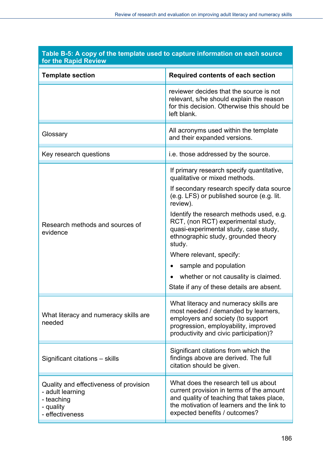| for the Rapid Review                                                                                     |                                                                                                                                                                                                                                                                                                                                                                                                                                                                                                        |  |
|----------------------------------------------------------------------------------------------------------|--------------------------------------------------------------------------------------------------------------------------------------------------------------------------------------------------------------------------------------------------------------------------------------------------------------------------------------------------------------------------------------------------------------------------------------------------------------------------------------------------------|--|
| <b>Template section</b>                                                                                  | <b>Required contents of each section</b>                                                                                                                                                                                                                                                                                                                                                                                                                                                               |  |
|                                                                                                          | reviewer decides that the source is not<br>relevant, s/he should explain the reason<br>for this decision. Otherwise this should be<br>left blank.                                                                                                                                                                                                                                                                                                                                                      |  |
| Glossary                                                                                                 | All acronyms used within the template<br>and their expanded versions.                                                                                                                                                                                                                                                                                                                                                                                                                                  |  |
| Key research questions                                                                                   | i.e. those addressed by the source.                                                                                                                                                                                                                                                                                                                                                                                                                                                                    |  |
| Research methods and sources of<br>evidence                                                              | If primary research specify quantitative,<br>qualitative or mixed methods.<br>If secondary research specify data source<br>(e.g. LFS) or published source (e.g. lit.<br>review).<br>Identify the research methods used, e.g.<br>RCT, (non RCT) experimental study,<br>quasi-experimental study, case study,<br>ethnographic study, grounded theory<br>study.<br>Where relevant, specify:<br>sample and population<br>whether or not causality is claimed.<br>State if any of these details are absent. |  |
| What literacy and numeracy skills are<br>needed                                                          | What literacy and numeracy skills are<br>most needed / demanded by learners,<br>employers and society (to support<br>progression, employability, improved<br>productivity and civic participation)?                                                                                                                                                                                                                                                                                                    |  |
| Significant citations - skills                                                                           | Significant citations from which the<br>findings above are derived. The full<br>citation should be given.                                                                                                                                                                                                                                                                                                                                                                                              |  |
| Quality and effectiveness of provision<br>- adult learning<br>- teaching<br>- quality<br>- effectiveness | What does the research tell us about<br>current provision in terms of the amount<br>and quality of teaching that takes place,<br>the motivation of learners and the link to<br>expected benefits / outcomes?                                                                                                                                                                                                                                                                                           |  |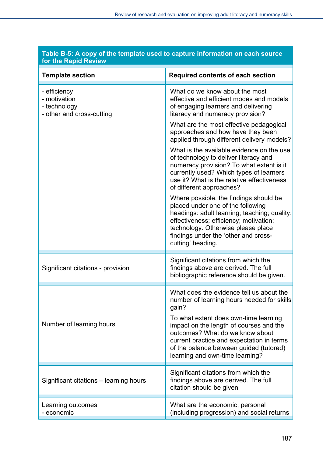| for the Rapid Review                                                      |                                                                                                                                                                                                                                                                                                                                                   |  |  |
|---------------------------------------------------------------------------|---------------------------------------------------------------------------------------------------------------------------------------------------------------------------------------------------------------------------------------------------------------------------------------------------------------------------------------------------|--|--|
| <b>Template section</b>                                                   | <b>Required contents of each section</b>                                                                                                                                                                                                                                                                                                          |  |  |
| - efficiency<br>- motivation<br>- technology<br>- other and cross-cutting | What do we know about the most<br>effective and efficient modes and models<br>of engaging learners and delivering<br>literacy and numeracy provision?                                                                                                                                                                                             |  |  |
|                                                                           | What are the most effective pedagogical<br>approaches and how have they been<br>applied through different delivery models?                                                                                                                                                                                                                        |  |  |
|                                                                           | What is the available evidence on the use<br>of technology to deliver literacy and<br>numeracy provision? To what extent is it<br>currently used? Which types of learners<br>use it? What is the relative effectiveness<br>of different approaches?                                                                                               |  |  |
|                                                                           | Where possible, the findings should be<br>placed under one of the following<br>headings: adult learning; teaching; quality;<br>effectiveness; efficiency; motivation;<br>technology. Otherwise please place<br>findings under the 'other and cross-<br>cutting' heading.                                                                          |  |  |
| Significant citations - provision                                         | Significant citations from which the<br>findings above are derived. The full<br>bibliographic reference should be given.                                                                                                                                                                                                                          |  |  |
| Number of learning hours                                                  | What does the evidence tell us about the<br>number of learning hours needed for skills<br>gain?<br>To what extent does own-time learning<br>impact on the length of courses and the<br>outcomes? What do we know about<br>current practice and expectation in terms<br>of the balance between guided (tutored)<br>learning and own-time learning? |  |  |
| Significant citations – learning hours                                    | Significant citations from which the<br>findings above are derived. The full<br>citation should be given                                                                                                                                                                                                                                          |  |  |
| Learning outcomes<br>- economic                                           | What are the economic, personal<br>(including progression) and social returns                                                                                                                                                                                                                                                                     |  |  |

## **Table B-5: A copy of the template used to capture information on each source for the Rapid Review**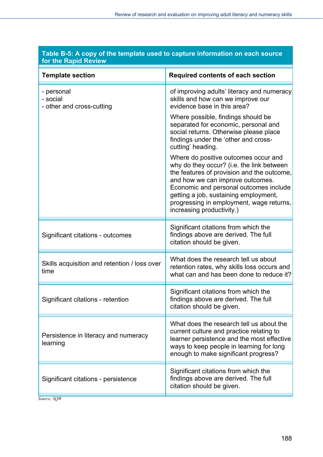| for the Rapid Review                                                                                                                                                                                                                                                                                                            |  |  |  |
|---------------------------------------------------------------------------------------------------------------------------------------------------------------------------------------------------------------------------------------------------------------------------------------------------------------------------------|--|--|--|
| <b>Required contents of each section</b>                                                                                                                                                                                                                                                                                        |  |  |  |
| of improving adults' literacy and numeracy<br>skills and how can we improve our<br>evidence base in this area?                                                                                                                                                                                                                  |  |  |  |
| Where possible, findings should be<br>separated for economic, personal and<br>social returns. Otherwise please place<br>findings under the 'other and cross-<br>cutting' heading.                                                                                                                                               |  |  |  |
| Where do positive outcomes occur and<br>why do they occur? (i.e. the link between<br>the features of provision and the outcome,<br>and how we can improve outcomes.<br>Economic and personal outcomes include<br>getting a job, sustaining employment,<br>progressing in employment, wage returns,<br>increasing productivity.) |  |  |  |
| Significant citations from which the<br>findings above are derived. The full<br>citation should be given.                                                                                                                                                                                                                       |  |  |  |
| What does the research tell us about<br>retention rates, why skills loss occurs and<br>what can and has been done to reduce it?                                                                                                                                                                                                 |  |  |  |
| Significant citations from which the<br>findings above are derived. The full<br>citation should be given.                                                                                                                                                                                                                       |  |  |  |
| What does the research tell us about the<br>current culture and practice relating to<br>learner persistence and the most effective<br>ways to keep people in learning for long<br>enough to make significant progress?                                                                                                          |  |  |  |
| Significant citations from which the<br>findings above are derived. The full<br>citation should be given.                                                                                                                                                                                                                       |  |  |  |
|                                                                                                                                                                                                                                                                                                                                 |  |  |  |

## **Table B-5: A copy of the template used to capture information on each source for the Rapid Review**

*Source: SQW*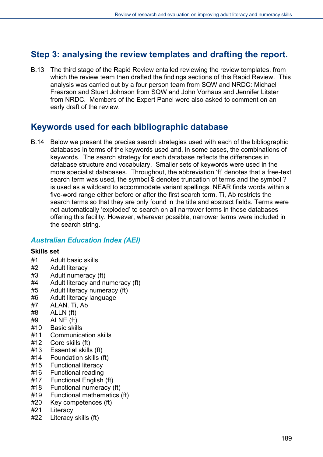# **Step 3: analysing the review templates and drafting the report.**

B.13 The third stage of the Rapid Review entailed reviewing the review templates, from which the review team then drafted the findings sections of this Rapid Review. This analysis was carried out by a four person team from SQW and NRDC: Michael Frearson and Stuart Johnson from SQW and John Vorhaus and Jennifer Litster from NRDC. Members of the Expert Panel were also asked to comment on an early draft of the review.

# **Keywords used for each bibliographic database**

B.14 Below we present the precise search strategies used with each of the bibliographic databases in terms of the keywords used and, in some cases, the combinations of keywords. The search strategy for each database reflects the differences in database structure and vocabulary. Smaller sets of keywords were used in the more specialist databases. Throughout, the abbreviation 'ft' denotes that a free-text search term was used, the symbol \$ denotes truncation of terms and the symbol? is used as a wildcard to accommodate variant spellings. NEAR finds words within a five-word range either before or after the first search term. Ti, Ab restricts the search terms so that they are only found in the title and abstract fields. Terms were not automatically 'exploded' to search on all narrower terms in those databases offering this facility. However, wherever possible, narrower terms were included in the search string.

## *Australian Education Index (AEI)*

#### **Skills set**

- #1 Adult basic skills
- #2 Adult literacy
- #3 Adult numeracy (ft)
- #4 Adult literacy and numeracy (ft)
- #5 Adult literacy numeracy (ft)
- #6 Adult literacy language
- #7 ALAN. Ti, Ab
- #8 ALLN (ft)
- #9 ALNE (ft)
- #10 Basic skills
- #11 Communication skills
- #12 Core skills (ft)
- #13 Essential skills (ft)
- #14 Foundation skills (ft)
- #15 Functional literacy
- #16 Functional reading
- #17 Functional English (ft)
- #18 Functional numeracy (ft)
- #19 Functional mathematics (ft)
- #20 Key competences (ft)
- #21 Literacy
- #22 Literacy skills (ft)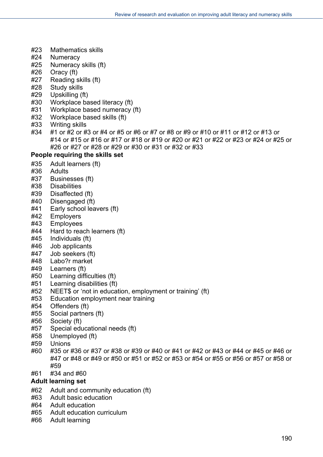- #23 Mathematics skills
- #24 Numeracy
- #25 Numeracy skills (ft)
- #26 Oracy (ft)
- #27 Reading skills (ft)
- #28 Study skills
- #29 Upskilling (ft)
- #30 Workplace based literacy (ft)
- #31 Workplace based numeracy (ft)
- #32 Workplace based skills (ft)
- #33 Writing skills
- #34 #1 or #2 or #3 or #4 or #5 or #6 or #7 or #8 or #9 or #10 or #11 or #12 or #13 or #14 or #15 or #16 or #17 or #18 or #19 or #20 or #21 or #22 or #23 or #24 or #25 or #26 or #27 or #28 or #29 or #30 or #31 or #32 or #33

### **People requiring the skills set**

- #35 Adult learners (ft)
- #36 Adults
- #37 Businesses (ft)
- #38 Disabilities
- #39 Disaffected (ft)
- #40 Disengaged (ft)
- #41 Early school leavers (ft)
- #42 Employers
- #43 Employees
- #44 Hard to reach learners (ft)
- #45 Individuals (ft)
- #46 Job applicants
- #47 Job seekers (ft)
- #48 Labo?r market
- #49 Learners (ft)
- #50 Learning difficulties (ft)
- #51 Learning disabilities (ft)
- #52 NEET\$ or 'not in education, employment or training' (ft)
- #53 Education employment near training
- #54 Offenders (ft)
- #55 Social partners (ft)
- #56 Society (ft)
- #57 Special educational needs (ft)
- #58 Unemployed (ft)
- #59 Unions
- #60 #35 or #36 or #37 or #38 or #39 or #40 or #41 or #42 or #43 or #44 or #45 or #46 or #47 or #48 or #49 or #50 or #51 or #52 or #53 or #54 or #55 or #56 or #57 or #58 or #59
- #61 #34 and #60

### **Adult learning set**

- #62 Adult and community education (ft)
- #63 Adult basic education
- #64 Adult education
- #65 Adult education curriculum
- #66 Adult learning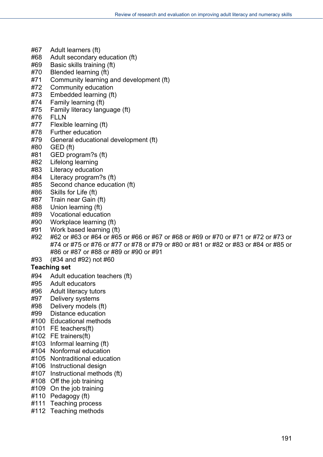- #67 Adult learners (ft)
- #68 Adult secondary education (ft)
- #69 Basic skills training (ft)
- #70 Blended learning (ft)
- #71 Community learning and development (ft)
- #72 Community education
- #73 Embedded learning (ft)
- #74 Family learning (ft)
- #75 Family literacy language (ft)
- #76 FLLN
- #77 Flexible learning (ft)
- #78 Further education
- #79 General educational development (ft)
- #80 GED (ft)
- #81 GED program?s (ft)
- #82 Lifelong learning
- #83 Literacy education
- #84 Literacy program?s (ft)
- #85 Second chance education (ft)
- #86 Skills for Life (ft)
- #87 Train near Gain (ft)
- #88 Union learning (ft)
- #89 Vocational education
- #90 Workplace learning (ft)
- #91 Work based learning (ft)
- #92 #62 or #63 or #64 or #65 or #66 or #67 or #68 or #69 or #70 or #71 or #72 or #73 or #74 or #75 or #76 or #77 or #78 or #79 or #80 or #81 or #82 or #83 or #84 or #85 or #86 or #87 or #88 or #89 or #90 or #91
- #93 (#34 and #92) not #60

### **Teaching set**

- #94 Adult education teachers (ft)
- #95 Adult educators
- #96 Adult literacy tutors
- #97 Delivery systems
- #98 Delivery models (ft)
- #99 Distance education
- #100 Educational methods
- #101 FE teachers(ft)
- #102 FE trainers(ft)
- #103 Informal learning (ft)
- #104 Nonformal education
- #105 Nontraditional education
- #106 Instructional design
- #107 Instructional methods (ft)
- #108 Off the job training
- #109 On the job training
- #110 Pedagogy (ft)
- #111 Teaching process
- #112 Teaching methods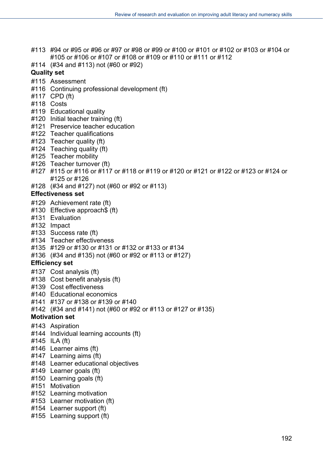- #113 #94 or #95 or #96 or #97 or #98 or #99 or #100 or #101 or #102 or #103 or #104 or #105 or #106 or #107 or #108 or #109 or #110 or #111 or #112
- #114 (#34 and #113) not (#60 or #92)

## **Quality set**

- #115 Assessment
- #116 Continuing professional development (ft)
- #117 CPD (ft)
- #118 Costs
- #119 Educational quality
- #120 Initial teacher training (ft)
- #121 Preservice teacher education
- #122 Teacher qualifications
- #123 Teacher quality (ft)
- #124 Teaching quality (ft)
- #125 Teacher mobility
- #126 Teacher turnover (ft)
- #127 #115 or #116 or #117 or #118 or #119 or #120 or #121 or #122 or #123 or #124 or #125 or #126
- #128 (#34 and #127) not (#60 or #92 or #113)

#### **Effectiveness set**

- #129 Achievement rate (ft)
- #130 Effective approach\$ (ft)
- #131 Evaluation
- #132 Impact
- #133 Success rate (ft)
- #134 Teacher effectiveness
- #135 #129 or #130 or #131 or #132 or #133 or #134
- #136 (#34 and #135) not (#60 or #92 or #113 or #127)

### **Efficiency set**

- #137 Cost analysis (ft)
- #138 Cost benefit analysis (ft)
- #139 Cost effectiveness
- #140 Educational economics
- #141 #137 or #138 or #139 or #140
- #142 (#34 and #141) not (#60 or #92 or #113 or #127 or #135)

### **Motivation set**

- #143 Aspiration
- #144 Individual learning accounts (ft)
- #145 ILA (ft)
- #146 Learner aims (ft)
- #147 Learning aims (ft)
- #148 Learner educational objectives
- #149 Learner goals (ft)
- #150 Learning goals (ft)
- #151 Motivation
- #152 Learning motivation
- #153 Learner motivation (ft)
- #154 Learner support (ft)
- #155 Learning support (ft)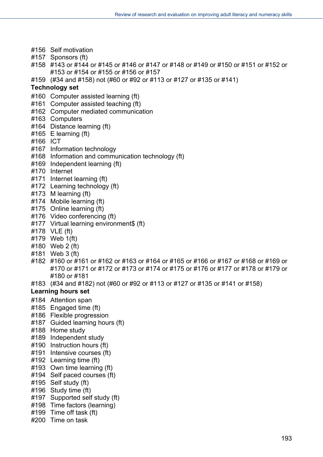- #156 Self motivation
- #157 Sponsors (ft)
- #158 #143 or #144 or #145 or #146 or #147 or #148 or #149 or #150 or #151 or #152 or #153 or #154 or #155 or #156 or #157
- #159 (#34 and #158) not (#60 or #92 or #113 or #127 or #135 or #141)

#### **Technology set**

- #160 Computer assisted learning (ft)
- #161 Computer assisted teaching (ft)
- #162 Computer mediated communication
- #163 Computers
- #164 Distance learning (ft)
- #165 E learning (ft)
- #166 ICT
- #167 Information technology
- #168 Information and communication technology (ft)
- #169 Independent learning (ft)
- #170 Internet
- #171 Internet learning (ft)
- #172 Learning technology (ft)
- #173 M learning (ft)
- #174 Mobile learning (ft)
- #175 Online learning (ft)
- #176 Video conferencing (ft)
- #177 Virtual learning environment\$ (ft)
- #178 VLE (ft)
- #179 Web 1(ft)
- #180 Web 2 (ft)
- #181 Web 3 (ft)
- #182 #160 or #161 or #162 or #163 or #164 or #165 or #166 or #167 or #168 or #169 or #170 or #171 or #172 or #173 or #174 or #175 or #176 or #177 or #178 or #179 or #180 or #181
- #183 (#34 and #182) not (#60 or #92 or #113 or #127 or #135 or #141 or #158)

#### **Learning hours set**

- #184 Attention span
- #185 Engaged time (ft)
- #186 Flexible progression
- #187 Guided learning hours (ft)
- #188 Home study
- #189 Independent study
- #190 Instruction hours (ft)
- #191 Intensive courses (ft)
- #192 Learning time (ft)
- #193 Own time learning (ft)
- #194 Self paced courses (ft)
- #195 Self study (ft)
- #196 Study time (ft)
- #197 Supported self study (ft)
- #198 Time factors (learning)
- #199 Time off task (ft)
- #200 Time on task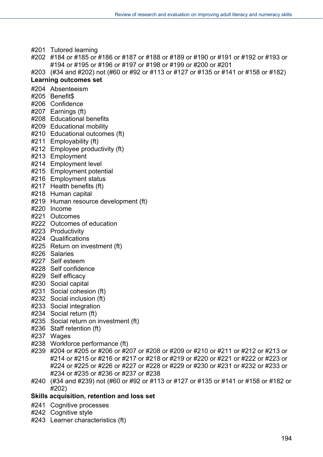- #201 Tutored learning
- #202 #184 or #185 or #186 or #187 or #188 or #189 or #190 or #191 or #192 or #193 or #194 or #195 or #196 or #197 or #198 or #199 or #200 or #201
- #203 (#34 and #202) not (#60 or #92 or #113 or #127 or #135 or #141 or #158 or #182)

#### **Learning outcomes set**

- #204 Absenteeism
- #205 Benefit\$
- #206 Confidence
- #207 Earnings (ft)
- #208 Educational benefits
- #209 Educational mobility
- #210 Educational outcomes (ft)
- #211 Employability (ft)
- #212 Employee productivity (ft)
- #213 Employment
- #214 Employment level
- #215 Employment potential
- #216 Employment status
- #217 Health benefits (ft)
- #218 Human capital
- #219 Human resource development (ft)
- #220 Income
- #221 Outcomes
- #222 Outcomes of education
- #223 Productivity
- #224 Qualifications
- #225 Return on investment (ft)
- #226 Salaries
- #227 Self esteem
- #228 Self confidence
- #229 Self efficacy
- #230 Social capital
- #231 Social cohesion (ft)
- #232 Social inclusion (ft)
- #233 Social integration
- #234 Social return (ft)
- #235 Social return on investment (ft)
- #236 Staff retention (ft)
- #237 Wages
- #238 Workforce performance (ft)
- #239 #204 or #205 or #206 or #207 or #208 or #209 or #210 or #211 or #212 or #213 or #214 or #215 or #216 or #217 or #218 or #219 or #220 or #221 or #222 or #223 or #224 or #225 or #226 or #227 or #228 or #229 or #230 or #231 or #232 or #233 or #234 or #235 or #236 or #237 or #238
- #240 (#34 and #239) not (#60 or #92 or #113 or #127 or #135 or #141 or #158 or #182 or #202)
- **Skills acquisition, retention and loss set**
- #241 Cognitive processes
- #242 Cognitive style
- #243 Learner characteristics (ft)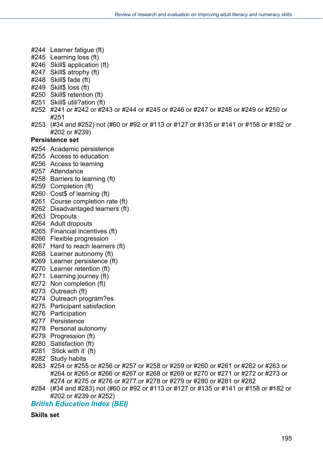- #244 Learner fatigue (ft)
- #245 Learning loss (ft)
- #246 Skill\$ application (ft)
- #247 Skill\$ atrophy (ft)
- #248 Skill\$ fade (ft)
- #249 Skill\$ loss (ft)
- #250 Skill\$ retention (ft)
- #251 Skill\$ utili?ation (ft)
- #252 #241 or #242 or #243 or #244 or #245 or #246 or #247 or #248 or #249 or #250 or #251
- #253 (#34 and #252) not (#60 or #92 or #113 or #127 or #135 or #141 or #158 or #182 or #202 or #239)

#### **Persistence set**

- #254 Academic persistence
- #255 Access to education
- #256 Access to learning
- #257 Attendance
- #258 Barriers to learning (ft)
- #259 Completion (ft)
- #260 Cost\$ of learning (ft)
- #261 Course completion rate (ft)
- #262 Disadvantaged learners (ft)
- #263 Dropouts
- #264 Adult dropouts
- #265 Financial incentives (ft)
- #266 Flexible progression
- #267 Hard to reach learners (ft)
- #268 Learner autonomy (ft)
- #269 Learner persistence (ft)
- #270 Learner retention (ft)
- #271 Learning journey (ft)
- #272 Non completion (ft)
- #273 Outreach (ft)
- #274 Outreach program?es
- #275 Participant satisfaction
- #276 Participation
- #277 Persistence
- #278 Personal autonomy
- #279 Progression (ft)
- #280 Satisfaction (ft)
- #281 'Stick with it' (ft)
- #282 Study habits
- #283 #254 or #255 or #256 or #257 or #258 or #259 or #260 or #261 or #262 or #263 or #264 or #265 or #266 or #267 or #268 or #269 or #270 or #271 or #272 or #273 or #274 or #275 or #276 or #277 or #278 or #279 or #280 or #281 or #282
- #284 (#34 and #283) not (#60 or #92 or #113 or #127 or #135 or #141 or #158 or #182 or #202 or #239 or #252)

*British Education Index (BEI)* 

#### **Skills set**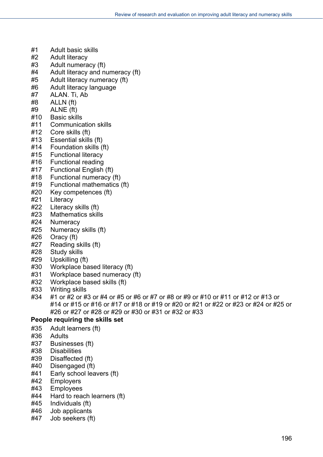- #1 Adult basic skills
- #2 Adult literacy
- #3 Adult numeracy (ft)
- #4 Adult literacy and numeracy (ft)
- #5 Adult literacy numeracy (ft)
- #6 Adult literacy language
- #7 ALAN. Ti, Ab
- #8 ALLN (ft)
- #9 ALNE (ft)
- #10 Basic skills
- #11 Communication skills
- #12 Core skills (ft)
- #13 Essential skills (ft)
- #14 Foundation skills (ft)
- #15 Functional literacy
- #16 Functional reading
- #17 Functional English (ft)
- #18 Functional numeracy (ft)
- #19 Functional mathematics (ft)
- #20 Key competences (ft)
- #21 Literacy
- #22 Literacy skills (ft)
- #23 Mathematics skills
- #24 Numeracy
- #25 Numeracy skills (ft)
- #26 Oracy (ft)
- #27 Reading skills (ft)
- #28 Study skills
- #29 Upskilling (ft)
- #30 Workplace based literacy (ft)
- #31 Workplace based numeracy (ft)
- #32 Workplace based skills (ft)
- #33 Writing skills
- #34 #1 or #2 or #3 or #4 or #5 or #6 or #7 or #8 or #9 or #10 or #11 or #12 or #13 or #14 or #15 or #16 or #17 or #18 or #19 or #20 or #21 or #22 or #23 or #24 or #25 or #26 or #27 or #28 or #29 or #30 or #31 or #32 or #33

#### **People requiring the skills set**

- #35 Adult learners (ft)
- #36 Adults
- #37 Businesses (ft)
- #38 Disabilities
- #39 Disaffected (ft)
- #40 Disengaged (ft)
- #41 Early school leavers (ft)
- #42 Employers
- #43 Employees
- #44 Hard to reach learners (ft)
- #45 Individuals (ft)
- #46 Job applicants
- #47 Job seekers (ft)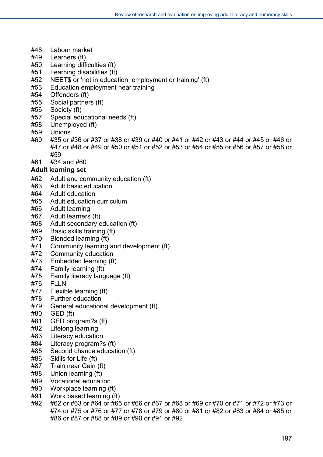- #48 Labour market
- #49 Learners (ft)
- #50 Learning difficulties (ft)
- #51 Learning disabilities (ft)
- #52 NEET\$ or 'not in education, employment or training' (ft)
- #53 Education employment near training
- #54 Offenders (ft)
- #55 Social partners (ft)
- #56 Society (ft)
- #57 Special educational needs (ft)
- #58 Unemployed (ft)
- #59 Unions
- #60 #35 or #36 or #37 or #38 or #39 or #40 or #41 or #42 or #43 or #44 or #45 or #46 or #47 or #48 or #49 or #50 or #51 or #52 or #53 or #54 or #55 or #56 or #57 or #58 or #59
- #61 #34 and #60

#### **Adult learning set**

- #62 Adult and community education (ft)
- #63 Adult basic education
- #64 Adult education
- #65 Adult education curriculum
- #66 Adult learning
- #67 Adult learners (ft)
- #68 Adult secondary education (ft)
- #69 Basic skills training (ft)
- #70 Blended learning (ft)
- #71 Community learning and development (ft)
- #72 Community education
- #73 Embedded learning (ft)
- #74 Family learning (ft)
- #75 Family literacy language (ft)
- #76 FLLN
- #77 Flexible learning (ft)
- #78 Further education
- #79 General educational development (ft)
- #80 GED (ft)
- #81 GED program?s (ft)
- #82 Lifelong learning
- #83 Literacy education
- #84 Literacy program?s (ft)
- #85 Second chance education (ft)
- #86 Skills for Life (ft)
- #87 Train near Gain (ft)
- #88 Union learning (ft)
- #89 Vocational education
- #90 Workplace learning (ft)
- #91 Work based learning (ft)
- #92 #62 or #63 or #64 or #65 or #66 or #67 or #68 or #69 or #70 or #71 or #72 or #73 or #74 or #75 or #76 or #77 or #78 or #79 or #80 or #81 or #82 or #83 or #84 or #85 or #86 or #87 or #88 or #89 or #90 or #91 or #92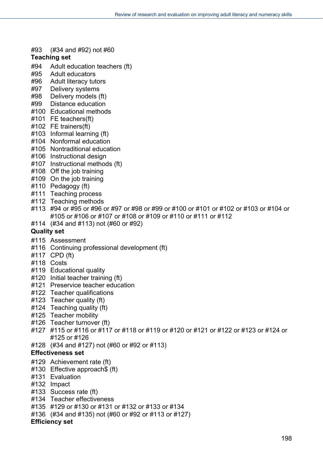#93 (#34 and #92) not #60

#### **Teaching set**

- #94 Adult education teachers (ft)
- #95 Adult educators
- #96 Adult literacy tutors
- #97 Delivery systems
- #98 Delivery models (ft)
- #99 Distance education
- #100 Educational methods
- #101 FE teachers(ft)
- #102 FE trainers(ft)
- #103 Informal learning (ft)
- #104 Nonformal education
- #105 Nontraditional education
- #106 Instructional design
- #107 Instructional methods (ft)
- #108 Off the job training
- #109 On the job training
- #110 Pedagogy (ft)
- #111 Teaching process
- #112 Teaching methods
- #113 #94 or #95 or #96 or #97 or #98 or #99 or #100 or #101 or #102 or #103 or #104 or #105 or #106 or #107 or #108 or #109 or #110 or #111 or #112
- #114 (#34 and #113) not (#60 or #92)

### **Quality set**

- #115 Assessment
- #116 Continuing professional development (ft)
- #117 CPD (ft)
- #118 Costs
- #119 Educational quality
- #120 Initial teacher training (ft)
- #121 Preservice teacher education
- #122 Teacher qualifications
- #123 Teacher quality (ft)
- #124 Teaching quality (ft)
- #125 Teacher mobility
- #126 Teacher turnover (ft)
- #127 #115 or #116 or #117 or #118 or #119 or #120 or #121 or #122 or #123 or #124 or #125 or #126
- #128 (#34 and #127) not (#60 or #92 or #113)

#### **Effectiveness set**

- #129 Achievement rate (ft)
- #130 Effective approach\$ (ft)
- #131 Evaluation
- #132 Impact
- #133 Success rate (ft)
- #134 Teacher effectiveness
- #135 #129 or #130 or #131 or #132 or #133 or #134
- #136 (#34 and #135) not (#60 or #92 or #113 or #127)

#### **Efficiency set**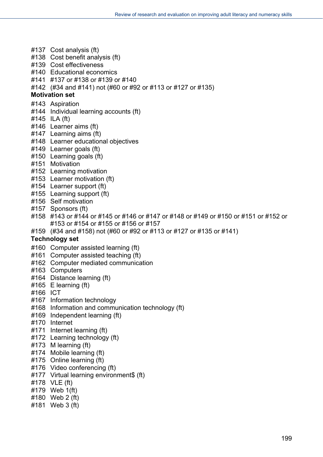- #137 Cost analysis (ft)
- #138 Cost benefit analysis (ft)
- #139 Cost effectiveness
- #140 Educational economics
- #141 #137 or #138 or #139 or #140
- #142 (#34 and #141) not (#60 or #92 or #113 or #127 or #135)

#### **Motivation set**

- #143 Aspiration
- #144 Individual learning accounts (ft)
- #145 ILA (ft)
- #146 Learner aims (ft)
- #147 Learning aims (ft)
- #148 Learner educational objectives
- #149 Learner goals (ft)
- #150 Learning goals (ft)
- #151 Motivation
- #152 Learning motivation
- #153 Learner motivation (ft)
- #154 Learner support (ft)
- #155 Learning support (ft)
- #156 Self motivation
- #157 Sponsors (ft)
- #158 #143 or #144 or #145 or #146 or #147 or #148 or #149 or #150 or #151 or #152 or #153 or #154 or #155 or #156 or #157
- #159 (#34 and #158) not (#60 or #92 or #113 or #127 or #135 or #141)

#### **Technology set**

- #160 Computer assisted learning (ft)
- #161 Computer assisted teaching (ft)
- #162 Computer mediated communication
- #163 Computers
- #164 Distance learning (ft)
- #165 E learning (ft)
- #166 ICT
- #167 Information technology
- #168 Information and communication technology (ft)
- #169 Independent learning (ft)
- #170 Internet
- #171 Internet learning (ft)
- #172 Learning technology (ft)
- #173 M learning (ft)
- #174 Mobile learning (ft)
- #175 Online learning (ft)
- #176 Video conferencing (ft)
- #177 Virtual learning environment\$ (ft)
- #178 VLE (ft)
- #179 Web 1(ft)
- #180 Web 2 (ft)
- #181 Web 3 (ft)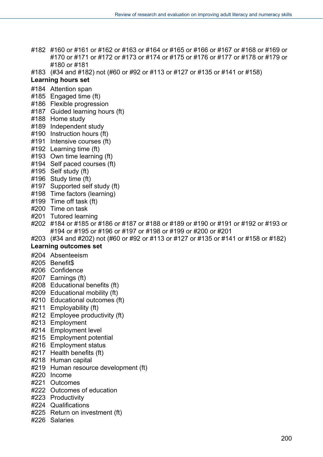- #182 #160 or #161 or #162 or #163 or #164 or #165 or #166 or #167 or #168 or #169 or #170 or #171 or #172 or #173 or #174 or #175 or #176 or #177 or #178 or #179 or #180 or #181
- #183 (#34 and #182) not (#60 or #92 or #113 or #127 or #135 or #141 or #158)

#### **Learning hours set**

- #184 Attention span
- #185 Engaged time (ft)
- #186 Flexible progression
- #187 Guided learning hours (ft)
- #188 Home study
- #189 Independent study
- #190 Instruction hours (ft)
- #191 Intensive courses (ft)
- #192 Learning time (ft)
- #193 Own time learning (ft)
- #194 Self paced courses (ft)
- #195 Self study (ft)
- #196 Study time (ft)
- #197 Supported self study (ft)
- #198 Time factors (learning)
- #199 Time off task (ft)
- #200 Time on task
- #201 Tutored learning
- #202 #184 or #185 or #186 or #187 or #188 or #189 or #190 or #191 or #192 or #193 or #194 or #195 or #196 or #197 or #198 or #199 or #200 or #201
- #203 (#34 and #202) not (#60 or #92 or #113 or #127 or #135 or #141 or #158 or #182)

#### **Learning outcomes set**

- #204 Absenteeism
- #205 Benefit\$
- #206 Confidence
- #207 Earnings (ft)
- #208 Educational benefits (ft)
- #209 Educational mobility (ft)
- #210 Educational outcomes (ft)
- #211 Employability (ft)
- #212 Employee productivity (ft)
- #213 Employment
- #214 Employment level
- #215 Employment potential
- #216 Employment status
- #217 Health benefits (ft)
- #218 Human capital
- #219 Human resource development (ft)
- #220 Income
- #221 Outcomes
- #222 Outcomes of education
- #223 Productivity
- #224 Qualifications
- #225 Return on investment (ft)
- #226 Salaries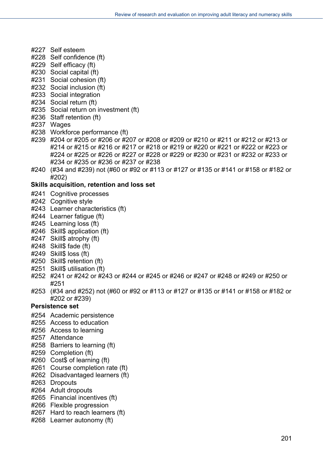- #227 Self esteem
- #228 Self confidence (ft)
- #229 Self efficacy (ft)
- #230 Social capital (ft)
- #231 Social cohesion (ft)
- #232 Social inclusion (ft)
- #233 Social integration
- #234 Social return (ft)
- #235 Social return on investment (ft)
- #236 Staff retention (ft)
- #237 Wages
- #238 Workforce performance (ft)
- #239 #204 or #205 or #206 or #207 or #208 or #209 or #210 or #211 or #212 or #213 or #214 or #215 or #216 or #217 or #218 or #219 or #220 or #221 or #222 or #223 or #224 or #225 or #226 or #227 or #228 or #229 or #230 or #231 or #232 or #233 or #234 or #235 or #236 or #237 or #238
- #240 (#34 and #239) not (#60 or #92 or #113 or #127 or #135 or #141 or #158 or #182 or #202)

#### **Skills acquisition, retention and loss set**

- #241 Cognitive processes
- #242 Cognitive style
- #243 Learner characteristics (ft)
- #244 Learner fatigue (ft)
- #245 Learning loss (ft)
- #246 Skill\$ application (ft)
- #247 Skill\$ atrophy (ft)
- #248 Skill\$ fade (ft)
- #249 Skill\$ loss (ft)
- #250 Skill\$ retention (ft)
- #251 Skill\$ utilisation (ft)
- #252 #241 or #242 or #243 or #244 or #245 or #246 or #247 or #248 or #249 or #250 or #251
- #253 (#34 and #252) not (#60 or #92 or #113 or #127 or #135 or #141 or #158 or #182 or #202 or #239)

#### **Persistence set**

- #254 Academic persistence
- #255 Access to education
- #256 Access to learning
- #257 Attendance
- #258 Barriers to learning (ft)
- #259 Completion (ft)
- #260 Cost\$ of learning (ft)
- #261 Course completion rate (ft)
- #262 Disadvantaged learners (ft)
- #263 Dropouts
- #264 Adult dropouts
- #265 Financial incentives (ft)
- #266 Flexible progression
- #267 Hard to reach learners (ft)
- #268 Learner autonomy (ft)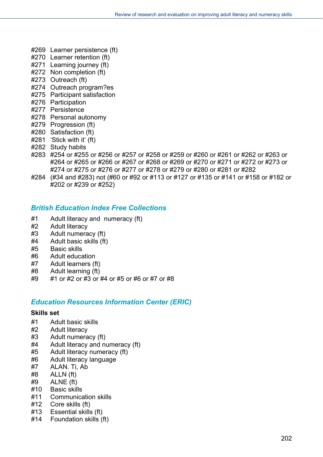- #269 Learner persistence (ft)
- #270 Learner retention (ft)
- #271 Learning journey (ft)
- #272 Non completion (ft)
- #273 Outreach (ft)
- #274 Outreach program?es
- #275 Participant satisfaction
- #276 Participation
- #277 Persistence
- #278 Personal autonomy
- #279 Progression (ft)
- #280 Satisfaction (ft)
- #281 'Stick with it' (ft)
- #282 Study habits
- #283 #254 or #255 or #256 or #257 or #258 or #259 or #260 or #261 or #262 or #263 or #264 or #265 or #266 or #267 or #268 or #269 or #270 or #271 or #272 or #273 or #274 or #275 or #276 or #277 or #278 or #279 or #280 or #281 or #282
- #284 (#34 and #283) not (#60 or #92 or #113 or #127 or #135 or #141 or #158 or #182 or #202 or #239 or #252)

## *British Education Index Free Collections*

- #1 Adult literacy and numeracy (ft)
- #2 Adult literacy
- #3 Adult numeracy (ft)
- #4 Adult basic skills (ft)
- #5 Basic skills
- #6 Adult education
- #7 Adult learners (ft)
- #8 Adult learning (ft)
- #9 #1 or #2 or #3 or #4 or #5 or #6 or #7 or #8

## *Education Resources Information Center (ERIC)*

#### **Skills set**

- #1 Adult basic skills
- #2 Adult literacy
- #3 Adult numeracy (ft)
- #4 Adult literacy and numeracy (ft)
- #5 Adult literacy numeracy (ft)
- #6 Adult literacy language
- #7 ALAN. Ti, Ab
- #8 ALLN (ft)
- #9 ALNE (ft)
- #10 Basic skills
- #11 Communication skills
- #12 Core skills (ft)
- #13 Essential skills (ft)
- #14 Foundation skills (ft)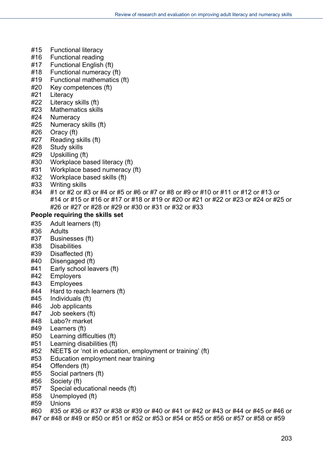- #15 Functional literacy
- #16 Functional reading
- #17 Functional English (ft)
- #18 Functional numeracy (ft)
- #19 Functional mathematics (ft)
- #20 Key competences (ft)
- #21 Literacy
- #22 Literacy skills (ft)
- #23 Mathematics skills
- #24 Numeracy
- #25 Numeracy skills (ft)
- #26 Oracy (ft)
- #27 Reading skills (ft)
- #28 Study skills
- #29 Upskilling (ft)
- #30 Workplace based literacy (ft)
- #31 Workplace based numeracy (ft)
- #32 Workplace based skills (ft)
- #33 Writing skills
- #34 #1 or #2 or #3 or #4 or #5 or #6 or #7 or #8 or #9 or #10 or #11 or #12 or #13 or #14 or #15 or #16 or #17 or #18 or #19 or #20 or #21 or #22 or #23 or #24 or #25 or #26 or #27 or #28 or #29 or #30 or #31 or #32 or #33

## **People requiring the skills set**

- #35 Adult learners (ft)
- #36 Adults
- #37 Businesses (ft)
- #38 Disabilities
- #39 Disaffected (ft)
- #40 Disengaged (ft)
- #41 Early school leavers (ft)
- #42 Employers
- #43 Employees
- #44 Hard to reach learners (ft)
- #45 Individuals (ft)
- #46 Job applicants
- #47 Job seekers (ft)
- #48 Labo?r market
- #49 Learners (ft)
- #50 Learning difficulties (ft)
- #51 Learning disabilities (ft)
- #52 NEET\$ or 'not in education, employment or training' (ft)
- #53 Education employment near training
- #54 Offenders (ft)
- #55 Social partners (ft)
- #56 Society (ft)
- #57 Special educational needs (ft)
- #58 Unemployed (ft)
- #59 Unions
- #60 #35 or #36 or #37 or #38 or #39 or #40 or #41 or #42 or #43 or #44 or #45 or #46 or
- #47 or #48 or #49 or #50 or #51 or #52 or #53 or #54 or #55 or #56 or #57 or #58 or #59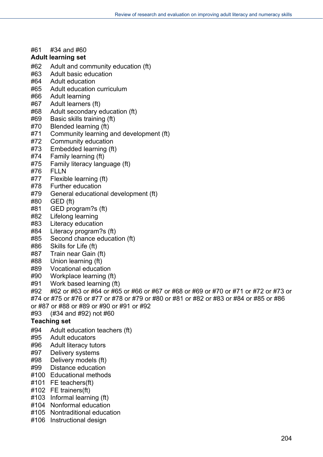#61 #34 and #60

#### **Adult learning set**

- #62 Adult and community education (ft)
- #63 Adult basic education
- #64 Adult education
- #65 Adult education curriculum
- #66 Adult learning
- #67 Adult learners (ft)
- #68 Adult secondary education (ft)
- #69 Basic skills training (ft)
- #70 Blended learning (ft)
- #71 Community learning and development (ft)
- #72 Community education
- #73 Embedded learning (ft)
- #74 Family learning (ft)
- #75 Family literacy language (ft)
- #76 FLLN
- #77 Flexible learning (ft)
- #78 Further education
- #79 General educational development (ft)
- #80 GED (ft)
- #81 GED program?s (ft)
- #82 Lifelong learning
- #83 Literacy education
- #84 Literacy program?s (ft)
- #85 Second chance education (ft)
- #86 Skills for Life (ft)
- #87 Train near Gain (ft)
- #88 Union learning (ft)
- #89 Vocational education
- #90 Workplace learning (ft)
- #91 Work based learning (ft)
- #92 #62 or #63 or #64 or #65 or #66 or #67 or #68 or #69 or #70 or #71 or #72 or #73 or #74 or #75 or #76 or #77 or #78 or #79 or #80 or #81 or #82 or #83 or #84 or #85 or #86
- or #87 or #88 or #89 or #90 or #91 or #92
- #93 (#34 and #92) not #60

### **Teaching set**

- #94 Adult education teachers (ft)
- #95 Adult educators
- #96 Adult literacy tutors
- #97 Delivery systems
- #98 Delivery models (ft)
- #99 Distance education
- #100 Educational methods
- #101 FE teachers(ft)
- #102 FE trainers(ft)
- #103 Informal learning (ft)
- #104 Nonformal education
- #105 Nontraditional education
- #106 Instructional design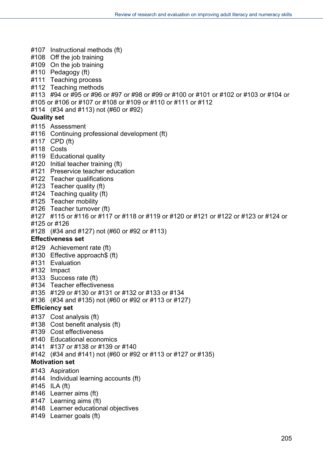- #107 Instructional methods (ft)
- #108 Off the job training
- #109 On the job training
- #110 Pedagogy (ft)
- #111 Teaching process
- #112 Teaching methods
- #113 #94 or #95 or #96 or #97 or #98 or #99 or #100 or #101 or #102 or #103 or #104 or
- #105 or #106 or #107 or #108 or #109 or #110 or #111 or #112
- #114 (#34 and #113) not (#60 or #92)

#### **Quality set**

- #115 Assessment
- #116 Continuing professional development (ft)
- #117 CPD (ft)
- #118 Costs
- #119 Educational quality
- #120 Initial teacher training (ft)
- #121 Preservice teacher education
- #122 Teacher qualifications
- #123 Teacher quality (ft)
- #124 Teaching quality (ft)
- #125 Teacher mobility
- #126 Teacher turnover (ft)
- #127 #115 or #116 or #117 or #118 or #119 or #120 or #121 or #122 or #123 or #124 or
- #125 or #126
- #128 (#34 and #127) not (#60 or #92 or #113)

#### **Effectiveness set**

- #129 Achievement rate (ft)
- #130 Effective approach\$ (ft)
- #131 Evaluation
- #132 Impact
- #133 Success rate (ft)
- #134 Teacher effectiveness
- #135 #129 or #130 or #131 or #132 or #133 or #134
- #136 (#34 and #135) not (#60 or #92 or #113 or #127)

#### **Efficiency set**

- #137 Cost analysis (ft)
- #138 Cost benefit analysis (ft)
- #139 Cost effectiveness
- #140 Educational economics
- #141 #137 or #138 or #139 or #140
- #142 (#34 and #141) not (#60 or #92 or #113 or #127 or #135)

#### **Motivation set**

- #143 Aspiration
- #144 Individual learning accounts (ft)
- #145 ILA (ft)
- #146 Learner aims (ft)
- #147 Learning aims (ft)
- #148 Learner educational objectives
- #149 Learner goals (ft)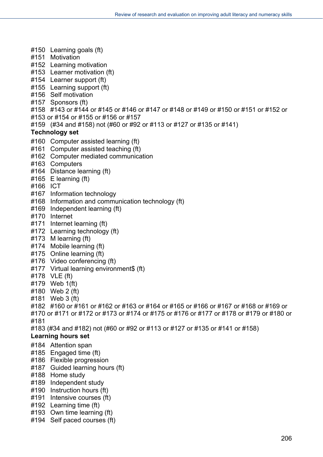- #150 Learning goals (ft)
- #151 Motivation
- #152 Learning motivation
- #153 Learner motivation (ft)
- #154 Learner support (ft)
- #155 Learning support (ft)
- #156 Self motivation
- #157 Sponsors (ft)
- #158 #143 or #144 or #145 or #146 or #147 or #148 or #149 or #150 or #151 or #152 or
- #153 or #154 or #155 or #156 or #157
- #159 (#34 and #158) not (#60 or #92 or #113 or #127 or #135 or #141)

#### **Technology set**

- #160 Computer assisted learning (ft)
- #161 Computer assisted teaching (ft)
- #162 Computer mediated communication
- #163 Computers
- #164 Distance learning (ft)
- #165 E learning (ft)
- #166 ICT
- #167 Information technology
- #168 Information and communication technology (ft)
- #169 Independent learning (ft)
- #170 Internet
- #171 Internet learning (ft)
- #172 Learning technology (ft)
- #173 M learning (ft)
- #174 Mobile learning (ft)
- #175 Online learning (ft)
- #176 Video conferencing (ft)
- #177 Virtual learning environment\$ (ft)
- #178 VLE (ft)
- #179 Web 1(ft)
- #180 Web 2 (ft)
- #181 Web 3 (ft)
- #182 #160 or #161 or #162 or #163 or #164 or #165 or #166 or #167 or #168 or #169 or #170 or #171 or #172 or #173 or #174 or #175 or #176 or #177 or #178 or #179 or #180 or
- #181
- #183 (#34 and #182) not (#60 or #92 or #113 or #127 or #135 or #141 or #158)

#### **Learning hours set**

- #184 Attention span
- #185 Engaged time (ft)
- #186 Flexible progression
- #187 Guided learning hours (ft)
- #188 Home study
- #189 Independent study
- #190 Instruction hours (ft)
- #191 Intensive courses (ft)
- #192 Learning time (ft)
- #193 Own time learning (ft)
- #194 Self paced courses (ft)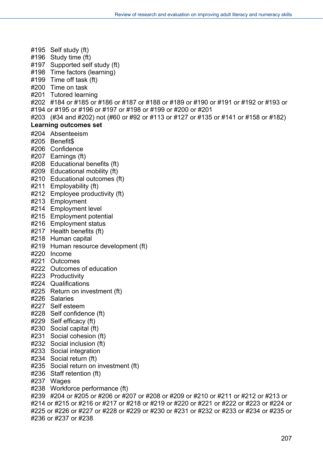#195 Self study (ft) #196 Study time (ft) #197 Supported self study (ft) #198 Time factors (learning) #199 Time off task (ft) #200 Time on task #201 Tutored learning #202 #184 or #185 or #186 or #187 or #188 or #189 or #190 or #191 or #192 or #193 or #194 or #195 or #196 or #197 or #198 or #199 or #200 or #201 #203 (#34 and #202) not (#60 or #92 or #113 or #127 or #135 or #141 or #158 or #182) **Learning outcomes set**  #204 Absenteeism #205 Benefit\$ #206 Confidence #207 Earnings (ft) #208 Educational benefits (ft) #209 Educational mobility (ft) #210 Educational outcomes (ft) #211 Employability (ft) #212 Employee productivity (ft) #213 Employment #214 Employment level #215 Employment potential #216 Employment status #217 Health benefits (ft) #218 Human capital #219 Human resource development (ft) #220 Income #221 Outcomes #222 Outcomes of education #223 Productivity #224 Qualifications #225 Return on investment (ft) #226 Salaries #227 Self esteem #228 Self confidence (ft) #229 Self efficacy (ft) #230 Social capital (ft) #231 Social cohesion (ft) #232 Social inclusion (ft) #233 Social integration #234 Social return (ft) #235 Social return on investment (ft) #236 Staff retention (ft) #237 Wages #238 Workforce performance (ft) #239 #204 or #205 or #206 or #207 or #208 or #209 or #210 or #211 or #212 or #213 or #214 or #215 or #216 or #217 or #218 or #219 or #220 or #221 or #222 or #223 or #224 or #225 or #226 or #227 or #228 or #229 or #230 or #231 or #232 or #233 or #234 or #235 or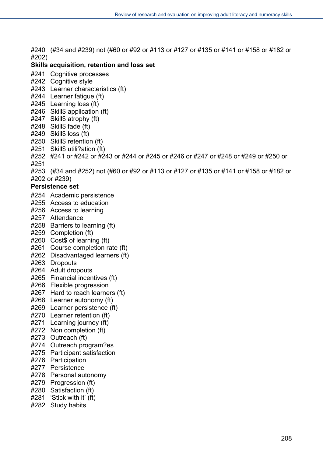#240 (#34 and #239) not (#60 or #92 or #113 or #127 or #135 or #141 or #158 or #182 or #202)

### **Skills acquisition, retention and loss set**

- #241 Cognitive processes
- #242 Cognitive style
- #243 Learner characteristics (ft)
- #244 Learner fatigue (ft)
- #245 Learning loss (ft)
- #246 Skill\$ application (ft)
- #247 Skill\$ atrophy (ft)
- #248 Skill\$ fade (ft)
- #249 Skill\$ loss (ft)
- #250 Skill\$ retention (ft)
- #251 Skill\$ utili?ation (ft)
- #252 #241 or #242 or #243 or #244 or #245 or #246 or #247 or #248 or #249 or #250 or #251
- #253 (#34 and #252) not (#60 or #92 or #113 or #127 or #135 or #141 or #158 or #182 or #202 or #239)

#### **Persistence set**

- #254 Academic persistence
- #255 Access to education
- #256 Access to learning
- #257 Attendance
- #258 Barriers to learning (ft)
- #259 Completion (ft)
- #260 Cost\$ of learning (ft)
- #261 Course completion rate (ft)
- #262 Disadvantaged learners (ft)
- #263 Dropouts
- #264 Adult dropouts
- #265 Financial incentives (ft)
- #266 Flexible progression
- #267 Hard to reach learners (ft)
- #268 Learner autonomy (ft)
- #269 Learner persistence (ft)
- #270 Learner retention (ft)
- #271 Learning journey (ft)
- #272 Non completion (ft)
- #273 Outreach (ft)
- #274 Outreach program?es
- #275 Participant satisfaction
- #276 Participation
- #277 Persistence
- #278 Personal autonomy
- #279 Progression (ft)
- #280 Satisfaction (ft)
- #281 'Stick with it' (ft)
- #282 Study habits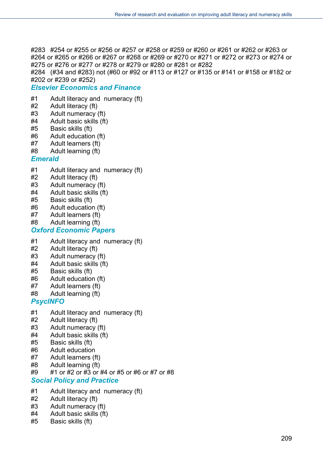#283 #254 or #255 or #256 or #257 or #258 or #259 or #260 or #261 or #262 or #263 or #264 or #265 or #266 or #267 or #268 or #269 or #270 or #271 or #272 or #273 or #274 or #275 or #276 or #277 or #278 or #279 or #280 or #281 or #282

#284 (#34 and #283) not (#60 or #92 or #113 or #127 or #135 or #141 or #158 or #182 or #202 or #239 or #252)

### *Elsevier Economics and Finance*

- #1 Adult literacy and numeracy (ft)
- #2 Adult literacy (ft)
- #3 Adult numeracy (ft)
- #4 Adult basic skills (ft)
- #5 Basic skills (ft)
- #6 Adult education (ft)
- #7 Adult learners (ft)
- #8 Adult learning (ft)

#### *Emerald*

- #1 Adult literacy and numeracy (ft)
- #2 Adult literacy (ft)
- #3 Adult numeracy (ft)
- #4 Adult basic skills (ft)
- #5 Basic skills (ft)
- #6 Adult education (ft)
- #7 Adult learners (ft)
- #8 Adult learning (ft)

#### *Oxford Economic Papers*

- #1 Adult literacy and numeracy (ft)
- #2 Adult literacy (ft)
- #3 Adult numeracy (ft)
- #4 Adult basic skills (ft)
- #5 Basic skills (ft)
- #6 Adult education (ft)
- #7 Adult learners (ft)
- #8 Adult learning (ft)

### *PsycINFO*

- #1 Adult literacy and numeracy (ft)
- #2 Adult literacy (ft)
- #3 Adult numeracy (ft)
- #4 Adult basic skills (ft)
- #5 Basic skills (ft)
- #6 Adult education
- #7 Adult learners (ft)
- #8 Adult learning (ft)
- #9 #1 or #2 or #3 or #4 or #5 or #6 or #7 or #8

#### *Social Policy and Practice*

- #1 Adult literacy and numeracy (ft)
- #2 Adult literacy (ft)
- #3 Adult numeracy (ft)
- #4 Adult basic skills (ft)
- #5 Basic skills (ft)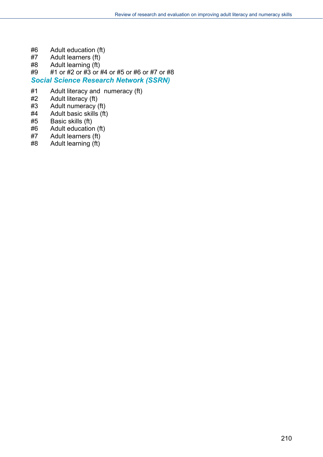- #6 Adult education (ft)
- #7 Adult learners (ft)
- #8 Adult learning (ft)
- #9 #1 or #2 or #3 or #4 or #5 or #6 or #7 or #8
- *Social Science Research Network (SSRN)*
- #1 Adult literacy and numeracy (ft)
- $#2$  Adult literacy (ft)<br> $#3$  Adult numeracy
- Adult numeracy  $(ft)$
- #4 Adult basic skills (ft)
- #5 Basic skills (ft)
- #6 Adult education (ft)
- #7 Adult learners (ft)
- #8 Adult learning (ft)